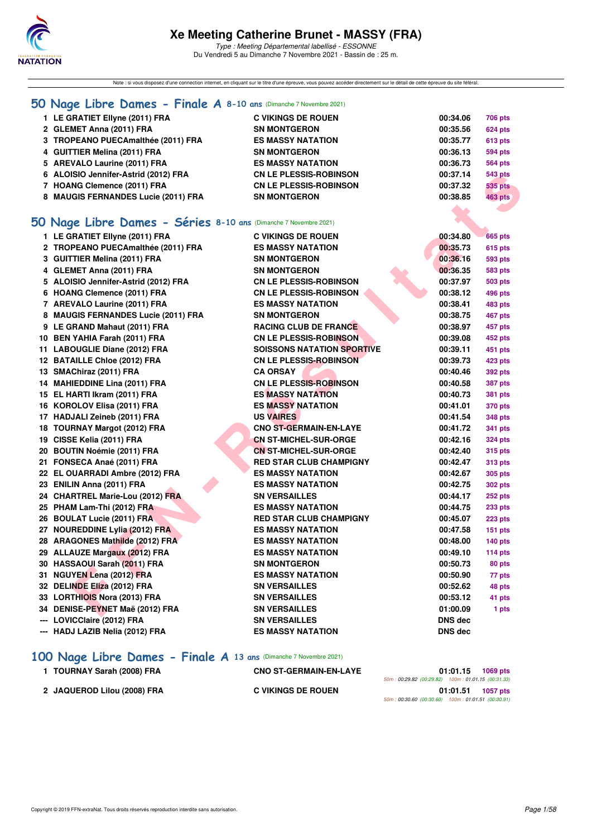

Type : Meeting Départemental labellisé - ESSONNE Du Vendredi 5 au Dimanche 7 Novembre 2021 - Bassin de : 25 m.

Note : si vous disposez d'une connection internet, en cliquant sur le titre d'une épreuve, vous pouvez accéder directement sur le détail de cette épreuve du site féféral.

#### **[50 Nage Libre Dames - Finale A](http://www.ffnatation.fr/webffn/resultats.php?idact=nat&go=epr&idcpt=72199&idepr=1) 8-10 ans** (Dimanche 7 Novembre 2021)

| 50 Nage Libre Dames - Séries 8-10 ans (Dimanche 7 Novembre 2021) |                               |          |                |
|------------------------------------------------------------------|-------------------------------|----------|----------------|
| 8 MAUGIS FERNANDES Lucie (2011) FRA                              | <b>SN MONTGERON</b>           | 00:38.85 | <b>463 pts</b> |
| 7 HOANG Clemence (2011) FRA                                      | <b>CN LE PLESSIS-ROBINSON</b> | 00:37.32 | 535 pts        |
| 6 ALOISIO Jennifer-Astrid (2012) FRA                             | <b>CN LE PLESSIS-ROBINSON</b> | 00:37.14 | 543 pts        |
| 5 AREVALO Laurine (2011) FRA                                     | <b>ES MASSY NATATION</b>      | 00:36.73 | <b>564 pts</b> |
| 4 GUITTIER Melina (2011) FRA                                     | <b>SN MONTGERON</b>           | 00:36.13 | 594 pts        |
| 3 TROPEANO PUECAmalthée (2011) FRA                               | <b>ES MASSY NATATION</b>      | 00:35.77 | <b>613 pts</b> |
| 2 GLEMET Anna (2011) FRA                                         | <b>SN MONTGERON</b>           | 00:35.56 | <b>624 pts</b> |
| 1 LE GRATIET Ellyne (2011) FRA                                   | <b>C VIKINGS DE ROUEN</b>     | 00:34.06 | <b>706 pts</b> |
|                                                                  |                               |          |                |

#### **[50 Nage Libre Dames - Séries](http://www.ffnatation.fr/webffn/resultats.php?idact=nat&go=epr&idcpt=72199&idepr=1) 8-10 ans** (Dimanche 7 Novembre 2021)

| 6 ALOISIO Jennifer-Astrid (2012) FRA                             | <b>CN LE PLESSIS-ROBINSON</b>     | 00:37.14       | 543 pts        |
|------------------------------------------------------------------|-----------------------------------|----------------|----------------|
| 7 HOANG Clemence (2011) FRA                                      | <b>CN LE PLESSIS-ROBINSON</b>     | 00:37.32       | 535 pts        |
| 8 MAUGIS FERNANDES Lucie (2011) FRA                              | <b>SN MONTGERON</b>               | 00:38.85       | <b>463 pts</b> |
|                                                                  |                                   |                |                |
| 60 Nage Libre Dames - Séries 8-10 ans (Dimanche 7 Novembre 2021) |                                   |                |                |
| 1 LE GRATIET Ellyne (2011) FRA                                   | <b>C VIKINGS DE ROUEN</b>         | 00:34.80       | <b>665 pts</b> |
| 2 TROPEANO PUECAmalthée (2011) FRA                               | <b>ES MASSY NATATION</b>          | 00:35.73       | 615 pts        |
| 3 GUITTIER Melina (2011) FRA                                     | <b>SN MONTGERON</b>               | 00:36.16       | 593 pts        |
| 4 GLEMET Anna (2011) FRA                                         | <b>SN MONTGERON</b>               | 00:36.35       | 583 pts        |
| 5 ALOISIO Jennifer-Astrid (2012) FRA                             | <b>CN LE PLESSIS-ROBINSON</b>     | 00:37.97       | 503 pts        |
| 6 HOANG Clemence (2011) FRA                                      | <b>CN LE PLESSIS-ROBINSON</b>     | 00:38.12       | 496 pts        |
| 7 AREVALO Laurine (2011) FRA                                     | <b>ES MASSY NATATION</b>          | 00:38.41       | 483 pts        |
| 8 MAUGIS FERNANDES Lucie (2011) FRA                              | <b>SN MONTGERON</b>               | 00:38.75       | 467 pts        |
| 9 LE GRAND Mahaut (2011) FRA                                     | <b>RACING CLUB DE FRANCE</b>      | 00:38.97       | 457 pts        |
| 10 BEN YAHIA Farah (2011) FRA                                    | <b>CN LE PLESSIS-ROBINSON</b>     | 00:39.08       | 452 pts        |
| 11 LABOUGLIE Diane (2012) FRA                                    | <b>SOISSONS NATATION SPORTIVE</b> | 00:39.11       | 451 pts        |
| 12 BATAILLE Chloe (2012) FRA                                     | <b>CN LE PLESSIS-ROBINSON</b>     | 00:39.73       | 423 pts        |
| 13 SMAChiraz (2011) FRA                                          | <b>CA ORSAY</b>                   | 00:40.46       | 392 pts        |
| 14 MAHIEDDINE Lina (2011) FRA                                    | <b>CN LE PLESSIS-ROBINSON</b>     | 00:40.58       | <b>387 pts</b> |
| 15 EL HARTI Ikram (2011) FRA                                     | <b>ES MASSY NATATION</b>          | 00:40.73       | <b>381 pts</b> |
| 16 KOROLOV Elisa (2011) FRA                                      | <b>ES MASSY NATATION</b>          | 00:41.01       | 370 pts        |
| 17 HADJALI Zeineb (2011) FRA                                     | <b>US VAIRES</b>                  | 00:41.54       | <b>348 pts</b> |
| 18 TOURNAY Margot (2012) FRA                                     | <b>CNO ST-GERMAIN-EN-LAYE</b>     | 00:41.72       | 341 pts        |
| 19 CISSE Kelia (2011) FRA                                        | <b>CN ST-MICHEL-SUR-ORGE</b>      | 00:42.16       | 324 pts        |
| 20 BOUTIN Noémie (2011) FRA                                      | <b>CN ST-MICHEL-SUR-ORGE</b>      | 00:42.40       | <b>315 pts</b> |
| 21 FONSECA Anaé (2011) FRA                                       | <b>RED STAR CLUB CHAMPIGNY</b>    | 00:42.47       | 313 pts        |
| 22 EL OUARRADI Ambre (2012) FRA                                  | <b>ES MASSY NATATION</b>          | 00:42.67       | 305 pts        |
| 23 ENILIN Anna (2011) FRA                                        | <b>ES MASSY NATATION</b>          | 00:42.75       | <b>302 pts</b> |
| 24 CHARTREL Marie-Lou (2012) FRA                                 | <b>SN VERSAILLES</b>              | 00:44.17       | 252 pts        |
| 25 PHAM Lam-Thi (2012) FRA                                       | <b>ES MASSY NATATION</b>          | 00:44.75       | $233$ pts      |
| 26 BOULAT Lucie (2011) FRA                                       | <b>RED STAR CLUB CHAMPIGNY</b>    | 00:45.07       | $223$ pts      |
| 27 NOUREDDINE Lylia (2012) FRA                                   | <b>ES MASSY NATATION</b>          | 00:47.58       | $151$ pts      |
| 28 ARAGONES Mathilde (2012) FRA                                  | <b>ES MASSY NATATION</b>          | 00:48.00       | 140 pts        |
| 29 ALLAUZE Margaux (2012) FRA                                    | <b>ES MASSY NATATION</b>          | 00:49.10       | 114 pts        |
| 30 HASSAOUI Sarah (2011) FRA                                     | <b>SN MONTGERON</b>               | 00:50.73       | 80 pts         |
| 31 NGUYEN Lena (2012) FRA                                        | <b>ES MASSY NATATION</b>          | 00:50.90       | 77 pts         |
| 32 DELINDE Eliza (2012) FRA                                      | <b>SN VERSAILLES</b>              | 00:52.62       | 48 pts         |
| 33 LORTHIOIS Nora (2013) FRA                                     | <b>SN VERSAILLES</b>              | 00:53.12       | 41 pts         |
| 34 DENISE-PEYNET Maë (2012) FRA                                  | <b>SN VERSAILLES</b>              | 01:00.09       | 1 pts          |
| --- LOVICClaire (2012) FRA                                       | <b>SN VERSAILLES</b>              | <b>DNS dec</b> |                |
| --- HADJ LAZIB Nelia (2012) FRA                                  | <b>ES MASSY NATATION</b>          | <b>DNS dec</b> |                |
|                                                                  |                                   |                |                |

## **[100 Nage Libre Dames - Finale A](http://www.ffnatation.fr/webffn/resultats.php?idact=nat&go=epr&idcpt=72199&idepr=2) 13 ans** (Dimanche 7 Novembre 2021)

| 1 TOURNAY Sarah (2008) FRA  | <b>CNO ST-GERMAIN-EN-LAYE</b> | 01:01.15                                           | 1069 pts |
|-----------------------------|-------------------------------|----------------------------------------------------|----------|
|                             |                               | 50m: 00:29.82 (00:29.82) 100m: 01:01.15 (00:31.33) |          |
| 2 JAQUEROD Lilou (2008) FRA | <b>C VIKINGS DE ROUEN</b>     | 01:01.51                                           | 1057 pts |
|                             |                               | 50m: 00:30.60 (00:30.60) 100m: 01:01.51 (00:30.91) |          |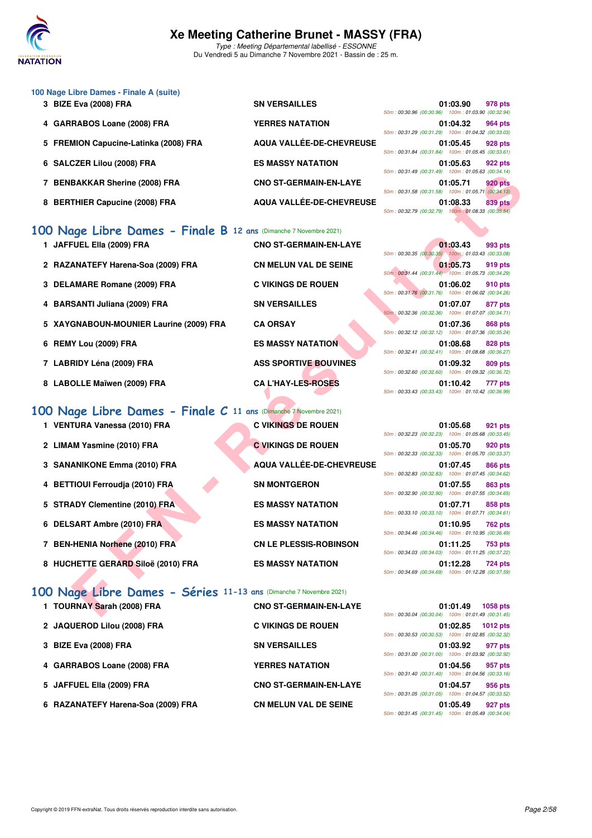

Type : Meeting Départemental labellisé - ESSONNE Du Vendredi 5 au Dimanche 7 Novembre 2021 - Bassin de : 25 m.

| 100 Nage Libre Dames - Finale A (suite) |                               |                                                    |          |                |
|-----------------------------------------|-------------------------------|----------------------------------------------------|----------|----------------|
| 3 BIZE Eva (2008) FRA                   | <b>SN VERSAILLES</b>          |                                                    | 01:03.90 | 978 pts        |
|                                         |                               | 50m: 00:30.96 (00:30.96) 100m: 01:03.90 (00:32.94) |          |                |
| 4 GARRABOS Loane (2008) FRA             | <b>YERRES NATATION</b>        |                                                    | 01:04.32 | 964 pts        |
|                                         |                               | 50m: 00:31.29 (00:31.29) 100m: 01:04.32 (00:33.03) |          |                |
| 5 FREMION Capucine-Latinka (2008) FRA   | AQUA VALLÉE-DE-CHEVREUSE      |                                                    | 01:05.45 | <b>928 pts</b> |
|                                         |                               | 50m: 00:31.84 (00:31.84) 100m: 01:05.45 (00:33.61) |          |                |
| 6 SALCZER Lilou (2008) FRA              | <b>ES MASSY NATATION</b>      |                                                    | 01:05.63 | 922 pts        |
|                                         |                               | 50m: 00:31.49 (00:31.49) 100m: 01:05.63 (00:34.14) |          |                |
| 7 BENBAKKAR Sherine (2008) FRA          | <b>CNO ST-GERMAIN-EN-LAYE</b> |                                                    | 01:05.71 | <b>920 pts</b> |
|                                         |                               | 50m: 00:31.58 (00:31.58) 100m: 01:05.71 (00:34.13) |          |                |
| 8 BERTHIER Capucine (2008) FRA          | AQUA VALLÉE-DE-CHEVREUSE      |                                                    | 01:08.33 | 839 pts        |
|                                         |                               | 50m: 00:32.79 (00:32.79) 100m: 01:08.33 (00:35.54) |          |                |

#### **[100 Nage Libre Dames - Finale B](http://www.ffnatation.fr/webffn/resultats.php?idact=nat&go=epr&idcpt=72199&idepr=2) 12 ans** (Dimanche 7 Novembre 2021)

| 1 JAFFUEL Ella (2009) FRA |
|---------------------------|
| 2 RAZANATEEV Horona-Soal  |

- 
- 4 BARSANTI Juliana (2009) FRA SN VERSAILLES
- **5 XAYGNABOUN-MOUNIER Laurine (2009) FRA CA ORSAY 01:07.36 868 pts**
- 
- 7 LABRIDY Léna (2009) FRA ASS SPORTIVE BOUVINES
- 8 LABOLLE Maïwen (2009) FRA CA L'HAY-LES-ROSES

#### **[100 Nage Libre Dames - Finale C](http://www.ffnatation.fr/webffn/resultats.php?idact=nat&go=epr&idcpt=72199&idepr=2) 11 ans** (Dimanche 7 Novembre 2021)

- 1 VENTURA Vanessa (2010) FRA C VIKINGS DE ROUEN
- 2 LIMAM Yasmine (2010) FRA **C VIKINGS DE ROUEN**
- 
- 4 BETTIOUI Ferroudja (2010) FRA SN MONTGERON
- **5 STRADY Clementine (2010) FRA ES MASSY NATATION**
- 6 DELSART Ambre (2010) FRA ES MASSY NATATION
- 7 BEN-HENIA Norhene (2010) FRA CN LE PLESSIS-ROBINSON
- 8 HUCHETTE GERARD Siloë (2010) FRA ES MASSY NATATION

## **[100 Nage Libre Dames - Séries](http://www.ffnatation.fr/webffn/resultats.php?idact=nat&go=epr&idcpt=72199&idepr=2) 11-13 ans** (Dimanche 7 Novembre 2021)

- 
- 2 JAQUEROD Lilou (2008) FRA C VIKINGS DE ROUEN
- **3 BIZE Eva (2008) FRA SN VERSAILLES**
- 4 GARRABOS Loane (2008) FRA YERRES NATATION
- 
- **6 RAZANATEFY Harena-Soa (2009) FRA CN MELUN VAL DE SEINE 01:05.49 927 pts**
- **1 CNO ST-GERMAIN-EN-LAYE** 2 RAZANATEFY Harena-Soa (2009) FRA CN MELUN VAL DE SEINE 3 DELAMARE Romane (2009) FRA **C VIKINGS DE ROUEN** 6 REMY Lou (2009) FRA ES MASSY NATATION
- **ENANTAL EN CHOST CREATE CONSERVATE SERVE AND THE RESPONSIBLE SERVE AND THE RESPONSIBLE SERVE AND THE RESPONSIBLE SERVES UP AND CHOST CREATE AND CHOST CREATE AND CHOST CREATE AND CHOST CREATE AND CHOST CREATE AND CHOST CR 3 SANANIKONE Emma (2010) FRA AQUA VALLÉE-DE-CHEVREUSE**
- 1 TOURNAY Sarah (2008) FRA CNO ST-GERMAIN-EN-LAYE 5 JAFFUEL EIIa (2009) FRA CNO ST-GERMAIN-EN-LAYE

|                                                    | 01:03.90 978 pts                                   |  |
|----------------------------------------------------|----------------------------------------------------|--|
|                                                    | 50m: 00:30.96 (00:30.96) 100m: 01:03.90 (00:32.94) |  |
|                                                    | 01:04.32 964 pts                                   |  |
|                                                    | 50m: 00:31.29 (00:31.29) 100m: 01:04.32 (00:33.03) |  |
|                                                    | 01:05.45 928 pts                                   |  |
|                                                    | 50m: 00:31.84 (00:31.84) 100m: 01:05.45 (00:33.61) |  |
|                                                    | 01:05.63 922 pts                                   |  |
|                                                    | 50m: 00:31.49 (00:31.49) 100m: 01:05.63 (00:34.14) |  |
|                                                    | 01:05.71 920 pts                                   |  |
|                                                    | 50m: 00:31.58 (00:31.58) 100m: 01:05.71 (00:34.13) |  |
|                                                    | 01:08.33 839 pts                                   |  |
| 50m: 00:32.79 (00:32.79) 100m: 01:08.33 (00:35.54) |                                                    |  |

|  | 01:03.43 993 pts                                   |  |
|--|----------------------------------------------------|--|
|  | 50m: 00:30.35 (00:30.35) 100m: 01:03.43 (00:33.08) |  |
|  | 01:05.73 919 pts                                   |  |
|  | 50m: 00:31.44 (00:31.44) 100m: 01:05.73 (00:34.29) |  |
|  | 01:06.02 910 pts                                   |  |
|  | 50m: 00:31.76 (00:31.76) 100m: 01:06.02 (00:34.26) |  |
|  | 01:07.07 877 pts                                   |  |
|  | 50m: 00:32.36 (00:32.36) 100m: 01:07.07 (00:34.71) |  |
|  | 01:07.36 868 pts                                   |  |
|  | 50m: 00:32.12 (00:32.12) 100m: 01:07.36 (00:35.24) |  |
|  | 01:08.68 828 pts                                   |  |
|  | 50m: 00:32.41 (00:32.41) 100m: 01:08.68 (00:36.27) |  |
|  | 01:09.32 809 pts                                   |  |
|  | 50m: 00:32.60 (00:32.60) 100m: 01:09.32 (00:36.72) |  |
|  | 01:10.42 777 pts                                   |  |
|  | 50m: 00:33.43 (00:33.43) 100m: 01:10.42 (00:36.99) |  |

| 50m: 00:32.23 (00:32.23) 100m: 01:05.68 (00:33.45) | 01:05.68 921 pts |  |
|----------------------------------------------------|------------------|--|
| 50m: 00:32.33 (00:32.33) 100m: 01:05.70 (00:33.37) | 01:05.70 920 pts |  |
| 50m: 00:32.83 (00:32.83) 100m: 01:07.45 (00:34.62) | 01:07.45 866 pts |  |
| 50m: 00:32.90 (00:32.90) 100m: 01:07.55 (00:34.65) | 01:07.55 863 pts |  |
| 50m: 00:33.10 (00:33.10) 100m: 01:07.71 (00:34.61) | 01:07.71 858 pts |  |
| 50m: 00:34.46 (00:34.46) 100m: 01:10.95 (00:36.49) | 01:10.95 762 pts |  |
| 50m: 00:34.03 (00:34.03) 100m: 01:11.25 (00:37.22) | 01:11.25 753 pts |  |
| 50m: 00:34.69 (00:34.69) 100m: 01:12.28 (00:37.59) | 01:12.28 724 pts |  |

| 50m: 00:30.04 (00:30.04) 100m: 01:01.49 (00:31.45) | 01:01.49 1058 pts |
|----------------------------------------------------|-------------------|
| 50m: 00:30.53 (00:30.53) 100m: 01:02.85 (00:32.32) | 01:02.85 1012 pts |
| 50m: 00:31.00 (00:31.00) 100m: 01:03.92 (00:32.92) | 01:03.92 977 pts  |
| 50m: 00:31.40 (00:31.40) 100m: 01:04.56 (00:33.16) | 01:04.56 957 pts  |
| 50m: 00:31.05 (00:31.05) 100m: 01:04.57 (00:33.52) | 01:04.57 956 pts  |
|                                                    | 01:05.49 927 pts  |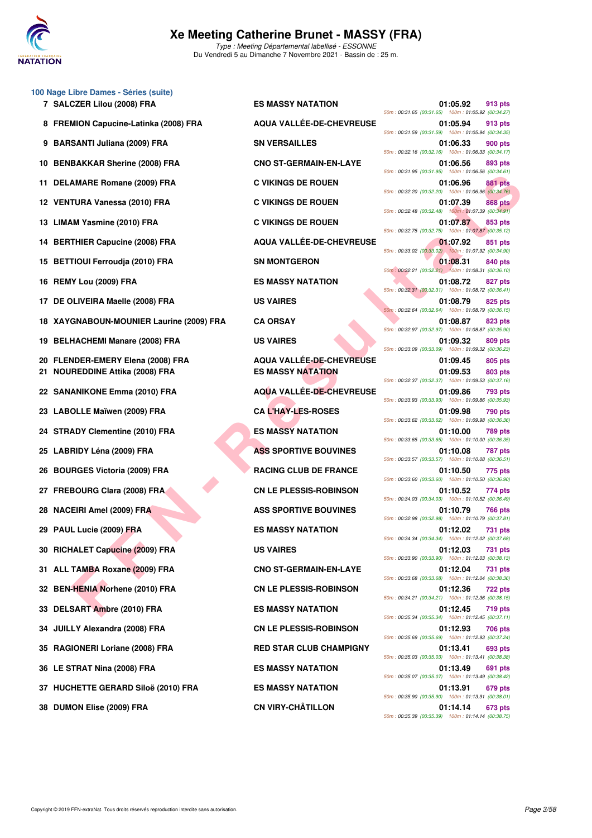

|     | 100 Nage Libre Dames - Séries (suite) |                                 |                                                                                  |
|-----|---------------------------------------|---------------------------------|----------------------------------------------------------------------------------|
|     | 7 SALCZER Lilou (2008) FRA            | <b>ES MASSY NATATION</b>        | 01:05.92<br>913 pts<br>50m: 00:31.65 (00:31.65) 100m: 01:05.92 (00:34.27)        |
|     | 8 FREMION Capucine-Latinka (2008) FRA | AQUA VALLÉE-DE-CHEVREUSE        | 01:05.94<br>913 pts<br>50m: 00:31.59 (00:31.59) 100m: 01:05.94 (00:34.35)        |
| 9   | <b>BARSANTI Juliana (2009) FRA</b>    | <b>SN VERSAILLES</b>            | 01:06.33<br>900 pts<br>50m: 00:32.16 (00:32.16) 100m: 01:06.33 (00:34.17)        |
| 10  | <b>BENBAKKAR Sherine (2008) FRA</b>   | <b>CNO ST-GERMAIN-EN-LAYE</b>   | 01:06.56<br>893 pts<br>50m: 00:31.95 (00:31.95) 100m: 01:06.56 (00:34.61)        |
| 11  | DELAMARE Romane (2009) FRA            | <b>C VIKINGS DE ROUEN</b>       | 01:06.96<br><b>881 pts</b><br>50m: 00:32.20 (00:32.20) 100m: 01:06.96 (00:34.76) |
|     | 12 VENTURA Vanessa (2010) FRA         | <b>C VIKINGS DE ROUEN</b>       | 01:07.39<br><b>868 pts</b><br>50m: 00:32.48 (00:32.48) 100m: 01:07.39 (00:34.91) |
| 13  | <b>LIMAM Yasmine (2010) FRA</b>       | <b>C VIKINGS DE ROUEN</b>       | 01:07.87<br>853 pts<br>50m: 00:32.75 (00:32.75) 100m: 01:07.87 (00:35.12)        |
|     | 14 BERTHIER Capucine (2008) FRA       | AQUA VALLÉE-DE-CHEVREUSE        | 01:07.92<br>851 pts<br>50m: 00:33.02 (00:33.02) 100m: 01:07.92 (00:34.90)        |
| 15  | <b>BETTIOUI Ferroudja (2010) FRA</b>  | <b>SN MONTGERON</b>             | 01:08.31<br>840 pts<br>50m: 00:32.21 (00:32.21) 100m: 01:08.31 (00:36.10)        |
| 16  | REMY Lou (2009) FRA                   | <b>ES MASSY NATATION</b>        | 01:08.72<br>827 pts<br>50m: 00:32.31 (00:32.31) 100m: 01:08.72 (00:36.41)        |
|     | 17 DE OLIVEIRA Maelle (2008) FRA      | <b>US VAIRES</b>                | 01:08.79<br>825 pts<br>50m: 00:32.64 (00:32.64) 100m: 01:08.79 (00:36.15)        |
| 18  | XAYGNABOUN-MOUNIER Laurine (2009) FRA | <b>CA ORSAY</b>                 | 01:08.87<br>823 pts<br>50m: 00:32.97 (00:32.97) 100m: 01:08.87 (00:35.90)        |
| 19  | <b>BELHACHEMI Manare (2008) FRA</b>   | <b>US VAIRES</b>                | 01:09.32<br>809 pts<br>50m: 00:33.09 (00:33.09) 100m: 01:09.32 (00:36.23)        |
| 20  | FLENDER-EMERY Elena (2008) FRA        | <b>AQUA VALLÉE-DE-CHEVREUSE</b> | 01:09.45<br>805 pts                                                              |
|     | <b>NOUREDDINE Attika (2008) FRA</b>   | <b>ES MASSY NATATION</b>        | 01:09.53<br>803 pts<br>50m: 00:32.37 (00:32.37) 100m: 01:09.53 (00:37.16)        |
| 22  | <b>SANANIKONE Emma (2010) FRA</b>     | AQUA VALLÉE-DE-CHEVREUSE        | 01:09.86<br>793 pts<br>50m: 00:33.93 (00:33.93) 100m: 01:09.86 (00:35.93)        |
| 23  | LABOLLE Maïwen (2009) FRA             | <b>CA L'HAY-LES-ROSES</b>       | 01:09.98<br>790 pts<br>50m: 00:33.62 (00:33.62) 100m: 01:09.98 (00:36.36)        |
|     | 24 STRADY Clementine (2010) FRA       | <b>ES MASSY NATATION</b>        | 01:10.00<br><b>789 pts</b><br>50m: 00:33.65 (00:33.65) 100m: 01:10.00 (00:36.35) |
| 25  | LABRIDY Léna (2009) FRA               | <b>ASS SPORTIVE BOUVINES</b>    | 01:10.08<br>787 pts<br>50m: 00:33.57 (00:33.57) 100m: 01:10.08 (00:36.51)        |
| 26  | <b>BOURGES Victoria (2009) FRA</b>    | <b>RACING CLUB DE FRANCE</b>    | 01:10.50<br>775 pts<br>50m: 00:33.60 (00:33.60) 100m: 01:10.50 (00:36.90)        |
|     | 27 FREBOURG Clara (2008) FRA          | <b>CN LE PLESSIS-ROBINSON</b>   | 01:10.52<br>774 pts<br>50m: 00:34.03 (00:34.03) 100m: 01:10.52 (00:36.49)        |
| 28  | <b>NACEIRI Amel (2009) FRA</b>        | <b>ASS SPORTIVE BOUVINES</b>    | 01:10.79<br><b>766 pts</b><br>50m: 00:32.98 (00:32.98) 100m: 01:10.79 (00:37.81) |
| 29  | PAUL Lucie (2009) FRA                 | <b>ES MASSY NATATION</b>        | 01:12.02<br>731 pts<br>50m: 00:34.34 (00:34.34) 100m: 01:12.02 (00:37.68)        |
|     | 30 RICHALET Capucine (2009) FRA       | <b>US VAIRES</b>                | 01:12.03<br>731 pts<br>50m: 00:33.90 (00:33.90) 100m: 01:12.03 (00:38.13)        |
| 31. | ALL TAMBA Roxane (2009) FRA           | <b>CNO ST-GERMAIN-EN-LAYE</b>   | 01:12.04<br>731 pts<br>50m: 00:33.68 (00:33.68) 100m: 01:12.04 (00:38.36)        |
| 32  | <b>BEN-HENIA Norhene (2010) FRA</b>   | <b>CN LE PLESSIS-ROBINSON</b>   | 01:12.36<br><b>722 pts</b><br>50m: 00:34.21 (00:34.21) 100m: 01:12.36 (00:38.15) |
| 33  | DELSART Ambre (2010) FRA              | <b>ES MASSY NATATION</b>        | 01:12.45<br>719 pts<br>50m: 00:35.34 (00:35.34) 100m: 01:12.45 (00:37.11)        |
| 34  | <b>JUILLY Alexandra (2008) FRA</b>    | <b>CN LE PLESSIS-ROBINSON</b>   | 01:12.93<br>706 pts<br>50m: 00:35.69 (00:35.69) 100m: 01:12.93 (00:37.24)        |
| 35  | <b>RAGIONERI Loriane (2008) FRA</b>   | <b>RED STAR CLUB CHAMPIGNY</b>  | 01:13.41<br>693 pts                                                              |
|     | 36 LE STRAT Nina (2008) FRA           | <b>ES MASSY NATATION</b>        | 50m: 00:35.03 (00:35.03) 100m: 01:13.41 (00:38.38)<br>01:13.49<br>691 pts        |
|     | 37 HUCHETTE GERARD Siloë (2010) FRA   | <b>ES MASSY NATATION</b>        | 50m: 00:35.07 (00:35.07) 100m: 01:13.49 (00:38.42)<br>01:13.91<br>679 pts        |
|     | 38 DUMON Elise (2009) FRA             | <b>CN VIRY-CHÂTILLON</b>        | 50m: 00:35.90 (00:35.90) 100m: 01:13.91 (00:38.01)<br>01:14.14<br>673 pts        |

| 01:05.92<br>50m: 00:31.65 (00:31.65) 100m: 01:05.92 (00:34.27)    | 913 pts        |
|-------------------------------------------------------------------|----------------|
| 01:05.94<br>50m: 00:31.59 (00:31.59) 100m: 01:05.94 (00:34.35)    | 913 pts        |
| 01:06.33<br>50m: 00:32.16 (00:32.16) 100m: 01:06.33 (00:34.17)    | 900 pts        |
| 01:06.56<br>50m: 00:31.95 (00:31.95)<br>100m: 01:06.56 (00:34.61) | 893 pts        |
| 01:06.96                                                          | <b>881 pts</b> |
| 50m: 00:32.20 (00:32.20) 100m: 01:06.96 (00:34.76)<br>01:07.39    | <b>868 pts</b> |
| 50m: 00:32.48 (00:32.48)<br>100m: 01:07.39 (00:34.91)<br>01:07.87 | 853 pts        |
| 50m: 00:32.75 (00:32.75)<br>100m: 01:07.87 (00:35.12)<br>01:07.92 | 851 pts        |
| 50m: 00:33.02 (00:33.02) 100m: 01:07.92 (00:34.90)                |                |
| 01:08.31<br>50m: 00:32.21 (00:32.21) 100m: 01:08.31 (00:36.10)    | 840 pts        |
| 01:08.72<br>50m: 00:32.31 (00:32.31) 100m: 01:08.72 (00:36.41)    | 827 pts        |
| 01:08.79                                                          | 825 pts        |
| 50m: 00:32.64 (00:32.64) 100m: 01:08.79 (00:36.15)                |                |
| 01:08.87<br>50m: 00:32.97 (00:32.97)<br>100m: 01:08.87 (00:35.90) | 823 pts        |
| 01:09.32<br>50m: 00:33.09 (00:33.09) 100m: 01:09.32 (00:36.23)    | 809 pts        |
| 01:09.45                                                          | 805 pts        |
| 01:09.53<br>50m: 00:32.37 (00:32.37)<br>100m: 01:09.53 (00:37.16) | 803 pts        |
| 01:09.86<br>50m: 00:33.93 (00:33.93)                              | 793 pts        |
| 100m: 01:09.86 (00:35.93)<br>01:09.98                             | 790 pts        |
| 50m: 00:33.62 (00:33.62) 100m: 01:09.98 (00:36.36)<br>01:10.00    | 789 pts        |
| 50m: 00:33.65 (00:33.65) 100m: 01:10.00 (00:36.35)                |                |
| 01:10.08<br>50m: 00:33.57 (00:33.57)<br>100m: 01:10.08 (00:36.51) | 787 pts        |
| 01:10.50<br>50m: 00:33.60 (00:33.60) 100m: 01:10.50 (00:36.90)    | 775 pts        |
| 01:10.52<br>50m: 00:34.03 (00:34.03) 100m: 01:10.52 (00:36.49)    | 774 pts        |
| 01:10.79                                                          | <b>766 pts</b> |
| 50m: 00:32.98 (00:32.98)<br>100m: 01:10.79 (00:37.81)<br>01:12.02 |                |
| 50m: 00:34.34 (00:34.34) 100m: 01:12.02 (00:37.68)                | <b>731 pts</b> |
| 01:12.03<br>50m: 00:33.90 (00:33.90) 100m: 01:12.03 (00:38.13)    | 731 pts        |
| 01:12.04<br>50m: 00:33.68 (00:33.68) 100m: 01:12.04 (00:38.36)    | <b>731 pts</b> |
| 01:12.36<br>50m: 00:34.21 (00:34.21) 100m: 01:12.36 (00:38.15)    | <b>722 pts</b> |
| 01:12.45                                                          | 719 pts        |
| 50m: 00:35.34 (00:35.34) 100m: 01:12.45 (00:37.11)<br>01:12.93    | <b>706 pts</b> |
| 50m: 00:35.69 (00:35.69) 100m: 01:12.93 (00:37.24)<br>01:13.41    | 693 pts        |
| 50m: 00:35.03 (00:35.03)<br>100m: 01:13.41 (00:38.38)             |                |
| 01:13.49<br>50m: 00:35.07 (00:35.07) 100m: 01:13.49 (00:38.42)    | 691 pts        |
| 01:13.91<br>50m: 00:35.90 (00:35.90) 100m: 01:13.91 (00:38.01)    | 679 pts        |
| 01:14.14<br>50m: 00:35.39 (00:35.39) 100m: 01:14.14 (00:38.75)    | 673 pts        |
|                                                                   |                |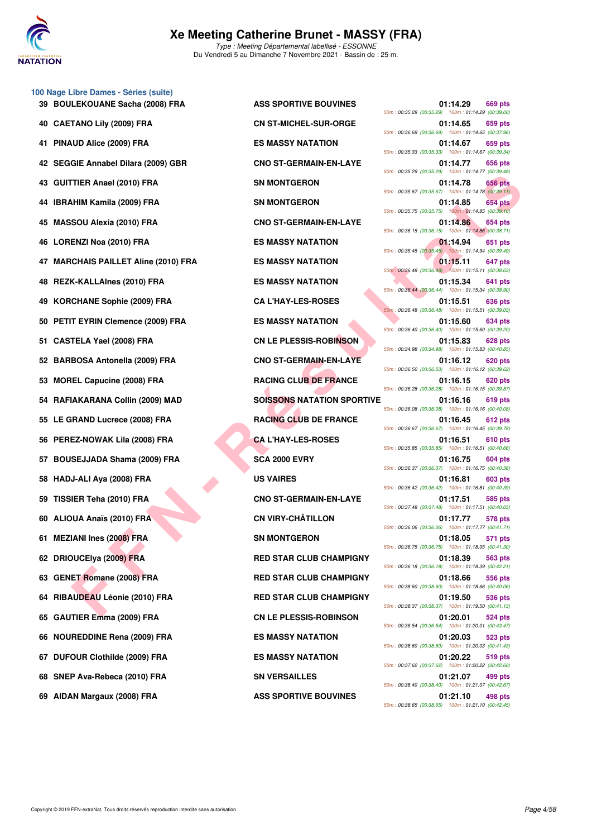

**39 BOULEKOUANE Sacha (2008) FRA ASS SPORTIVE BOUVINES 01:14.29 669 pts 40 CAETANO Lily (2009) FRA CN ST-MICHEL-SUR-ORGE 01:14.65 659 pts 41 PINAUD Alice (2009) FRA ES MASSY NATATION 01:14.67 659 pts 42 SEGGIE Annabel Dilara (2009) GBR CNO ST-GERMAIN-EN-LAYE 01:14.77 656 pts 43 GUITTIER Anael (2010) FRA SN MONTGERON 01:14.78 656 pts 44 IBRAHIM Kamila (2009) FRA SN MONTGERON 01:14.85 654 pts 45 MASSOU Alexia (2010) FRA CNO ST-GERMAIN-EN-LAYE 01:14.86 654 pts 46 LORENZI Noa (2010) FRA ES MASSY NATATION 01:14.94 651 pts 47 MARCHAIS PAILLET Aline (2010) FRA ES MASSY NATATION 01:15.11 647 pts 48 REZK-KALLAInes (2010) FRA ES MASSY NATATION 01:15.34 641 pts 49 KORCHANE Sophie (2009) FRA CA L'HAY-LES-ROSES 01:15.51 636 pts 50 PETIT EYRIN Clemence (2009) FRA ES MASSY NATATION 01:15.60 634 pts 51 CASTELA Yael (2008) FRA CN LE PLESSIS-ROBINSON 01:15.83 628 pts 52 BARBOSA Antonella (2009) FRA CNO ST-GERMAIN-EN-LAYE 01:16.12 620 pts 53 MOREL Capucine (2008) FRA RACING CLUB DE FRANCE 01:16.15 620 pts 54 RAFIAKARANA Collin (2009) MAD SOISSONS NATATION SPORTIVE 01:16.16 619 pts 55 LE GRAND Lucrece (2008) FRA RACING CLUB DE FRANCE 01:16.45 612 pts 56 PEREZ-NOWAK Lila (2008) FRA CA L'HAY-LES-ROSES 01:16.51 610 pts 57 BOUSEJJADA Shama (2009) FRA SCA 2000 EVRY 604 pts** 01:16.75 604 pts **58 HADJ-ALI Aya (2008) FRA US VAIRES 01:16.81 603 pts 59 TISSIER Teha (2010) FRA CNO ST-GERMAIN-EN-LAYE 01:17.51 585 pts 60 ALIOUA Anaïs (2010) FRA CN VIRY-CHÂTILLON 01:17.77 578 pts 61 MEZIANI Ines (2008) FRA SN MONTGERON 01:18.05 571 pts 62 DRIOUCElya (2009) FRA RED STAR CLUB CHAMPIGNY 01:18.39 563 pts 63 GENET Romane (2008) FRA RED STAR CLUB CHAMPIGNY 01:18.66 556 pts 64 RIBAUDEAU Léonie (2010) FRA RED STAR CLUB CHAMPIGNY 01:19.50 536 pts 65 GAUTIER Emma (2009) FRA CN LE PLESSIS-ROBINSON 01:20.01 524 pts**

**100 Nage Libre Dames - Séries (suite)**

**FINE ARME (2010) FRA**<br> **FER Teh (2010) FRA**<br> **FERD CHANGER (2010) FRA**<br> **FERD CHANGE (2010) FRA**<br> **FERD CHANGE (2010) FRA**<br> **FERD CHANGE (2010) FRA**<br> **FERD CHANGE (2010) FRA**<br> **FERD CHANGE (2010) FRA**<br> **FERD CHANGE CHANGE** 50m : 00:35.29 (00:35.29) 100m : 01:14.29 (00:39.00) 50m : 00:36.69 (00:36.69) 100m : 01:14.65 (00:37.96) 50m : 00:35.33 (00:35.33) 100m : 01:14.67 (00:39.34) 50m : 00:35.29 (00:35.29) 100m : 01:14.77 (00:39.48) 50m : 00:35.67 (00:35.67) 100m : 01:14.78 (00:39.11) 50m : 00:35.75 (00:35.75) 100m : 01:14.85 (00:39.10) 50m : 00:36.15 (00:36.15) 100m : 01:14.86 (00:38.71) 50m : 00:35.45 (00:35.45) 100m : 01:14.94 (00:39.49) 50m : 00:36.48 (00:36.48) 100m : 01:15.11 (00:38.63) 50m : 00:36.44 (00:36.44) 100m : 01:15.34 (00:38.90) 50m : 00:36.48 (00:36.48) 100m : 01:15.51 (00:39.03) 50m : 00:36.40 (00:36.40) 100m : 01:15.60 (00:39.20) 50m : 00:34.98 (00:34.98) 100m : 01:15.83 (00:40.85) 50m : 00:36.50 (00:36.50) 100m : 01:16.12 (00:39.62) 50m : 00:36.28 (00:36.28) 100m : 01:16.15 (00:39.87) 50m : 00:36.08 (00:36.08) 100m : 01:16.16 (00:40.08) 50m : 00:36.67 (00:36.67) 100m : 01:16.45 (00:39.78) 50m : 00:35.85 (00:35.85) 100m : 01:16.51 (00:40.66) 50m : 00:36.37 (00:36.37) 100m : 01:16.75 (00:40.38) 50m : 00:36.42 (00:36.42) 100m : 01:16.81 (00:40.39) 50m : 00:37.48 (00:37.48) 100m : 01:17.51 (00:40.03) 50m : 00:36.06 (00:36.06) 100m : 01:17.77 (00:41.71) 50m : 00:36.75 (00:36.75) 100m : 01:18.05 (00:41.30) 50m : 00:36.18 (00:36.18) 100m : 01:18.39 (00:42.21) 50m : 00:38.60 (00:38.60) 100m : 01:18.66 (00:40.06) 50m : 00:38.37 (00:38.37) 100m : 01:19.50 (00:41.13) 50m : 00:36.54 (00:36.54) 100m : 01:20.01 (00:43.47) **66 NOUREDDINE Rena (2009) FRA ES MASSY NATATION 01:20.03 523 pts** 50m : 00:38.60 (00:38.60) 100m : 01:20.03 (00:41.43) **67 DUFOUR Clothilde (2009) FRA ES MASSY NATATION 01:20.22 519 pts** 50m : 00:37.62 (00:37.62) 100m : 01:20.22 (00:42.60) **68 SNEP Ava-Rebeca (2010) FRA SN VERSAILLES 01:21.07 499 pts** 50m : 00:38.40 (00:38.40) 100m : 01:21.07 (00:42.67) **69 AIDAN Margaux (2008) FRA ASS SPORTIVE BOUVINES 01:21.10 498 pts** 50m : 00:38.65 (00:38.65) 100m : 01:21.10 (00:42.45)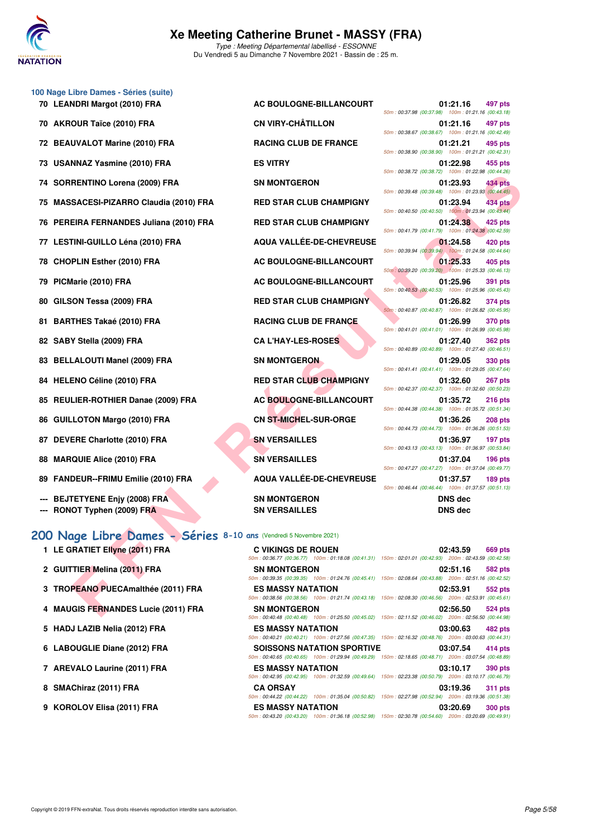

| 100 Nage Libre Dames - Séries (suite) |                              |                                                    |          |         |
|---------------------------------------|------------------------------|----------------------------------------------------|----------|---------|
| 70 LEANDRI Margot (2010) FRA          | AC BOULOGNE-BILLANCOURT      |                                                    | 01:21.16 | 497 pts |
|                                       |                              | 50m: 00:37.98 (00:37.98) 100m: 01:21.16 (00:43.18) |          |         |
| 70 AKROUR Taïce (2010) FRA            | <b>CN VIRY-CHÂTILLON</b>     |                                                    | 01:21.16 | 497 pts |
|                                       |                              | 50m: 00:38.67 (00:38.67) 100m: 01:21.16 (00:42.49) |          |         |
| 72 BEAUVALOT Marine (2010) FRA        | <b>RACING CLUB DE FRANCE</b> |                                                    | 01:21.21 | 495 pts |
|                                       |                              | 50m: 00:38.90 (00:38.90) 100m: 01:21.21 (00:42.31) |          |         |
| 73 USANNAZ Yasmine (2010) FRA         | <b>ES VITRY</b>              |                                                    | 01:22.98 | 455 pts |
|                                       |                              | 50m: 00:38.72 (00:38.72) 100m: 01:22.98 (00:44.26) |          |         |
| 74 SORRENTINO Lorena (2009) FRA       | <b>SN MONTGERON</b>          |                                                    | 01:23.93 | 434 pts |
|                                       |                              | 50m: 00:39.48 (00:39.48) 100m: 01:23.93 (00:44.45  |          |         |

- 75 MASSACESI-PIZARRO Claudia (2010) FRA
- 76 PEREIRA FERNANDES Juliana (2010) FRA
- **77 LESTINI-GUILLO Léna (2010) FRA**
- **78 CHOPLIN Esther (2010) FRA**
- **79 PICMarie (2010) FRA**
- **80 GILSON Tessa (2009) FRA**
- 81 BARTHES Takaé (2010) FRA
- **82 SABY Stella (2009) FRA**
- 83 BELLALOUTI Manel (2009) FRA
- 84 HELENO Céline (2010) FRA
- 85 REULIER-ROTHIER Danae (2009) FRA
- 86 GUILLOTON Margo (2010) FRA
- 87 DEVERE Charlotte (2010) FRA
- 88 MARQUIE Alice (2010) FRA
- 89 FANDEUR--FRIMU Emilie (2010) FRA
- **--- BEJTETYENE Enjy (2008) FRA**
- **--- RONOT Typhen (2009) FRA SN VERSAILLES** SN VERSAILLES DNS dec

#### **[200 Nage Libre Dames - Séries](http://www.ffnatation.fr/webffn/resultats.php?idact=nat&go=epr&idcpt=72199&idepr=3) 8-10 ans** (Vendredi 5 Novembre 2021)

- **1 LE GRATIET Ellyne (2011) FRA C VIKINGS DE ROUEN 02:43.59 669 pts**
- 2 GUITTIER Melina (2011) FRA
- **3 TROPEANO PUECAmalthée (2011) FRA**
- **4 MAUGIS FERNANDES Lucie (2011) FRA**
- 5 HADJ LAZIB Nelia (2012) FRA
- **6 LABOUGLIE Diane (2012) FRA**
- **7 AREVALO Laurine (2011) FRA**
- **8 SMAChiraz (2011) FRA**
- **9 KOROLOV Elisa (2011) FRA**

| <b>AC BOULOGNE-BILLANCOURT</b>  |
|---------------------------------|
| <b>CN VIRY-CHÂTILLON</b>        |
| <b>RACING CLUB DE FRANCE</b>    |
| <b>ES VITRY</b>                 |
| <b>SN MONTGERON</b>             |
| <b>RED STAR CLUB CHAMPIGNY</b>  |
| <b>RED STAR CLUB CHAMPIGNY</b>  |
| <b>AQUA VALLÉE-DE-CHEVREUSE</b> |
| AC BOULOGNE-BILLANCOURT         |
| <b>AC BOULOGNE-BILLANCOURT</b>  |
| <b>RED STAR CLUB CHAMPIGNY</b>  |
| <b>RACING CLUB DE FRANCE</b>    |
| <b>CAL'HAY-LES-ROSES</b>        |
| <b>SN MONTGERON</b>             |
| <b>RED STAR CLUB CHAMPIGNY</b>  |
| <b>AC BOULOGNE-BILLANCOURT</b>  |
| <b>CN ST-MICHEL-SUR-ORGE</b>    |
| <b>SN VERSAILLES</b>            |
| <b>SN VERSAILLES</b>            |
| <b>AQUA VALLÉE-DE-CHEVREUSE</b> |
| <b>SN MONTGERON</b>             |

| NDRI Margot (2010) FRA                                       | <b>AC BOULOGNE-BILLANCOURT</b>                                                                                                      | 01:21.16<br>497 pts<br>50m: 00:37.98 (00:37.98) 100m: 01:21.16 (00:43.18)                                                     |
|--------------------------------------------------------------|-------------------------------------------------------------------------------------------------------------------------------------|-------------------------------------------------------------------------------------------------------------------------------|
| OUR Taïce (2010) FRA                                         | <b>CN VIRY-CHÂTILLON</b>                                                                                                            | 01:21.16<br>497 pts<br>50m: 00:38.67 (00:38.67) 100m: 01:21.16 (00:42.49)                                                     |
| UVALOT Marine (2010) FRA                                     | <b>RACING CLUB DE FRANCE</b>                                                                                                        | 495 pts<br>01:21.21<br>50m: 00:38.90 (00:38.90) 100m: 01:21.21 (00:42.31)                                                     |
| NNAZ Yasmine (2010) FRA                                      | <b>ES VITRY</b>                                                                                                                     | 01:22.98<br>455 pts<br>50m: 00:38.72 (00:38.72) 100m: 01:22.98 (00:44.26)                                                     |
| RENTINO Lorena (2009) FRA                                    | <b>SN MONTGERON</b>                                                                                                                 | 01:23.93<br>434 pts<br>50m: 00:39.48 (00:39.48) 100m: 01:23.93 (00:44.45)                                                     |
| SACESI-PIZARRO Claudia (2010) FRA                            | <b>RED STAR CLUB CHAMPIGNY</b>                                                                                                      | 01:23.94<br>434 pts                                                                                                           |
| EIRA FERNANDES Juliana (2010) FRA                            | <b>RED STAR CLUB CHAMPIGNY</b>                                                                                                      | 50m: 00:40.50 (00:40.50) 100m: 01:23.94 (00:43.44)<br>01:24.38<br>425 pts                                                     |
| <b>FINI-GUILLO Léna (2010) FRA</b>                           | AQUA VALLÉE-DE-CHEVREUSE                                                                                                            | 50m: 00:41.79 (00:41.79) 100m: 01:24.38 (00:42.59)<br>01:24.58<br>420 pts                                                     |
| PLIN Esther (2010) FRA                                       | AC BOULOGNE-BILLANCOURT                                                                                                             | 50m: 00:39.94 (00:39.94) 100m: 01:24.58 (00:44.64)<br>01:25.33<br>405 pts                                                     |
| 1arie (2010) FRA                                             | AC BOULOGNE-BILLANCOURT                                                                                                             | 50m: 00:39.20 (00:39.20) 100m: 01:25.33 (00:46.13)<br>01:25.96<br>391 pts                                                     |
| <b>;ON Tessa (2009) FRA</b>                                  | <b>RED STAR CLUB CHAMPIGNY</b>                                                                                                      | 50m: 00:40.53 (00:40.53) 100m: 01:25.96 (00:45.43)<br>01:26.82<br>374 pts                                                     |
| THES Takaé (2010) FRA                                        | <b>RACING CLUB DE FRANCE</b>                                                                                                        | 50m: 00:40.87 (00:40.87) 100m: 01:26.82 (00:45.95)<br>01:26.99<br><b>370 pts</b>                                              |
| Y Stella (2009) FRA                                          | <b>CA L'HAY-LES-ROSES</b>                                                                                                           | 50m: 00:41.01 (00:41.01) 100m: 01:26.99 (00:45.98)<br>01:27.40<br><b>362 pts</b>                                              |
| LALOUTI Manel (2009) FRA                                     | <b>SN MONTGERON</b>                                                                                                                 | 50m: 00:40.89 (00:40.89) 100m: 01:27.40 (00:46.51)<br>01:29.05<br><b>330 pts</b>                                              |
| ENO Céline (2010) FRA                                        | <b>RED STAR CLUB CHAMPIGNY</b>                                                                                                      | 50m: 00:41.41 (00:41.41) 100m: 01:29.05 (00:47.64)<br>01:32.60<br>267 pts                                                     |
| LIER-ROTHIER Danae (2009) FRA                                | <b>AC BOULOGNE-BILLANCOURT</b>                                                                                                      | 50m: 00:42.37 (00:42.37) 100m: 01:32.60 (00:50.23)<br>01:35.72<br>216 pts                                                     |
|                                                              | <b>CN ST-MICHEL-SUR-ORGE</b>                                                                                                        | 50m: 00:44.38 (00:44.38) 100m: 01:35.72 (00:51.34)<br>01:36.26<br><b>208 pts</b>                                              |
| LOTON Margo (2010) FRA                                       |                                                                                                                                     | 50m: 00:44.73 (00:44.73) 100m: 01:36.26 (00:51.53)                                                                            |
| ERE Charlotte (2010) FRA                                     | <b>SN VERSAILLES</b>                                                                                                                | 01:36.97<br>197 pts<br>50m: 00:43.13 (00:43.13) 100m: 01:36.97 (00:53.84)                                                     |
| QUIE Alice (2010) FRA                                        | <b>SN VERSAILLES</b>                                                                                                                | 01:37.04<br>$196$ pts<br>50m: 00:47.27 (00:47.27) 100m: 01:37.04 (00:49.77)                                                   |
| DEUR--FRIMU Emilie (2010) FRA                                | <b>AQUA VALLÉE-DE-CHEVREUSE</b>                                                                                                     | 01:37.57<br>189 pts<br>50m: 00:46.44 (00:46.44) 100m: 01:37.57 (00:51.13)                                                     |
| <b>FETYENE Enjy (2008) FRA</b><br>OT Typhen (2009) FRA       | <b>SN MONTGERON</b><br><b>SN VERSAILLES</b>                                                                                         | <b>DNS dec</b><br><b>DNS dec</b>                                                                                              |
|                                                              |                                                                                                                                     |                                                                                                                               |
| age Libre Dames - Séries 8-10 ans (Vendredi 5 Novembre 2021) |                                                                                                                                     |                                                                                                                               |
| RATIET Ellyne (2011) FRA                                     | <b>C VIKINGS DE ROUEN</b><br>50m: 00:36.77 (00:36.77) 100m: 01:18.08 (00:41.31) 150m: 02:01.01 (00:42.93) 200m: 02:43.59 (00:42.58) | 02:43.59<br>669 pts                                                                                                           |
| TIER Melina (2011) FRA                                       | <b>SN MONTGERON</b>                                                                                                                 | 02:51.16<br>582 pts<br>50m: 00:39.35 (00:39.35) 100m: 01:24.76 (00:45.41) 150m: 02:08.64 (00:43.88) 200m: 02:51.16 (00:42.52) |
| PEANO PUECAmalthée (2011) FRA                                | <b>ES MASSY NATATION</b>                                                                                                            | 02:53.91<br>552 pts<br>50m: 00:38.56 (00:38.56) 100m: 01:21.74 (00:43.18) 150m: 02:08.30 (00:46.56) 200m: 02:53.91 (00:45.61) |
| <b>GIS FERNANDES Lucie (2011) FRA</b>                        | <b>SN MONTGERON</b>                                                                                                                 | 02:56.50<br><b>524 pts</b><br>01.05.50 (00.15.00) 150 - 00.11.50 (00.10                                                       |

| .                        |                                                                                                        |                  |  |
|--------------------------|--------------------------------------------------------------------------------------------------------|------------------|--|
|                          | 50m: 00:36.77 (00:36.77) 100m: 01:18.08 (00:41.31) 150m: 02:01.01 (00:42.93) 200m: 02:43.59 (00:42.58) |                  |  |
| <b>SN MONTGERON</b>      |                                                                                                        | 02:51.16 582 pts |  |
|                          | 50m: 00:39.35 (00:39.35) 100m: 01:24.76 (00:45.41) 150m: 02:08.64 (00:43.88) 200m: 02:51.16 (00:42.52) |                  |  |
| <b>ES MASSY NATATION</b> |                                                                                                        | 02:53.91 552 pts |  |
|                          | 50m: 00:38.56 (00:38.56) 100m: 01:21.74 (00:43.18) 150m: 02:08.30 (00:46.56) 200m: 02:53.91 (00:45.61) |                  |  |
| <b>SN MONTGERON</b>      |                                                                                                        | 02:56.50 524 pts |  |
|                          | 50m: 00:40.48 (00:40.48) 100m: 01:25.50 (00:45.02) 150m: 02:11.52 (00:46.02) 200m: 02:56.50 (00:44.98) |                  |  |
| <b>ES MASSY NATATION</b> |                                                                                                        | 03:00.63 482 pts |  |
|                          | 50m: 00:40.21 (00:40.21) 100m: 01:27.56 (00:47.35) 150m: 02:16.32 (00:48.76) 200m: 03:00.63 (00:44.31) |                  |  |
|                          | <b>SOISSONS NATATION SPORTIVE</b>                                                                      | 03:07.54 414 pts |  |
|                          | 50m: 00:40.65 (00:40.65) 100m: 01:29.94 (00:49.29) 150m: 02:18.65 (00:48.71) 200m: 03:07.54 (00:48.89) |                  |  |
| <b>ES MASSY NATATION</b> |                                                                                                        | 03:10.17 390 pts |  |
|                          | 50m: 00:42.95 (00:42.95) 100m: 01:32.59 (00:49.64) 150m: 02:23.38 (00:50.79) 200m: 03:10.17 (00:46.79) |                  |  |
| <b>CA ORSAY</b>          |                                                                                                        | 03:19.36 311 pts |  |
|                          | 50m: 00:44.22 (00:44.22) 100m: 01:35.04 (00:50.82) 150m: 02:27.98 (00:52.94) 200m: 03:19.36 (00:51.38) |                  |  |
| <b>ES MASSY NATATION</b> |                                                                                                        | 03:20.69 300 pts |  |
|                          | 50m: 00:43.20 (00:43.20) 100m: 01:36.18 (00:52.98) 150m: 02:30.78 (00:54.60) 200m: 03:20.69 (00:49.91) |                  |  |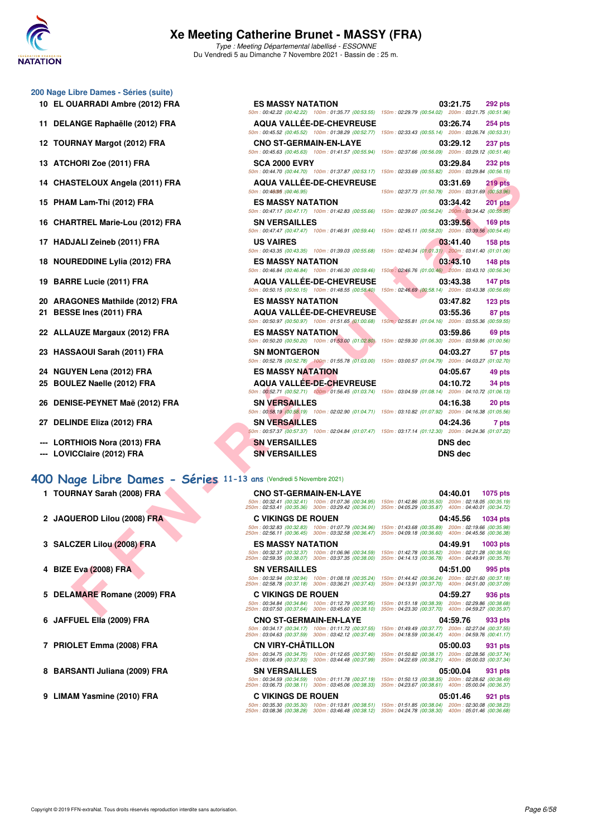

Type : Meeting Départemental labellisé - ESSONNE Du Vendredi 5 au Dimanche 7 Novembre 2021 - Bassin de : 25 m.

#### **200 Nage Libre Dames - Séries (suite)**

- **10 EL OUARRADI Ambre (2012) FRA**
- 11 DELANGE Raphaëlle (2012) FRA
- **12 TOURNAY Margot (2012) FRA**
- **13 ATCHORI Zoe (2011) FRA**
- **14 CHASTELOUX Angela (2011) FRA**
- **15 PHAM Lam-Thi (2012) FRA**
- 16 CHARTREL Marie-Lou (2012) FRA
- 17 HADJALI Zeineb (2011) FRA
- 18 NOUREDDINE Lylia (2012) FRA
- **19 BARRE Lucie (2011) FRA**
- 20 ARAGONES Mathilde (2012) FRA **21 BESSE Ines (2011) FRA**
- 22 ALLAUZE Margaux (2012) FRA
- 23 HASSAOUI Sarah (2011) FRA
- **24 NGUYEN Lena (2012) FRA** 25 BOULEZ Naelle (2012) FRA
- 26 DENISE-PEYNET Maë (2012) FRA
- 27 DELINDE Eliza (2012) FRA
- **--- LORTHIOIS Nora (2013) FRA**
- --- LOVICClaire (2012) FRA

#### **[400 Nage Libre Dames - Séries](http://www.ffnatation.fr/webffn/resultats.php?idact=nat&go=epr&idcpt=72199&idepr=4) 11-13 ans** (Vendredi 5 Novembre 2021)

- **1 TOURNAY Sarah (2008) FRA CNO ST-GERMAIN-EN-LAYE 04:40.01 1075 pts**
- 
- 
- 
- 
- 
- 
- 
- 

| libre Dames - Series (suite)                                  |                                                                                                           |                                                                                                                                 |
|---------------------------------------------------------------|-----------------------------------------------------------------------------------------------------------|---------------------------------------------------------------------------------------------------------------------------------|
| <b>UARRADI Ambre (2012) FRA</b>                               | <b>ES MASSY NATATION</b>                                                                                  | 03:21.75<br>292 pts                                                                                                             |
|                                                               |                                                                                                           | 50m: 00:42.22 (00:42.22) 100m: 01:35.77 (00:53.55) 150m: 02:29.79 (00:54.02) 200m: 03:21.75 (00:51.96)                          |
| ANGE Raphaëlle (2012) FRA                                     | <b>AQUA VALLEE-DE-CHEVREUSE</b>                                                                           | 03:26.74<br>254 pts<br>50m: 00:45.52 (00:45.52) 100m: 01:38.29 (00:52.77) 150m: 02:33.43 (00:55.14) 200m: 03:26.74 (00:53.31)   |
|                                                               |                                                                                                           |                                                                                                                                 |
| RNAY Margot (2012) FRA                                        | <b>CNO ST-GERMAIN-EN-LAYE</b>                                                                             | 03:29.12<br>237 pts<br>50m: 00:45.63 (00:45.63) 100m: 01:41.57 (00:55.94) 150m: 02:37.66 (00:56.09) 200m: 03:29.12 (00:51.46)   |
| HORI Zoe (2011) FRA                                           | <b>SCA 2000 EVRY</b>                                                                                      | 03:29.84<br>232 pts                                                                                                             |
|                                                               |                                                                                                           | 50m: 00:44.70 (00:44.70) 100m: 01:37.87 (00:53.17) 150m: 02:33.69 (00:55.82) 200m: 03:29.84 (00:56.15)                          |
| STELOUX Angela (2011) FRA                                     | <b>AQUA VALLEE-DE-CHEVREUSE</b>                                                                           | 219 pts<br>03:31.69                                                                                                             |
|                                                               | 50m: 00:46095 : (00:46.95)                                                                                | 150m: 02:37.73 (01:50.78) 200m: 03:31.69 (00:53.96)                                                                             |
| M Lam-Thi (2012) FRA                                          | <b>ES MASSY NATATION</b>                                                                                  | 03:34.42<br><b>201 pts</b>                                                                                                      |
|                                                               | 50m: 00:47.17 (00:47.17) 100m: 01:42.83 (00:55.66)                                                        | 150m: 02:39.07 (00:56.24) 200m: 03:34.42 (00:55.35)                                                                             |
| RTREL Marie-Lou (2012) FRA                                    | <b>SN VERSAILLES</b>                                                                                      | 03:39.56<br>$169$ pts<br>50m: 00:47.47 (00:47.47) 100m: 01:46.91 (00:59.44) 150m: 02:45.11 (00:58.20) 200m: 03:39.56 (00:54.45) |
|                                                               |                                                                                                           |                                                                                                                                 |
| JALI Zeineb (2011) FRA                                        | <b>US VAIRES</b><br>50m: 00:43.35 (00:43.35) 100m: 01:39.03 (00:55.68)                                    | 03:41.40<br>$158$ pts<br>150m: 02:40.34 (01:01.31) 200m: 03:41.40 (01:01.06)                                                    |
|                                                               |                                                                                                           |                                                                                                                                 |
| REDDINE Lylia (2012) FRA                                      | <b>ES MASSY NATATION</b><br>50m: 00:46.84 (00:46.84) 100m: 01:46.30 (00:59.46)                            | 03:43.10<br>$148$ pts<br>150m: 02:46.76 (01:00.46) 200m: 03:43.10 (00:56.34)                                                    |
| RE Lucie (2011) FRA                                           | <b>AQUA VALLÉE-DE-CHEVREUSE</b>                                                                           | 03:43.38<br>147 pts                                                                                                             |
|                                                               |                                                                                                           | 50m : 00:50.15 (00:50.15) 100m : 01:48.55 (00:58.40) 150m : 02:46.69 (00:58.14) 200m : 03:43.38 (00:56.69)                      |
| GONES Mathilde (2012) FRA                                     | <b>ES MASSY NATATION</b>                                                                                  | 03:47.82<br>123 <sub>pts</sub>                                                                                                  |
| <b>SE Ines (2011) FRA</b>                                     | <b>AQUA VALLÉE-DE-CHEVREUSE</b>                                                                           | 03:55.36<br>87 pts                                                                                                              |
|                                                               |                                                                                                           | 50m: 00:50.97 (00:50.97) 100m: 01:51.65 (01:00.68) 150m: 02:55.81 (01:04.16) 200m: 03:55.36 (00:59.55)                          |
| AUZE Margaux (2012) FRA                                       | <b>ES MASSY NATATION</b>                                                                                  | 03:59.86<br>69 pts                                                                                                              |
|                                                               | 50m: 00:50.20 (00:50.20) 100m: 01:53.00 (01:02.80)                                                        | 150m: 02:59.30 (01:06.30) 200m: 03:59.86 (01:00.56)                                                                             |
| SAOUI Sarah (2011) FRA                                        | <b>SN MONTGERON</b>                                                                                       | 04:03.27<br>57 pts                                                                                                              |
|                                                               |                                                                                                           | 50m : 00:52.78 (00:52.78) 100m : 01:55.78 (01:03.00) 150m : 03:00.57 (01:04.79) 200m : 04:03.27 (01:02.70)                      |
| YEN Lena (2012) FRA                                           | <b>ES MASSY NATATION</b>                                                                                  | 04:05.67<br>49 pts                                                                                                              |
| LEZ Naelle (2012) FRA                                         | <b>AQUA VALLEE-DE-CHEVREUSE</b>                                                                           | 04:10.72<br>34 pts                                                                                                              |
|                                                               |                                                                                                           | 50m : 00:52.71 (00:52.71) 100m : 01:56.45 (01:03.74) 150m : 03:04.59 (01:08.14) 200m : 04:10.72 (01:06.13)                      |
| ISE-PEYNET Maë (2012) FRA                                     | <b>SN VERSAILLES</b>                                                                                      | 04:16.38<br>20 pts                                                                                                              |
|                                                               |                                                                                                           | 50m: 00:58.19 (00:58.19) 100m: 02:02.90 (01:04.71) 150m: 03:10.82 (01:07.92) 200m: 04:16.38 (01:05.56)                          |
| <b>NDE Eliza (2012) FRA</b>                                   | <b>SN VERSAILLES</b>                                                                                      | 04:24.36<br>7 pts                                                                                                               |
|                                                               |                                                                                                           | 50m : 00:57.37 (00:57.37) 100m : 02:04.84 (01:07.47) 150m : 03:17.14 (01:12.30) 200m : 04:24.36 (01:07.22)                      |
| THIOIS Nora (2013) FRA                                        | <b>SN VERSAILLES</b>                                                                                      | <b>DNS</b> dec                                                                                                                  |
| ICClaire (2012) FRA                                           | <b>SN VERSAILLES</b>                                                                                      | <b>DNS dec</b>                                                                                                                  |
|                                                               |                                                                                                           |                                                                                                                                 |
| age Libre Dames - Séries 11-13 ans (Vendredi 5 Novembre 2021) |                                                                                                           |                                                                                                                                 |
| RNAY Sarah (2008) FRA                                         | <b>CNO ST-GERMAIN-EN-LAYE</b>                                                                             | 04:40.01<br>1075 pts                                                                                                            |
|                                                               |                                                                                                           | 50m: 00:32.41 (00:32.41) 100m: 01:07.36 (00:34.95) 150m: 01:42.86 (00:35.50) 200m: 02:18.05 (00:35.19)                          |
|                                                               | 250m: 02:53.41 (00:35.36) 300m: 03:29.42 (00:36.01) 350m: 04:05.29 (00:35.87) 400m: 04:40.01 (00:34.72)   |                                                                                                                                 |
| UEROD Lilou (2008) FRA                                        | <b>C VIKINGS DE ROUEN</b>                                                                                 | 04:45.56<br>1034 pts                                                                                                            |
|                                                               | 250m: 02:56.11 (00:36.45) 300m: 03:32.58 (00:36.47) 350m: 04:09.18 (00:36.60) 400m: 04:45.56 (00:36.38)   | 50m: 00:32.83 (00:32.83) 100m: 01:07.79 (00:34.96) 150m: 01:43.68 (00:35.89) 200m: 02:19.66 (00:35.98)                          |
| ▽<br><b>CZER Lilou (2008) FRA</b>                             | <b>ES MASSY NATATION</b>                                                                                  | 04:49.91<br>1003 pts                                                                                                            |
|                                                               |                                                                                                           | 50m: 00:32.37 (00:32.37) 100m: 01:06.96 (00:34.59) 150m: 01:42.78 (00:35.82) 200m: 02:21.28 (00:38.50)                          |
|                                                               | 250m: 02:59.35 (00:38.07) 300m: 03:37.35 (00:38.00) 350m: 04:14.13 (00:36.78) 400m: 04:49.91 (00:35.78)   |                                                                                                                                 |
| Eva (2008) FRA                                                | <b>SN VERSAILLES</b>                                                                                      | 04:51.00<br>995 pts                                                                                                             |
|                                                               | 50m: 00:32.94 (00:32.94) 100m: 01:08.18 (00:35.24)<br>250m: 02:58.78 (00:37.18) 300m: 03:36.21 (00:37.43) | 150m: 01:44.42 (00:36.24) 200m: 02:21.60 (00:37.18)<br>350m: 04:13.91 (00:37.70) 400m: 04:51.00 (00:37.09)                      |
| AMARE Romane (2009) FRA                                       | <b>C VIKINGS DE ROUEN</b>                                                                                 | 04:59.27<br>936 pts                                                                                                             |
|                                                               | 50m: 00:34.84 (00:34.84) 100m: 01:12.79 (00:37.95)                                                        | 150m: 01:51.18 (00:38.39) 200m: 02:29.86 (00:38.68)                                                                             |
|                                                               | 250m: 03:07.50 (00:37.64) 300m: 03:45.60 (00:38.10)                                                       | 350m: 04:23.30 (00:37.70) 400m: 04:59.27 (00:35.97)                                                                             |

50m : 00:32.41 (00:32.41) 100m : 01:07.36 (00:34.95) 150m : 01:42.86 (00:35.50) 200m : 02:18.05 (00:35.19) 250m : 02:53.41 (00:35.36) 300m : 03:29.42 (00:36.01) 350m : 04:05.29 (00:35.87) 400m : 04:40.01 (00:34.72) **2 JAQUEROD Lilou (2008) FRA C VIKINGS DE ROUEN 04:45.56 1034 pts** 50m : 00:32.83 (00:32.83) 100m : 01:07.79 (00:34.96) 150m : 01:43.68 (00:35.89) 200m : 02:19.66 (00:35.98) 250m : 02:56.11 (00:36.45) 300m : 03:32.58 (00:36.47) 350m : 04:09.18 (00:36.60) 400m : 04:45.56 (00:36.38) **3 SALCZER Lilou (2008) FRA ES MASSY NATATION 04:49.91 1003 pts** 50m : 00:32.37 (00:32.37) 100m : 01:06.96 (00:34.59) 150m : 01:42.78 (00:35.82) 200m : 02:21.28 (00:38.50) 250m : 02:59.35 (00:38.07) 300m : 03:37.35 (00:38.00) 350m : 04:14.13 (00:36.78) 400m : 04:49.91 (00:35.78) **4 BIZE Eva (2008) FRA SN VERSAILLES 04:51.00 995 pts** 50m : 00:32.94 (00:32.94) 100m : 01:08.18 (00:35.24) 150m : 01:44.42 (00:36.24) 200m : 02:21.60 (00:37.18) 250m : 02:58.78 (00:37.18) 300m : 03:36.21 (00:37.43) 350m : 04:13.91 (00:37.70) 400m : 04:51.00 (00:37.09) **5 DELAMARE Romane (2009) FRA C VIKINGS DE ROUEN 04:59.27 936 pts** 50m : 00:34.84 (00:34.84) 100m : 01:12.79 (00:37.95) 150m : 01:51.18 (00:38.39) 200m : 02:29.86 (00:38.68) 250m : 03:07.50 (00:37.64) 300m : 03:45.60 (00:38.10) 350m : 04:23.30 (00:37.70) 400m : 04:59.27 (00:35.97) **6 JAFFUEL Ella (2009) FRA CNO ST-GERMAIN-EN-LAYE 04:59.76 933 pts** 50m : 00:34.17 (00:34.17) 100m : 01:11.72 (00:37.55) 150m : 01:49.49 (00:37.77) 200m : 02:27.04 (00:37.55) 250m : 03:04.63 (00:37.59) 300m : 03:42.12 (00:37.49) 350m : 04:18.59 (00:36.47) 400m : 04:59.76 (00:41.17) **7 PRIOLET Emma (2008) FRA CN VIRY-CHÂTILLON 05:00.03 931 pts** 50m : 00:34.75 (00:34.75) 100m : 01:12.65 (00:37.90) 150m : 01:50.82 (00:38.17) 200m : 02:28.56 (00:37.74) 250m : 03:06.49 (00:37.93) 300m : 03:44.48 (00:37.99) 350m : 04:22.69 (00:38.21) 400m : 05:00.03 (00:37.34) **8 BARSANTI Juliana (2009) FRA SN VERSAILLES 05:00.04 931 pts** 50m : 00:34.59 (00:34.59) 100m : 01:11.78 (00:37.19) 150m : 01:50.13 (00:38.35) 200m : 02:28.62 (00:38.49) 250m : 03:06.73 (00:38.11) 300m : 03:45.06 (00:38.33) 350m : 04:23.67 (00:38.61) 400m : 05:00.04 (00:36.37) **9 LIMAM Yasmine (2010) FRA C VIKINGS DE ROUEN 05:01.46 921 pts**

50m : 00:35.30 (00:35.30) 100m : 01:13.81 (00:38.51) 150m : 01:51.85 (00:38.04) 200m : 02:30.08 (00:38.23) 250m : 03:08.36 (00:38.28) 300m : 03:46.48 (00:38.12) 350m : 04:24.78 (00:38.30) 400m : 05:01.46 (00:36.68)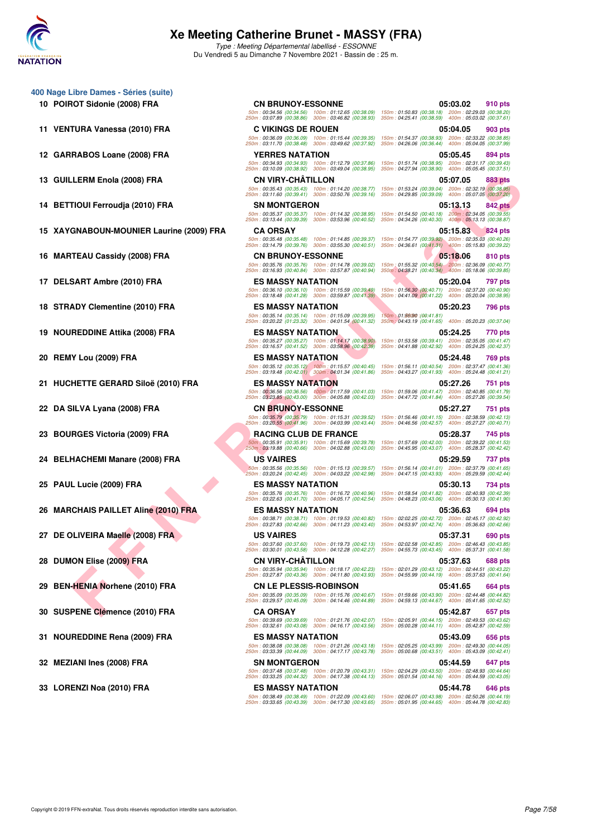

Type : Meeting Départemental labellisé - ESSONNE Du Vendredi 5 au Dimanche 7 Novembre 2021 - Bassin de : 25 m.

| 400 Nage Libre Dames - Séries (suite)    |                                               |
|------------------------------------------|-----------------------------------------------|
| 10 POIROT Sidonie (2008) FRA             | CN BRI<br>50m: 00:34.5<br>250m: 03:07.8       |
| 11 VENTURA Vanessa (2010) FRA            | C VIKII<br>50m:00:36.0<br>250m: 03:11.7       |
| 12 GARRABOS Loane (2008) FRA             | <b>YERRE</b><br>50m: 00:34.9<br>250m: 03:10.0 |
| 13 GUILLERM Enola (2008) FRA             | CN VIR<br>50m: 00:35.4<br>250m: 03:11.6       |
| 14 BETTIOUI Ferroudja (2010) FRA         | SN MO<br>50m: 00:35.3                         |
| 15 XAYGNABOUN-MOUNIER Laurine (2009) FRA | 250m: 03:13.4<br>CA OR<br>50m: 00:35.4        |
| 16 MARTEAU Cassidy (2008) FRA            | 250m: 03:14.7<br>CN BRI<br>50m: 00:35.7       |
| 17 DELSART Ambre (2010) FRA              | 250m: 03:16.9<br>ES MA<br>50m:00:36.1         |
| 18 STRADY Clementine (2010) FRA          | 250m: 03:18.4<br>ES MA<br>50m: 00:35.1        |
| 19 NOUREDDINE Attika (2008) FRA          | 250m: 03:20.2<br>ES MA<br>50m:00:35.2         |
| 20 REMY Lou (2009) FRA                   | 250m: 03:16.5<br>ES MA<br>50m: 00:35.1        |
| 21 HUCHETTE GERARD Siloë (2010) FRA      | 250m: 03:19.4<br>ES MA<br>50m: 00:36.5        |
| 22 DA SILVA Lyana (2008) FRA             | 250m: 03:23.8<br>CN BRI<br>50m: 00:35.7       |
| 23 BOURGES Victoria (2009) FRA           | 250m: 03:20.5<br>RACIN<br>50m: 00:35.9        |
| 24 BELHACHEMI Manare (2008) FRA          | 250m: 03:19.8<br>US VAI<br>50m: 00:35.5       |
| 25 PAUL Lucie (2009) FRA                 | 250m: 03:20.2<br>ES MA<br>50m: 00:35.7        |
| 26 MARCHAIS PAILLET Aline (2010) FRA     | 250m: 03:22.6<br>ES MA<br>50m: 00:38.7        |
| 27 DE OLIVEIRA Maelle (2008) FRA         | 250m: 03:27.8<br>US VAI<br>50m: 00:37.6       |
| 28 DUMON Elise (2009) FRA                | 250m: 03:30.0<br>CN VIR<br>50m: 00:35.9       |
| 29 BEN-HENIA Norhene (2010) FRA          | 250m: 03:27.8<br>CN LE.<br>50m: 00:35.0       |
| 30 SUSPENE Clémence (2010) FRA           | 250m: 03:29.5<br>CA OR<br>50m: 00:39.6        |
| 31 NOUREDDINE Rena (2009) FRA            | 250m: 03:32.6<br>ES MA:<br>50m: 00:38.0       |
| 32 MEZIANI Ines (2008) FRA               | 250m: 03:33.3<br>SN MO<br>50m: 00:37.4        |
| 33 LORENZI Noa (2010) FRA                | 250m: 03:33.2<br>ES MA                        |

LERM ENDIGNATION<br>
THE SUND FRAME CONDITION CONTINUES IN THE SUN OF THE SUN OF THE SUN OF THE SUN OF THE SUN OF THE SUN OF THE SUN OF THE SUN OF THE SUN OF THE SUN OF THE SUN OF THE SUN OF THE SUN OF THE SUN OF THE SUN OF T **10 POIROT Sidonie (2008) FRA CN BRUNOY-ESSONNE 05:03.02 910 pts** 50m : 00:34.56 (00:34.56) 100m : 01:12.65 (00:38.09) 150m : 01:50.83 (00:38.18) 200m : 02:29.03 (00:38.20) 250m : 03:07.89 (00:38.86) 300m : 03:46.82 (00:38.93) 350m : 04:25.41 (00:38.59) 400m : 05:03.02 (00:37.61) 11 VENTURA Vanessa (2010) FRA COVIKINGS DE ROUEN (00:39.35) 150m : 01:54.37 (00:39.36) 10:5:04.05 903 pts<br>50m : 03:1.7.0 (00:38.49) 300m : 03:49.62 (00:37.92) 500m : 01:54.37 (00:38.49) 300m : 01:54.37 (00:38.44) 400m : 0 **12 GARRABOS Loane (2008) FRA YERRES NATATION 05:05.45 894 pts** 50m : 00:34.93 (00:34.93) 100m : 01:12.79 (00:37.86) 150m : 01:51.74 (00:38.95) 200m : 02:31.17 (00:39.43) 250m : 03:10.09 (00:38.92) 300m : 03:49.04 (00:38.95) 350m : 04:27.94 (00:38.90) 400m : 05:05.45 (00:37.51) **13 GUILLERM Enola (2008) FRA CN VIRY-CHÂTILLON 05:07.05 883 pts** 50m : 00:35.43 (00:35.43) 100m : 01:14.20 (00:38.77) 150m : 01:53.24 (00:39.04) 200m : 02:32.19 (00:38.95) 250m : 03:11.60 (00:39.41) 300m : 03:50.76 (00:39.16) 350m : 04:29.85 (00:39.09) 400m : 05:07.05 (00:37.20) **14 BETTIOUI Ferroudja (2010) FRA SN MONTGERON 05:13.13 842 pts** 50m : 00:35.37 (00:35.37) 100m : 01:14.32 (00:38.95) 150m : 01:54.50 (00:40.18) 200m : 02:34.05 (00:39.55) 250m : 03:13.44 (00:39.39) 300m : 03:53.96 (00:40.52) 350m : 04:34.26 (00:40.30) 400m : 05:13.13 (00:38.87) **15 XAYGNABOUN-MOUNIER Laurine (2009) FRA CA ORSAY 05:15.83 824 pts** 50m : 00:35.48 (00:35.48) 100m : 01:14.85 (00:39.37) 150m : 01:54.77 (00:39.92) 200m : 02:35.03 (00:40.26) 250m : 03:14.79 (00:39.76) 300m : 03:55.30 (00:40.51) 350m : 04:36.61 (00:41.31) 400m : 05:15.83 (00:39.22) 16 MARTEAU Cassidy (2008) FRA CN BRUNOY-ESSONNE 2518.06 810 pts 50m : 00:35.76 (00:35.76) 100m : 01:14.78 (00:39.02) 150m : 01:55.32 (00:40.54) 200m : 02:36.09 (00:40.77) 250m : 03:16.93 (00:40.84) 300m : 03:57.87 (00:40.94) 350m : 04:38.21 (00:40.34) 400m : 05:18.06 (00:39.85) **17 DELSART Ambre (2010) FRA ES MASSY NATATION 05:20.04 797 pts** 50m : 00:36.10 (00:36.10) 100m : 01:15.59 (00:39.49) 150m : 01:56.30 (00:40.71) 200m : 02:37.20 (00:40.90) 250m : 03:18.48 (00:41.28) 300m : 03:59.87 (00:41.39) 350m : 04:41.09 (00:41.22) 400m : 05:20.04 (00:38.95) **18 STRADY Clementine (2010) FRA ES MASSY NATATION 05:20.23 796 pts** .50m : 00:35.14 (00:35.14) 100m : 01:15.09 (00:39.95) 150m : 01:86090 :(09:41.81)<br>250m : 03:20.22 (01:23.32) 300m : 04:01.54 (00:41.32) 350m ; 04:43.19 (00:41.65) 400m : 05:20.23 (00:37.04) **19 NOUREDDINE Attika (2008) FRA ES MASSY NATATION 05:24.25 770 pts** 50m : 00:35.27 (00:35.27) 100m : 01:14.17 (00:38.90) 150m : 01:53.58 (00:39.41) 200m : 02:35.05 (00:41.47) 250m : 03:16.57 (00:41.52) 300m : 03:58.96 (00:42.39) 350m : 04:41.88 (00:42.92) 400m : 05:24.25 (00:42.37) **20 REMY Lou (2009) FRA ES MASSY NATATION 05:24.48 769 pts** 50m : 00:35.12 (00:35.12) 100m : 01:15.57 (00:40.45) 150m : 01:56.11 (00:40.54) 200m : 02:37.47 (00:41.36) 250m : 03:19.48 (00:42.01) 300m : 04:01.34 (00:41.86) 350m : 04:43.27 (00:41.93) 400m : 05:24.48 (00:41.21) **21 HUCHETTE GERARD Siloë (2010) FRA ES MASSY NATATION 05:27.26 751 pts** 50m : 00:36.56 (00:36.56) 100m : 01:17.59 (00:41.03) 150m : 01:59.06 (00:41.47) 200m : 02:40.85 (00:41.79) 250m : 03:23.85 (00:43.00) 300m : 04:05.88 (00:42.03) 350m : 04:47.72 (00:41.84) 400m : 05:27.26 (00:39.54) **22 DA SILVA Lyana (2008) FRA CN BRUNOY-ESSONNE 05:27.27 751 pts** 50m : 00:35.79 (00:35.79) 100m : 01:15.31 (00:39.52) 150m : 01:56.46 (00:41.15) 200m : 02:38.59 (00:42.13) 250m : 03:20.55 (00:41.96) 300m : 04:03.99 (00:43.44) 350m : 04:46.56 (00:42.57) 400m : 05:27.27 (00:40.71) **23 BOURGES Victoria (2009) FRA RACING CLUB DE FRANCE 05:28.37 745 pts** 50m : 00:35.91 (00:35.91) 100m : 01:15.69 (00:39.78) 150m : 01:57.69 (00:42.00) 200m : 02:39.22 (00:41.53) 250m : 03:19.88 (00:40.66) 300m : 04:02.88 (00:43.00) 350m : 04:45.95 (00:43.07) 400m : 05:28.37 (00:42.42) **24 BELHACHEMI Manare (2008) FRA US VAIRES 05:29.59 737 pts** 50m : 00:35.56 (00:35.56) 100m : 01:15.13 (00:39.57) 150m : 01:56.14 (00:41.01) 200m : 02:37.79 (00:41.65) 250m : 03:20.24 (00:42.45) 300m : 04:03.22 (00:42.98) 350m : 04:47.15 (00:43.93) 400m : 05:29.59 (00:42.44) **25 PAUL Lucie (2009) FRA ES MASSY NATATION 05:30.13 734 pts** 50m : 00:35.76 (00:35.76) 100m : 01:16.72 (00:40.96) 150m : 01:58.54 (00:41.82) 200m : 02:40.93 (00:42.39) 250m : 03:22.63 (00:41.70) 300m : 04:05.17 (00:42.54) 350m : 04:48.23 (00:43.06) 400m : 05:30.13 (00:41.90) **26 MARCHAIS PAILLET Aline (2010) FRA ES MASSY NATATION 05:36.63 694 pts** 50m : 00:38.71 (00:38.71) 100m : 01:19.53 (00:40.82) 150m : 02:02.25 (00:42.72) 200m : 02:45.17 (00:42.92) 250m : 03:27.83 (00:42.66) 300m : 04:11.23 (00:43.40) 350m : 04:53.97 (00:42.74) 400m : 05:36.63 (00:42.66) **27 DE OLIVEIRA Maelle (2008) FRA US VAIRES 05:37.31 690 pts** 50m : 00:37.60 (00:37.60) 100m : 01:19.73 (00:42.13) 150m : 02:02.58 (00:42.85) 200m : 02:46.43 (00:43.85) 250m : 03:30.01 (00:43.58) 300m : 04:12.28 (00:42.27) 350m : 04:55.73 (00:43.45) 400m : 05:37.31 (00:41.58) **28 DUMON Elise (2009) FRA CN VIRY-CHÂTILLON 05:37.63 688 pts** 50m : 00:35.94 (00:35.94) 100m : 01:18.17 (00:42.23) 150m : 02:01.29 (00:43.12) 200m : 02:44.51 (00:43.22) 250m : 03:27.87 (00:43.36) 300m : 04:11.80 (00:43.93) 350m : 04:55.99 (00:44.19) 400m : 05:37.63 (00:41.64) **29 BEN-HENIA Norhene (2010) FRA CN LE PLESSIS-ROBINSON 05:41.65 664 pts** 50m : 00:35.09 (00:35.09) 100m : 01:15.76 (00:40.67) 150m : 01:59.66 (00:43.90) 200m : 02:44.48 (00:44.82) 250m : 03:29.57 (00:45.09) 300m : 04:14.46 (00:44.89) 350m : 04:59.13 (00:44.67) 400m : 05:41.65 (00:42.52) **30 SUSPENE Clémence (2010) FRA CA ORSAY 05:42.87 657 pts** 50m : 00:39.69 (00:39.69) 100m : 01:21.76 (00:42.07) 150m : 02:05.91 (00:44.15) 200m : 02:49.53 (00:43.62) 250m : 03:32.61 (00:43.08) 300m : 04:16.17 (00:43.56) 350m : 05:00.28 (00:44.11) 400m : 05:42.87 (00:42.59) **31 NOUREDDINE Rena (2009) FRA ES MASSY NATATION 05:43.09 656 pts** 50m : 00:38.08 (00:38.08) 100m : 01:21.26 (00:43.18) 150m : 02:05.25 (00:43.99) 200m : 02:49.30 (00:44.05) 250m : 03:33.39 (00:44.09) 300m : 04:17.17 (00:43.78) 350m : 05:00.68 (00:43.51) 400m : 05:43.09 (00:42.41) **32 MEZIANI Ines (2008) FRA SN MONTGERON SN MONTGERON 51:44.59** 647 pts 50m : 00:37.48 (00:37.48) 100m : 01:20.79 (00:43.31) 150m : 02:04.29 (00:43.50) 200m : 02:48.93 (00:44.64) 250m : 03:33.25 (00:44.32) 300m : 04:17.38 (00:44.13) 350m : 05:01.54 (00:44.16) 400m : 05:44.59 (00:43.05) **33 LORENZI Noa (2010) FRA ES MASSY NATATION 05:44.78 646 pts** 50m : 00:38.49 (00:38.49) 100m : 01:22.09 (00:43.60) 150m : 02:06.07 (00:43.98) 200m : 02:50.26 (00:44.19) 250m : 03:33.65 (00:43.39) 300m : 04:17.30 (00:43.65) 350m : 05:01.95 (00:44.65) 400m : 05:44.78 (00:42.83)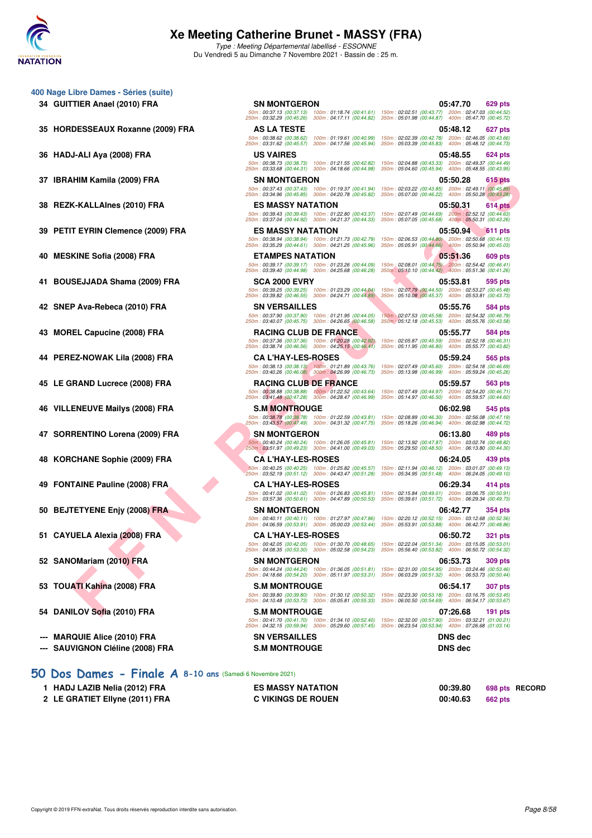

Type : Meeting Départemental labellisé - ESSONNE Du Vendredi 5 au Dimanche 7 Novembre 2021 - Bassin de : 25 m.

250m : 03:40.07 (00:45.75) 300m : 04:26.65 (00:46.58) 350m : 05:12.18 (00:45.53) 400m : 05:55.76 (00:43.58)

250m : 03:38.74 (00:46.56) 300m : 04:25.15 (00:46.41) 350m : 05:11.95 (00:46.80) 400m : 05:55.77 (00:43.82)

250m : 03:40.26 (00:46.08) 300m : 04:26.99 (00:46.73) 350m : 05:13.98 (00:46.99) 400m : 05:59.24 (00:45.26)

50m : 00:37.13 (00:37.13) 100m : 01:18.74 (00:41.61) 150m : 02:02.51 (00:43.77) 200m : 02:47.03 (00:44.52) 250m : 03:32.29 (00:45.26) 300m : 04:17.11 (00:44.82) 350m : 05:01.98 (00:44.87) 400m : 05:47.70 (00:45.72)

50m : 00:38.62 (00:38.62) 100m : 01:19.61 (00:40.99) 150m : 02:02.39 (00:42.78) 200m : 02:46.05 (00:43.66) 250m : 03:31.62 (00:45.57) 300m : 04:17.56 (00:45.94) 350m : 05:03.39 (00:45.83) 400m : 05:48.12 (00:44.73)

50m : 00:38.73 (00:38.73) 100m : 01:21.55 (00:42.82) 150m : 02:04.88 (00:43.33) 200m : 02:49.37 (00:44.49) 250m : 03:33.68 (00:44.31) 300m : 04:18.66 (00:44.98) 350m : 05:04.60 (00:45.94) 400m : 05:48.55 (00:43.95)

50m : 00:37.43 (00:37.43) 100m : 01:19.37 (00:41.94) 150m : 02:03.22 (00:43.85) 200m : 02:49.11 (00:45.89) 250m : 03:34.96 (00:45.85) 300m : 04:20.78 (00:45.82) 350m : 05:07.00 (00:46.22) 400m : 05:50.28 (00:43.28)

50m : 00:39.43 (00:39.43) 100m : 01:22.80 (00:43.37) 150m : 02:07.49 (00:44.69) 200m : 02:52.12 (00:44.63) 250m : 03:37.04 (00:44.92) 300m : 04:21.37 (00:44.33) 350m : 05:07.05 (00:45.68) 400m : 05:50.31 (00:43.26)

50m : 00:38.94 (00:38.94) 100m : 01:21.73 (00:42.79) 150m : 02:06.53 (00:44.80) 200m : 02:50.68 (00:44.15) 250m : 03:35.29 (00:44.61) 300m : 04:21.25 (00:45.96) 350m : 05:05.91 (00:44.66) 400m : 05:50.94 (00:45.03)

50m : 00:39.17 (00:39.17) 100m : 01:23.26 (00:44.09) 150m : 02:08.01 (00:44.75) 200m : 02:54.42 (00:46.41) 250m : 03:39.40 (00:44.98) 300m : 04:25.68 (00:46.28) 350m : 05:10.10 (00:44.42) 400m : 05:51.36 (00:41.26)

50m : 00:39.25 (00:39.25) 100m : 01:23.29 (00:44.04) 150m : 02:07.79 (00:44.50) 200m : 02:53.27 (00:45.48) 250m : 03:39.82 (00:46.55) 300m : 04:24.71 (00:44.89) 350m : 05:10.08 (00:45.37) 400m : 05:53.81 (00:43.73)

50m : 00:38.88 (00:38.88) 100m : 01:22.52 (00:43.64) 150m : 02:07.49 (00:44.97) 200m : 02:54.20 (00:46.71) 250m : 03:41.48 (00:47.28) 300m : 04:28.47 (00:46.99) 350m : 05:14.97 (00:46.50) 400m : 05:59.57 (00:44.60)

50m : 00:38.78 (00:38.78) 100m : 01:22.59 (00:43.81) 150m : 02:08.89 (00:46.30) 200m : 02:56.08 (00:47.19) 250m : 03:43.57 (00:47.49) 300m : 04:31.32 (00:47.75) 350m : 05:18.26 (00:46.94) 400m : 06:02.98 (00:44.72)

50m : 00:40.24 (00:40.24) 100m : 01:26.05 (00:45.81) 150m : 02:13.92 (00:47.87) 200m : 03:02.74 (00:48.82) 250m : 03:51.97 (00:49.23) 300m : 04:41.00 (00:49.03) 350m : 05:29.50 (00:48.50) 400m : 06:13.80 (00:44.30)

50m : 00:40.25 (00:40.25) 100m : 01:25.82 (00:45.57) 150m : 02:11.94 (00:46.12) 200m : 03:01.07 (00:49.13) 250m : 03:52.19 (00:51.12) 300m : 04:43.47 (00:51.28) 350m : 05:34.95 (00:51.48) 400m : 06:24.05 (00:49.10)

50m : 00:41.02 (00:41.02) 100m : 01:26.83 (00:45.81) 150m : 02:15.84 (00:49.01) 200m : 03:06.75 (00:50.91) 250m : 03:57.36 (00:50.61) 300m : 04:47.89 (00:50.53) 350m : 05:39.61 (00:51.72) 400m : 06:29.34 (00:49.73)

50m : 00:40.11 (00:40.11) 100m : 01:27.97 (00:47.86) 150m : 02:20.12 (00:52.15) 200m : 03:12.68 (00:52.56) 250m : 04:06.59 (00:53.91) 300m : 05:00.03 (00:53.44) 350m : 05:53.91 (00:53.88) 400m : 06:42.77 (00:48.86)

50m : 00:42.05 (00:42.05) 100m : 01:30.70 (00:48.65) 150m : 02:22.04 (00:51.34) 200m : 03:15.05 (00:53.01) 250m : 04:08.35 (00:53.30) 300m : 05:02.58 (00:54.23) 350m : 05:56.40 (00:53.82) 400m : 06:50.72 (00:54.32)

50m : 00:44.24 (00:44.24) 100m : 01:36.05 (00:51.81) 150m : 02:31.00 (00:54.95) 200m : 03:24.46 (00:53.46) 250m : 04:18.66 (00:54.20) 300m : 05:11.97 (00:53.31) 350m : 06:03.29 (00:51.32) 400m : 06:53.73 (00:50.44)

50m : 00:39.80 (00:39.80) 100m : 01:30.12 (00:50.32) 150m : 02:23.30 (00:53.18) 200m : 03:16.75 (00:53.45) 250m : 04:10.48 (00:53.73) 300m : 05:05.81 (00:55.33) 350m : 06:00.50 (00:54.69) 400m : 06:54.17 (00:53.67)

50m : 00:41.70 (00:41.70) 100m : 01:34.10 (00:52.40) 150m : 02:32.00 (00:57.90) 200m : 03:32.21 (01:00.21) 250m : 04:32.15 (00:59.94) 300m : 05:29.60 (00:57.45) 350m : 06:23.54 (00:53.94) 400m : 07:26.68 (01:03.14)

50m : 00:37.90 (00:37.90) 100m : 01:21.95 (00:44.05) 150m : 02:07.53 (00:45.58) 200m : 02:54.32 (00:46.79)

50m : 00:37.36 (00:37.36) 100m : 01:20.28 (00:42.92) 150m : 02:05.87 (00:45.59) 200m : 02:52.18 (00:46.31)

150m : 02:07.49 (00:45.60) 200m : 02:54.18 (00:46.69)<br>350m : 05:13.98 (00:46.99) 400m : 05:59.24 (00:45.26)

- **400 Nage Libre Dames Séries (suite)**
	- **34 GUITTIER Anael (2010) FRA SN MONTGERON 05:47.70 629 pts**
	- **35 HORDESSEAUX Roxanne (2009) FRA AS LA TESTE 05:48.12 627 pts**
	- **36 HADJ-ALI Aya (2008) FRA US VAIRES 05:48.55 624 pts**
	- **37 IBRAHIM Kamila (2009) FRA SN MONTGERON 05:50.28 615 pts**
	- **38 REZK-KALLAInes (2010) FRA ES MASSY NATATION 05:50.31 614 pts**
	- **FHIM Kemile (2009) FRA**<br>
	F F FRIM Cleaners (2010) FRA<br>
	E MACHARACTA EST ANGELES (2010) FRA<br>
	EST ANGELES (2010) FRA<br>
	EST ANGELES (2010) FRA<br>
	EST ANGELES (2010) FRA<br>
	EST ANGELES (2010) FRA<br>
	EST ANGELES (2010) FRA<br>
	EST ANGE **39 PETIT EYRIN Clemence (2009) FRA ES MASSY NATATION 05:50.94 611 pts**
	- **40 MESKINE Sofia (2008) FRA ETAMPES NATATION 05:51.36 609 pts**
	- **41 BOUSEJJADA Shama (2009) FRA SCA 2000 EVRY 05:53.81 595 pts**
	- **42 SNEP Ava-Rebeca (2010) FRA SN VERSAILLES 05:55.76 584 pts**
	- **43 MOREL Capucine (2008) FRA RACING CLUB DE FRANCE 05:55.77 584 pts**
	- **44 PEREZ-NOWAK Lila (2008) FRA CA L'HAY-LES-ROSES 05:59.24 565 pts**
	- **45 LE GRAND Lucrece (2008) FRA RACING CLUB DE FRANCE 05:59.57 563 pts**
	- **46 VILLENEUVE Mailys (2008) FRA S.M MONTROUGE 06:02.98 545 pts**
	- **47 SORRENTINO Lorena (2009) FRA SN MONTGERON 06:13.80 489 pts**
	- **48 KORCHANE Sophie (2009) FRA CA L'HAY-LES-ROSES 06:24.05 439 pts**
	- **49 FONTAINE Pauline (2008) FRA CA L'HAY-LES-ROSES 06:29.34 414 pts**
	- **50 BEJTETYENE Enjy (2008) FRA SN MONTGERON 50 ELECTION 66:42.77 354 pts**
	- **51 CAYUELA Alexia (2008) FRA CA L'HAY-LES-ROSES 06:50.72 321 pts**
	- **52 SANOMariam (2010) FRA SN MONTGERON 06:53.73 309 pts**
	- **53 TOUATI Kahina (2008) FRA** S.M MONTROUGE **1998 S.M MONTROUGE 1998 54.17** 307 pts
	- **54 DANILOV Sofia (2010) FRA S.M MONTROUGE 07:26.68 191 pts**
	- **--- MARQUIE Alice (2010) FRA SN VERSAILLES DNS dec**
	- **--- SAUVIGNON Cléline (2008) FRA S.M MONTROUGE DNS dec**
- **[50 Dos Dames Finale A](http://www.ffnatation.fr/webffn/resultats.php?idact=nat&go=epr&idcpt=72199&idepr=11) 8-10 ans** (Samedi 6 Novembre 2021)

| HADJ LAZIB Nelia (2012) FRA    | <b>ES MASSY NATATION</b>  | 00:39.80<br>698 pts RECORD |
|--------------------------------|---------------------------|----------------------------|
| 2 LE GRATIET Ellyne (2011) FRA | <b>C VIKINGS DE ROUEN</b> | 00:40.63<br>662 pts        |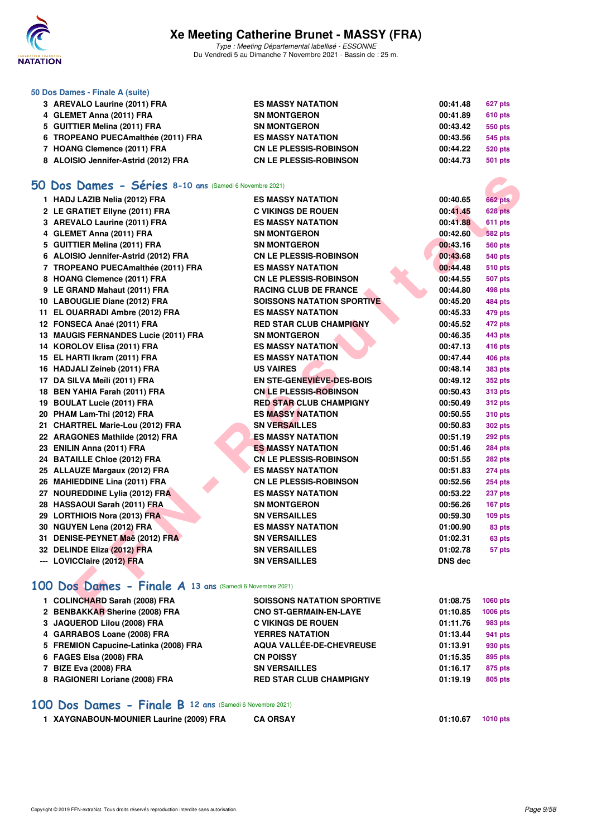

Type : Meeting Départemental labellisé - ESSONNE Du Vendredi 5 au Dimanche 7 Novembre 2021 - Bassin de : 25 m.

#### **50 Dos Dames - Finale A (suite)**

| 3 AREVALO Laurine (2011) FRA         | <b>ES MASSY NATATION</b>      | 00:41.48 | 627 pts        |
|--------------------------------------|-------------------------------|----------|----------------|
| 4 GLEMET Anna (2011) FRA             | <b>SN MONTGERON</b>           | 00:41.89 | <b>610 pts</b> |
| 5 GUITTIER Melina (2011) FRA         | <b>SN MONTGERON</b>           | 00:43.42 | 550 pts        |
| 6 TROPEANO PUECAmalthée (2011) FRA   | <b>ES MASSY NATATION</b>      | 00:43.56 | 545 pts        |
| 7 HOANG Clemence (2011) FRA          | <b>CN LE PLESSIS-ROBINSON</b> | 00:44.22 | 520 pts        |
| 8 ALOISIO Jennifer-Astrid (2012) FRA | <b>CN LE PLESSIS-ROBINSON</b> | 00:44.73 | 501 pts        |

## **[50 Dos Dames - Séries](http://www.ffnatation.fr/webffn/resultats.php?idact=nat&go=epr&idcpt=72199&idepr=11) 8-10 ans** (Samedi 6 Novembre 2021)

| O Dos Dames - Séries 8-10 ans (Samedi 6 Novembre 2021)             |                                                            |                      |                                  |
|--------------------------------------------------------------------|------------------------------------------------------------|----------------------|----------------------------------|
| 1 HADJ LAZIB Nelia (2012) FRA                                      | <b>ES MASSY NATATION</b>                                   | 00:40.65             | <b>662 pts</b>                   |
| 2 LE GRATIET Ellyne (2011) FRA                                     | <b>C VIKINGS DE ROUEN</b>                                  | 00:41.45             | <b>628 pts</b>                   |
| 3 AREVALO Laurine (2011) FRA                                       | <b>ES MASSY NATATION</b><br><b>SN MONTGERON</b>            | 00:41.88<br>00:42.60 | 611 pts                          |
| 4 GLEMET Anna (2011) FRA                                           |                                                            |                      | <b>582 pts</b>                   |
| 5 GUITTIER Melina (2011) FRA                                       | <b>SN MONTGERON</b>                                        | 00:43.16             | <b>560 pts</b>                   |
| 6 ALOISIO Jennifer-Astrid (2012) FRA                               | <b>CN LE PLESSIS-ROBINSON</b>                              | 00:43.68             | <b>540 pts</b>                   |
| 7 TROPEANO PUECAmalthée (2011) FRA                                 | <b>ES MASSY NATATION</b>                                   | 00:44.48             | <b>510 pts</b>                   |
| 8 HOANG Clemence (2011) FRA                                        | <b>CN LE PLESSIS-ROBINSON</b>                              | 00:44.55             | <b>507 pts</b>                   |
| 9 LE GRAND Mahaut (2011) FRA                                       | <b>RACING CLUB DE FRANCE</b>                               | 00:44.80             | 498 pts                          |
| 10 LABOUGLIE Diane (2012) FRA                                      | <b>SOISSONS NATATION SPORTIVE</b>                          | 00:45.20             | 484 pts                          |
| 11 EL OUARRADI Ambre (2012) FRA                                    | <b>ES MASSY NATATION</b><br><b>RED STAR CLUB CHAMPIGNY</b> | 00:45.33<br>00:45.52 | 479 pts                          |
| 12 FONSECA Anaé (2011) FRA<br>13 MAUGIS FERNANDES Lucie (2011) FRA | <b>SN MONTGERON</b>                                        | 00:46.35             | 472 pts                          |
|                                                                    | <b>ES MASSY NATATION</b>                                   | 00:47.13             | 443 pts                          |
| 14 KOROLOV Elisa (2011) FRA<br>15 EL HARTI Ikram (2011) FRA        | <b>ES MASSY NATATION</b>                                   | 00:47.44             | 416 pts                          |
| 16 HADJALI Zeineb (2011) FRA                                       | <b>US VAIRES</b>                                           | 00:48.14             | 406 pts                          |
| 17 DA SILVA Meïli (2011) FRA                                       | EN STE-GENEVIEVE-DES-BOIS                                  | 00:49.12             | <b>383 pts</b>                   |
| 18 BEN YAHIA Farah (2011) FRA                                      | <b>CN LE PLESSIS-ROBINSON</b>                              | 00:50.43             | <b>352 pts</b><br><b>313 pts</b> |
| 19 BOULAT Lucie (2011) FRA                                         | <b>RED STAR CLUB CHAMPIGNY</b>                             | 00:50.49             | <b>312 pts</b>                   |
| 20 PHAM Lam-Thi (2012) FRA                                         | <b>ES MASSY NATATION</b>                                   | 00:50.55             | <b>310 pts</b>                   |
| 21 CHARTREL Marie-Lou (2012) FRA                                   | <b>SN VERSAILLES</b>                                       | 00:50.83             | <b>302 pts</b>                   |
| 22 ARAGONES Mathilde (2012) FRA                                    | <b>ES MASSY NATATION</b>                                   | 00:51.19             | 292 pts                          |
| 23 ENILIN Anna (2011) FRA                                          | <b>ES MASSY NATATION</b>                                   | 00:51.46             | <b>284 pts</b>                   |
| 24 BATAILLE Chloe (2012) FRA                                       | <b>CN LE PLESSIS-ROBINSON</b>                              | 00:51.55             | 282 pts                          |
| 25 ALLAUZE Margaux (2012) FRA                                      | <b>ES MASSY NATATION</b>                                   | 00:51.83             | <b>274 pts</b>                   |
| 26 MAHIEDDINE Lina (2011) FRA                                      | <b>CN LE PLESSIS-ROBINSON</b>                              | 00:52.56             | <b>254 pts</b>                   |
| 27 NOUREDDINE Lylia (2012) FRA                                     | <b>ES MASSY NATATION</b>                                   | 00:53.22             | 237 pts                          |
| 28 HASSAOUI Sarah (2011) FRA                                       | <b>SN MONTGERON</b>                                        | 00:56.26             | 167 pts                          |
| 29 LORTHIOIS Nora (2013) FRA                                       | <b>SN VERSAILLES</b>                                       | 00:59.30             | $109$ pts                        |
| 30 NGUYEN Lena (2012) FRA                                          | <b>ES MASSY NATATION</b>                                   | 01:00.90             | 83 pts                           |
| 31 DENISE-PEYNET Maë (2012) FRA                                    | <b>SN VERSAILLES</b>                                       | 01:02.31             | 63 pts                           |
| 32 DELINDE Eliza (2012) FRA                                        | <b>SN VERSAILLES</b>                                       | 01:02.78             | 57 pts                           |
| --- LOVICClaire (2012) FRA                                         | <b>SN VERSAILLES</b>                                       | <b>DNS dec</b>       |                                  |
|                                                                    |                                                            |                      |                                  |
| 00 Dos Dames - Finale A 13 ans (Samedi 6 Novembre 2021)            |                                                            |                      |                                  |
| 1 COLINCHARD Sarah (2008) FRA                                      | <b>SOISSONS NATATION SPORTIVE</b>                          | 01:08.75             | <b>1060 pts</b>                  |
| 2 BENBAKKAR Sherine (2008) FRA                                     | <b>CNO ST-GERMAIN-EN-LAYE</b>                              | 01:10.85             | 1006 pts                         |

## **[100 Dos Dames - Finale A](http://www.ffnatation.fr/webffn/resultats.php?idact=nat&go=epr&idcpt=72199&idepr=12) 13 ans** (Samedi 6 Novembre 2021)

| 1 COLINCHARD Sarah (2008) FRA         | <b>SOISSONS NATATION SPORTIVE</b> | 01:08.75 | <b>1060 pts</b> |
|---------------------------------------|-----------------------------------|----------|-----------------|
| 2 BENBAKKAR Sherine (2008) FRA        | <b>CNO ST-GERMAIN-EN-LAYE</b>     | 01:10.85 | <b>1006 pts</b> |
| 3 JAQUEROD Lilou (2008) FRA           | <b>C VIKINGS DE ROUEN</b>         | 01:11.76 | 983 pts         |
| 4 GARRABOS Loane (2008) FRA           | <b>YERRES NATATION</b>            | 01:13.44 | 941 pts         |
| 5 FREMION Capucine-Latinka (2008) FRA | AQUA VALLÉE-DE-CHEVREUSE          | 01:13.91 | 930 pts         |
| 6 FAGES Elsa (2008) FRA               | <b>CN POISSY</b>                  | 01:15.35 | 895 pts         |
| 7 BIZE Eva (2008) FRA                 | <b>SN VERSAILLES</b>              | 01:16.17 | 875 pts         |
| 8 RAGIONERI Loriane (2008) FRA        | <b>RED STAR CLUB CHAMPIGNY</b>    | 01:19.19 | 805 pts         |
|                                       |                                   |          |                 |

#### **[100 Dos Dames - Finale B](http://www.ffnatation.fr/webffn/resultats.php?idact=nat&go=epr&idcpt=72199&idepr=12) 12 ans** (Samedi 6 Novembre 2021)

| 1 XAYGNABOUN-MOUNIER Laurine (2009) FRA | <b>CA ORSAY</b> | 01:10.67 1010 pts |  |
|-----------------------------------------|-----------------|-------------------|--|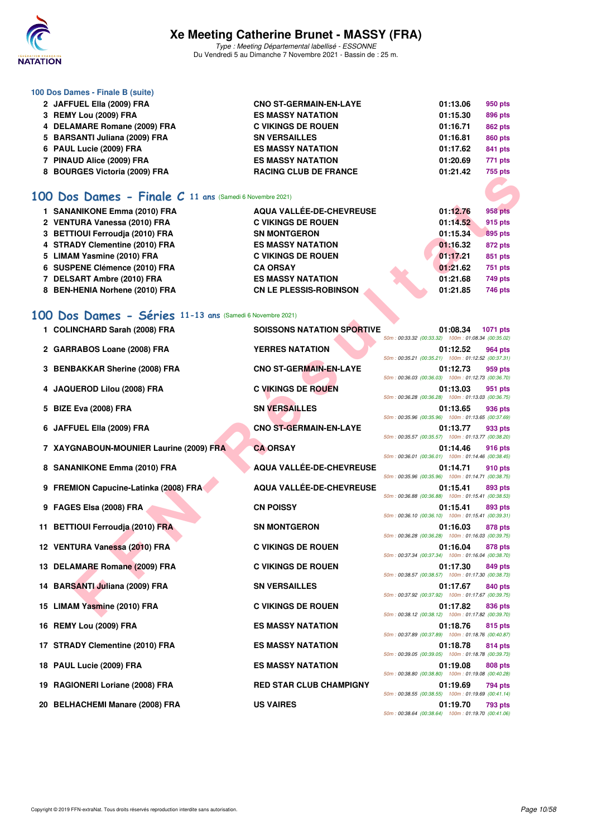

Type : Meeting Départemental labellisé - ESSONNE Du Vendredi 5 au Dimanche 7 Novembre 2021 - Bassin de : 25 m.

#### **100 Dos Dames - Finale B (suite)**

| 2 JAFFUEL Ella (2009) FRA     | <b>CNO ST-GERMAIN-EN-LAYE</b> | 01:13.06 | 950 pts |
|-------------------------------|-------------------------------|----------|---------|
| 3 REMY Lou (2009) FRA         | <b>ES MASSY NATATION</b>      | 01:15.30 | 896 pts |
| 4 DELAMARE Romane (2009) FRA  | <b>C VIKINGS DE ROUEN</b>     | 01:16.71 | 862 pts |
| 5 BARSANTI Juliana (2009) FRA | <b>SN VERSAILLES</b>          | 01:16.81 | 860 pts |
| 6 PAUL Lucie (2009) FRA       | <b>ES MASSY NATATION</b>      | 01:17.62 | 841 pts |
| 7 PINAUD Alice (2009) FRA     | <b>ES MASSY NATATION</b>      | 01:20.69 | 771 pts |
| 8 BOURGES Victoria (2009) FRA | <b>RACING CLUB DE FRANCE</b>  | 01:21.42 | 755 pts |
|                               |                               |          |         |

### **[100 Dos Dames - Finale C](http://www.ffnatation.fr/webffn/resultats.php?idact=nat&go=epr&idcpt=72199&idepr=12) 11 ans** (Samedi 6 Novembre 2021)

| 1 SANANIKONE Emma (2010) FRA    | AQUA VALLÉE-DE-CHEVREUSE      | 01:12.76 | 958 pts        |
|---------------------------------|-------------------------------|----------|----------------|
| 2 VENTURA Vanessa (2010) FRA    | <b>C VIKINGS DE ROUEN</b>     | 01:14.52 | 915 pts        |
| 3 BETTIOUI Ferroudia (2010) FRA | <b>SN MONTGERON</b>           | 01:15.34 | 895 pts        |
| 4 STRADY Clementine (2010) FRA  | <b>ES MASSY NATATION</b>      | 01:16.32 | <b>872 pts</b> |
| 5 LIMAM Yasmine (2010) FRA      | <b>C VIKINGS DE ROUEN</b>     | 01:17.21 | 851 pts        |
| 6 SUSPENE Clémence (2010) FRA   | <b>CA ORSAY</b>               | 01:21.62 | 751 pts        |
| 7 DELSART Ambre (2010) FRA      | <b>ES MASSY NATATION</b>      | 01:21.68 | 749 pts        |
| 8 BEN-HENIA Norhene (2010) FRA  | <b>CN LE PLESSIS-ROBINSON</b> | 01:21.85 | 746 pts        |

## **[100 Dos Dames - Séries](http://www.ffnatation.fr/webffn/resultats.php?idact=nat&go=epr&idcpt=72199&idepr=12) 11-13 ans** (Samedi 6 Novembre 2021)

| 0 DUUNULO VILIUIIA (2003) FRA                                  |                                   | Tuu pis                                                                    |
|----------------------------------------------------------------|-----------------------------------|----------------------------------------------------------------------------|
| <b>00 Dos Dames - Finale C 11 ans (Samedi 6 Novembre 2021)</b> |                                   |                                                                            |
| 1 SANANIKONE Emma (2010) FRA                                   | <b>AQUA VALLÉE-DE-CHEVREUSE</b>   | 01:12.76<br><b>958 pts</b>                                                 |
| 2 VENTURA Vanessa (2010) FRA                                   | <b>C VIKINGS DE ROUEN</b>         | 01:14.52<br>915 pts                                                        |
| 3 BETTIOUI Ferroudja (2010) FRA                                | <b>SN MONTGERON</b>               | 01:15.34<br><b>895 pts</b>                                                 |
| 4 STRADY Clementine (2010) FRA                                 | <b>ES MASSY NATATION</b>          | 01:16.32<br>872 pts                                                        |
| 5 LIMAM Yasmine (2010) FRA                                     | <b>C VIKINGS DE ROUEN</b>         | 01:17.21<br>851 pts                                                        |
| 6 SUSPENE Clémence (2010) FRA                                  | <b>CA ORSAY</b>                   | 01:21.62<br>751 pts                                                        |
| 7 DELSART Ambre (2010) FRA                                     | <b>ES MASSY NATATION</b>          | 01:21.68<br>749 pts                                                        |
| 8 BEN-HENIA Norhene (2010) FRA                                 | <b>CN LE PLESSIS-ROBINSON</b>     | 01:21.85<br><b>746 pts</b>                                                 |
|                                                                |                                   |                                                                            |
| 00 Dos Dames - Séries 11-13 ans (Samedi 6 Novembre 2021)       |                                   |                                                                            |
| 1 COLINCHARD Sarah (2008) FRA                                  | <b>SOISSONS NATATION SPORTIVE</b> | 01:08.34<br>1071 pts<br>50m: 00:33.32 (00:33.32) 100m: 01:08.34 (00:35.02) |
| 2 GARRABOS Loane (2008) FRA                                    | <b>YERRES NATATION</b>            | 01:12.52<br>964 pts                                                        |
|                                                                |                                   | 50m: 00:35.21 (00:35.21) 100m: 01:12.52 (00:37.31)                         |
| 3 BENBAKKAR Sherine (2008) FRA                                 | <b>CNO ST-GERMAIN-EN-LAYE</b>     | 01:12.73<br>959 pts                                                        |
|                                                                |                                   | 50m: 00:36.03 (00:36.03) 100m: 01:12.73 (00:36.70)                         |
| 4 JAQUEROD Lilou (2008) FRA                                    | <b>C VIKINGS DE ROUEN</b>         | 01:13.03<br>951 pts<br>50m: 00:36.28 (00:36.28) 100m: 01:13.03 (00:36.75)  |
| 5 BIZE Eva (2008) FRA                                          | <b>SN VERSAILLES</b>              | 01:13.65<br>936 pts                                                        |
|                                                                |                                   | 50m: 00:35.96 (00:35.96) 100m: 01:13.65 (00:37.69)                         |
| 6 JAFFUEL Ella (2009) FRA                                      | <b>CNO ST-GERMAIN-EN-LAYE</b>     | 01:13.77<br>933 pts                                                        |
|                                                                |                                   | 50m: 00:35.57 (00:35.57) 100m: 01:13.77 (00:38.20)                         |
| 7 XAYGNABOUN-MOUNIER Laurine (2009) FRA                        | <b>CA ORSAY</b>                   | 01:14.46<br><b>916 pts</b>                                                 |
|                                                                |                                   | 50m: 00:36.01 (00:36.01) 100m: 01:14.46 (00:38.45)                         |
| 8 SANANIKONE Emma (2010) FRA                                   | <b>AQUA VALLÉE-DE-CHEVREUSE</b>   | 910 pts<br>01:14.71<br>50m: 00:35.96 (00:35.96) 100m: 01:14.71 (00:38.75)  |
| 9 FREMION Capucine-Latinka (2008) FRA                          | AQUA VALLÉE-DE-CHEVREUSE          | 01:15.41<br>893 pts                                                        |
|                                                                |                                   | 50m: 00:36.88 (00:36.88) 100m: 01:15.41 (00:38.53)                         |
| 9 FAGES Elsa (2008) FRA                                        | <b>CN POISSY</b>                  | 01:15.41<br>893 pts                                                        |
|                                                                |                                   | 50m: 00:36.10 (00:36.10) 100m: 01:15.41 (00:39.31)                         |
| 11 BETTIOUI Ferroudja (2010) FRA                               | <b>SN MONTGERON</b>               | 01:16.03<br>878 pts                                                        |
|                                                                |                                   | 50m: 00:36.28 (00:36.28) 100m: 01:16.03 (00:39.75)                         |
| 12 VENTURA Vanessa (2010) FRA                                  | <b>C VIKINGS DE ROUEN</b>         | 01:16.04<br>878 pts<br>50m: 00:37.34 (00:37.34) 100m: 01:16.04 (00:38.70)  |
| 13 DELAMARE Romane (2009) FRA                                  | <b>C VIKINGS DE ROUEN</b>         | 01:17.30<br>849 pts                                                        |
|                                                                |                                   | 50m: 00:38.57 (00:38.57) 100m: 01:17.30 (00:38.73)                         |
| 14 BARSANTI Juliana (2009) FRA                                 | <b>SN VERSAILLES</b>              | 01:17.67<br>840 pts                                                        |
|                                                                |                                   | 50m: 00:37.92 (00:37.92) 100m: 01:17.67 (00:39.75)                         |
| 15 LIMAM Yasmine (2010) FRA                                    | <b>C VIKINGS DE ROUEN</b>         | 01:17.82<br>836 pts                                                        |
|                                                                |                                   | 50m: 00:38.12 (00:38.12) 100m: 01:17.82 (00:39.70)                         |
| 16 REMY Lou (2009) FRA                                         | <b>ES MASSY NATATION</b>          | 01:18.76<br>815 pts<br>50m: 00:37.89 (00:37.89) 100m: 01:18.76 (00:40.87)  |
| 17 STRADY Clementine (2010) FRA                                | <b>ES MASSY NATATION</b>          | 01:18.78<br>814 pts                                                        |
|                                                                |                                   | 50m: 00:39.05 (00:39.05) 100m: 01:18.78 (00:39.73)                         |
| 18 PAUL Lucie (2009) FRA                                       | <b>ES MASSY NATATION</b>          | 01:19.08<br>808 pts                                                        |
|                                                                |                                   | 50m: 00:38.80 (00:38.80) 100m: 01:19.08 (00:40.28)                         |
| 19 RAGIONERI Loriane (2008) FRA                                | <b>RED STAR CLUB CHAMPIGNY</b>    | 01:19.69<br>794 pts                                                        |
|                                                                |                                   | 50m: 00:38.55 (00:38.55) 100m: 01:19.69 (00:41.14)                         |
| 20 BELHACHEMI Manare (2008) FRA                                | <b>US VAIRES</b>                  | 01:19.70<br>793 pts<br>50m: 00:38.64 (00:38.64) 100m: 01:19.70 (00:41.06)  |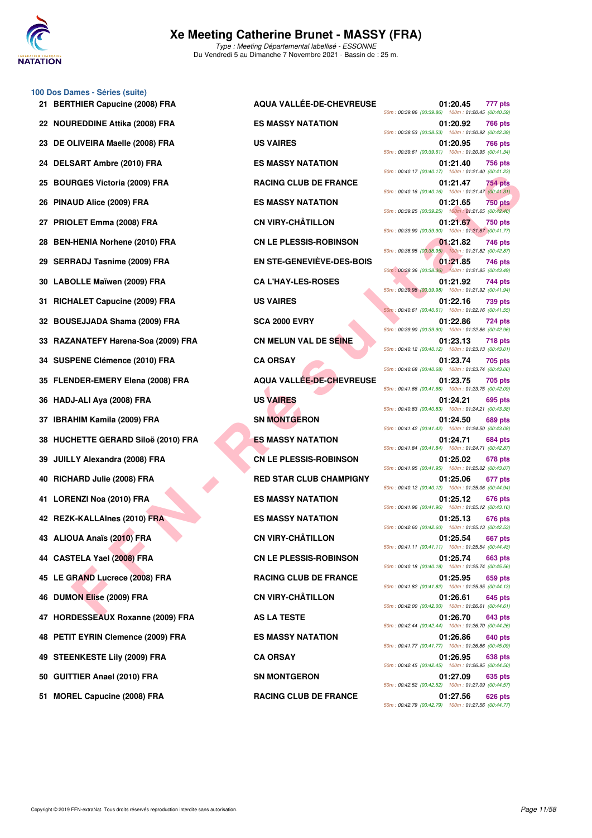

#### **100 Dos Dames - Séries (suite)**

| 21 BERTHIER Capucine (2008) FRA     | AQUA VALLÉE-DE-CHEVREUSE         | 01:20.45<br>777 pts<br>50m: 00:39.86 (00:39.86) 100m: 01:20.45 (00:40.59                                                             |
|-------------------------------------|----------------------------------|--------------------------------------------------------------------------------------------------------------------------------------|
| 22 NOUREDDINE Attika (2008) FRA     | <b>ES MASSY NATATION</b>         | 01:20.92<br>766 pts<br>50m: 00:38.53 (00:38.53) 100m: 01:20.92 (00:42.39                                                             |
| 23 DE OLIVEIRA Maelle (2008) FRA    | <b>US VAIRES</b>                 | 01:20.95<br>766 pts<br>50m: 00:39.61 (00:39.61) 100m: 01:20.95 (00:41.34                                                             |
| 24 DELSART Ambre (2010) FRA         | <b>ES MASSY NATATION</b>         | 01:21.40<br><b>756 pts</b><br>50m: 00:40.17 (00:40.17) 100m: 01:21.40 (00:41.23)                                                     |
| 25 BOURGES Victoria (2009) FRA      | <b>RACING CLUB DE FRANCE</b>     | 01:21.47<br>754 pts<br>50m: 00:40.16 (00:40.16) 100m: 01:21.47 (00:41.31                                                             |
| 26 PINAUD Alice (2009) FRA          | <b>ES MASSY NATATION</b>         | <b>750 pts</b><br>01:21.65                                                                                                           |
| 27 PRIOLET Emma (2008) FRA          | <b>CN VIRY-CHÂTILLON</b>         | 50m: 00:39.25 (00:39.25) 100m: 01:21.65 (00:42.40)<br>01:21.67<br>750 pts<br>50m: 00:39.90 (00:39.90) 100m: 01:21.67 (00:41.77       |
| 28 BEN-HENIA Norhene (2010) FRA     | <b>CN LE PLESSIS-ROBINSON</b>    | 01:21.82<br>746 pts<br>50m: 00:38.95 (00:38.95) 100m: 01:21.82 (00:42.87                                                             |
| 29 SERRADJ Tasnime (2009) FRA       | <b>EN STE-GENEVIÈVE-DES-BOIS</b> | 01:21.85<br>746 pts<br>50m : 00:38.36 (00:38.36) 100m : 01:21.85 (00:43.49)                                                          |
| 30 LABOLLE Maïwen (2009) FRA        | <b>CA L'HAY-LES-ROSES</b>        | 01:21.92<br>744 pts<br>50m: 00:39.98 (00:39.98) 100m: 01:21.92 (00:41.94)                                                            |
| 31 RICHALET Capucine (2009) FRA     | <b>US VAIRES</b>                 | 01:22.16<br>739 pts                                                                                                                  |
| 32 BOUSEJJADA Shama (2009) FRA      | <b>SCA 2000 EVRY</b>             | 50m: 00:40.61 (00:40.61) 100m: 01:22.16 (00:41.55<br>01:22.86<br><b>724 pts</b><br>50m: 00:39.90 (00:39.90) 100m: 01:22.86 (00:42.96 |
| 33 RAZANATEFY Harena-Soa (2009) FRA | CN MELUN VAL DE SEINE            | 01:23.13<br><b>718 pts</b><br>50m: 00:40.12 (00:40.12) 100m: 01:23.13 (00:43.01                                                      |
| 34 SUSPENE Clémence (2010) FRA      | <b>CA ORSAY</b>                  | 01:23.74<br>705 pts<br>50m: 00:40.68 (00:40.68) 100m: 01:23.74 (00:43.06                                                             |
| 35 FLENDER-EMERY Elena (2008) FRA   | <b>AQUA VALLEE-DE-CHEVREUSE</b>  | 01:23.75<br>705 pts<br>50m: 00:41.66 (00:41.66) 100m: 01:23.75 (00:42.09)                                                            |
| 36 HADJ-ALI Aya (2008) FRA          | <b>US VAIRES</b>                 | 01:24.21<br>695 pts<br>50m: 00:40.83 (00:40.83) 100m: 01:24.21 (00:43.38                                                             |
| 37 IBRAHIM Kamila (2009) FRA        | <b>SN MONTGERON</b>              | 01:24.50<br>689 pts<br>50m: 00:41.42 (00:41.42) 100m: 01:24.50 (00:43.08                                                             |
| 38 HUCHETTE GERARD Siloë (2010) FRA | <b>ES MASSY NATATION</b>         | 01:24.71<br>684 pts<br>50m: 00:41.84 (00:41.84) 100m: 01:24.71 (00:42.87                                                             |
| 39 JUILLY Alexandra (2008) FRA      | <b>CN LE PLESSIS-ROBINSON</b>    | 01:25.02<br>678 pts<br>50m: 00:41.95 (00:41.95) 100m: 01:25.02 (00:43.07                                                             |
| 40 RICHARD Julie (2008) FRA         | <b>RED STAR CLUB CHAMPIGNY</b>   | 01:25.06<br>677 pts<br>50m: 00:40.12 (00:40.12) 100m: 01:25.06 (00:44.94)                                                            |
| 41 LORENZI Noa (2010) FRA           | <b>ES MASSY NATATION</b>         | 01:25.12<br><b>676 pts</b><br>50m: 00:41.96 (00:41.96) 100m: 01:25.12 (00:43.16                                                      |
| 42 REZK-KALLAInes (2010) FRA        | <b>ES MASSY NATATION</b>         | 01:25.13<br>676 pts<br>50m: 00:42.60 (00:42.60) 100m: 01:25.13 (00:42.53)                                                            |
| 43 ALIOUA Anaïs (2010) FRA          | <b>CN VIRY-CHÂTILLON</b>         | 01:25.54<br><b>667 pts</b><br>50m: 00:41.11 (00:41.11) 100m: 01:25.54 (00:44.43)                                                     |
| 44 CASTELA Yael (2008) FRA          | <b>CN LE PLESSIS-ROBINSON</b>    | 01:25.74<br>663 pts<br>50m: 00:40.18 (00:40.18) 100m: 01:25.74 (00:45.56                                                             |
| 45 LE GRAND Lucrece (2008) FRA      | <b>RACING CLUB DE FRANCE</b>     | 01:25.95<br>659 pts<br>50m: 00:41.82 (00:41.82) 100m: 01:25.95 (00:44.13                                                             |
| 46 DUMON Elise (2009) FRA           | <b>CN VIRY-CHÂTILLON</b>         | 01:26.61<br>645 pts<br>50m: 00:42.00 (00:42.00) 100m: 01:26.61 (00:44.61)                                                            |
| 47 HORDESSEAUX Roxanne (2009) FRA   | <b>AS LA TESTE</b>               | 01:26.70<br>643 pts<br>50m: 00:42.44 (00:42.44) 100m: 01:26.70 (00:44.26)                                                            |
| 48 PETIT EYRIN Clemence (2009) FRA  | <b>ES MASSY NATATION</b>         | 01:26.86<br>640 pts<br>50m: 00:41.77 (00:41.77) 100m: 01:26.86 (00:45.09                                                             |
| 49 STEENKESTE Lily (2009) FRA       | <b>CA ORSAY</b>                  | 01:26.95<br>638 pts<br>50m: 00:42.45 (00:42.45) 100m: 01:26.95 (00:44.50)                                                            |
| 50 GUITTIER Anael (2010) FRA        | <b>SN MONTGERON</b>              | 01:27.09<br>635 pts<br>50m: 00:42.52 (00:42.52) 100m: 01:27.09 (00:44.57                                                             |
|                                     |                                  |                                                                                                                                      |

| AQUA VALLÉE-DE-CHEVREUSE         | 01:20.45<br>777 pts<br>50m: 00:39.86 (00:39.86) 100m: 01:20.45 (00:40.59)        |
|----------------------------------|----------------------------------------------------------------------------------|
| <b>ES MASSY NATATION</b>         | 01:20.92<br>766 pts<br>50m: 00:38.53 (00:38.53) 100m: 01:20.92 (00:42.39)        |
| <b>US VAIRES</b>                 | 01:20.95<br>766 pts<br>50m: 00:39.61 (00:39.61) 100m: 01:20.95 (00:41.34)        |
| <b>ES MASSY NATATION</b>         | 01:21.40<br>756 pts<br>50m: 00:40.17 (00:40.17) 100m: 01:21.40 (00:41.23)        |
| <b>RACING CLUB DE FRANCE</b>     | 01:21.47<br>754 pts<br>50m: 00:40.16 (00:40.16) 100m: 01:21.47 (00:41.31)        |
| <b>ES MASSY NATATION</b>         | 01:21.65<br><b>750 pts</b><br>50m: 00:39.25 (00:39.25) 100m: 01:21.65 (00:42.40) |
| <b>CN VIRY-CHÂTILLON</b>         | 01:21.67<br><b>750 pts</b><br>50m: 00:39.90 (00:39.90) 100m: 01:21.67 (00:41.77) |
| <b>CN LE PLESSIS-ROBINSON</b>    | 01:21.82<br>746 pts<br>50m: 00:38.95 (00:38.95) 100m: 01:21.82 (00:42.87)        |
| <b>EN STE-GENEVIÈVE-DES-BOIS</b> | 01:21.85<br>746 pts<br>50m: 00:38.36 (00:38.36) 100m: 01:21.85 (00:43.49)        |
| <b>CA L'HAY-LES-ROSES</b>        | 01:21.92<br>744 pts<br>50m: 00:39.98 (00:39.98) 100m: 01:21.92 (00:41.94)        |
| <b>US VAIRES</b>                 | 01:22.16<br>739 pts<br>50m: 00:40.61 (00:40.61) 100m: 01:22.16 (00:41.55)        |
| <b>SCA 2000 EVRY</b>             | 01:22.86<br>724 pts<br>50m: 00:39.90 (00:39.90) 100m: 01:22.86 (00:42.96)        |
| CN MELUN VAL DE SEINE            | 01:23.13<br><b>718 pts</b><br>50m: 00:40.12 (00:40.12) 100m: 01:23.13 (00:43.01) |
| <b>CA ORSAY</b>                  | 01:23.74<br>705 pts<br>50m: 00:40.68 (00:40.68) 100m: 01:23.74 (00:43.06)        |
| <b>AQUA VALLÉE-DE-CHEVREUSE</b>  | 01:23.75<br>705 pts<br>50m: 00:41.66 (00:41.66) 100m: 01:23.75 (00:42.09)        |
| <b>US VAIRES</b>                 | 01:24.21<br>695 pts<br>50m: 00:40.83 (00:40.83) 100m: 01:24.21 (00:43.38)        |
| <b>SN MONTGERON</b>              | 01:24.50<br>689 pts<br>50m: 00:41.42 (00:41.42) 100m: 01:24.50 (00:43.08)        |
| <b>ES MASSY NATATION</b>         | 01:24.71<br>684 pts<br>50m: 00:41.84 (00:41.84) 100m: 01:24.71 (00:42.87)        |
| <b>CN LE PLESSIS-ROBINSON</b>    | 01:25.02<br>678 pts<br>50m: 00:41.95 (00:41.95) 100m: 01:25.02 (00:43.07)        |
| <b>RED STAR CLUB CHAMPIGNY</b>   | 01:25.06<br>677 pts<br>50m: 00:40.12 (00:40.12) 100m: 01:25.06 (00:44.94)        |
| <b>ES MASSY NATATION</b>         | 01:25.12<br>676 pts<br>50m: 00:41.96 (00:41.96) 100m: 01:25.12 (00:43.16)        |
| <b>ES MASSY NATATION</b>         | 01:25.13<br>676 pts<br>50m: 00:42.60 (00:42.60) 100m: 01:25.13 (00:42.53)        |
| <b>CN VIRY-CHÂTILLON</b>         | 01:25.54<br>667 pts<br>50m: 00:41.11 (00:41.11) 100m: 01:25.54 (00:44.43)        |
| <b>CN LE PLESSIS-ROBINSON</b>    | 01:25.74<br>663 pts<br>50m: 00:40.18 (00:40.18) 100m: 01:25.74 (00:45.56)        |
| <b>RACING CLUB DE FRANCE</b>     | 01:25.95<br>659 pts<br>50m: 00:41.82 (00:41.82) 100m: 01:25.95 (00:44.13)        |
| <b>CN VIRY-CHÂTILLON</b>         | 01:26.61<br>645 pts<br>50m: 00:42.00 (00:42.00) 100m: 01:26.61 (00:44.61)        |
| <b>AS LA TESTE</b>               | 01:26.70<br>643 pts<br>50m: 00:42.44 (00:42.44) 100m: 01:26.70 (00:44.26)        |
| <b>ES MASSY NATATION</b>         | 01:26.86<br>640 pts<br>50m: 00:41.77 (00:41.77) 100m: 01:26.86 (00:45.09)        |
| <b>CA ORSAY</b>                  | 01:26.95<br>638 pts<br>50m: 00:42.45 (00:42.45) 100m: 01:26.95 (00:44.50)        |
| <b>SN MONTGERON</b>              | 01:27.09<br>635 pts<br>50m: 00:42.52 (00:42.52) 100m: 01:27.09 (00:44.57)        |
| <b>RACING CLUB DE FRANCE</b>     | 01:27.56<br>626 pts<br>50m 00:42 79 (00:42 79) 100m 01:27 56 (00:44 77)          |
|                                  |                                                                                  |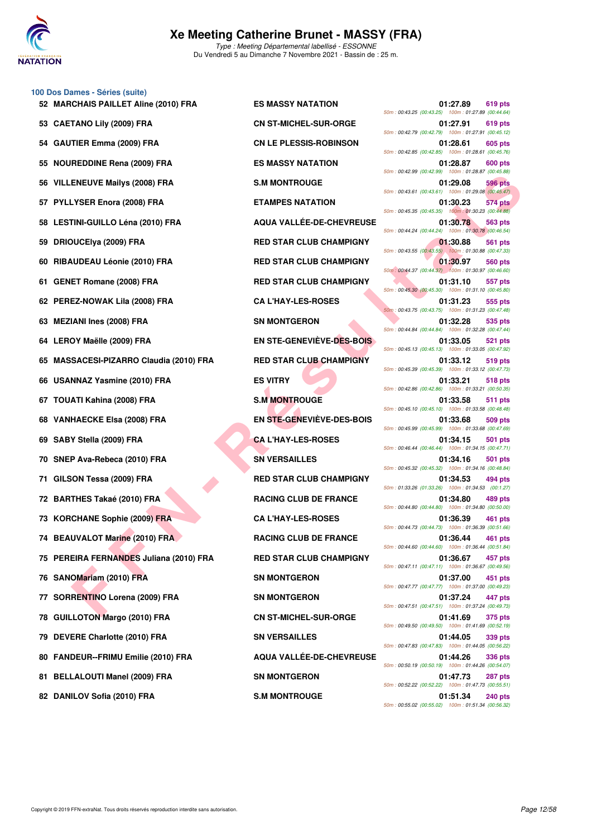

#### **100 Dos Dames - Séries (suite)**

- **53 CAETANO Lily (2009) FRA CN ST-MICHEL-SUR-ORGE 01:27.91 619 pts**
- 
- 
- 
- **58 LESTINI-GUILLO Léna (2010) FRA AQUA VALLÉE-DE-CHEVREUSE 01:30.78 563 pts**
- 
- 
- 
- **62 PEREZ-NOWAK Lila (2008) FRA CA L'HAY-LES-ROSES 01:31.23 555 pts**
- 
- 
- **65 MASSACESI-PIZARRO Claudia (2010) FRA RED STAR CLUB CHAMPIGNY 01:33.12 519 pts**
- 
- 
- 
- 
- 
- 
- 
- **73 KORCHANE Sophie (2009) FRA CA L'HAY-LES-ROSES 01:36.39 461 pts**
- **74 BEAUVALOT Marine (2010) FRA RACING CLUB DE FRANCE 01:36.44 461 pts**
- **75 PEREIRA FERNANDES Juliana (2010) FRA RED STAR CLUB CHAMPIGNY 01:36.67 457 pts**
- 
- **77 SORRENTINO Lorena (2009) FRA SN MONTGERON 01:37.24 447 pts**
- 
- **79 DEVERE Charlotte (2010) FRA SN VERSAILLES 01:44.05 339 pts**
- **80 FANDEUR--FRIMU Emilie (2010) FRA AQUA VALLÉE-DE-CHEVREUSE 01:44.26 336 pts**
- 
- 

**ENEUVE Mailys (2006) FRA**<br> **FRAMERIS ANTANTIFIC USE ARE CUB DE FRAMERIS (2008) FRA**<br> **FINNES AND ANTIFIC USE OF A RE STATE CLUB CHAMPIGNY<br>
IN CHULCH (2010) FRA<br>
<b>FINNES AND ANTIFIC USE OF A RE STATE CUB CHAMPIGNY<br>
CALLHAY 52 MARCHAIS PAILLET Aline (2010) FRA ES MASSY NATATION 01:27.89 619 pts** 50m : 00:43.25 (00:43.25) 100m : 01:27.89 (00:44.64) 50m : 00:42.79 (00:42.79) 100m : 01:27.91 (00:45.12) **54 GAUTIER Emma (2009) FRA CN LE PLESSIS-ROBINSON 01:28.61 605 pts** 50m : 00:42.85 (00:42.85) 100m : 01:28.61 (00:45.76) **55 NOUREDDINE Rena (2009) FRA ES MASSY NATATION 01:28.87 600 pts** 50m : 00:42.99 (00:42.99) 100m : 01:28.87 (00:45.88) **56 VILLENEUVE Mailys (2008) FRA S.M MONTROUGE 01:29.08 596 pts** 50m : 00:43.61 (00:43.61) 100m : 01:29.08 (00:45.47) **57 PYLLYSER Enora (2008) FRA ETAMPES NATATION 01:30.23 574 pts** 50m : 00:45.35 (00:45.35) 100m : 01:30.23 (00:44.88) 50m : 00:44.24 (00:44.24) 100m : 01:30.78 (00:46.54) **59 DRIOUCElya (2009) FRA RED STAR CLUB CHAMPIGNY 01:30.88 561 pts** 50m : 00:43.55 (00:43.55) 100m : 01:30.88 (00:47.33) **60 RIBAUDEAU Léonie (2010) FRA RED STAR CLUB CHAMPIGNY 01:30.97 560 pts** 50m : 00:44.37 (00:44.37) 100m : 01:30.97 (00:46.60) **61 GENET Romane (2008) FRA RED STAR CLUB CHAMPIGNY 01:31.10 557 pts** 50m : 00:45.30 (00:45.30) 100m : 01:31.10 (00:45.80) 50m : 00:43.75 (00:43.75) 100m : 01:31.23 (00:47.48) **63 MEZIANI Ines (2008) FRA SN MONTGERON 01:32.28 535 pts** 50m : 00:44.84 (00:44.84) 100m : 01:32.28 (00:47.44) **64 LEROY Maëlle (2009) FRA EN STE-GENEVIÈVE-DES-BOIS 01:33.05 521 pts** 50m : 00:45.13 (00:45.13) 100m : 01:33.05 (00:47.92) 50m : 00:45.39 (00:45.39) 100m : 01:33.12 (00:47.73) **66 USANNAZ Yasmine (2010) FRA ES VITRY 01:33.21 518 pts** 50m : 00:42.86 (00:42.86) 100m : 01:33.21 (00:50.35) **67 TOUATI Kahina (2008) FRA S.M MONTROUGE 01:33.58 511 pts** 50m : 00:45.10 (00:45.10) 100m : 01:33.58 (00:48.48) **68 VANHAECKE Elsa (2008) FRA EN STE-GENEVIÈVE-DES-BOIS 01:33.68 509 pts** 50m : 00:45.99 (00:45.99) 100m : 01:33.68 (00:47.69) **69 SABY Stella (2009) FRA CA L'HAY-LES-ROSES 01:34.15 501 pts** 50m : 00:46.44 (00:46.44) 100m : 01:34.15 (00:47.71) **70 SNEP Ava-Rebeca (2010) FRA SN VERSAILLES 01:34.16 501 pts** 50m : 00:45.32 (00:45.32) 100m : 01:34.16 (00:48.84) **71 GILSON Tessa (2009) FRA RED STAR CLUB CHAMPIGNY 01:34.53 494 pts** 50m : 01:33.26 (01:33.26) 100m : 01:34.53 (00:1.27) **72 BARTHES Takaé (2010) FRA RACING CLUB DE FRANCE 01:34.80 489 pts** 50m : 00:44.80 (00:44.80) 100m : 01:34.80 (00:50.00) 50m : 00:44.73 (00:44.73) 100m : 01:36.39 (00:51.66) 50m : 00:44.60 (00:44.60) 100m : 01:36.44 (00:51.84) 50m : 00:47.11 (00:47.11) 100m : 01:36.67 (00:49.56) **76 SANOMariam (2010) FRA SN MONTGERON 01:37.00 451 pts** 50m : 00:47.77 (00:47.77) 100m : 01:37.00 (00:49.23) 50m : 00:47.51 (00:47.51) 100m : 01:37.24 (00:49.73) **78 GUILLOTON Margo (2010) FRA CN ST-MICHEL-SUR-ORGE 01:41.69 375 pts** 50m : 00:49.50 (00:49.50) 100m : 01:41.69 (00:52.19) 50m : 00:47.83 (00:47.83) 100m : 01:44.05 (00:56.22) 50m : 00:50.19 (00:50.19) 100m : 01:44.26 (00:54.07) **81 BELLALOUTI Manel (2009) FRA SN MONTGERON 01:47.73 287 pts** 50m : 00:52.22 (00:52.22) 100m : 01:47.73 (00:55.51) **82 DANILOV Sofia (2010) FRA S.M MONTROUGE 1200 PM S.M MONTROUGE 3240 pts** 50m : 00:55.02 (00:55.02) 100m : 01:51.34 (00:56.32)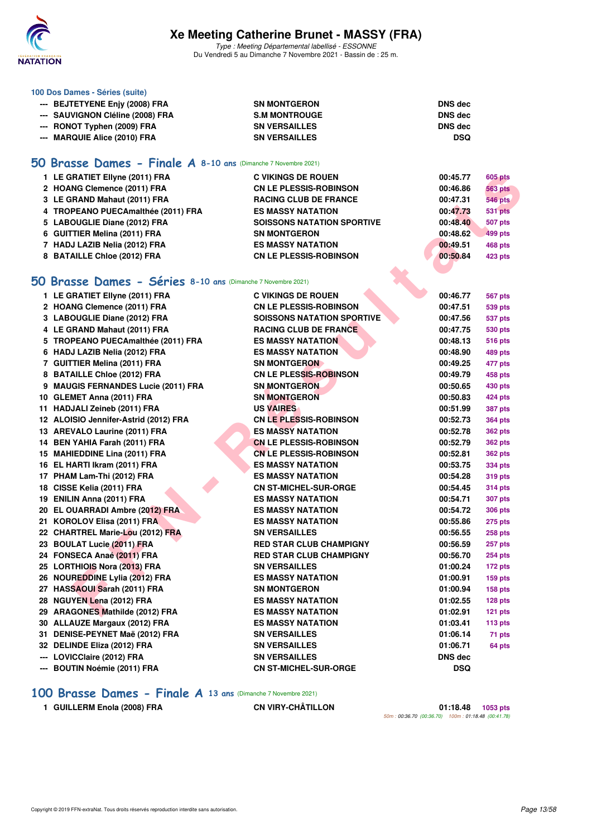

**100 Dos Dames - Séries (suite)**

## **Xe Meeting Catherine Brunet - MASSY (FRA)**

Type : Meeting Départemental labellisé - ESSONNE Du Vendredi 5 au Dimanche 7 Novembre 2021 - Bassin de : 25 m.

| --- BEJTETYENE Enjy (2008) FRA                                                                   | <b>SN MONTGERON</b>           | <b>DNS</b> dec |                |
|--------------------------------------------------------------------------------------------------|-------------------------------|----------------|----------------|
| --- SAUVIGNON Cléline (2008) FRA                                                                 | <b>S.M MONTROUGE</b>          | <b>DNS</b> dec |                |
| --- RONOT Typhen (2009) FRA                                                                      | <b>SN VERSAILLES</b>          | <b>DNS</b> dec |                |
| --- MARQUIE Alice (2010) FRA                                                                     | <b>SN VERSAILLES</b>          | <b>DSQ</b>     |                |
| 50 Brasse Dames - Finale A 8-10 ans (Dimanche 7 Novembre 2021)<br>1 LE GRATIET Ellyne (2011) FRA | <b>C VIKINGS DE ROUEN</b>     | 00:45.77       | <b>605 pts</b> |
| 2 HOANG Clemence (2011) FRA                                                                      | <b>CN LE PLESSIS-ROBINSON</b> | 00:46.86       | <b>563 pts</b> |
| 3 LE GRAND Mahaut (2011) FRA                                                                     | <b>RACING CLUB DE FRANCE</b>  | 00:47.31       | <b>546 pts</b> |
| 4 TROPEANO PUECAmalthée (2011) FRA                                                               | <b>ES MASSY NATATION</b>      | 00:47.73       | 531 pts        |

| 4 IROPEANO PUECAMARINE (2011) FRA | ES MASSY NATATION                 | <b>00:47.73</b> | <b>531 pts</b> |
|-----------------------------------|-----------------------------------|-----------------|----------------|
| 5 LABOUGLIE Diane (2012) FRA      | <b>SOISSONS NATATION SPORTIVE</b> | 00:48.40        | 507 pts        |
| C. CUITTIED Meline (0011) EDA     | <b>CM MONITOEDOM</b>              | 00.40 CO        | $100 - 1$      |

| 6 GUITTIER Melina (2011) FRA  | <b>SN MONTGERON</b>           | 00:48.62 | 499 pts |
|-------------------------------|-------------------------------|----------|---------|
| 7 HADJ LAZIB Nelia (2012) FRA | <b>ES MASSY NATATION</b>      | 00:49.51 | 468 pts |
| 8 BATAILLE Chloe (2012) FRA   | <b>CN LE PLESSIS-ROBINSON</b> | 00:50.84 | 423 pts |

#### **[50 Brasse Dames - Séries](http://www.ffnatation.fr/webffn/resultats.php?idact=nat&go=epr&idcpt=72199&idepr=21) 8-10 ans** (Dimanche 7 Novembre 2021)

| 1 LE GRATIET Ellyne (2011) FRA                                      | <b>C VIKINGS DE ROUEN</b>         | 00:45.77       | <b>605 pts</b> |
|---------------------------------------------------------------------|-----------------------------------|----------------|----------------|
| 2 HOANG Clemence (2011) FRA                                         | CN LE PLESSIS-ROBINSON            | 00:46.86       | <b>563 pts</b> |
| 3 LE GRAND Mahaut (2011) FRA                                        | <b>RACING CLUB DE FRANCE</b>      | 00:47.31       | <b>546 pts</b> |
| 4 TROPEANO PUECAmalthée (2011) FRA                                  | <b>ES MASSY NATATION</b>          | 00:47.73       | <b>531 pts</b> |
| 5 LABOUGLIE Diane (2012) FRA                                        | <b>SOISSONS NATATION SPORTIVE</b> | 00:48.40       | <b>507 pts</b> |
| 6 GUITTIER Melina (2011) FRA                                        | <b>SN MONTGERON</b>               | 00:48.62       | 499 pts        |
| 7 HADJ LAZIB Nelia (2012) FRA                                       | <b>ES MASSY NATATION</b>          | 00:49.51       | 468 pts        |
| 8 BATAILLE Chloe (2012) FRA                                         | <b>CN LE PLESSIS-ROBINSON</b>     | 00:50.84       | 423 pts        |
|                                                                     |                                   |                |                |
| <b>10 Brasse Dames - Séries 8-10 ans (Dimanche 7 Novembre 2021)</b> |                                   |                |                |
| 1 LE GRATIET Ellyne (2011) FRA                                      | <b>C VIKINGS DE ROUEN</b>         | 00:46.77       | <b>567 pts</b> |
| 2 HOANG Clemence (2011) FRA                                         | <b>CN LE PLESSIS-ROBINSON</b>     | 00:47.51       | 539 pts        |
| 3 LABOUGLIE Diane (2012) FRA                                        | <b>SOISSONS NATATION SPORTIVE</b> | 00:47.56       | 537 pts        |
| 4 LE GRAND Mahaut (2011) FRA                                        | <b>RACING CLUB DE FRANCE</b>      | 00:47.75       | 530 pts        |
| 5 TROPEANO PUECAmalthée (2011) FRA                                  | <b>ES MASSY NATATION</b>          | 00:48.13       | <b>516 pts</b> |
| 6 HADJ LAZIB Nelia (2012) FRA                                       | <b>ES MASSY NATATION</b>          | 00:48.90       | 489 pts        |
| 7 GUITTIER Melina (2011) FRA                                        | <b>SN MONTGERON</b>               | 00:49.25       | 477 pts        |
| 8 BATAILLE Chloe (2012) FRA                                         | <b>CN LE PLESSIS-ROBINSON</b>     | 00:49.79       | 458 pts        |
| 9 MAUGIS FERNANDES Lucie (2011) FRA                                 | <b>SN MONTGERON</b>               | 00:50.65       | 430 pts        |
| 10 GLEMET Anna (2011) FRA                                           | <b>SN MONTGERON</b>               | 00:50.83       | 424 pts        |
| 11 HADJALI Zeineb (2011) FRA                                        | <b>US VAIRES</b>                  | 00:51.99       | <b>387 pts</b> |
| 12 ALOISIO Jennifer-Astrid (2012) FRA                               | <b>CN LE PLESSIS-ROBINSON</b>     | 00:52.73       | <b>364 pts</b> |
| 13 AREVALO Laurine (2011) FRA                                       | <b>ES MASSY NATATION</b>          | 00:52.78       | <b>362 pts</b> |
| 14 BEN YAHIA Farah (2011) FRA                                       | <b>CN LE PLESSIS-ROBINSON</b>     | 00:52.79       | <b>362 pts</b> |
| 15 MAHIEDDINE Lina (2011) FRA                                       | <b>CN LE PLESSIS-ROBINSON</b>     | 00:52.81       | 362 pts        |
| 16 EL HARTI Ikram (2011) FRA                                        | <b>ES MASSY NATATION</b>          | 00:53.75       | <b>334 pts</b> |
| 17 PHAM Lam-Thi (2012) FRA                                          | <b>ES MASSY NATATION</b>          | 00:54.28       | <b>319 pts</b> |
| 18 CISSE Kelia (2011) FRA                                           | <b>CN ST-MICHEL-SUR-ORGE</b>      | 00:54.45       | 314 pts        |
| 19 ENILIN Anna (2011) FRA                                           | <b>ES MASSY NATATION</b>          | 00:54.71       | <b>307 pts</b> |
| 20 EL OUARRADI Ambre (2012) FRA                                     | <b>ES MASSY NATATION</b>          | 00:54.72       | <b>306 pts</b> |
| 21 KOROLOV Elisa (2011) FRA                                         | <b>ES MASSY NATATION</b>          | 00:55.86       | <b>275 pts</b> |
| 22 CHARTREL Marie-Lou (2012) FRA                                    | <b>SN VERSAILLES</b>              | 00:56.55       | 258 pts        |
| 23 BOULAT Lucie (2011) FRA                                          | <b>RED STAR CLUB CHAMPIGNY</b>    | 00:56.59       | 257 pts        |
| 24 FONSECA Anaé (2011) FRA                                          | <b>RED STAR CLUB CHAMPIGNY</b>    | 00:56.70       | <b>254 pts</b> |
| 25 LORTHIOIS Nora (2013) FRA                                        | <b>SN VERSAILLES</b>              | 01:00.24       | 172 pts        |
| 26 NOUREDDINE Lylia (2012) FRA                                      | <b>ES MASSY NATATION</b>          | 01:00.91       | $159$ pts      |
| 27 HASSAOUI Sarah (2011) FRA                                        | <b>SN MONTGERON</b>               | 01:00.94       | <b>158 pts</b> |
| 28 NGUYEN Lena (2012) FRA                                           | <b>ES MASSY NATATION</b>          | 01:02.55       | 128 pts        |
| 29 ARAGONES Mathilde (2012) FRA                                     | <b>ES MASSY NATATION</b>          | 01:02.91       | 121 pts        |
| 30 ALLAUZE Margaux (2012) FRA                                       | <b>ES MASSY NATATION</b>          | 01:03.41       | 113 pts        |
| 31 DENISE-PEYNET Maë (2012) FRA                                     | <b>SN VERSAILLES</b>              | 01:06.14       | 71 pts         |
| 32 DELINDE Eliza (2012) FRA                                         | <b>SN VERSAILLES</b>              | 01:06.71       | 64 pts         |
| --- LOVICClaire (2012) FRA                                          | <b>SN VERSAILLES</b>              | <b>DNS dec</b> |                |
| --- BOUTIN Noémie (2011) FRA                                        | <b>CN ST-MICHEL-SUR-ORGE</b>      | <b>DSQ</b>     |                |

#### **[100 Brasse Dames - Finale A](http://www.ffnatation.fr/webffn/resultats.php?idact=nat&go=epr&idcpt=72199&idepr=22) 13 ans** (Dimanche 7 Novembre 2021)

**1 GUILLERM Enola (2008) FRA CN VIRY-CHÂTILLON 01:18.48 1053 pts**

50m : 00:36.70 (00:36.70) 100m : 01:18.48 (00:41.78)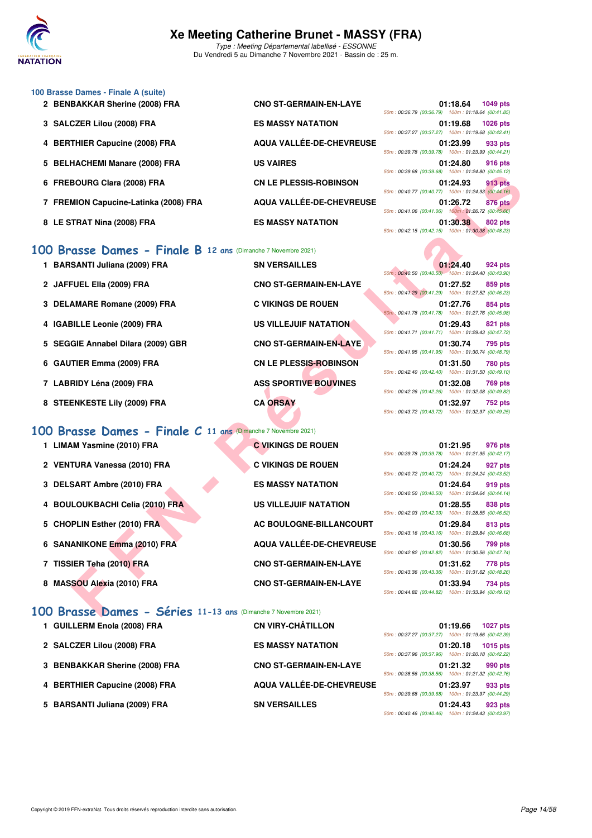

Du Vendredi 5 au Dimanche 7 Novembre 2021 - Bassin de : 25 m.

| 100 Brasse Dames - Finale A (suite)   |                               |                                                    |
|---------------------------------------|-------------------------------|----------------------------------------------------|
| 2 BENBAKKAR Sherine (2008) FRA        | <b>CNO ST-GERMAIN-EN-LAYE</b> | <b>1049 pts</b><br>01:18.64                        |
|                                       |                               | 50m: 00:36.79 (00:36.79) 100m: 01:18.64 (00:41.85) |
| 3 SALCZER Lilou (2008) FRA            | <b>ES MASSY NATATION</b>      | 01:19.68<br><b>1026 pts</b>                        |
|                                       |                               | 50m: 00:37.27 (00:37.27) 100m: 01:19.68 (00:42.41) |
| 4 BERTHIER Capucine (2008) FRA        | AQUA VALLÉE-DE-CHEVREUSE      | 01:23.99<br>933 pts                                |
|                                       |                               | 50m: 00:39.78 (00:39.78) 100m: 01:23.99 (00:44.21) |
| 5 BELHACHEMI Manare (2008) FRA        | <b>US VAIRES</b>              | 01:24.80<br>916 pts                                |
|                                       |                               | 50m: 00:39.68 (00:39.68) 100m: 01:24.80 (00:45.12) |
| 6 FREBOURG Clara (2008) FRA           | <b>CN LE PLESSIS-ROBINSON</b> | 01:24.93<br><b>913 pts</b>                         |
|                                       |                               | 50m: 00:40.77 (00:40.77) 100m: 01:24.93 (00:44.16) |
| 7 FREMION Capucine-Latinka (2008) FRA | AQUA VALLÉE-DE-CHEVREUSE      | 01:26.72<br>876 pts                                |
|                                       |                               | 50m: 00:41.06 (00:41.06) 100m: 01:26.72 (00:45.66) |
| 8 LE STRAT Nina (2008) FRA            | <b>ES MASSY NATATION</b>      | 01:30.38<br>802 pts                                |

### **[100 Brasse Dames - Finale B](http://www.ffnatation.fr/webffn/resultats.php?idact=nat&go=epr&idcpt=72199&idepr=22) 12 ans** (Dimanche 7 Novembre 2021)

| 1 BARSANTI Juliana (2009) FRA | <b>SN VERSAILLES</b> |
|-------------------------------|----------------------|
| 2 JAFFUEL Ella (2009) FRA     | <b>CNO ST-GERMAI</b> |

- 3 DELAMARE Romane (2009) FRA C VIKINGS DE ROUEN
- 4 IGABILLE Leonie (2009) FRA US VILLEJUIF NATATION
- 5 SEGGIE Annabel Dilara (2009) GBR **CNO ST-GERMAIN-EN-LAYE**
- **6 GAUTIER Emma (2009) FRA** CN LE PLESSIS-ROBINSON
- **7 LABRIDY Léna (2009) FRA ASS SPORTIVE BOUVINES**
- **8 STEENKESTE Lily (2009) FRA CA ORSAY**

#### **[100 Brasse Dames - Finale C](http://www.ffnatation.fr/webffn/resultats.php?idact=nat&go=epr&idcpt=72199&idepr=22) 11 ans** (Dimanche 7 Novembre 2021)

- 1 LIMAM Yasmine (2010) FRA **C VIKINGS DE ROUEN**
- 2 VENTURA Vanessa (2010) FRA **C VIKINGS DE ROUEN**
- **3 DELSART Ambre (2010) FRA ES MASSY NATATION**
- 4 BOULOUKBACHI Celia (2010) FRA US VILLEJUIF NATATION
- **5 CHOPLIN Esther (2010) FRA AC BOULOGNE-BILLANCOURT**
- 6 SANANIKONE Emma (2010) FRA AQUA VALLÉE-DE-CHEVREUSE
- **7 TISSIER Teha (2010) FRA CNO ST-GERMAIN-EN-LAYE**
- 8 MASSOU Alexia (2010) FRA CNO ST-GERMAIN-EN-LAYE

# **[100 Brasse Dames - Séries](http://www.ffnatation.fr/webffn/resultats.php?idact=nat&go=epr&idcpt=72199&idepr=22) 11-13 ans** (Dimanche 7 Novembre 2021)

| 1 GUILLERM Enola (2008) FRA    | <b>CN VIRY-CHÂTILLON</b>      |
|--------------------------------|-------------------------------|
| 2 SALCZER Lilou (2008) FRA     | <b>ES MASSY NATATION</b>      |
| 3 BENBAKKAR Sherine (2008) FRA | <b>CNO ST-GERMAIN-EN-LAYE</b> |
| 4 BERTHIER Capucine (2008) FRA | AQUA VALLÉE-DE-CHEVREUSE      |
| 5 BARSANTI Juliana (2009) FRA  | <b>SN VERSAILLES</b>          |

|  | UI:19.00 1020 DIS                                  |  |
|--|----------------------------------------------------|--|
|  | 50m: 00:37.27 (00:37.27) 100m: 01:19.68 (00:42.41) |  |
|  | 01:23.99 933 pts                                   |  |
|  | 50m: 00:39.78 (00:39.78) 100m: 01:23.99 (00:44.21) |  |
|  | 01:24.80 916 pts                                   |  |
|  | 50m: 00:39.68 (00:39.68) 100m: 01:24.80 (00:45.12) |  |
|  | 01:24.93 913 pts                                   |  |
|  | 50m: 00:40.77 (00:40.77) 100m: 01:24.93 (00:44.16) |  |
|  | 01:26.72 876 pts                                   |  |
|  | 50m: 00:41.06 (00:41.06) 100m: 01:26.72 (00:45.66) |  |
|  | 01:30.38 802 pts                                   |  |
|  | 50m: 00:42.15 (00:42.15) 100m: 01:30.38 (00:48.23) |  |
|  |                                                    |  |
|  |                                                    |  |
|  |                                                    |  |
|  | 01:24.40 924 pts                                   |  |
|  | 50m: 00:40.50 (00:40.50) 100m: 01:24.40 (00:43.90) |  |

|                                                          |                               | $10011. 00.09.00$ (00.09.00) 100111. 01.24.00 (00.40.12)                         |
|----------------------------------------------------------|-------------------------------|----------------------------------------------------------------------------------|
| <b>BOURG Clara (2008) FRA</b>                            | <b>CN LE PLESSIS-ROBINSON</b> | 01:24.93<br><b>913 pts</b><br>50m: 00:40.77 (00:40.77) 100m: 01:24.93 (00:44.16) |
| MION Capucine-Latinka (2008) FRA                         | AQUA VALLÉE-DE-CHEVREUSE      | 01:26.72<br><b>876 pts</b><br>50m: 00:41.06 (00:41.06) 100m: 01:26.72 (00:45.66) |
| TRAT Nina (2008) FRA                                     | <b>ES MASSY NATATION</b>      | 01:30.38<br>802 pts<br>50m: 00:42.15 (00:42.15) 100m: 01:30.38 (00:48.23)        |
| asse Dames - Finale B 12 ans (Dimanche 7 Novembre 2021)  |                               |                                                                                  |
| SANTI Juliana (2009) FRA                                 | <b>SN VERSAILLES</b>          | 01:24.40<br>924 pts<br>50m: 00:40.50 (00:40.50) 100m: 01:24.40 (00:43.90)        |
| <b>FUEL Ella (2009) FRA</b>                              | <b>CNO ST-GERMAIN-EN-LAYE</b> | 01:27.52<br>859 pts<br>50m: 00:41.29 (00:41.29) 100m: 01:27.52 (00:46.23)        |
| <b>AMARE Romane (2009) FRA</b>                           | <b>C VIKINGS DE ROUEN</b>     | 01:27.76<br>854 pts<br>50m: 00:41.78 (00:41.78) 100m: 01:27.76 (00:45.98)        |
| <b>BILLE Leonie (2009) FRA</b>                           | <b>US VILLEJUIF NATATION</b>  | 01:29.43<br>821 pts<br>50m: 00:41.71 (00:41.71) 100m: 01:29.43 (00:47.72)        |
| GIE Annabel Dilara (2009) GBR                            | <b>CNO ST-GERMAIN-EN-LAYE</b> | 01:30.74<br>795 pts<br>50m: 00:41.95 (00:41.95) 100m: 01:30.74 (00:48.79)        |
| TIER Emma (2009) FRA                                     | <b>CN LE PLESSIS-ROBINSON</b> | 01:31.50<br>780 pts<br>50m: 00:42.40 (00:42.40) 100m: 01:31.50 (00:49.10)        |
| RIDY Léna (2009) FRA                                     | <b>ASS SPORTIVE BOUVINES</b>  | 01:32.08<br>769 pts<br>50m: 00:42.26 (00:42.26) 100m: 01:32.08 (00:49.82)        |
| <b>ENKESTE Lily (2009) FRA</b>                           | <b>CA ORSAY</b>               | 01:32.97<br><b>752 pts</b><br>50m: 00:43.72 (00:43.72) 100m: 01:32.97 (00:49.25) |
| asse Dames - Finale C 11 ans (Dimanche 7 Novembre 2021)  |                               |                                                                                  |
| M Yasmine (2010) FRA                                     | <b>C VIKINGS DE ROUEN</b>     | 01:21.95<br>976 pts<br>50m: 00:39.78 (00:39.78) 100m: 01:21.95 (00:42.17)        |
| TURA Vanessa (2010) FRA                                  | <b>C VIKINGS DE ROUEN</b>     | 01:24.24<br>927 pts<br>50m: 00:40.72 (00:40.72) 100m: 01:24.24 (00:43.52)        |
| SART Ambre (2010) FRA                                    | <b>ES MASSY NATATION</b>      | 01:24.64<br>919 pts<br>50m: 00:40.50 (00:40.50) 100m: 01:24.64 (00:44.14)        |
| <b>LOUKBACHI Celia (2010) FRA</b>                        | <b>US VILLEJUIF NATATION</b>  | 01:28.55<br>838 pts<br>50m: 00:42.03 (00:42.03) 100m: 01:28.55 (00:46.52)        |
| PLIN Esther (2010) FRA                                   | AC BOULOGNE-BILLANCOURT       | 01:29.84<br>813 pts<br>50m: 00:43.16 (00:43.16) 100m: 01:29.84 (00:46.68)        |
| ANIKONE Emma (2010) FRA                                  | AQUA VALLÉE-DE-CHEVREUSE      | 01:30.56<br>799 pts<br>50m: 00:42.82 (00:42.82) 100m: 01:30.56 (00:47.74)        |
| IER Teha (2010) FRA                                      | <b>CNO ST-GERMAIN-EN-LAYE</b> | 01:31.62<br>778 pts<br>50m: 00:43.36 (00:43.36) 100m: 01:31.62 (00:48.26)        |
| SOU Alexia (2010) FRA                                    | <b>CNO ST-GERMAIN-EN-LAYE</b> | 01:33.94<br>734 pts<br>50m: 00:44.82 (00:44.82) 100m: 01:33.94 (00:49.12)        |
| asse Dames - Séries 11-13 ans (Dimanche 7 Novembre 2021) |                               |                                                                                  |

|                                                    | 01:21.95 976 pts |  |
|----------------------------------------------------|------------------|--|
| 50m: 00:39.78 (00:39.78) 100m: 01:21.95 (00:42.17) |                  |  |
| 50m: 00:40.72 (00:40.72) 100m: 01:24.24 (00:43.52) | 01:24.24 927 pts |  |
|                                                    | 01:24.64 919 pts |  |
| 50m: 00:40.50 (00:40.50) 100m: 01:24.64 (00:44.14) |                  |  |
| 50m: 00:42.03 (00:42.03) 100m: 01:28.55 (00:46.52) | 01:28.55 838 pts |  |
|                                                    |                  |  |
|                                                    | 01:29.84 813 pts |  |
| 50m: 00:43.16 (00:43.16) 100m: 01:29.84 (00:46.68) |                  |  |
|                                                    | 01:30.56 799 pts |  |
| 50m: 00:42.82 (00:42.82) 100m: 01:30.56 (00:47.74) |                  |  |
|                                                    | 01:31.62 778 pts |  |
| 50m: 00:43.36 (00:43.36) 100m: 01:31.62 (00:48.26) |                  |  |
|                                                    | 01:33.94 734 pts |  |

|  | 01:19.66 1027 pts                                  |  |
|--|----------------------------------------------------|--|
|  | 50m: 00:37.27 (00:37.27) 100m: 01:19.66 (00:42.39) |  |
|  | 01:20.18 1015 pts                                  |  |
|  | 50m: 00:37.96 (00:37.96) 100m: 01:20.18 (00:42.22) |  |
|  | 01:21.32 990 pts                                   |  |
|  | 50m: 00:38.56 (00:38.56) 100m: 01:21.32 (00:42.76) |  |
|  | 01:23.97 933 pts                                   |  |
|  | 50m: 00:39.68 (00:39.68) 100m: 01:23.97 (00:44.29) |  |
|  | 01:24.43 923 pts                                   |  |
|  | 50m: 00:40.46 (00:40.46) 100m: 01:24.43 (00:43.97) |  |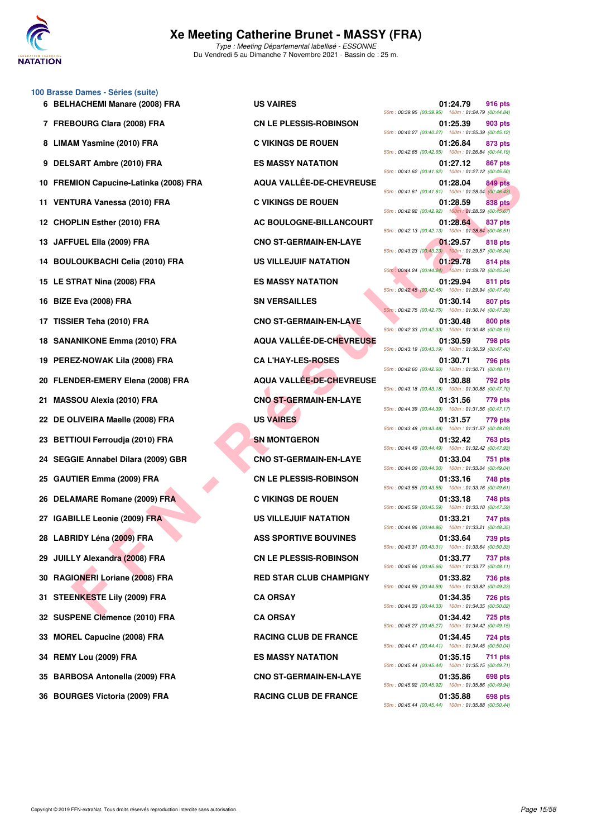

**100 Brasse Dames - Séries (suite)**

#### **Xe Meeting Catherine Brunet - MASSY (FRA)** Type : Meeting Départemental labellisé - ESSONNE

Du Vendredi 5 au Dimanche 7 Novembre 2021 - Bassin de : 25 m.

|     |                                        |                                 | 50m: 00:39.95 (00:39.95) 100m: 01:24.79 (00:44.84)                               |
|-----|----------------------------------------|---------------------------------|----------------------------------------------------------------------------------|
|     | 7 FREBOURG Clara (2008) FRA            | <b>CN LE PLESSIS-ROBINSON</b>   | 01:25.39<br>903 pts<br>50m: 00:40.27 (00:40.27) 100m: 01:25.39 (00:45.12)        |
|     | 8 LIMAM Yasmine (2010) FRA             | <b>C VIKINGS DE ROUEN</b>       | 01:26.84<br>873 pts<br>50m: 00:42.65 (00:42.65) 100m: 01:26.84 (00:44.19)        |
|     | 9 DELSART Ambre (2010) FRA             | <b>ES MASSY NATATION</b>        | 01:27.12<br>867 pts<br>50m: 00:41.62 (00:41.62) 100m: 01:27.12 (00:45.50)        |
|     | 10 FREMION Capucine-Latinka (2008) FRA | AQUA VALLÉE-DE-CHEVREUSE        | 01:28.04<br><b>849 pts</b><br>50m: 00:41.61 (00:41.61) 100m: 01:28.04 (00:46.43) |
|     | 11 VENTURA Vanessa (2010) FRA          | <b>C VIKINGS DE ROUEN</b>       | <b>838 pts</b><br>01:28.59<br>50m: 00:42.92 (00:42.92) 100m: 01:28.59 (00:45.67) |
|     | 12 CHOPLIN Esther (2010) FRA           | AC BOULOGNE-BILLANCOURT         | 01:28.64<br>837 pts<br>50m: 00:42.13 (00:42.13) 100m: 01:28.64 (00:46.51)        |
|     | 13 JAFFUEL Ella (2009) FRA             | <b>CNO ST-GERMAIN-EN-LAYE</b>   | 01:29.57<br><b>818 pts</b><br>50m: 00:43.23 (00:43.23) 100m: 01:29.57 (00:46.34) |
|     | 14 BOULOUKBACHI Celia (2010) FRA       | US VILLEJUIF NATATION           | 01:29.78<br>814 pts<br>50m: 00:44.24 (00:44.24) 100m: 01:29.78 (00:45.54)        |
|     | 15 LE STRAT Nina (2008) FRA            | <b>ES MASSY NATATION</b>        | 01:29.94<br>811 pts<br>50m: 00:42.45 (00:42.45) 100m: 01:29.94 (00:47.49)        |
|     | 16 BIZE Eva (2008) FRA                 | <b>SN VERSAILLES</b>            | 01:30.14<br>807 pts<br>50m: 00:42.75 (00:42.75) 100m: 01:30.14 (00:47.39)        |
|     | 17 TISSIER Teha (2010) FRA             | <b>CNO ST-GERMAIN-EN-LAYE</b>   | 01:30.48<br>800 pts<br>50m: 00:42.33 (00:42.33) 100m: 01:30.48 (00:48.15)        |
|     | 18 SANANIKONE Emma (2010) FRA          | <b>AQUA VALLÉE-DE-CHEVREUSE</b> | 01:30.59<br>798 pts<br>50m: 00:43.19 (00:43.19) 100m: 01:30.59 (00:47.40)        |
|     | 19 PEREZ-NOWAK Lila (2008) FRA         | <b>CA L'HAY-LES-ROSES</b>       | 01:30.71<br>796 pts<br>50m: 00:42.60 (00:42.60) 100m: 01:30.71 (00:48.11)        |
|     | 20 FLENDER-EMERY Elena (2008) FRA      | AQUA VALLÉE-DE-CHEVREUSE        | 01:30.88<br><b>792 pts</b><br>50m: 00:43.18 (00:43.18) 100m: 01:30.88 (00:47.70) |
| 21. | <b>MASSOU Alexia (2010) FRA</b>        | <b>CNO ST-GERMAIN-EN-LAYE</b>   | 01:31.56<br><b>779 pts</b><br>50m: 00:44.39 (00:44.39) 100m: 01:31.56 (00:47.17) |
|     | 22 DE OLIVEIRA Maelle (2008) FRA       | <b>US VAIRES</b>                | 01:31.57<br>779 pts<br>50m: 00:43.48 (00:43.48) 100m: 01:31.57 (00:48.09)        |
|     | 23 BETTIOUI Ferroudja (2010) FRA       | <b>SN MONTGERON</b>             | 01:32.42<br><b>763 pts</b><br>50m: 00:44.49 (00:44.49) 100m: 01:32.42 (00:47.93) |
|     | 24 SEGGIE Annabel Dilara (2009) GBR    | <b>CNO ST-GERMAIN-EN-LAYE</b>   | 01:33.04<br>751 pts<br>50m: 00:44.00 (00:44.00) 100m: 01:33.04 (00:49.04)        |
|     | 25 GAUTIER Emma (2009) FRA             | <b>CN LE PLESSIS-ROBINSON</b>   | 01:33.16<br>748 pts<br>50m: 00:43.55 (00:43.55) 100m: 01:33.16 (00:49.61)        |
|     | 26 DELAMARE Romane (2009) FRA          | <b>C VIKINGS DE ROUEN</b>       | 01:33.18<br>748 pts<br>50m: 00:45.59 (00:45.59) 100m: 01:33.18 (00:47.59)        |
|     | 27 IGABILLE Leonie (2009) FRA          | <b>US VILLEJUIF NATATION</b>    | 01:33.21<br>747 pts<br>50m: 00:44.86 (00:44.86) 100m: 01:33.21 (00:48.35)        |
|     | 28 LABRIDY Léna (2009) FRA             | <b>ASS SPORTIVE BOUVINES</b>    | 01:33.64<br>739 pts<br>50m: 00:43.31 (00:43.31) 100m: 01:33.64 (00:50.33)        |
|     | 29 JUILLY Alexandra (2008) FRA         | <b>CN LE PLESSIS-ROBINSON</b>   | 01:33.77<br>737 pts<br>50m: 00:45.66 (00:45.66) 100m: 01:33.77 (00:48.11)        |
|     | 30 RAGIONERI Loriane (2008) FRA        | <b>RED STAR CLUB CHAMPIGNY</b>  | 01:33.82<br>736 pts<br>50m: 00:44.59 (00:44.59) 100m: 01:33.82 (00:49.23)        |
|     | 31 STEENKESTE Lily (2009) FRA          | <b>CA ORSAY</b>                 | 01:34.35<br><b>726 pts</b><br>50m: 00:44.33 (00:44.33) 100m: 01:34.35 (00:50.02) |
|     | 32 SUSPENE Clémence (2010) FRA         | <b>CA ORSAY</b>                 | 01:34.42<br>725 pts<br>50m: 00:45.27 (00:45.27) 100m: 01:34.42 (00:49.15)        |
| 33  | <b>MOREL Capucine (2008) FRA</b>       | <b>RACING CLUB DE FRANCE</b>    | 01:34.45<br>724 pts<br>50m: 00:44.41 (00:44.41) 100m: 01:34.45 (00:50.04)        |
| 34. | REMY Lou (2009) FRA                    | <b>ES MASSY NATATION</b>        | 01:35.15<br>711 pts<br>50m: 00:45.44 (00:45.44) 100m: 01:35.15 (00:49.71)        |
| 35  | <b>BARBOSA Antonella (2009) FRA</b>    | <b>CNO ST-GERMAIN-EN-LAYE</b>   | 01:35.86<br>698 pts<br>50m: 00:45.92 (00:45.92) 100m: 01:35.86 (00:49.94)        |
|     | 36 BOURGES Victoria (2009) FRA         | <b>RACING CLUB DE FRANCE</b>    | 01:35.88<br>698 pts                                                              |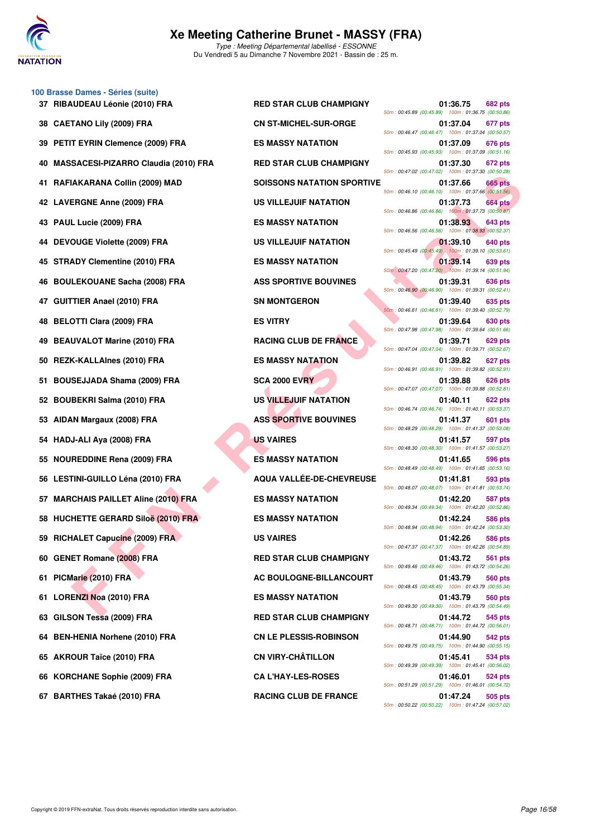

**100 Brasse Dames - Séries (suite) 37 RIBAUDEAU Léonie (2010) FRA RED STAR CLUB CHAMPIGNY 01:36.75 682 pts 38 CAETANO Lily (2009) FRA CN ST-MICHEL-SUR-ORGE 01:37.04 677 pts 39 PETIT EYRIN Clemence (2009) FRA ES MASSY NATATION 01:37.09 676 pts 40 MASSACESI-PIZARRO Claudia (2010) FRA RED STAR CLUB CHAMPIGNY 01:37.30 672 pts 41 RAFIAKARANA Collin (2009) MAD SOISSONS NATATION SPORTIVE 01:37.66 665 pts 42 LAVERGNE Anne (2009) FRA US VILLEJUIF NATATION 01:37.73 664 pts 43 PAUL Lucie (2009) FRA ES MASSY NATATION 01:38.93 643 pts 44 DEVOUGE Violette (2009) FRA US VILLEJUIF NATATION 01:39.10 640 pts 45 STRADY Clementine (2010) FRA ES MASSY NATATION 01:39.14 639 pts 46 BOULEKOUANE Sacha (2008) FRA ASS SPORTIVE BOUVINES 01:39.31 636 pts 47 GUITTIER Anael (2010) FRA SN MONTGERON 01:39.40 635 pts 48 BELOTTI Clara (2009) FRA ES VITRY 01:39.64 630 pts 49 BEAUVALOT Marine (2010) FRA RACING CLUB DE FRANCE 01:39.71 629 pts 50 REZK-KALLAInes (2010) FRA ES MASSY NATATION 01:39.82 627 pts 51 BOUSEJJADA Shama (2009) FRA SCA 2000 EVRY 01:39.88 626 pts 52 BOUBEKRI Salma (2010) FRA US VILLEJUIF NATATION 01:40.11 622 pts 53 AIDAN Margaux (2008) FRA ASS SPORTIVE BOUVINES 01:41.37 601 pts 54 HADJ-ALI Aya (2008) FRA US VAIRES 01:41.57 597 pts 55 NOUREDDINE Rena (2009) FRA ES MASSY NATATION 01:41.65 596 pts 56 LESTINI-GUILLO Léna (2010) FRA AQUA VALLÉE-DE-CHEVREUSE 01:41.81 593 pts 57 MARCHAIS PAILLET Aline (2010) FRA ES MASSY NATATION 01:42.20 587 pts 58 HUCHETTE GERARD Siloë (2010) FRA ES MASSY NATATION 01:42.24 586 pts 59 RICHALET Capucine (2009) FRA US VAIRES 01:42.26 586 pts 60 GENET Romane (2008) FRA RED STAR CLUB CHAMPIGNY 01:43.72 561 pts 61 PICMarie (2010) FRA AC BOULOGNE-BILLANCOURT 61:43.79 560 pts 61 LORENZI Noa (2010) FRA ES MASSY NATATION 01:43.79 560 pts 63 GILSON Tessa (2009) FRA RED STAR CLUB CHAMPIGNY 01:44.72 545 pts 64 BEN-HENIA Norhene (2010) FRA CN LE PLESSIS-ROBINSON 01:44.90 542 pts 65 AKROUR Taïce (2010) FRA CN VIRY-CHÂTILLON 01:45.41 534 pts 66 KORCHANE Sophie (2009) FRA CA L'HAY-LES-ROSES 01:46.01 524 pts**

 $\begin{tabular}{lllllllllllllllllll} \textbf{RAKAIA} & \textbf{SONSONS} & \textbf{NAXATAION} & \textbf{SONSONS} & \textbf{NAXATAION} & \textbf{SONSONS} & \textbf{SONSONS} & \textbf{SONSONS} & \textbf{SONSONS} & \textbf{SONSONS} & \textbf{SONSONS} & \textbf{SONSONS} & \textbf{SONSONS} & \textbf{SONSONS} & \textbf{SONSONS} & \textbf{SONSONS} & \textbf{SONSONS} & \textbf{SONSONS} & \textbf{SONSONS} & \textbf{SONSONS} & \$ 50m : 00:45.89 (00:45.89) 100m : 01:36.75 (00:50.86) 50m : 00:46.47 (00:46.47) 100m : 01:37.04 (00:50.57) 50m : 00:45.93 (00:45.93) 100m : 01:37.09 (00:51.16) 50m : 00:47.02 (00:47.02) 100m : 01:37.30 (00:50.28) 50m : 00:46.10 (00:46.10) 100m : 01:37.66 (00:51.56) 50m : 00:46.86 (00:46.86) 100m : 01:37.73 (00:50.87) 50m : 00:46.56 (00:46.56) 100m : 01:38.93 (00:52.37) 50m : 00:45.49 (00:45.49) 100m : 01:39.10 (00:53.61) 50m : 00:47.20 (00:47.20) 100m : 01:39.14 (00:51.94) 50m : 00:46.90 (00:46.90) 100m : 01:39.31 (00:52.41) 50m : 00:46.61 (00:46.61) 100m : 01:39.40 (00:52.79) 50m : 00:47.98 (00:47.98) 100m : 01:39.64 (00:51.66) 50m : 00:47.04 (00:47.04) 100m : 01:39.71 (00:52.67) 50m : 00:46.91 (00:46.91) 100m : 01:39.82 (00:52.91) 50m : 00:47.07 (00:47.07) 100m : 01:39.88 (00:52.81) 50m : 00:46.74 (00:46.74) 100m : 01:40.11 (00:53.37) 50m : 00:48.29 (00:48.29) 100m : 01:41.37 (00:53.08) 50m : 00:48.30 (00:48.30) 100m : 01:41.57 (00:53.27) 50m : 00:48.49 (00:48.49) 100m : 01:41.65 (00:53.16) 50m : 00:48.07 (00:48.07) 100m : 01:41.81 (00:53.74) 50m : 00:49.34 (00:49.34) 100m : 01:42.20 (00:52.86) 50m : 00:48.94 (00:48.94) 100m : 01:42.24 (00:53.30) 50m : 00:47.37 (00:47.37) 100m : 01:42.26 (00:54.89) 50m : 00:49.46 (00:49.46) 100m : 01:43.72 (00:54.26) 50m : 00:48.45 (00:48.45) 100m : 01:43.79 (00:55.34) 50m : 00:49.30 (00:49.30) 100m : 01:43.79 (00:54.49) 50m : 00:48.71 (00:48.71) 100m : 01:44.72 (00:56.01) 50m : 00:49.75 (00:49.75) 100m : 01:44.90 (00:55.15) 50m : 00:49.39 (00:49.39) 100m : 01:45.41 (00:56.02) 50m : 00:51.29 (00:51.29) 100m : 01:46.01 (00:54.72) **67 BARTHES Takaé (2010) FRA RACING CLUB DE FRANCE 01:47.24 505 pts** 50m : 00:50.22 (00:50.22) 100m : 01:47.24 (00:57.02)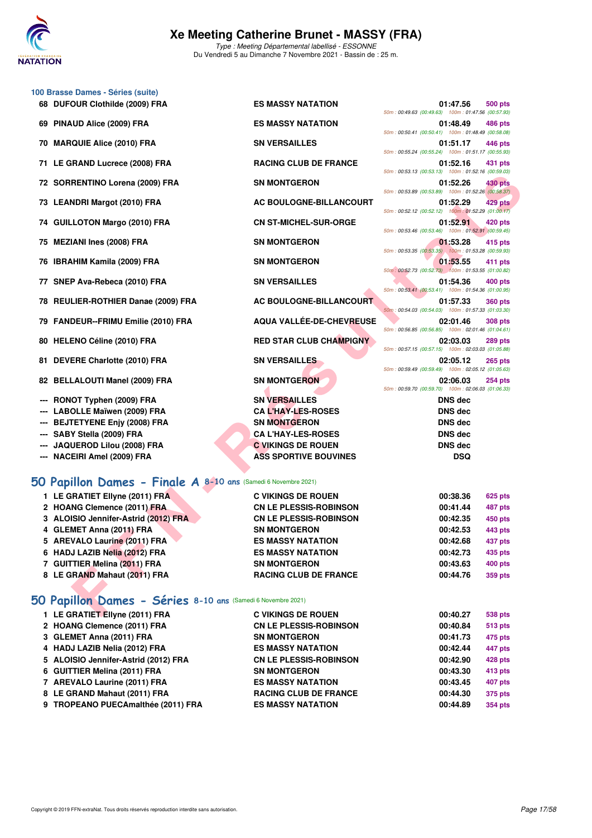

|     | 100 Brasse Dames - Séries (suite)                              |                                |                                                                                  |
|-----|----------------------------------------------------------------|--------------------------------|----------------------------------------------------------------------------------|
|     | 68 DUFOUR Clothilde (2009) FRA                                 | <b>ES MASSY NATATION</b>       | 01:47.56<br>500 pts<br>50m: 00:49.63 (00:49.63) 100m: 01:47.56 (00:57.93)        |
|     | 69 PINAUD Alice (2009) FRA                                     | <b>ES MASSY NATATION</b>       | 01:48.49<br>486 pts                                                              |
|     | 70 MARQUIE Alice (2010) FRA                                    | <b>SN VERSAILLES</b>           | 50m: 00:50.41 (00:50.41) 100m: 01:48.49 (00:58.08)<br>01:51.17<br>446 pts        |
|     | 71 LE GRAND Lucrece (2008) FRA                                 | <b>RACING CLUB DE FRANCE</b>   | 50m: 00:55.24 (00:55.24) 100m: 01:51.17 (00:55.93)<br>01:52.16<br>431 pts        |
|     | 72 SORRENTINO Lorena (2009) FRA                                | <b>SN MONTGERON</b>            | 50m: 00:53.13 (00:53.13) 100m: 01:52.16 (00:59.03)<br>01:52.26<br>430 pts        |
|     | 73 LEANDRI Margot (2010) FRA                                   | AC BOULOGNE-BILLANCOURT        | 50m: 00:53.89 (00:53.89) 100m: 01:52.26 (00:58.37)<br>429 pts<br>01:52.29        |
|     | 74 GUILLOTON Margo (2010) FRA                                  | <b>CN ST-MICHEL-SUR-ORGE</b>   | 50m: 00:52.12 (00:52.12) 100m: 01:52.29 (01:00.17)<br>01:52.91<br>420 pts        |
| 75  | <b>MEZIANI Ines (2008) FRA</b>                                 | <b>SN MONTGERON</b>            | 50m: 00:53.46 (00:53.46) 100m: 01:52.91 (00:59.45)<br>01:53.28<br>415 pts        |
|     | 76 IBRAHIM Kamila (2009) FRA                                   | <b>SN MONTGERON</b>            | 50m: 00:53.35 (00:53.35) 100m: 01:53.28 (00:59.93)<br>01:53.55<br>411 pts        |
|     |                                                                |                                | 50m: 00:52.73 (00:52.73) 100m: 01:53.55 (01:00.82)                               |
|     | 77 SNEP Ava-Rebeca (2010) FRA                                  | <b>SN VERSAILLES</b>           | 01:54.36<br>400 pts<br>50m: 00:53.41 (00:53.41) 100m: 01:54.36 (01:00.95)        |
| 78  | <b>REULIER-ROTHIER Danae (2009) FRA</b>                        | AC BOULOGNE-BILLANCOURT        | 01:57.33<br><b>360 pts</b><br>50m: 00:54.03 (00:54.03) 100m: 01:57.33 (01:03.30) |
|     | 79 FANDEUR--FRIMU Emilie (2010) FRA                            | AQUA VALLÉE-DE-CHEVREUSE       | 02:01.46<br><b>308 pts</b><br>50m: 00:56.85 (00:56.85) 100m: 02:01.46 (01:04.61) |
|     | 80 HELENO Céline (2010) FRA                                    | <b>RED STAR CLUB CHAMPIGNY</b> | 02:03.03<br>289 pts<br>50m: 00:57.15 (00:57.15) 100m: 02:03.03 (01:05.88)        |
|     | 81 DEVERE Charlotte (2010) FRA                                 | <b>SN VERSAILLES</b>           | 02:05.12<br><b>265 pts</b><br>50m: 00:59.49 (00:59.49) 100m: 02:05.12 (01:05.63) |
|     | 82 BELLALOUTI Manel (2009) FRA                                 | <b>SN MONTGERON</b>            | 02:06.03<br><b>254 pts</b><br>50m: 00:59.70 (00:59.70) 100m: 02:06.03 (01:06.33) |
|     | RONOT Typhen (2009) FRA                                        | <b>SN VERSAILLES</b>           | <b>DNS</b> dec                                                                   |
|     | <b>LABOLLE Maïwen (2009) FRA</b>                               | <b>CA L'HAY-LES-ROSES</b>      | <b>DNS dec</b>                                                                   |
| --- | <b>BEJTETYENE Enjy (2008) FRA</b>                              | <b>SN MONTGERON</b>            | <b>DNS dec</b>                                                                   |
| --- | SABY Stella (2009) FRA                                         | <b>CA L'HAY-LES-ROSES</b>      | <b>DNS dec</b>                                                                   |
|     | JAQUEROD Lilou (2008) FRA                                      | <b>C VIKINGS DE ROUEN</b>      | <b>DNS</b> dec                                                                   |
|     | NACEIRI Amel (2009) FRA                                        | <b>ASS SPORTIVE BOUVINES</b>   | <b>DSQ</b>                                                                       |
|     | 50 Papillon Dames - Finale A 8-10 ans (Samedi 6 Novembre 2021) |                                |                                                                                  |
|     | 1 LE GRATIET Ellyne (2011) FRA                                 | <b>C VIKINGS DE ROUEN</b>      | 00:38.36<br>625 pts                                                              |
|     | 2 HOANG Clemence (2011) FRA                                    | <b>CN LE PLESSIS-ROBINSON</b>  | 00:41.44<br>487 pts                                                              |
|     | 3 ALOISIO Jennifer-Astrid (2012) FRA                           | <b>CN LE PLESSIS-ROBINSON</b>  | 00:42.35<br>450 pts                                                              |
|     | 4 GLEMET Anna (2011) FRA                                       | <b>SN MONTGERON</b>            | 00:42.53<br>443 pts                                                              |
|     | 5 AREVALO Laurine (2011) FRA                                   | <b>ES MASSY NATATION</b>       | 00:42.68                                                                         |
|     |                                                                |                                | 437 pts                                                                          |
|     | 6 HADJ LAZIB Nelia (2012) FRA                                  | <b>ES MASSY NATATION</b>       | 00:42.73<br>435 pts                                                              |
|     | 7 GUITTIER Melina (2011) FRA                                   | <b>SN MONTGERON</b>            | 00:43.63<br>400 pts                                                              |
|     | 8 LE GRAND Mahaut (2011) FRA                                   | <b>RACING CLUB DE FRANCE</b>   | 00:44.76<br><b>359 pts</b>                                                       |
|     | 50 Papillon Dames - Séries 8-10 ans (Samedi 6 Novembre 2021)   |                                |                                                                                  |
|     | 1 LE GRATIET Ellvne (2011) FRA                                 | C VIKINGS DE ROUEN             | 00:40.27<br>538 pts                                                              |

## **[50 Papillon Dames - Séries](http://www.ffnatation.fr/webffn/resultats.php?idact=nat&go=epr&idcpt=72199&idepr=31) 8-10 ans** (Samedi 6 Novembre 2021)

| 1 LE GRATIET Ellyne (2011) FRA       | <b>C VIKINGS DE ROUEN</b>     | 00:40.27 | 538 pts        |
|--------------------------------------|-------------------------------|----------|----------------|
| 2 HOANG Clemence (2011) FRA          | <b>CN LE PLESSIS-ROBINSON</b> | 00:40.84 | 513 pts        |
| 3 GLEMET Anna (2011) FRA             | <b>SN MONTGERON</b>           | 00:41.73 | 475 pts        |
| 4 HADJ LAZIB Nelia (2012) FRA        | <b>ES MASSY NATATION</b>      | 00:42.44 | 447 pts        |
| 5 ALOISIO Jennifer-Astrid (2012) FRA | <b>CN LE PLESSIS-ROBINSON</b> | 00:42.90 | 428 pts        |
| 6 GUITTIER Melina (2011) FRA         | <b>SN MONTGERON</b>           | 00:43.30 | 413 pts        |
| 7 AREVALO Laurine (2011) FRA         | <b>ES MASSY NATATION</b>      | 00:43.45 | <b>407 pts</b> |
| 8 LE GRAND Mahaut (2011) FRA         | <b>RACING CLUB DE FRANCE</b>  | 00:44.30 | 375 pts        |
| 9 TROPEANO PUECAmalthée (2011) FRA   | <b>ES MASSY NATATION</b>      | 00:44.89 | <b>354 pts</b> |
|                                      |                               |          |                |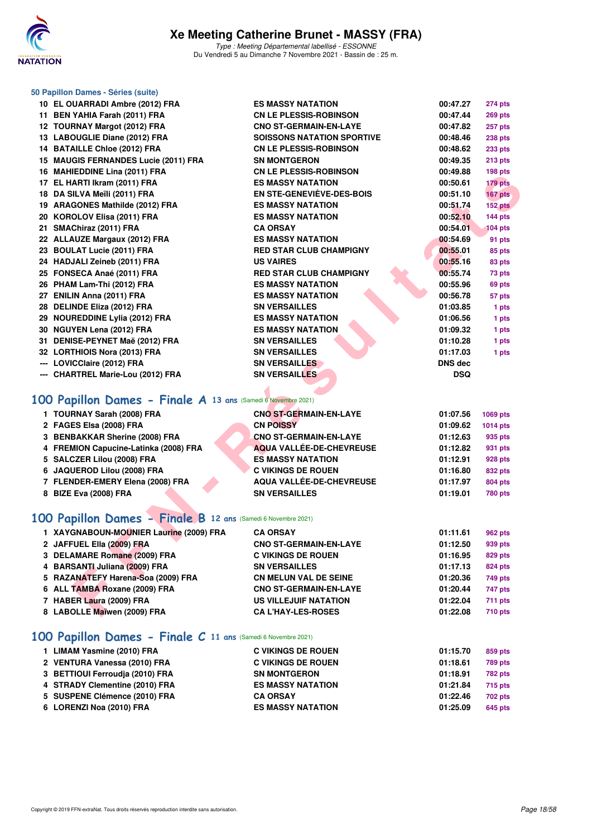

Type : Meeting Départemental labellisé - ESSONNE Du Vendredi 5 au Dimanche 7 Novembre 2021 - Bassin de : 25 m.

| 50 Papillon Dames - Séries (suite)                            |                                   |            |                |
|---------------------------------------------------------------|-----------------------------------|------------|----------------|
| 10 EL OUARRADI Ambre (2012) FRA                               | <b>ES MASSY NATATION</b>          | 00:47.27   | <b>274 pts</b> |
| 11 BEN YAHIA Farah (2011) FRA                                 | <b>CN LE PLESSIS-ROBINSON</b>     | 00:47.44   | <b>269 pts</b> |
| 12 TOURNAY Margot (2012) FRA                                  | <b>CNO ST-GERMAIN-EN-LAYE</b>     | 00:47.82   | 257 pts        |
| 13 LABOUGLIE Diane (2012) FRA                                 | <b>SOISSONS NATATION SPORTIVE</b> | 00:48.46   | <b>238 pts</b> |
| 14 BATAILLE Chloe (2012) FRA                                  | <b>CN LE PLESSIS-ROBINSON</b>     | 00:48.62   | <b>233 pts</b> |
| 15 MAUGIS FERNANDES Lucie (2011) FRA                          | <b>SN MONTGERON</b>               | 00:49.35   | 213 pts        |
| 16 MAHIEDDINE Lina (2011) FRA                                 | <b>CN LE PLESSIS-ROBINSON</b>     | 00:49.88   | 198 pts        |
| 17 EL HARTI Ikram (2011) FRA                                  | <b>ES MASSY NATATION</b>          | 00:50.61   | 179 pts        |
| 18 DA SILVA Meïli (2011) FRA                                  | EN STE-GENEVIEVE-DES-BOIS         | 00:51.10   | 167 pts        |
| 19 ARAGONES Mathilde (2012) FRA                               | <b>ES MASSY NATATION</b>          | 00:51.74   | 152 pts        |
| 20 KOROLOV Elisa (2011) FRA                                   | <b>ES MASSY NATATION</b>          | 00:52.10   | <b>144 pts</b> |
| 21 SMAChiraz (2011) FRA                                       | <b>CA ORSAY</b>                   | 00:54.01   | <b>104 pts</b> |
| 22 ALLAUZE Margaux (2012) FRA                                 | <b>ES MASSY NATATION</b>          | 00:54.69   | 91 pts         |
| 23 BOULAT Lucie (2011) FRA                                    | <b>RED STAR CLUB CHAMPIGNY</b>    | 00:55.01   | 85 pts         |
| 24 HADJALI Zeineb (2011) FRA                                  | <b>US VAIRES</b>                  | 00:55.16   | 83 pts         |
| 25 FONSECA Anaé (2011) FRA                                    | <b>RED STAR CLUB CHAMPIGNY</b>    | 00:55.74   | 73 pts         |
| 26 PHAM Lam-Thi (2012) FRA                                    | <b>ES MASSY NATATION</b>          | 00:55.96   | 69 pts         |
| 27 ENILIN Anna (2011) FRA                                     | <b>ES MASSY NATATION</b>          | 00:56.78   | 57 pts         |
| 28 DELINDE Eliza (2012) FRA                                   | <b>SN VERSAILLES</b>              | 01:03.85   | 1 pts          |
| 29 NOUREDDINE Lylia (2012) FRA                                | <b>ES MASSY NATATION</b>          | 01:06.56   | 1 pts          |
| 30 NGUYEN Lena (2012) FRA                                     | <b>ES MASSY NATATION</b>          | 01:09.32   | 1 pts          |
| 31 DENISE-PEYNET Maë (2012) FRA                               | <b>SN VERSAILLES</b>              | 01:10.28   | 1 pts          |
| 32 LORTHIOIS Nora (2013) FRA                                  | <b>SN VERSAILLES</b>              | 01:17.03   | 1 pts          |
| --- LOVICClaire (2012) FRA                                    | <b>SN VERSAILLES</b>              | DNS dec    |                |
| --- CHARTREL Marie-Lou (2012) FRA                             | <b>SN VERSAILLES</b>              | <b>DSQ</b> |                |
| 100 Papillon Dames - Finale A 13 ans (Samedi 6 Novembre 2021) |                                   |            |                |
|                                                               |                                   |            |                |
| 1 TOURNAY Sarah (2008) FRA                                    | <b>CNO ST-GERMAIN-EN-LAYE</b>     | 01:07.56   | 1069 pts       |
| 2 FAGES Elsa (2008) FRA                                       | <b>CN POISSY</b>                  | 01:09.62   | 1014 pts       |
| 3 BENBAKKAR Sherine (2008) FRA                                | <b>CNO ST-GERMAIN-EN-LAYE</b>     | 01:12.63   | 935 pts        |
| 4 FREMION Capucine-Latinka (2008) FRA                         | <b>AQUA VALLÉE-DE-CHEVREUSE</b>   | 01:12.82   | 931 pts        |
| 5 SALCZER Lilou (2008) FRA                                    | <b>ES MASSY NATATION</b>          | 01:12.91   | 928 pts        |
| 6 JAQUEROD Lilou (2008) FRA                                   | <b>C VIKINGS DE ROUEN</b>         | 01:16.80   | 832 pts        |
| 7 FLENDER-EMERY Elena (2008) FRA                              | <b>AQUA VALLÉE-DE-CHEVREUSE</b>   | 01:17.97   | <b>804 pts</b> |
| 8 BIZE Eva (2008) FRA                                         | <b>SN VERSAILLES</b>              | 01:19.01   | <b>780 pts</b> |
| 100 Papillon Dames - Finale B 12 ans (Samedi 6 Novembre 2021) |                                   |            |                |
| 1 XAYGNABOUN-MOUNIER Laurine (2009) FRA                       | <b>CA ORSAY</b>                   | 01:11.61   | <b>962 pts</b> |
| 2 JAFFUEL Ella (2009) FRA                                     | <b>CNO ST-GERMAIN-EN-LAYE</b>     | 01:12.50   | 939 pts        |
| 3 DELAMARE Romane (2009) FRA                                  | <b>C VIKINGS DE ROUEN</b>         | 01:16.95   | 829 pts        |
| 4 BARSANTI Juliana (2009) FRA                                 | <b>SN VERSAILLES</b>              | 01:17.13   | 824 pts        |
| 5 RAZANATEFY Harena-Soa (2009) FRA                            | <b>CN MELUN VAL DE SEINE</b>      | 01:20.36   | 749 pts        |
| 6 ALL TAMBA Roxane (2009) FRA                                 | <b>CNO ST-GERMAIN-EN-LAYE</b>     | 01:20.44   | 747 pts        |
| 7 HABER Laura (2009) FRA                                      | <b>US VILLEJUIF NATATION</b>      | 01:22.04   | <b>711 pts</b> |
| 8 LABOLLE Maïwen (2009) FRA                                   | <b>CA L'HAY-LES-ROSES</b>         | 01:22.08   | <b>710 pts</b> |

# **[100 Papillon Dames - Finale A](http://www.ffnatation.fr/webffn/resultats.php?idact=nat&go=epr&idcpt=72199&idepr=32) 13 ans** (Samedi 6 Novembre 2021)

| 1 TOURNAY Sarah (2008) FRA            | <b>CNO ST-GERMAIN-EN-LAYE</b> | 01:07.56 | 1069 pts        |
|---------------------------------------|-------------------------------|----------|-----------------|
| 2 FAGES Elsa (2008) FRA               | <b>CN POISSY</b>              | 01:09.62 | <b>1014 pts</b> |
| 3 BENBAKKAR Sherine (2008) FRA        | <b>CNO ST-GERMAIN-EN-LAYE</b> | 01:12.63 | 935 pts         |
| 4 FREMION Capucine-Latinka (2008) FRA | AQUA VALLÉE-DE-CHEVREUSE      | 01:12.82 | 931 pts         |
| 5 SALCZER Lilou (2008) FRA            | <b>ES MASSY NATATION</b>      | 01:12.91 | 928 pts         |
| 6 JAQUEROD Lilou (2008) FRA           | <b>C VIKINGS DE ROUEN</b>     | 01:16.80 | 832 pts         |
| 7 FLENDER-EMERY Elena (2008) FRA      | AQUA VALLÉE-DE-CHEVREUSE      | 01:17.97 | <b>804 pts</b>  |
| 8 BIZE Eva (2008) FRA                 | <b>SN VERSAILLES</b>          | 01:19.01 | <b>780 pts</b>  |
|                                       |                               |          |                 |

## **[100 Papillon Dames - Finale B](http://www.ffnatation.fr/webffn/resultats.php?idact=nat&go=epr&idcpt=72199&idepr=32) 12 ans** (Samedi 6 Novembre 2021)

| 1 XAYGNABOUN-MOUNIER Laurine (2009) FRA | <b>CA ORSAY</b>               | 01:11.61 | 962 pts        |
|-----------------------------------------|-------------------------------|----------|----------------|
| 2 JAFFUEL Ella (2009) FRA               | <b>CNO ST-GERMAIN-EN-LAYE</b> | 01:12.50 | 939 pts        |
| 3 DELAMARE Romane (2009) FRA            | <b>C VIKINGS DE ROUEN</b>     | 01:16.95 | 829 pts        |
| 4 BARSANTI Juliana (2009) FRA           | <b>SN VERSAILLES</b>          | 01:17.13 | <b>824 pts</b> |
| 5 RAZANATEFY Harena-Soa (2009) FRA      | <b>CN MELUN VAL DE SEINE</b>  | 01:20.36 | 749 pts        |
| 6 ALL TAMBA Roxane (2009) FRA           | <b>CNO ST-GERMAIN-EN-LAYE</b> | 01:20.44 | 747 pts        |
| 7 HABER Laura (2009) FRA                | <b>US VILLEJUIF NATATION</b>  | 01:22.04 | <b>711 pts</b> |
| 8 LABOLLE Maïwen (2009) FRA             | <b>CA L'HAY-LES-ROSES</b>     | 01:22.08 | <b>710 pts</b> |
|                                         |                               |          |                |

## **[100 Papillon Dames - Finale C](http://www.ffnatation.fr/webffn/resultats.php?idact=nat&go=epr&idcpt=72199&idepr=32) 11 ans** (Samedi 6 Novembre 2021)

| 1 LIMAM Yasmine (2010) FRA      | <b>C VIKINGS DE ROUEN</b> | 01:15.70 | 859 pts        |
|---------------------------------|---------------------------|----------|----------------|
| 2 VENTURA Vanessa (2010) FRA    | <b>C VIKINGS DE ROUEN</b> | 01:18.61 | <b>789 pts</b> |
| 3 BETTIOUI Ferroudia (2010) FRA | <b>SN MONTGERON</b>       | 01:18.91 | <b>782 pts</b> |
| 4 STRADY Clementine (2010) FRA  | <b>ES MASSY NATATION</b>  | 01:21.84 | <b>715 pts</b> |
| 5 SUSPENE Clémence (2010) FRA   | <b>CA ORSAY</b>           | 01:22.46 | <b>702 pts</b> |
| 6 LORENZI Noa (2010) FRA        | <b>ES MASSY NATATION</b>  | 01:25.09 | 645 pts        |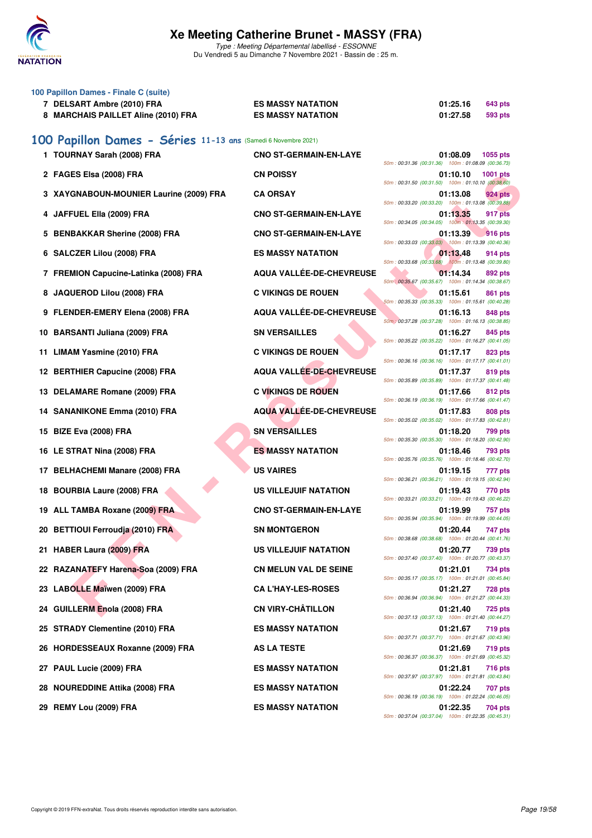

Type : Meeting Départemental labellisé - ESSONNE Du Vendredi 5 au Dimanche 7 Novembre 2021 - Bassin de : 25 m.

|     | 100 Papillon Dames - Finale C (suite)<br>7 DELSART Ambre (2010) FRA<br>8 MARCHAIS PAILLET Aline (2010) FRA | <b>ES MASSY NATATION</b><br><b>ES MASSY NATATION</b> | 01:25.16<br>643 pts<br>01:27.58<br><b>593 pts</b>                                |
|-----|------------------------------------------------------------------------------------------------------------|------------------------------------------------------|----------------------------------------------------------------------------------|
|     | 100 Papillon Dames - Séries 11-13 ans (Samedi 6 Novembre 2021)<br>1 TOURNAY Sarah (2008) FRA               | <b>CNO ST-GERMAIN-EN-LAYE</b>                        | 01:08.09<br>1055 pts                                                             |
|     | 2 FAGES Elsa (2008) FRA                                                                                    | <b>CN POISSY</b>                                     | 50m: 00:31.36 (00:31.36) 100m: 01:08.09 (00:36.73)<br>01:10.10<br>1001 pts       |
|     | 3 XAYGNABOUN-MOUNIER Laurine (2009) FRA                                                                    | <b>CA ORSAY</b>                                      | 50m: 00:31.50 (00:31.50) 100m: 01:10.10 (00:38.60)<br>01:13.08<br>924 pts        |
| 4   | JAFFUEL Ella (2009) FRA                                                                                    | <b>CNO ST-GERMAIN-EN-LAYE</b>                        | 50m: 00:33.20 (00:33.20) 100m: 01:13.08 (00:39.88)<br>01:13.35<br>917 pts        |
| 5   | <b>BENBAKKAR Sherine (2008) FRA</b>                                                                        | <b>CNO ST-GERMAIN-EN-LAYE</b>                        | 50m: 00:34.05 (00:34.05) 100m: 01:13.35 (00:39.30)<br>01:13.39<br><b>916 pts</b> |
|     | 6 SALCZER Lilou (2008) FRA                                                                                 | <b>ES MASSY NATATION</b>                             | 50m: 00:33.03 (00:33.03) 100m: 01:13.39 (00:40.36)<br>01:13.48<br>914 pts        |
|     | 7 FREMION Capucine-Latinka (2008) FRA                                                                      | AQUA VALLÉE-DE-CHEVREUSE                             | 50m: 00:33.68 (00:33.68) 100m: 01:13.48 (00:39.80)<br>01:14.34<br>892 pts        |
|     | 8 JAQUEROD Lilou (2008) FRA                                                                                | <b>C VIKINGS DE ROUEN</b>                            | 50m : 00:35.67 (00:35.67) 100m : 01:14.34 (00:38.67)<br>01:15.61<br>861 pts      |
|     | 9 FLENDER-EMERY Elena (2008) FRA                                                                           | AQUA VALLÉE-DE-CHEVREUSE                             | 50m: 00:35.33 (00:35.33) 100m: 01:15.61 (00:40.28)<br>01:16.13<br>848 pts        |
|     | 10 BARSANTI Juliana (2009) FRA                                                                             | <b>SN VERSAILLES</b>                                 | 50m : 00:37.28 (00:37.28) 100m : 01:16.13 (00:38.85)<br>01:16.27<br>845 pts      |
|     | 11 LIMAM Yasmine (2010) FRA                                                                                | <b>C VIKINGS DE ROUEN</b>                            | 50m: 00:35.22 (00:35.22) 100m: 01:16.27 (00:41.05)<br>01:17.17<br>823 pts        |
|     | 12 BERTHIER Capucine (2008) FRA                                                                            | AQUA VALLÉE-DE-CHEVREUSE                             | 50m: 00:36.16 (00:36.16) 100m: 01:17.17 (00:41.01)<br>01:17.37<br>819 pts        |
|     | 13 DELAMARE Romane (2009) FRA                                                                              | <b>C VIKINGS DE ROUEN</b>                            | 50m: 00:35.89 (00:35.89) 100m: 01:17.37 (00:41.48)<br>01:17.66<br>812 pts        |
|     | 14 SANANIKONE Emma (2010) FRA                                                                              | <b>AQUA VALLÉE-DE-CHEVREUSE</b>                      | 50m: 00:36.19 (00:36.19) 100m: 01:17.66 (00:41.47)<br>01:17.83<br>808 pts        |
|     | 15 BIZE Eva (2008) FRA                                                                                     | <b>SN VERSAILLES</b>                                 | 50m: 00:35.02 (00:35.02) 100m: 01:17.83 (00:42.81)<br>01:18.20<br>799 pts        |
|     | 16 LE STRAT Nina (2008) FRA                                                                                | <b>ES MASSY NATATION</b>                             | 50m: 00:35.30 (00:35.30) 100m: 01:18.20 (00:42.90)<br>01:18.46<br>793 pts        |
| 17. | <b>BELHACHEMI Manare (2008) FRA</b>                                                                        | <b>US VAIRES</b>                                     | 50m: 00:35.76 (00:35.76) 100m: 01:18.46 (00:42.70)<br>01:19.15<br>777 pts        |
|     | 18 BOURBIA Laure (2008) FRA                                                                                | US VILLEJUIF NATATION                                | 50m: 00:36.21 (00:36.21) 100m: 01:19.15 (00:42.94)<br>01:19.43<br>770 pts        |
|     | 19 ALL TAMBA Roxane (2009) FRA                                                                             | <b>CNO ST-GERMAIN-EN-LAYE</b>                        | 50m: 00:33.21 (00:33.21) 100m: 01:19.43 (00:46.22)<br>01:19.99<br>757 pts        |
|     | 20 BETTIOUI Ferroudja (2010) FRA                                                                           | <b>SN MONTGERON</b>                                  | 50m: 00:35.94 (00:35.94) 100m: 01:19.99 (00:44.05)<br>01:20.44<br>747 pts        |
|     | 21 HABER Laura (2009) FRA                                                                                  | <b>US VILLEJUIF NATATION</b>                         | 50m: 00:38.68 (00:38.68) 100m: 01:20.44 (00:41.76)<br>01:20.77<br>739 pts        |
|     | 22 RAZANATEFY Harena-Soa (2009) FRA                                                                        | <b>CN MELUN VAL DE SEINE</b>                         | 50m: 00:37.40 (00:37.40) 100m: 01:20.77 (00:43.37)<br>01:21.01<br>734 pts        |
|     | 23 LABOLLE Maïwen (2009) FRA                                                                               | <b>CA L'HAY-LES-ROSES</b>                            | 50m: 00:35.17 (00:35.17) 100m: 01:21.01 (00:45.84)<br>01:21.27<br><b>728 pts</b> |
|     | 24 GUILLERM Enola (2008) FRA                                                                               | <b>CN VIRY-CHÂTILLON</b>                             | 50m: 00:36.94 (00:36.94) 100m: 01:21.27 (00:44.33)<br>01:21.40<br><b>725 pts</b> |
| 25  | <b>STRADY Clementine (2010) FRA</b>                                                                        | <b>ES MASSY NATATION</b>                             | 50m: 00:37.13 (00:37.13) 100m: 01:21.40 (00:44.27)<br>01:21.67<br><b>719 pts</b> |
| 26  | <b>HORDESSEAUX Roxanne (2009) FRA</b>                                                                      | <b>AS LA TESTE</b>                                   | 50m: 00:37.71 (00:37.71) 100m: 01:21.67 (00:43.96)<br>01:21.69<br>719 pts        |
| 27. | PAUL Lucie (2009) FRA                                                                                      | <b>ES MASSY NATATION</b>                             | 50m: 00:36.37 (00:36.37) 100m: 01:21.69 (00:45.32)<br><b>716 pts</b><br>01:21.81 |
| 28  | <b>NOUREDDINE Attika (2008) FRA</b>                                                                        | <b>ES MASSY NATATION</b>                             | 50m: 00:37.97 (00:37.97) 100m: 01:21.81 (00:43.84)<br>01:22.24<br><b>707 pts</b> |
|     | 29 REMY Lou (2009) FRA                                                                                     | <b>ES MASSY NATATION</b>                             | 50m: 00:36.19 (00:36.19) 100m: 01:22.24 (00:46.05)<br>01:22.35<br>704 pts        |

50m : 00:37.04 (00:37.04) 100m : 01:22.35 (00:45.31)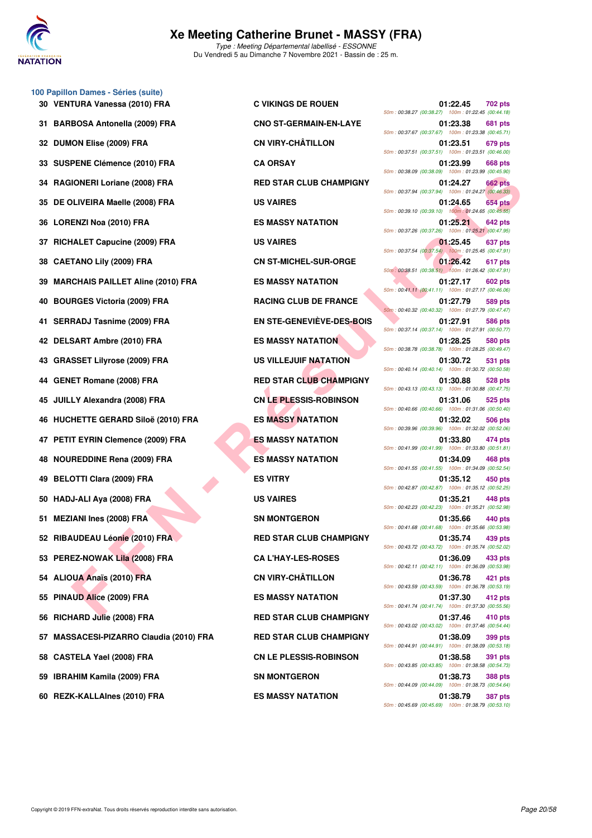

**100 Papillon Dames - Séries (suite)**

# **Xe Meeting Catherine Brunet - MASSY (FRA)**

Type : Meeting Départemental labellisé - ESSONNE Du Vendredi 5 au Dimanche 7 Novembre 2021 - Bassin de : 25 m.

|    | 30 VENTURA Vanessa (2010) FRA               | <b>C VIKINGS DE ROUEN</b>      | 50m: 00:38.27 (00:38.27) 100m: 01:22.45 (00:44.18                                                      | 01:22.45 | 702 pts        |
|----|---------------------------------------------|--------------------------------|--------------------------------------------------------------------------------------------------------|----------|----------------|
|    | 31 BARBOSA Antonella (2009) FRA             | <b>CNO ST-GERMAIN-EN-LAYE</b>  | 50m: 00:37.67 (00:37.67) 100m: 01:23.38 (00:45.71)                                                     | 01:23.38 | <b>681 pts</b> |
|    | 32 DUMON Elise (2009) FRA                   | <b>CN VIRY-CHÂTILLON</b>       | 50m: 00:37.51 (00:37.51) 100m: 01:23.51 (00:46.00)                                                     | 01:23.51 | 679 pts        |
|    | 33 SUSPENE Clémence (2010) FRA              | <b>CA ORSAY</b>                | 50m: 00:38.09 (00:38.09) 100m: 01:23.99 (00:45.90)                                                     | 01:23.99 | 668 pts        |
|    | 34 RAGIONERI Loriane (2008) FRA             | <b>RED STAR CLUB CHAMPIGNY</b> |                                                                                                        | 01:24.27 | 662 pts        |
|    | 35 DE OLIVEIRA Maelle (2008) FRA            | <b>US VAIRES</b>               | 50m: 00:37.94 (00:37.94) 100m: 01:24.27 (00:46.33<br>50m: 00:39.10 (00:39.10) 100m: 01:24.65 (00:45.55 | 01:24.65 | 654 pts        |
|    | 36 LORENZI Noa (2010) FRA                   | <b>ES MASSY NATATION</b>       | 50m: 00:37.26 (00:37.26) 100m: 01:25.21 (00:47.95                                                      | 01:25.21 | 642 pts        |
|    | 37 RICHALET Capucine (2009) FRA             | <b>US VAIRES</b>               | 50m: 00:37.54 (00:37.54)  100m: 01:25.45 (00:47.91)                                                    | 01:25.45 | 637 pts        |
|    | 38 CAETANO Lily (2009) FRA                  | <b>CN ST-MICHEL-SUR-ORGE</b>   | 50m: 00:38.51 (00:38.51) 100m: 01:26.42 (00:47.91                                                      | 01:26.42 | 617 pts        |
|    | 39 MARCHAIS PAILLET Aline (2010) FRA        | <b>ES MASSY NATATION</b>       | 50m: 00:41.11 (00:41.11) 100m: 01:27.17 (00:46.06                                                      | 01:27.17 | 602 pts        |
|    | 40 BOURGES Victoria (2009) FRA              | <b>RACING CLUB DE FRANCE</b>   | 50m: 00:40.32 (00:40.32) 100m: 01:27.79 (00:47.47)                                                     | 01:27.79 | 589 pts        |
|    | 41 SERRADJ Tasnime (2009) FRA               | EN STE-GENEVIEVE-DES-BOIS      | 50m: 00:37.14 (00:37.14) 100m: 01:27.91 (00:50.77)                                                     | 01:27.91 | <b>586 pts</b> |
|    | 42 DELSART Ambre (2010) FRA                 | <b>ES MASSY NATATION</b>       | 50m: 00:38.78 (00:38.78) 100m: 01:28.25 (00:49.47                                                      | 01:28.25 | <b>580 pts</b> |
|    | 43 GRASSET Lilyrose (2009) FRA              | <b>US VILLEJUIF NATATION</b>   | 50m: 00:40.14 (00:40.14) 100m: 01:30.72 (00:50.58                                                      | 01:30.72 | 531 pts        |
|    | 44 GENET Romane (2008) FRA                  | <b>RED STAR CLUB CHAMPIGNY</b> | 50m: 00:43.13 (00:43.13) 100m: 01:30.88 (00:47.75                                                      | 01:30.88 | 528 pts        |
|    | 45 JUILLY Alexandra (2008) FRA              | <b>CN LE PLESSIS-ROBINSON</b>  | 50m: 00:40.66 (00:40.66) 100m: 01:31.06 (00:50.40)                                                     | 01:31.06 | 525 pts        |
|    | 46 HUCHETTE GERARD Siloë (2010) FRA         | <b>ES MASSY NATATION</b>       | 50m: 00:39.96 (00:39.96) 100m: 01:32.02 (00:52.06                                                      | 01:32.02 | 506 pts        |
|    | 47 PETIT EYRIN Clemence (2009) FRA          | <b>ES MASSY NATATION</b>       | 50m: 00:41.99 (00:41.99) 100m: 01:33.80 (00:51.81)                                                     | 01:33.80 | 474 pts        |
|    | 48 NOUREDDINE Rena (2009) FRA               | <b>ES MASSY NATATION</b>       | 50m: 00:41.55 (00:41.55) 100m: 01:34.09 (00:52.54)                                                     | 01:34.09 | 468 pts        |
|    | 49 BELOTTI Clara (2009) FRA                 | <b>ES VITRY</b>                | 50m: 00:42.87 (00:42.87) 100m: 01:35.12 (00:52.25                                                      | 01:35.12 | 450 pts        |
|    | 50 HADJ-ALI Aya (2008) FRA                  | <b>US VAIRES</b>               |                                                                                                        | 01:35.21 | 448 pts        |
|    | 51 MEZIANI Ines (2008) FRA                  | <b>SN MONTGERON</b>            | 50m: 00:42.23 (00:42.23) 100m: 01:35.21 (00:52.98<br>50m: 00:41.68 (00:41.68) 100m: 01:35.66 (00:53.98 | 01:35.66 | 440 pts        |
|    | 52 RIBAUDEAU Léonie (2010) FRA              | <b>RED STAR CLUB CHAMPIGNY</b> | 50m: 00:43.72 (00:43.72) 100m: 01:35.74 (00:52.02)                                                     | 01:35.74 | 439 pts        |
|    | 53 PEREZ-NOWAK Lila (2008) FRA              | <b>CA L'HAY-LES-ROSES</b>      | 50m: 00:42.11 (00:42.11) 100m: 01:36.09 (00:53.98                                                      | 01:36.09 | 433 pts        |
|    | 54 ALIOUA Anaïs (2010) FRA                  | <b>CN VIRY-CHÂTILLON</b>       | 50m: 00:43.59 (00:43.59) 100m: 01:36.78 (00:53.19                                                      | 01:36.78 | 421 pts        |
|    | 55 PINAUD Alice (2009) FRA                  | <b>ES MASSY NATATION</b>       | 50m: 00:41.74 (00:41.74) 100m: 01:37.30 (00:55.56)                                                     | 01:37.30 | 412 pts        |
|    | 56 RICHARD Julie (2008) FRA                 | <b>RED STAR CLUB CHAMPIGNY</b> | 50m: 00:43.02 (00:43.02) 100m: 01:37.46 (00:54.44                                                      | 01:37.46 | 410 pts        |
| 57 | <b>MASSACESI-PIZARRO Claudia (2010) FRA</b> | <b>RED STAR CLUB CHAMPIGNY</b> | 50m: 00:44.91 (00:44.91) 100m: 01:38.09 (00:53.18                                                      | 01:38.09 | 399 pts        |
| 58 | <b>CASTELA Yael (2008) FRA</b>              | <b>CN LE PLESSIS-ROBINSON</b>  | 50m: 00:43.85 (00:43.85) 100m: 01:38.58 (00:54.73)                                                     | 01:38.58 | 391 pts        |
|    | 59 IBRAHIM Kamila (2009) FRA                | <b>SN MONTGERON</b>            | 50m : 00:44.09 (00:44.09) 100m : 01:38.73 (00:54.64                                                    | 01:38.73 | 388 pts        |
|    |                                             |                                |                                                                                                        |          |                |

| $\frac{1}{10}$ Danies - Jenies (Suite)<br>TURA Vanessa (2010) FRA | <b>C VIKINGS DE ROUEN</b>      | 01:22.45<br><b>702 pts</b><br>50m: 00:38.27 (00:38.27) 100m: 01:22.45 (00:44.18)                                                         |
|-------------------------------------------------------------------|--------------------------------|------------------------------------------------------------------------------------------------------------------------------------------|
| BOSA Antonella (2009) FRA                                         | <b>CNO ST-GERMAIN-EN-LAYE</b>  | 01:23.38<br>681 pts<br>50m: 00:37.67 (00:37.67) 100m: 01:23.38 (00:45.71)                                                                |
| <b>ION Elise (2009) FRA</b>                                       | <b>CN VIRY-CHÂTILLON</b>       | 01:23.51<br>679 pts<br>50m: 00:37.51 (00:37.51) 100m: 01:23.51 (00:46.00)                                                                |
| PENE Clémence (2010) FRA                                          | <b>CA ORSAY</b>                | 01:23.99<br>668 pts<br>50m: 00:38.09 (00:38.09) 100m: 01:23.99 (00:45.90)                                                                |
| IONERI Loriane (2008) FRA                                         | <b>RED STAR CLUB CHAMPIGNY</b> | 01:24.27<br><b>662 pts</b><br>50m: 00:37.94 (00:37.94) 100m: 01:24.27 (00:46.33)                                                         |
| )LIVEIRA Maelle (2008) FRA                                        | <b>US VAIRES</b>               | 01:24.65<br>654 pts<br>50m: 00:39.10 (00:39.10) 100m: 01:24.65 (00:45.55)                                                                |
| ENZI Noa (2010) FRA                                               | <b>ES MASSY NATATION</b>       | 01:25.21<br>642 pts<br>50m: 00:37.26 (00:37.26) 100m: 01:25.21 (00:47.95)                                                                |
| <b>IALET Capucine (2009) FRA</b>                                  | <b>US VAIRES</b>               | 01:25.45<br>637 pts<br>50m: 00:37.54 (00:37.54) 100m: 01:25.45 (00:47.91)                                                                |
| TANO Lily (2009) FRA                                              | <b>CN ST-MICHEL-SUR-ORGE</b>   | 01:26.42<br>617 pts<br>50m: 00:38.51 (00:38.51) 100m: 01:26.42 (00:47.91)                                                                |
| CHAIS PAILLET Aline (2010) FRA                                    | <b>ES MASSY NATATION</b>       | 01:27.17<br>602 pts<br>50m: 00:41.11 (00:41.11) 100m: 01:27.17 (00:46.06)                                                                |
| RGES Victoria (2009) FRA                                          | <b>RACING CLUB DE FRANCE</b>   | 01:27.79<br>589 pts                                                                                                                      |
| RADJ Tasnime (2009) FRA                                           | EN STE-GENEVIÈVE-DES-BOIS      | 50m: 00:40.32 (00:40.32) 100m: 01:27.79 (00:47.47)<br>01:27.91<br>586 pts                                                                |
| SART Ambre (2010) FRA                                             | <b>ES MASSY NATATION</b>       | 50m: 00:37.14 (00:37.14) 100m: 01:27.91 (00:50.77)<br>01:28.25<br>580 pts                                                                |
| SSET Lilyrose (2009) FRA                                          | US VILLEJUIF NATATION          | 50m: 00:38.78 (00:38.78) 100m: 01:28.25 (00:49.47)<br>01:30.72<br>531 pts                                                                |
| ET Romane (2008) FRA                                              | <b>RED STAR CLUB CHAMPIGNY</b> | 50m: 00:40.14 (00:40.14) 100m: 01:30.72 (00:50.58)<br>01:30.88<br>528 pts                                                                |
| LY Alexandra (2008) FRA                                           | <b>CN LE PLESSIS-ROBINSON</b>  | 50m: 00:43.13 (00:43.13) 100m: 01:30.88 (00:47.75)<br>01:31.06<br>525 pts                                                                |
| HETTE GERARD Siloë (2010) FRA                                     | <b>ES MASSY NATATION</b>       | 50m: 00:40.66 (00:40.66) 100m: 01:31.06 (00:50.40)<br>01:32.02<br>506 pts                                                                |
| T EYRIN Clemence (2009) FRA                                       | <b>ES MASSY NATATION</b>       | 50m: 00:39.96 (00:39.96) 100m: 01:32.02 (00:52.06)<br>01:33.80<br>474 pts                                                                |
| REDDINE Rena (2009) FRA                                           | <b>ES MASSY NATATION</b>       | 50m: 00:41.99 (00:41.99) 100m: 01:33.80 (00:51.81)<br>01:34.09<br>468 pts                                                                |
| OTTI Clara (2009) FRA                                             | <b>ES VITRY</b>                | 50m: 00:41.55 (00:41.55) 100m: 01:34.09 (00:52.54)<br>01:35.12<br>450 pts<br>50m: 00:42.87 (00:42.87) 100m: 01:35.12 (00:52.25)          |
| J-ALI Aya (2008) FRA                                              | <b>US VAIRES</b>               | 01:35.21<br>448 pts<br>50m: 00:42.23 (00:42.23) 100m: 01:35.21 (00:52.98)                                                                |
| IANI Ines (2008) FRA                                              | <b>SN MONTGERON</b>            | 01:35.66<br>440 pts<br>50m: 00:41.68 (00:41.68) 100m: 01:35.66 (00:53.98)                                                                |
| <b>\UDEAU Léonie (2010) FRA</b>                                   | <b>RED STAR CLUB CHAMPIGNY</b> | 01:35.74<br>439 pts<br>50m: 00:43.72 (00:43.72) 100m: 01:35.74 (00:52.02)                                                                |
| <b>EZ-NOWAK Lila (2008) FRA</b>                                   | <b>CA L'HAY-LES-ROSES</b>      | 01:36.09<br>433 pts                                                                                                                      |
| <b>UA Anaïs (2010) FRA</b>                                        | <b>CN VIRY-CHÂTILLON</b>       | 50m: 00:42.11 (00:42.11) 100m: 01:36.09 (00:53.98)<br>01:36.78<br>421 pts                                                                |
| <b>.UD Alice (2009) FRA</b>                                       | <b>ES MASSY NATATION</b>       | 50m: 00:43.59 (00:43.59) 100m: 01:36.78 (00:53.19)<br>01:37.30<br>412 pts                                                                |
| IARD Julie (2008) FRA                                             | <b>RED STAR CLUB CHAMPIGNY</b> | 50m: 00:41.74 (00:41.74) 100m: 01:37.30 (00:55.56)<br>01:37.46<br>410 pts                                                                |
| SACESI-PIZARRO Claudia (2010) FRA                                 | <b>RED STAR CLUB CHAMPIGNY</b> | 50m: 00:43.02 (00:43.02) 100m: 01:37.46 (00:54.44)<br>01:38.09<br>399 pts                                                                |
| TELA Yael (2008) FRA                                              | <b>CN LE PLESSIS-ROBINSON</b>  | 50m: 00:44.91 (00:44.91) 100m: 01:38.09 (00:53.18)<br>01:38.58<br>391 pts                                                                |
| HIM Kamila (2009) FRA                                             | <b>SN MONTGERON</b>            | 50m: 00:43.85 (00:43.85) 100m: 01:38.58 (00:54.73)<br>01:38.73<br><b>388 pts</b>                                                         |
| K-KALLAInes (2010) FRA                                            | <b>ES MASSY NATATION</b>       | 50m: 00:44.09 (00:44.09) 100m: 01:38.73 (00:54.64)<br>01:38.79<br><b>387 pts</b><br>50m : 00:45.69 (00:45.69) 100m : 01:38.79 (00:53.10) |
|                                                                   |                                |                                                                                                                                          |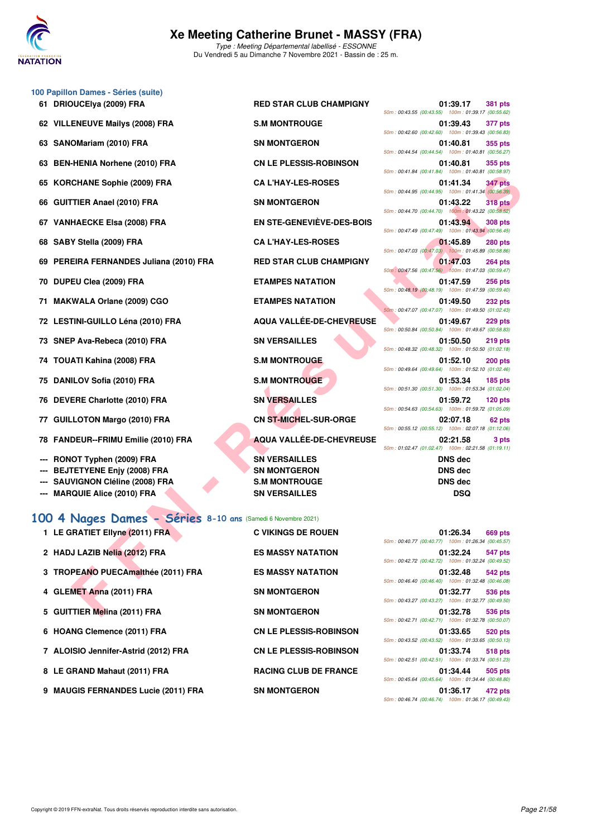

|    | 100 Papillon Dames - Séries (suite) |                                |                                                    |                                       |                |
|----|-------------------------------------|--------------------------------|----------------------------------------------------|---------------------------------------|----------------|
| 61 | <b>DRIOUCEIya (2009) FRA</b>        | <b>RED STAR CLUB CHAMPIGNY</b> | 50m: 00:43.55 (00:43.55) 100m: 01:39.17 (00:55.62  | 01:39.17                              | <b>381 pts</b> |
|    | 62 VILLENEUVE Mailys (2008) FRA     | <b>S.M MONTROUGE</b>           | 50m: 00:42.60 (00:42.60) 100m: 01:39.43 (00:56.83  | 01:39.43                              | 377 pts        |
|    | 63 SANOMariam (2010) FRA            | <b>SN MONTGERON</b>            | 50m: 00:44.54 (00:44.54) 100m: 01:40.81 (00:56.27) | 01:40.81                              | 355 pts        |
|    | 63 BEN-HENIA Norhene (2010) FRA     | <b>CN LE PLESSIS-ROBINSON</b>  | 50m: 00:41.84 (00:41.84) 100m: 01:40.81 (00:58.97  | 01:40.81                              | 355 pts        |
|    | 65 KORCHANE Sophie (2009) FRA       | <b>CAL'HAY-LES-ROSES</b>       | 50m: 00:44.95 (00:44.95) 100m: 01:41.34 (00:56.39  | 01:41.34                              | <b>347 pts</b> |
|    | 66 GUITTIER Anael (2010) FRA        | <b>SN MONTGERON</b>            | 50m: 00:44.70 (00:44.70)                           | 01:43.22<br>100m: 01:43.22 (00:58.52) | <b>318 pts</b> |
| 67 | <b>VANHAECKE Elsa (2008) FRA</b>    | EN STE-GENEVIÈVE-DES-BOIS      |                                                    | 01:43.94                              | <b>308 pts</b> |

- **68 SABY Stella (2009) FRA CA L'HAY-LES-ROSES 01:45.89 280 pts**
- **69 PEREIRA FERNANDES Juliana (2010) FRA**
- **70 DUPEU Clea (2009) FRA ETAMPES NATATION 01:47.59 256 pts**
- 71 MAKWALA Orlane (2009) CGO
- **72 LESTINI-GUILLO Léna (2010) FRA**
- 73 SNEP Ava-Rebeca (2010) FRA
- 74 TOUATI Kahina (2008) FRA
- 75 DANILOV Sofia (2010) FRA
- **76 DEVERE Charlotte (2010) FRA**
- 77 GUILLOTON Margo (2010) FRA
- **78 FANDEUR--FRIMU Emilie (2010) FRA**
- --- RONOT Typhen (2009) FRA
- 
- 
- **--- MARQUIE Alice (2010) FRA SN VERSAILLES DSQ**

#### **[100 4 Nages Dames - Séries](http://www.ffnatation.fr/webffn/resultats.php?idact=nat&go=epr&idcpt=72199&idepr=40) 8-10 ans** (Samedi 6 Novembre 2021)

| 1 LE GRATIET Ellyne (2011) FRA       | C VIKINGS DE RO        |
|--------------------------------------|------------------------|
| 2 HADJ LAZIB Nelia (2012) FRA        | <b>ES MASSY NATA</b>   |
| 3 TROPEANO PUECAmalthée (2011) FRA   | <b>ES MASSY NATA</b>   |
| 4 GLEMET Anna (2011) FRA             | <b>SN MONTGERON</b>    |
| 5 GUITTIER Melina (2011) FRA         | <b>SN MONTGERON</b>    |
| 6 HOANG Clemence (2011) FRA          | <b>CN LE PLESSIS-F</b> |
| 7 ALOISIO Jennifer-Astrid (2012) FRA | <b>CN LE PLESSIS-F</b> |
| 8 LE GRAND Mahaut (2011) FRA         | <b>RACING CLUB DI</b>  |
| 9 MAUGIS FERNANDES Lucie (2011) FRA  | <b>SN MONTGERON</b>    |

| 61 DRIOUCEIya (2009) FRA                | <b>RED STAR CLUB CHAMPIGNY</b>   | 01:39.17<br>50m: 00:43.55 (00:43.55) 100m: 01       |
|-----------------------------------------|----------------------------------|-----------------------------------------------------|
| 62 VILLENEUVE Mailys (2008) FRA         | <b>S.M MONTROUGE</b>             | 01:39.43                                            |
| 63 SANOMariam (2010) FRA                | <b>SN MONTGERON</b>              | 50m: 00:42.60 (00:42.60) 100m: 01<br>01:40.81       |
| 63 BEN-HENIA Norhene (2010) FRA         | <b>CN LE PLESSIS-ROBINSON</b>    | 50m: 00:44.54 (00:44.54) 100m: 01<br>01:40.81       |
| 65 KORCHANE Sophie (2009) FRA           | <b>CA L'HAY-LES-ROSES</b>        | 50m: 00:41.84 (00:41.84) 100m: 01<br>01:41.34       |
| 66 GUITTIER Anael (2010) FRA            | <b>SN MONTGERON</b>              | 50m: 00:44.95 (00:44.95) 100m: 01<br>01:43.22       |
| 67 VANHAECKE Elsa (2008) FRA            | <b>EN STE-GENEVIÈVE-DES-BOIS</b> | 50m: 00:44.70 (00:44.70) 100m: 01<br>01:43.94       |
| 68 SABY Stella (2009) FRA               | <b>CA L'HAY-LES-ROSES</b>        | 50m: 00:47.49 (00:47.49) 100m: 01<br>01:45.89       |
| 69 PEREIRA FERNANDES Juliana (2010) FRA | <b>RED STAR CLUB CHAMPIGNY</b>   | 50m: 00:47.03 (00:47.03) 100m: 01<br>01:47.03       |
| 70 DUPEU Clea (2009) FRA                | <b>ETAMPES NATATION</b>          | 50m: 00:47.56 (00:47.56) 100m: 01<br>01:47.59       |
| 71 MAKWALA Orlane (2009) CGO            | <b>ETAMPES NATATION</b>          | 50m: 00:48.19 (00:48.19) 100m: 01<br>01:49.50       |
| 72 LESTINI-GUILLO Léna (2010) FRA       | AQUA VALLÉE-DE-CHEVREUSE         | 50m: 00:47.07 (00:47.07) 100m: 01<br>01:49.67       |
| 73 SNEP Ava-Rebeca (2010) FRA           | <b>SN VERSAILLES</b>             | 50m: 00:50.84 (00:50.84) 100m: 01<br>01:50.50       |
| 74 TOUATI Kahina (2008) FRA             | <b>S.M MONTROUGE</b>             | 50m: 00:48.32 (00:48.32) 100m: 01<br>01:52.10       |
| 75 DANILOV Sofia (2010) FRA             | <b>S.M MONTROUGE</b>             | 50m: 00:49.64 (00:49.64) 100m: 01<br>01:53.34       |
| 76 DEVERE Charlotte (2010) FRA          | <b>SN VERSAILLES</b>             | 50m: 00:51.30 (00:51.30) 100m: 01<br>01:59.72       |
| 77 GUILLOTON Margo (2010) FRA           | <b>CN ST-MICHEL-SUR-ORGE</b>     | 50m: 00:54.63 (00:54.63) 100m: 01<br>02:07.18       |
| 78 FANDEUR--FRIMU Emilie (2010) FRA     | AQUA VALLÉE-DE-CHEVREUSE         | 50m: 00:55.12 (00:55.12) 100m: 02<br>02:21.58       |
| --- RONOT Typhen (2009) FRA             | <b>SN VERSAILLES</b>             | 50m: 01:02.47 (01:02.47) 100m: 02<br><b>DNS</b> dec |
| --- BEJTETYENE Enjy (2008) FRA          | <b>SN MONTGERON</b>              | <b>DNS</b> dec                                      |
| --- SAUVIGNON Cléline (2008) FRA        | <b>S.M MONTROUGE</b>             | <b>DNS</b> dec                                      |

**6 CN LE PLESSIS-ROBINSON** 

**7 ALCIE PLESSIS-ROBINSON** 

**BACING CLUB DE FRANCE** 

| )UCElya (2009) FRA                                     | <b>RED STAR CLUB CHAMPIGNY</b>   | 01:39.17<br><b>381 pts</b><br>50m: 00:43.55 (00:43.55) 100m: 01:39.17 (00:55.62) |
|--------------------------------------------------------|----------------------------------|----------------------------------------------------------------------------------|
| <b>ENEUVE Mailys (2008) FRA</b>                        | <b>S.M MONTROUGE</b>             | 01:39.43<br>377 pts<br>50m: 00:42.60 (00:42.60) 100m: 01:39.43 (00:56.83)        |
| OMariam (2010) FRA                                     | <b>SN MONTGERON</b>              | 01:40.81<br>355 pts                                                              |
| -HENIA Norhene (2010) FRA                              | <b>CN LE PLESSIS-ROBINSON</b>    | 50m: 00:44.54 (00:44.54)  100m: 01:40.81 (00:56.27)<br>01:40.81<br>355 pts       |
| <b>CHANE Sophie (2009) FRA</b>                         | <b>CA L'HAY-LES-ROSES</b>        | 50m: 00:41.84 (00:41.84) 100m: 01:40.81 (00:58.97)<br>01:41.34<br><b>347 pts</b> |
| TIER Anael (2010) FRA                                  | <b>SN MONTGERON</b>              | 50m: 00:44.95 (00:44.95) 100m: 01:41.34 (00:56.39)<br>01:43.22<br><b>318 pts</b> |
| <b>HAECKE Elsa (2008) FRA</b>                          | <b>EN STE-GENEVIÈVE-DES-BOIS</b> | 50m: 00:44.70 (00:44.70) 100m: 01:43.22 (00:58.52)<br>01:43.94<br><b>308 pts</b> |
| Y Stella (2009) FRA                                    | <b>CA L'HAY-LES-ROSES</b>        | 50m: 00:47.49 (00:47.49) 100m: 01:43.94 (00:56.45)<br>01:45.89<br><b>280 pts</b> |
| EIRA FERNANDES Juliana (2010) FRA                      | <b>RED STAR CLUB CHAMPIGNY</b>   | 50m: 00:47.03 (00:47.03) 100m: 01:45.89 (00:58.86)<br>01:47.03<br>264 pts        |
| EU Clea (2009) FRA                                     | <b>ETAMPES NATATION</b>          | 50m: 00:47.56 (00:47.56) 100m: 01:47.03 (00:59.47)<br>01:47.59<br><b>256 pts</b> |
| WALA Orlane (2009) CGO                                 | <b>ETAMPES NATATION</b>          | 50m: 00:48.19 (00:48.19) 100m: 01:47.59 (00:59.40)<br>01:49.50<br><b>232 pts</b> |
| <b>FINI-GUILLO Léna (2010) FRA</b>                     | <b>AQUA VALLÉE-DE-CHEVREUSE</b>  | 50m: 00:47.07 (00:47.07) 100m: 01:49.50 (01:02.43)<br>01:49.67<br><b>229 pts</b> |
| P Ava-Rebeca (2010) FRA                                | <b>SN VERSAILLES</b>             | 50m: 00:50.84 (00:50.84) 100m: 01:49.67 (00:58.83)<br>01:50.50<br>219 pts        |
| ATI Kahina (2008) FRA                                  | <b>S.M MONTROUGE</b>             | 50m: 00:48.32 (00:48.32) 100m: 01:50.50 (01:02.18)<br>01:52.10<br><b>200 pts</b> |
| ILOV Sofia (2010) FRA                                  | <b>S.M MONTROUGE</b>             | 50m: 00:49.64 (00:49.64) 100m: 01:52.10 (01:02.46)<br>01:53.34<br><b>185 pts</b> |
|                                                        | <b>SN VERSAILLES</b>             | 50m: 00:51.30 (00:51.30) 100m: 01:53.34 (01:02.04)<br>01:59.72                   |
| ERE Charlotte (2010) FRA                               |                                  | $120$ pts<br>50m: 00:54.63 (00:54.63) 100m: 01:59.72 (01:05.09)                  |
| LOTON Margo (2010) FRA                                 | <b>CN ST-MICHEL-SUR-ORGE</b>     | 02:07.18<br>62 pts<br>50m: 00:55.12 (00:55.12) 100m: 02:07.18 (01:12.06)         |
| DEUR--FRIMU Emilie (2010) FRA                          | <b>AQUA VALLÉE-DE-CHEVREUSE</b>  | 02:21.58<br>3 pts<br>50m: 01:02.47 (01:02.47) 100m: 02:21.58 (01:19.11)          |
| OT Typhen (2009) FRA                                   | <b>SN VERSAILLES</b>             | <b>DNS</b> dec                                                                   |
| <b>FETYENE Enjy (2008) FRA</b>                         | <b>SN MONTGERON</b>              | <b>DNS dec</b>                                                                   |
| VIGNON Cléline (2008) FRA                              | <b>S.M MONTROUGE</b>             | <b>DNS dec</b>                                                                   |
| QUIE Alice (2010) FRA                                  | <b>SN VERSAILLES</b>             | <b>DSQ</b>                                                                       |
| Nages Dames - Séries 8-10 ans (Samedi 6 Novembre 2021) |                                  |                                                                                  |
| <b>RATIET Ellyne (2011) FRA</b>                        | <b>C VIKINGS DE ROUEN</b>        | 01:26.34<br>669 pts<br>50m: 00:40.77 (00:40.77) 100m: 01:26.34 (00:45.57)        |
| J LAZIB Nelia (2012) FRA                               | <b>ES MASSY NATATION</b>         | 01:32.24<br>547 pts<br>50m: 00:42.72 (00:42.72) 100m: 01:32.24 (00:49.52)        |
| PEANO PUECAmalthée (2011) FRA                          | <b>ES MASSY NATATION</b>         | 01:32.48<br>542 pts<br>50m: 00:46.40 (00:46.40) 100m: 01:32.48 (00:46.08)        |
| MET Anna (2011) FRA                                    | <b>SN MONTGERON</b>              | 01:32.77<br>536 pts<br>50m: 00:43.27 (00:43.27) 100m: 01:32.77 (00:49.50)        |
| 'TIER Melina (2011) FRA                                | <b>SN MONTGERON</b>              | 01:32.78<br>536 pts                                                              |

|                                                    | 01:26.34 669 pts |  |
|----------------------------------------------------|------------------|--|
| 50m: 00:40.77 (00:40.77) 100m: 01:26.34 (00:45.57) |                  |  |
|                                                    | 01:32.24 547 pts |  |
| 50m: 00:42.72 (00:42.72) 100m: 01:32.24 (00:49.52) |                  |  |
|                                                    | 01:32.48 542 pts |  |
| 50m: 00:46.40 (00:46.40) 100m: 01:32.48 (00:46.08) |                  |  |
|                                                    | 01:32.77 536 pts |  |
| 50m: 00:43.27 (00:43.27) 100m: 01:32.77 (00:49.50) |                  |  |
|                                                    | 01:32.78 536 pts |  |
| 50m: 00:42.71 (00:42.71) 100m: 01:32.78 (00:50.07) |                  |  |
|                                                    | 01:33.65 520 pts |  |
| 50m: 00:43.52 (00:43.52) 100m: 01:33.65 (00:50.13) |                  |  |
|                                                    | 01:33.74 518 pts |  |
| 50m: 00:42.51 (00:42.51) 100m: 01:33.74 (00:51.23) |                  |  |
|                                                    | 01:34.44 505 pts |  |
| 50m: 00:45.64 (00:45.64) 100m: 01:34.44 (00:48.80) |                  |  |
|                                                    | 01:36.17 472 pts |  |
| 50m: 00:46.74 (00:46.74) 100m: 01:36.17 (00:49.43) |                  |  |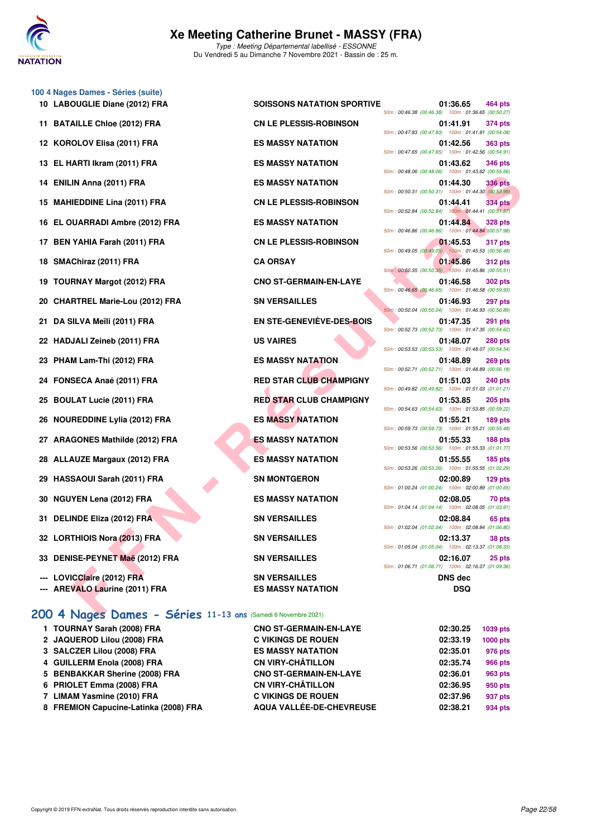

**100 4 Nages Dames - Séries (suite)**

50m : 00:46.38 (00:46.38) 100m : 01:36.65 (00:50.27)

**10 LABOUGLIE Diane (2012) FRA SOISSONS NATATION SPORTIVE 01:36.65 464 pts**

|                                  |                                | 50m:00:47.65 (00:47.65) 100m:01:42.56 (00:54.91)                                 |
|----------------------------------|--------------------------------|----------------------------------------------------------------------------------|
| 13 EL HARTI Ikram (2011) FRA     | <b>ES MASSY NATATION</b>       | 01:43.62<br><b>346 pts</b><br>50m: 00:48.06 (00:48.06) 100m: 01:43.62 (00:55.56) |
| 14 ENILIN Anna (2011) FRA        | <b>ES MASSY NATATION</b>       | 01:44.30<br>336 pts<br>50m: 00:50.31 (00:50.31) 100m: 01:44.30 (00:53.99)        |
| 15 MAHIEDDINE Lina (2011) FRA    | <b>CN LE PLESSIS-ROBINSON</b>  | <b>334 pts</b><br>01:44.41                                                       |
| 16 EL OUARRADI Ambre (2012) FRA  | <b>ES MASSY NATATION</b>       | 50m: 00:52.84 (00:52.84) 100m: 01:44.41 (00:51.57)<br>01:44.84<br><b>328 pts</b> |
| 17 BEN YAHIA Farah (2011) FRA    | <b>CN LE PLESSIS-ROBINSON</b>  | 50m: 00:46.86 (00:46.86) 100m: 01:44.84 (00:57.98)<br>01:45.53<br><b>317 pts</b> |
| 18 SMAChiraz (2011) FRA          | <b>CA ORSAY</b>                | 50m: 00:49.05 (00:49.05) 100m: 01:45.53 (00:56.48)<br>01:45.86<br><b>312 pts</b> |
| 19 TOURNAY Margot (2012) FRA     | <b>CNO ST-GERMAIN-EN-LAYE</b>  | 50m: 00:50.35 (00:50.35) 100m: 01:45.86 (00:55.51)<br>01:46.58<br><b>302 pts</b> |
| 20 CHARTREL Marie-Lou (2012) FRA | <b>SN VERSAILLES</b>           | 50m: 00:46.65 (00:46.65) 100m: 01:46.58 (00:59.93)<br>01:46.93<br><b>297 pts</b> |
| 21 DA SILVA Meïli (2011) FRA     | EN STE-GENEVIÈVE-DES-BOIS      | 50m: 00:50.04 (00:50.04) 100m: 01:46.93 (00:56.89)<br>01:47.35<br><b>291 pts</b> |
| 22 HADJALI Zeineb (2011) FRA     | <b>US VAIRES</b>               | 50m: 00:52.73 (00:52.73) 100m: 01:47.35 (00:54.62)<br>01:48.07<br><b>280 pts</b> |
| 23 PHAM Lam-Thi (2012) FRA       | <b>ES MASSY NATATION</b>       | 50m: 00:53.53 (00:53.53) 100m: 01:48.07 (00:54.54)<br>01:48.89<br><b>269 pts</b> |
| 24 FONSECA Anaé (2011) FRA       | <b>RED STAR CLUB CHAMPIGNY</b> | 50m: 00:52.71 (00:52.71) 100m: 01:48.89 (00:56.18)<br>01:51.03<br><b>240 pts</b> |
| 25 BOULAT Lucie (2011) FRA       | <b>RED STAR CLUB CHAMPIGNY</b> | 50m: 00:49.82 (00:49.82) 100m: 01:51.03 (01:01.21)<br>01:53.85<br><b>205 pts</b> |
| 26 NOUREDDINE Lylia (2012) FRA   | <b>ES MASSY NATATION</b>       | 50m: 00:54.63 (00:54.63) 100m: 01:53.85 (00:59.22)<br>01:55.21<br>189 pts        |
|                                  | <b>ES MASSY NATATION</b>       | 50m: 00:59.73 (00:59.73) 100m: 01:55.21 (00:55.48)<br>01:55.33                   |
| 27 ARAGONES Mathilde (2012) FRA  |                                | 188 pts<br>50m: 00:53.56 (00:53.56) 100m: 01:55.33 (01:01.77)                    |
| 28 ALLAUZE Margaux (2012) FRA    | <b>ES MASSY NATATION</b>       | 01:55.55<br><b>185 pts</b><br>50m: 00:53.26 (00:53.26) 100m: 01:55.55 (01:02.29) |
| 29 HASSAOUI Sarah (2011) FRA     | <b>SN MONTGERON</b>            | 02:00.89<br>$129$ pts<br>50m: 01:00.24 (01:00.24) 100m: 02:00.89 (01:00.65)      |
| 30 NGUYEN Lena (2012) FRA        | <b>ES MASSY NATATION</b>       | 02:08.05<br>70 pts<br>50m: 01:04.14 (01:04.14) 100m: 02:08.05 (01:03.91)         |
| 31 DELINDE Eliza (2012) FRA      | <b>SN VERSAILLES</b>           | 02:08.84<br>65 pts<br>50m: 01:02.04 (01:02.04) 100m: 02:08.84 (01:06.80)         |
| 32 LORTHIOIS Nora (2013) FRA     | <b>SN VERSAILLES</b>           | 02:13.37<br>38 pts<br>50m: 01:05.04 (01:05.04) 100m: 02:13.37 (01:08.33)         |
| 33 DENISE-PEYNET Maë (2012) FRA  | <b>SN VERSAILLES</b>           | 02:16.07<br>25 pts<br>50m: 01:06.71 (01:06.71) 100m: 02:16.07 (01:09.36)         |
| --- LOVICClaire (2012) FRA       | <b>SN VERSAILLES</b>           | <b>DNS dec</b>                                                                   |
| --- AREVALO Laurine (2011) FRA   | <b>ES MASSY NATATION</b>       | <b>DSQ</b>                                                                       |

#### **[200 4 Nages Dames - Séries](http://www.ffnatation.fr/webffn/resultats.php?idact=nat&go=epr&idcpt=72199&idepr=41) 11-13 ans** (Samedi 6 Novembre 2021)

| 1 TOURNAY Sarah (2008) FRA            | <b>CNO ST-GERMAIN-EN-LAYE</b> | 02:30.25 | 1039 pts        |
|---------------------------------------|-------------------------------|----------|-----------------|
| 2 JAQUEROD Lilou (2008) FRA           | <b>C VIKINGS DE ROUEN</b>     | 02:33.19 | <b>1000 pts</b> |
| 3 SALCZER Lilou (2008) FRA            | <b>ES MASSY NATATION</b>      | 02:35.01 | 976 pts         |
| 4 GUILLERM Enola (2008) FRA           | <b>CN VIRY-CHÂTILLON</b>      | 02:35.74 | <b>966 pts</b>  |
| 5 BENBAKKAR Sherine (2008) FRA        | <b>CNO ST-GERMAIN-EN-LAYE</b> | 02:36.01 | 963 pts         |
| 6 PRIOLET Emma (2008) FRA             | <b>CN VIRY-CHÂTILLON</b>      | 02:36.95 | 950 pts         |
| 7 LIMAM Yasmine (2010) FRA            | <b>C VIKINGS DE ROUEN</b>     | 02:37.96 | 937 pts         |
| 8 FREMION Capucine-Latinka (2008) FRA | AQUA VALLÉE-DE-CHEVREUSE      | 02:38.21 | 934 pts         |

|                                                            |                                                  | 50m: 00:46.38 (00:46.38) 100m: 01:36.65 (00:50.27)   |                       |                |
|------------------------------------------------------------|--------------------------------------------------|------------------------------------------------------|-----------------------|----------------|
| 11 BATAILLE Chloe (2012) FRA                               | <b>CN LE PLESSIS-ROBINSON</b>                    | 50m: 00:47.83 (00:47.83) 100m: 01:41.91 (00:54.08)   | 01:41.91              | 374 pts        |
| 12 KOROLOV Elisa (2011) FRA                                | <b>ES MASSY NATATION</b>                         | 50m: 00:47.65 (00:47.65) 100m: 01:42.56 (00:54.91)   | 01:42.56              | <b>363 pts</b> |
| 13 EL HARTI Ikram (2011) FRA                               | <b>ES MASSY NATATION</b>                         |                                                      | 01:43.62              | <b>346 pts</b> |
| 14 ENILIN Anna (2011) FRA                                  | <b>ES MASSY NATATION</b>                         | 50m: 00:48.06 (00:48.06) 100m: 01:43.62 (00:55.56)   | 01:44.30              | <b>336 pts</b> |
| 15 MAHIEDDINE Lina (2011) FRA                              | <b>CN LE PLESSIS-ROBINSON</b>                    | 50m: 00:50.31 (00:50.31) 100m: 01:44.30 (00:53.99)   | 01:44.41              | <b>334 pts</b> |
| 16 EL OUARRADI Ambre (2012) FRA                            | <b>ES MASSY NATATION</b>                         | 50m: 00:52.84 (00:52.84) 100m: 01:44.41 (00:51.57)   | 01:44.84              | <b>328 pts</b> |
| 17 BEN YAHIA Farah (2011) FRA                              | <b>CN LE PLESSIS-ROBINSON</b>                    | 50m: 00:46.86 (00:46.86) 100m: 01:44.84 (00:57.98)   | 01:45.53              | <b>317 pts</b> |
|                                                            |                                                  | 50m : 00:49.05 (00:49.05) 100m : 01:45.53 (00:56.48) |                       |                |
| 18 SMAChiraz (2011) FRA                                    | <b>CA ORSAY</b>                                  | 50m: 00:50.35 (00:50.35) 100m: 01:45.86 (00:55.51)   | 01:45.86              | <b>312 pts</b> |
| 19 TOURNAY Margot (2012) FRA                               | <b>CNO ST-GERMAIN-EN-LAYE</b>                    | 50m: 00:46.65 (00:46.65) 100m: 01:46.58 (00:59.93)   | 01:46.58              | <b>302 pts</b> |
| 20 CHARTREL Marie-Lou (2012) FRA                           | <b>SN VERSAILLES</b>                             | 50m: 00:50.04 (00:50.04) 100m: 01:46.93 (00:56.89)   | 01:46.93              | 297 pts        |
| 21 DA SILVA Meïli (2011) FRA                               | <b>EN STE-GENEVIÈVE-DES-BOIS</b>                 | 50m: 00:52.73 (00:52.73) 100m: 01:47.35 (00:54.62)   | 01:47.35              | 291 pts        |
| 22 HADJALI Zeineb (2011) FRA                               | <b>US VAIRES</b>                                 |                                                      | 01:48.07              | <b>280 pts</b> |
| 23 PHAM Lam-Thi (2012) FRA                                 | <b>ES MASSY NATATION</b>                         | 50m: 00:53.53 (00:53.53) 100m: 01:48.07 (00:54.54)   | 01:48.89              | <b>269 pts</b> |
| 24 FONSECA Anaé (2011) FRA                                 | <b>RED STAR CLUB CHAMPIGNY</b>                   | 50m: 00:52.71 (00:52.71) 100m: 01:48.89 (00:56.18)   | 01:51.03              | <b>240 pts</b> |
| 25 BOULAT Lucie (2011) FRA                                 | <b>RED STAR CLUB CHAMPIGNY</b>                   | 50m: 00:49.82 (00:49.82) 100m: 01:51.03 (01:01.21)   | 01:53.85              | <b>205 pts</b> |
|                                                            | <b>ES MASSY NATATION</b>                         | 50m: 00:54.63 (00:54.63) 100m: 01:53.85 (00:59.22)   | 01:55.21              | 189 pts        |
| 26 NOUREDDINE Lylia (2012) FRA                             |                                                  | 50m: 00:59.73 (00:59.73) 100m: 01:55.21 (00:55.48)   |                       |                |
| 27 ARAGONES Mathilde (2012) FRA                            | <b>ES MASSY NATATION</b>                         | 50m: 00:53.56 (00:53.56) 100m: 01:55.33 (01:01.77)   | 01:55.33              | 188 pts        |
| 28 ALLAUZE Margaux (2012) FRA                              | <b>ES MASSY NATATION</b>                         | 50m: 00:53.26 (00:53.26) 100m: 01:55.55 (01:02.29)   | 01:55.55              | <b>185 pts</b> |
| 29 HASSAOUI Sarah (2011) FRA                               | <b>SN MONTGERON</b>                              | 50m: 01:00.24 (01:00.24) 100m: 02:00.89 (01:00.65)   | 02:00.89              | $129$ pts      |
| 30 NGUYEN Lena (2012) FRA                                  | <b>ES MASSY NATATION</b>                         |                                                      | 02:08.05              | 70 pts         |
| 31 DELINDE Eliza (2012) FRA                                | <b>SN VERSAILLES</b>                             | 50m: 01:04.14 (01:04.14) 100m: 02:08.05 (01:03.91)   | 02:08.84              | 65 pts         |
| 32 LORTHIOIS Nora (2013) FRA                               | <b>SN VERSAILLES</b>                             | 50m: 01:02.04 (01:02.04) 100m: 02:08.84 (01:06.80)   | 02:13.37              | 38 pts         |
|                                                            |                                                  | 50m: 01:05.04 (01:05.04) 100m: 02:13.37 (01:08.33)   |                       |                |
| 33 DENISE-PEYNET Maë (2012) FRA                            | <b>SN VERSAILLES</b>                             | 50m: 01:06.71 (01:06.71) 100m: 02:16.07 (01:09.36)   | 02:16.07              | 25 pts         |
| LOVICClaire (2012) FRA<br><b>DEVALO Laugher (0044) EDA</b> | <b>SN VERSAILLES</b><br><b>FO MACOV MATATION</b> |                                                      | DNS dec<br><b>DOO</b> |                |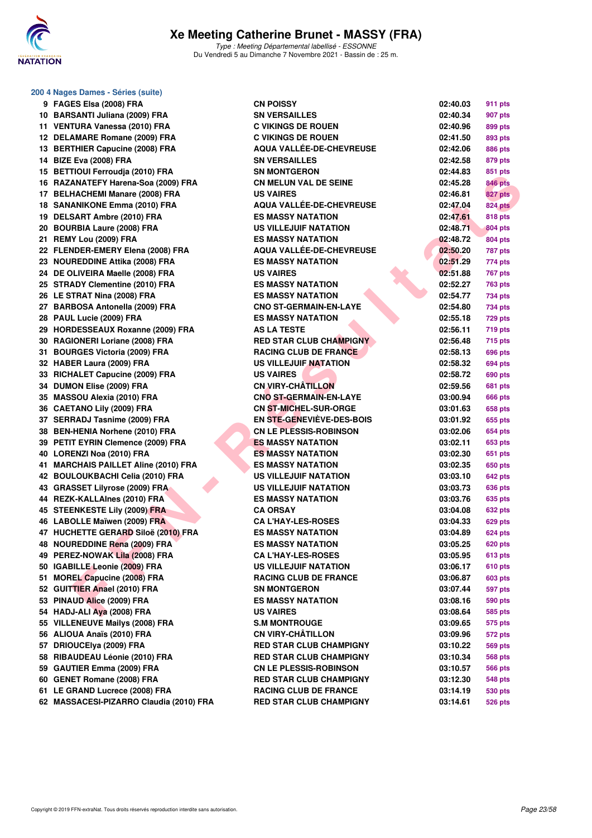

| 200 4 Nages Dames - Séries (suite)      |                                |                            |  |
|-----------------------------------------|--------------------------------|----------------------------|--|
| 9 FAGES Elsa (2008) FRA                 | <b>CN POISSY</b>               | 02:40.03<br>911 pts        |  |
| 10 BARSANTI Juliana (2009) FRA          | <b>SN VERSAILLES</b>           | 02:40.34<br>907 pts        |  |
| 11 VENTURA Vanessa (2010) FRA           | <b>C VIKINGS DE ROUEN</b>      | 02:40.96<br>899 pts        |  |
| 12 DELAMARE Romane (2009) FRA           | <b>C VIKINGS DE ROUEN</b>      | 02:41.50<br>893 pts        |  |
| 13 BERTHIER Capucine (2008) FRA         | AQUA VALLÉE-DE-CHEVREUSE       | 02:42.06<br>886 pts        |  |
| 14 BIZE Eva (2008) FRA                  | <b>SN VERSAILLES</b>           | 02:42.58<br>879 pts        |  |
| 15 BETTIOUI Ferroudja (2010) FRA        | <b>SN MONTGERON</b>            | 02:44.83<br>851 pts        |  |
| 16 RAZANATEFY Harena-Soa (2009) FRA     | <b>CN MELUN VAL DE SEINE</b>   | <b>846 pts</b><br>02:45.28 |  |
| 17 BELHACHEMI Manare (2008) FRA         | <b>US VAIRES</b>               | 827 pts<br>02:46.81        |  |
| 18 SANANIKONE Emma (2010) FRA           | AQUA VALLÉE-DE-CHEVREUSE       | <b>824 pts</b><br>02:47.04 |  |
| 19 DELSART Ambre (2010) FRA             | <b>ES MASSY NATATION</b>       | 02:47.61<br><b>818 pts</b> |  |
| 20 BOURBIA Laure (2008) FRA             | <b>US VILLEJUIF NATATION</b>   | 02:48.71<br>804 pts        |  |
| 21 REMY Lou (2009) FRA                  | <b>ES MASSY NATATION</b>       | 02:48.72<br>804 pts        |  |
| 22 FLENDER-EMERY Elena (2008) FRA       | AQUA VALLÉE-DE-CHEVREUSE       | 02:50.20<br><b>787 pts</b> |  |
| 23 NOUREDDINE Attika (2008) FRA         | <b>ES MASSY NATATION</b>       | 02:51.29<br>774 pts        |  |
| 24 DE OLIVEIRA Maelle (2008) FRA        | <b>US VAIRES</b>               | 02:51.88<br><b>767 pts</b> |  |
| 25 STRADY Clementine (2010) FRA         | <b>ES MASSY NATATION</b>       | 02:52.27<br><b>763 pts</b> |  |
| 26 LE STRAT Nina (2008) FRA             | <b>ES MASSY NATATION</b>       | 02:54.77<br>734 pts        |  |
| 27 BARBOSA Antonella (2009) FRA         | <b>CNO ST-GERMAIN-EN-LAYE</b>  | 02:54.80<br>734 pts        |  |
| 28 PAUL Lucie (2009) FRA                | <b>ES MASSY NATATION</b>       | 02:55.18<br><b>729 pts</b> |  |
| 29 HORDESSEAUX Roxanne (2009) FRA       | <b>AS LA TESTE</b>             | 02:56.11<br>719 pts        |  |
| 30 RAGIONERI Loriane (2008) FRA         | <b>RED STAR CLUB CHAMPIGNY</b> | 02:56.48<br><b>715 pts</b> |  |
| 31 BOURGES Victoria (2009) FRA          | <b>RACING CLUB DE FRANCE</b>   | <b>696 pts</b><br>02:58.13 |  |
| 32 HABER Laura (2009) FRA               | US VILLEJUIF NATATION          | 02:58.32<br><b>694 pts</b> |  |
| 33 RICHALET Capucine (2009) FRA         | <b>US VAIRES</b>               | 02:58.72<br>690 pts        |  |
| 34 DUMON Elise (2009) FRA               | <b>CN VIRY-CHATILLON</b>       | 02:59.56<br>681 pts        |  |
| 35 MASSOU Alexia (2010) FRA             | <b>CNO ST-GERMAIN-EN-LAYE</b>  | 03:00.94<br>666 pts        |  |
| 36 CAETANO Lily (2009) FRA              | <b>CN ST-MICHEL-SUR-ORGE</b>   | 03:01.63<br>658 pts        |  |
| 37 SERRADJ Tasnime (2009) FRA           | EN STE-GENEVIEVE-DES-BOIS      | 03:01.92<br>655 pts        |  |
| 38 BEN-HENIA Norhene (2010) FRA         | <b>CN LE PLESSIS-ROBINSON</b>  | 03:02.06<br>654 pts        |  |
| 39 PETIT EYRIN Clemence (2009) FRA      | <b>ES MASSY NATATION</b>       | <b>653 pts</b><br>03:02.11 |  |
| 40 LORENZI Noa (2010) FRA               | <b>ES MASSY NATATION</b>       | 03:02.30<br>651 pts        |  |
| 41 MARCHAIS PAILLET Aline (2010) FRA    | <b>ES MASSY NATATION</b>       | 03:02.35<br>650 pts        |  |
| 42 BOULOUKBACHI Celia (2010) FRA        | <b>US VILLEJUIF NATATION</b>   | 03:03.10<br>642 pts        |  |
| 43 GRASSET Lilyrose (2009) FRA          | <b>US VILLEJUIF NATATION</b>   | 03:03.73<br>636 pts        |  |
| 44 REZK-KALLAInes (2010) FRA            | <b>ES MASSY NATATION</b>       | 03:03.76<br>635 pts        |  |
| 45 STEENKESTE Lily (2009) FRA           | <b>CA ORSAY</b>                | 03:04.08<br>632 pts        |  |
| 46 LABOLLE Maïwen (2009) FRA            | <b>CA L'HAY-LES-ROSES</b>      | 03:04.33<br><b>629 pts</b> |  |
| 47 HUCHETTE GERARD Siloë (2010) FRA     | <b>ES MASSY NATATION</b>       | 03:04.89<br><b>624 pts</b> |  |
| 48 NOUREDDINE Rena (2009) FRA           | ES MASSY NATATION              | 03:05.25<br><b>620 pts</b> |  |
| 49 PEREZ-NOWAK Lila (2008) FRA          | <b>CA L'HAY-LES-ROSES</b>      | 03:05.95<br>613 pts        |  |
| 50 IGABILLE Leonie (2009) FRA           | US VILLEJUIF NATATION          | 03:06.17<br><b>610 pts</b> |  |
| 51 MOREL Capucine (2008) FRA            | <b>RACING CLUB DE FRANCE</b>   | 03:06.87<br><b>603 pts</b> |  |
| 52 GUITTIER Anael (2010) FRA            | <b>SN MONTGERON</b>            | 03:07.44<br><b>597 pts</b> |  |
| 53 PINAUD Alice (2009) FRA              | <b>ES MASSY NATATION</b>       | 03:08.16<br><b>590 pts</b> |  |
| 54 HADJ-ALI Aya (2008) FRA              | <b>US VAIRES</b>               | 03:08.64<br><b>585 pts</b> |  |
| 55 VILLENEUVE Mailys (2008) FRA         | <b>S.M MONTROUGE</b>           | 03:09.65<br>575 pts        |  |
| 56 ALIOUA Anaïs (2010) FRA              | <b>CN VIRY-CHÂTILLON</b>       | 03:09.96<br>572 pts        |  |
| 57 DRIOUCEIya (2009) FRA                | <b>RED STAR CLUB CHAMPIGNY</b> | 03:10.22<br><b>569 pts</b> |  |
| 58 RIBAUDEAU Léonie (2010) FRA          | <b>RED STAR CLUB CHAMPIGNY</b> | 03:10.34<br>568 pts        |  |
| 59 GAUTIER Emma (2009) FRA              | <b>CN LE PLESSIS-ROBINSON</b>  | 03:10.57<br><b>566 pts</b> |  |
| 60 GENET Romane (2008) FRA              | <b>RED STAR CLUB CHAMPIGNY</b> | 03:12.30<br><b>548 pts</b> |  |
| 61 LE GRAND Lucrece (2008) FRA          | <b>RACING CLUB DE FRANCE</b>   | 03:14.19<br>530 pts        |  |
| 62 MASSACESI-PIZARRO Claudia (2010) FRA | <b>RED STAR CLUB CHAMPIGNY</b> | 03:14.61<br><b>526 pts</b> |  |
|                                         |                                |                            |  |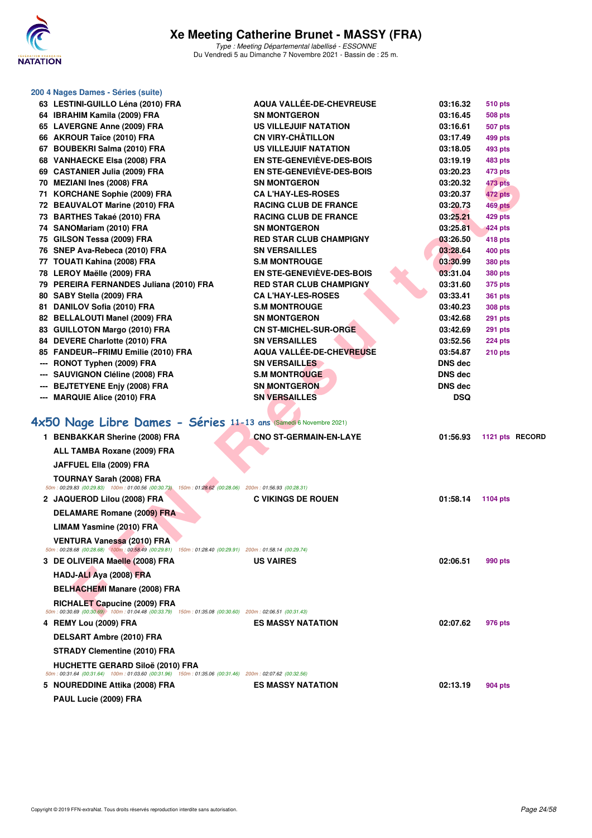

|     | 200 4 Nages Dames - Séries (suite)                                                                                                                |                                                          |                      |                           |                 |
|-----|---------------------------------------------------------------------------------------------------------------------------------------------------|----------------------------------------------------------|----------------------|---------------------------|-----------------|
|     | 63 LESTINI-GUILLO Léna (2010) FRA                                                                                                                 | <b>AQUA VALLÉE-DE-CHEVREUSE</b><br><b>SN MONTGERON</b>   | 03:16.32             | 510 pts                   |                 |
|     | 64 IBRAHIM Kamila (2009) FRA                                                                                                                      |                                                          | 03:16.45             | 508 pts                   |                 |
|     | 65 LAVERGNE Anne (2009) FRA<br>66 AKROUR Taïce (2010) FRA                                                                                         | <b>US VILLEJUIF NATATION</b><br><b>CN VIRY-CHÂTILLON</b> | 03:16.61<br>03:17.49 | <b>507 pts</b><br>499 pts |                 |
|     | 67 BOUBEKRI Salma (2010) FRA                                                                                                                      | <b>US VILLEJUIF NATATION</b>                             | 03:18.05             | 493 pts                   |                 |
|     | 68 VANHAECKE Elsa (2008) FRA                                                                                                                      | <b>EN STE-GENEVIÈVE-DES-BOIS</b>                         | 03:19.19             | 483 pts                   |                 |
|     | 69 CASTANIER Julia (2009) FRA                                                                                                                     | <b>EN STE-GENEVIEVE-DES-BOIS</b>                         | 03:20.23             | 473 pts                   |                 |
|     | 70 MEZIANI Ines (2008) FRA                                                                                                                        | <b>SN MONTGERON</b>                                      | 03:20.32             | 473 pts                   |                 |
|     | 71 KORCHANE Sophie (2009) FRA                                                                                                                     | <b>CA L'HAY-LES-ROSES</b>                                | 03:20.37             | 472 pts                   |                 |
|     | 72 BEAUVALOT Marine (2010) FRA                                                                                                                    | <b>RACING CLUB DE FRANCE</b>                             | 03:20.73             | 469 pts                   |                 |
|     | 73 BARTHES Takaé (2010) FRA                                                                                                                       | <b>RACING CLUB DE FRANCE</b>                             | 03:25.21             | 429 pts                   |                 |
|     | 74 SANOMariam (2010) FRA                                                                                                                          | <b>SN MONTGERON</b>                                      | 03:25.81             | 424 pts                   |                 |
|     | 75 GILSON Tessa (2009) FRA                                                                                                                        | <b>RED STAR CLUB CHAMPIGNY</b>                           | 03:26.50             | 418 pts                   |                 |
|     | 76 SNEP Ava-Rebeca (2010) FRA                                                                                                                     | <b>SN VERSAILLES</b>                                     | 03:28.64             | 400 pts                   |                 |
|     | 77 TOUATI Kahina (2008) FRA                                                                                                                       | <b>S.M MONTROUGE</b>                                     | 03:30.99             | 380 pts                   |                 |
|     | 78 LEROY Maëlle (2009) FRA                                                                                                                        | <b>EN STE-GENEVIEVE-DES-BOIS</b>                         | 03:31.04             | <b>380 pts</b>            |                 |
|     | 79 PEREIRA FERNANDES Juliana (2010) FRA                                                                                                           | <b>RED STAR CLUB CHAMPIGNY</b>                           | 03:31.60             | 375 pts                   |                 |
|     | 80 SABY Stella (2009) FRA                                                                                                                         | <b>CAL'HAY-LES-ROSES</b>                                 | 03:33.41             | <b>361 pts</b>            |                 |
|     | 81 DANILOV Sofia (2010) FRA                                                                                                                       | <b>S.M MONTROUGE</b>                                     | 03:40.23             | <b>308 pts</b>            |                 |
|     | 82 BELLALOUTI Manel (2009) FRA                                                                                                                    | <b>SN MONTGERON</b>                                      | 03:42.68             | <b>291 pts</b>            |                 |
|     | 83 GUILLOTON Margo (2010) FRA                                                                                                                     | <b>CN ST-MICHEL-SUR-ORGE</b>                             | 03:42.69             | <b>291 pts</b>            |                 |
|     | 84 DEVERE Charlotte (2010) FRA                                                                                                                    | <b>SN VERSAILLES</b>                                     | 03:52.56             | 224 pts                   |                 |
|     | 85 FANDEUR--FRIMU Emilie (2010) FRA                                                                                                               | <b>AQUA VALLÉE-DE-CHEVREUSE</b>                          | 03:54.87             | $210$ pts                 |                 |
| --- | RONOT Typhen (2009) FRA                                                                                                                           | <b>SN VERSAILLES</b>                                     | <b>DNS dec</b>       |                           |                 |
|     | <b>SAUVIGNON Cléline (2008) FRA</b>                                                                                                               | <b>S.M MONTROUGE</b>                                     | <b>DNS</b> dec       |                           |                 |
| --- | <b>BEJTETYENE Enjy (2008) FRA</b>                                                                                                                 | <b>SN MONTGERON</b>                                      | DNS dec              |                           |                 |
|     | <b>MARQUIE Alice (2010) FRA</b>                                                                                                                   | <b>SN VERSAILLES</b>                                     | <b>DSQ</b>           |                           |                 |
|     |                                                                                                                                                   |                                                          |                      |                           |                 |
|     | 4x50 Nage Libre Dames - Séries 11-13 ans (Samedi 6 Novembre 2021)                                                                                 |                                                          |                      |                           |                 |
|     | 1 BENBAKKAR Sherine (2008) FRA                                                                                                                    | <b>CNO ST-GERMAIN-EN-LAYE</b>                            | 01:56.93             |                           | 1121 pts RECORD |
|     | ALL TAMBA Roxane (2009) FRA                                                                                                                       |                                                          |                      |                           |                 |
|     |                                                                                                                                                   |                                                          |                      |                           |                 |
|     | JAFFUEL Ella (2009) FRA                                                                                                                           |                                                          |                      |                           |                 |
|     | <b>TOURNAY Sarah (2008) FRA</b><br>50m: 00:29.83 (00:29.83) 100m: 01:00.56 (00:30.73) 150m: 01:28.62 (00:28.06) 200m: 01:56.93 (00:28.31)         |                                                          |                      |                           |                 |
|     | 2 JAQUEROD Lilou (2008) FRA                                                                                                                       | <b>C VIKINGS DE ROUEN</b>                                | 01:58.14             | 1104 pts                  |                 |
|     |                                                                                                                                                   |                                                          |                      |                           |                 |
|     | <b>DELAMARE Romane (2009) FRA</b>                                                                                                                 |                                                          |                      |                           |                 |
|     | <b>LIMAM Yasmine (2010) FRA</b>                                                                                                                   |                                                          |                      |                           |                 |
|     | <b>VENTURA Vanessa (2010) FRA</b>                                                                                                                 |                                                          |                      |                           |                 |
|     | 50m: 00:28.68 (00:28.68) 100m: 00:58.49 (00:29.81) 150m: 01:28.40 (00:29.91) 200m: 01:58.14 (00:29.74)                                            |                                                          |                      |                           |                 |
|     | 3 DE OLIVEIRA Maelle (2008) FRA                                                                                                                   | <b>US VAIRES</b>                                         | 02:06.51             | 990 pts                   |                 |
|     | HADJ-ALI Aya (2008) FRA                                                                                                                           |                                                          |                      |                           |                 |
|     | <b>BELHACHEMI Manare (2008) FRA</b>                                                                                                               |                                                          |                      |                           |                 |
|     | RICHALET Capucine (2009) FRA                                                                                                                      |                                                          |                      |                           |                 |
|     | $50m$ : 00:30.69 (00:30.69) 100m: 01:04.48 (00:33.79) 150m: 01:35.08 (00:30.60) 200m: 02:06.51 (00:31.43)                                         |                                                          |                      |                           |                 |
|     | 4 REMY Lou (2009) FRA                                                                                                                             | <b>ES MASSY NATATION</b>                                 | 02:07.62             | 976 pts                   |                 |
|     | DELSART Ambre (2010) FRA                                                                                                                          |                                                          |                      |                           |                 |
|     | <b>STRADY Clementine (2010) FRA</b>                                                                                                               |                                                          |                      |                           |                 |
|     | <b>HUCHETTE GERARD Siloë (2010) FRA</b><br>50m: 00:31.64 (00:31.64) 100m: 01:03.60 (00:31.96) 150m: 01:35.06 (00:31.46) 200m: 02:07.62 (00:32.56) |                                                          |                      |                           |                 |
|     | 5   NOUREDDINE Attika (2008) FRA                                                                                                                  | <b>ES MASSY NATATION</b>                                 | 02:13.19             | 904 pts                   |                 |
|     | PAUL Lucie (2009) FRA                                                                                                                             |                                                          |                      |                           |                 |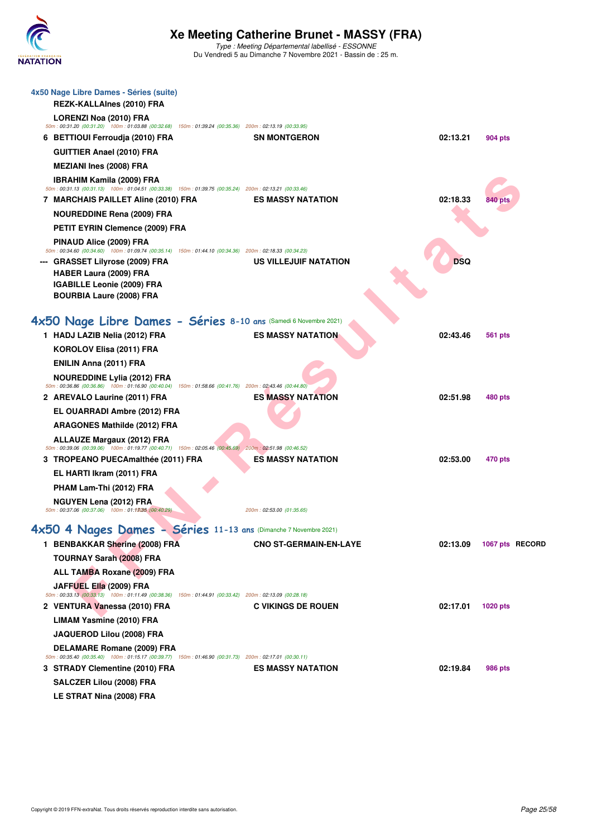

| 4x50 Nage Libre Dames - Séries (suite)<br>REZK-KALLAInes (2010) FRA                                                                              |                               |            |                 |
|--------------------------------------------------------------------------------------------------------------------------------------------------|-------------------------------|------------|-----------------|
| LORENZI Noa (2010) FRA<br>50m : 00:31.20 (00:31.20) 100m : 01:03.88 (00:32.68) 150m : 01:39.24 (00:35.36) 200m : 02:13.19 (00:33.95)             |                               |            |                 |
| 6 BETTIOUI Ferroudja (2010) FRA                                                                                                                  | <b>SN MONTGERON</b>           | 02:13.21   | 904 pts         |
| <b>GUITTIER Anael (2010) FRA</b>                                                                                                                 |                               |            |                 |
| <b>MEZIANI Ines (2008) FRA</b>                                                                                                                   |                               |            |                 |
| IBRAHIM Kamila (2009) FRA<br>50m: 00:31.13 (00:31.13) 100m: 01:04.51 (00:33.38) 150m: 01:39.75 (00:35.24) 200m: 02:13.21 (00:33.46)              |                               |            |                 |
| 7 MARCHAIS PAILLET Aline (2010) FRA                                                                                                              | <b>ES MASSY NATATION</b>      | 02:18.33   | 840 pts         |
| <b>NOUREDDINE Rena (2009) FRA</b>                                                                                                                |                               |            |                 |
| PETIT EYRIN Clemence (2009) FRA                                                                                                                  |                               |            |                 |
| PINAUD Alice (2009) FRA<br>50m : 00:34.60 (00:34.60) 100m : 01:09.74 (00:35.14) 150m : 01:44.10 (00:34.36) 200m : 02:18.33 (00:34.23)            |                               |            |                 |
| <b>GRASSET Lilyrose (2009) FRA</b><br><b>HABER Laura (2009) FRA</b><br><b>IGABILLE Leonie (2009) FRA</b><br><b>BOURBIA Laure (2008) FRA</b>      | US VILLEJUIF NATATION         | <b>DSQ</b> |                 |
| 4x50 Nage Libre Dames - Séries 8-10 ans (Samedi 6 Novembre 2021)                                                                                 |                               |            |                 |
| 1 HADJ LAZIB Nelia (2012) FRA                                                                                                                    | <b>ES MASSY NATATION</b>      | 02:43.46   | 561 pts         |
| KOROLOV Elisa (2011) FRA                                                                                                                         |                               |            |                 |
| ENILIN Anna (2011) FRA                                                                                                                           |                               |            |                 |
| <b>NOUREDDINE Lylia (2012) FRA</b><br>50m : 00:36.86 (00:36.86) 100m : 01:16.90 (00:40.04) 150m : 01:58.66 (00:41.76) 200m : 02:43.46 (00:44.80) |                               |            |                 |
| 2 AREVALO Laurine (2011) FRA                                                                                                                     | <b>ES MASSY NATATION</b>      | 02:51.98   | 480 pts         |
| EL OUARRADI Ambre (2012) FRA                                                                                                                     |                               |            |                 |
| <b>ARAGONES Mathilde (2012) FRA</b>                                                                                                              |                               |            |                 |
| <b>ALLAUZE Margaux (2012) FRA</b>                                                                                                                |                               |            |                 |
| 50m : 00:39.06 (00:39.06) 100m : 01:19.77 (00:40.71) 150m : 02:05.46 (00:45.69) 200m : 02:51.98 (00:46.52)<br>3 TROPEANO PUECAmalthée (2011) FRA | <b>ES MASSY NATATION</b>      | 02:53.00   | 470 pts         |
| EL HARTI Ikram (2011) FRA                                                                                                                        |                               |            |                 |
| PHAM Lam-Thi (2012) FRA                                                                                                                          |                               |            |                 |
| NGUYEN Lena (2012) FRA                                                                                                                           |                               |            |                 |
| 50m: 00:37.06 (00:37.06) 100m: 01:13035 (00:40.29)                                                                                               | 200m: 02:53.00 (01:35.65)     |            |                 |
| 4x50 4 Nages Dames - Séries 11-13 ans (Dimanche 7 Novembre 2021)                                                                                 |                               |            |                 |
| 1 BENBAKKAR Sherine (2008) FRA                                                                                                                   | <b>CNO ST-GERMAIN-EN-LAYE</b> | 02:13.09   | 1067 pts RECORD |
| <b>TOURNAY Sarah (2008) FRA</b>                                                                                                                  |                               |            |                 |
| ALL TAMBA Roxane (2009) FRA                                                                                                                      |                               |            |                 |
| JAFFUEL Ella (2009) FRA<br>50m : 00:33.13 (00:33.13) 100m : 01:11.49 (00:38.36) 150m : 01:44.91 (00:33.42) 200m : 02:13.09 (00:28.18)            |                               |            |                 |
| 2 VENTURA Vanessa (2010) FRA                                                                                                                     | <b>C VIKINGS DE ROUEN</b>     | 02:17.01   | <b>1020 pts</b> |
| <b>LIMAM Yasmine (2010) FRA</b>                                                                                                                  |                               |            |                 |
| JAQUEROD Lilou (2008) FRA                                                                                                                        |                               |            |                 |
| DELAMARE Romane (2009) FRA                                                                                                                       |                               |            |                 |
| 50m : 00:35.40 (00:35.40) 100m : 01:15.17 (00:39.77) 150m : 01:46.90 (00:31.73) 200m : 02:17.01 (00:30.11)                                       |                               |            |                 |
| 3 STRADY Clementine (2010) FRA                                                                                                                   | <b>ES MASSY NATATION</b>      | 02:19.84   | 986 pts         |
| SALCZER Lilou (2008) FRA                                                                                                                         |                               |            |                 |
| LE STRAT Nina (2008) FRA                                                                                                                         |                               |            |                 |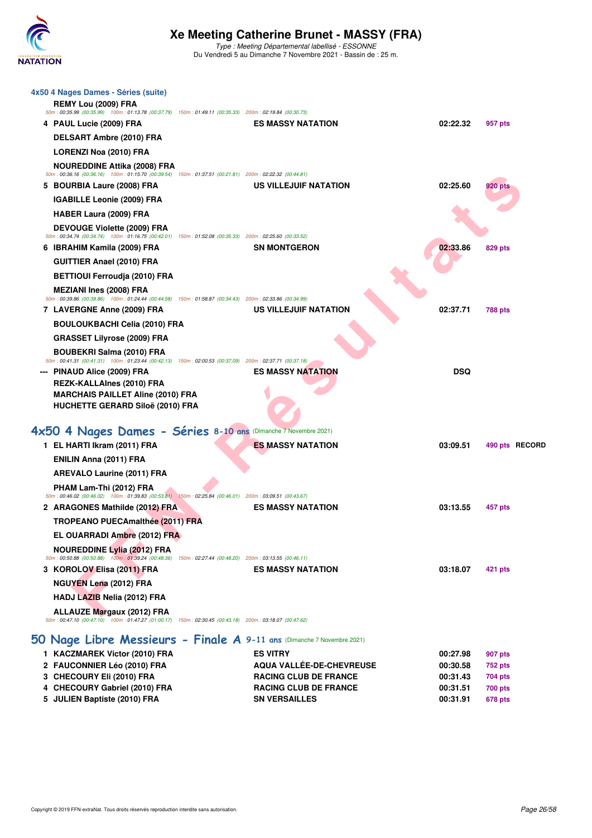

| 4 PAUL Lucie (2009) FRA<br><b>ES MASSY NATATION</b><br>02:22.32<br>957 pts<br><b>DELSART Ambre (2010) FRA</b><br><b>LORENZI Noa (2010) FRA</b><br><b>NOUREDDINE Attika (2008) FRA</b><br>50m: 00:36.16 (00:36.16) 100m: 01:15.70 (00:39.54) 150m: 01:37.51 (00:21.81) 200m: 02:22.32 (00:44.81)<br>5 BOURBIA Laure (2008) FRA<br>US VILLEJUIF NATATION<br>02:25.60<br>920 pts<br><b>IGABILLE Leonie (2009) FRA</b><br><b>HABER Laura (2009) FRA</b><br>DEVOUGE Violette (2009) FRA<br>50m: 00:34.74 (00:34.74) 100m: 01:16.75 (00:42.01) 150m: 01:52.08 (00:35.33) 200m: 02:25.60 (00:33.52)<br>6 IBRAHIM Kamila (2009) FRA<br><b>SN MONTGERON</b><br>02:33.86<br>829 pts<br><b>GUITTIER Anael (2010) FRA</b><br><b>BETTIOUI Ferroudja (2010) FRA</b><br><b>MEZIANI Ines (2008) FRA</b><br>50m : 00:39.86 (00:39.86) 100m : 01:24.44 (00:44.58) 150m : 01:58.87 (00:34.43) 200m : 02:33.86 (00:34.99)<br>7 LAVERGNE Anne (2009) FRA<br>US VILLEJUIF NATATION<br>02:37.71<br>788 pts<br><b>BOULOUKBACHI Celia (2010) FRA</b><br><b>GRASSET Lilyrose (2009) FRA</b><br><b>BOUBEKRI Salma (2010) FRA</b><br>50m: 00:41.31 (00:41.31) 100m: 01:23.44 (00:42.13) 150m: 02:00.53 (00:37.09) 200m: 02:37.71 (00:37.18)<br><b>ES MASSY NATATION</b><br><b>DSQ</b><br>--- PINAUD Alice (2009) FRA<br>REZK-KALLAInes (2010) FRA<br><b>MARCHAIS PAILLET Aline (2010) FRA</b><br><b>HUCHETTE GERARD Siloë (2010) FRA</b><br>4x50 4 Nages Dames - Séries 8-10 ans (Dimanche 7 Novembre 2021)<br>1 EL HARTI Ikram (2011) FRA<br><b>ES MASSY NATATION</b><br>03:09.51<br>490 pts RECORD<br>ENILIN Anna (2011) FRA<br><b>AREVALO Laurine (2011) FRA</b><br>PHAM Lam-Thi (2012) FRA<br>50m: 00:46.02 (00:46.02) 100m: 01:39.83 (00:53.81) 150m: 02:25.84 (00:46.01) 200m: 03:09.51 (00:43.67)<br>2 ARAGONES Mathilde (2012) FRA<br><b>ES MASSY NATATION</b><br>03:13.55<br>457 pts<br><b>TROPEANO PUECAmalthée (2011) FRA</b><br>EL OUARRADI Ambre (2012) FRA<br><b>NOUREDDINE Lylia (2012) FRA</b><br>50m : 00:50.88 (00:50.88) 100m : 01:39.24 (00:48.36) 150m : 02:27.44 (00:48.20) 200m : 03:13.55 (00:46.11)<br>3 KOROLOV Elisa (2011) FRA<br><b>ES MASSY NATATION</b><br>03:18.07<br>421 pts<br><b>NGUYEN Lena (2012) FRA</b><br>HADJ LAZIB Nelia (2012) FRA<br><b>ALLAUZE Margaux (2012) FRA</b><br>50m: 00:47.10 (00:47.10) 100m: 01:47.27 (01:00.17) 150m: 02:30.45 (00:43.18) 200m: 03:18.07 (00:47.62)<br>50 Nage Libre Messieurs - Finale A 9-11 ans (Dimanche 7 Novembre 2021)<br>1 KACZMAREK Victor (2010) FRA<br><b>ES VITRY</b><br>00:27.98<br>907 pts<br>2 FAUCONNIER Léo (2010) FRA<br><b>AQUA VALLÉE-DE-CHEVREUSE</b><br>00:30.58<br>752 pts<br>3 CHECOURY Eli (2010) FRA<br><b>RACING CLUB DE FRANCE</b><br>00:31.43<br>704 pts<br>4 CHECOURY Gabriel (2010) FRA<br><b>RACING CLUB DE FRANCE</b><br>00:31.51<br><b>700 pts</b><br>5 JULIEN Baptiste (2010) FRA<br><b>SN VERSAILLES</b><br>00:31.91<br>678 pts | 4x50 4 Nages Dames - Séries (suite)<br>REMY Lou (2009) FRA<br>50m : 00:35.99 (00:35.99) 100m : 01:13.78 (00:37.79) 150m : 01:49.11 (00:35.33) 200m : 02:19.84 (00:30.73) |  |  |
|------------------------------------------------------------------------------------------------------------------------------------------------------------------------------------------------------------------------------------------------------------------------------------------------------------------------------------------------------------------------------------------------------------------------------------------------------------------------------------------------------------------------------------------------------------------------------------------------------------------------------------------------------------------------------------------------------------------------------------------------------------------------------------------------------------------------------------------------------------------------------------------------------------------------------------------------------------------------------------------------------------------------------------------------------------------------------------------------------------------------------------------------------------------------------------------------------------------------------------------------------------------------------------------------------------------------------------------------------------------------------------------------------------------------------------------------------------------------------------------------------------------------------------------------------------------------------------------------------------------------------------------------------------------------------------------------------------------------------------------------------------------------------------------------------------------------------------------------------------------------------------------------------------------------------------------------------------------------------------------------------------------------------------------------------------------------------------------------------------------------------------------------------------------------------------------------------------------------------------------------------------------------------------------------------------------------------------------------------------------------------------------------------------------------------------------------------------------------------------------------------------------------------------------------------------------------------------------------------------------------------------------------------------------------------------------------------------------------------------------------------------------------------------------------------------------------------------------------------------------------------------------------------------------|--------------------------------------------------------------------------------------------------------------------------------------------------------------------------|--|--|
|                                                                                                                                                                                                                                                                                                                                                                                                                                                                                                                                                                                                                                                                                                                                                                                                                                                                                                                                                                                                                                                                                                                                                                                                                                                                                                                                                                                                                                                                                                                                                                                                                                                                                                                                                                                                                                                                                                                                                                                                                                                                                                                                                                                                                                                                                                                                                                                                                                                                                                                                                                                                                                                                                                                                                                                                                                                                                                                  |                                                                                                                                                                          |  |  |
|                                                                                                                                                                                                                                                                                                                                                                                                                                                                                                                                                                                                                                                                                                                                                                                                                                                                                                                                                                                                                                                                                                                                                                                                                                                                                                                                                                                                                                                                                                                                                                                                                                                                                                                                                                                                                                                                                                                                                                                                                                                                                                                                                                                                                                                                                                                                                                                                                                                                                                                                                                                                                                                                                                                                                                                                                                                                                                                  |                                                                                                                                                                          |  |  |
|                                                                                                                                                                                                                                                                                                                                                                                                                                                                                                                                                                                                                                                                                                                                                                                                                                                                                                                                                                                                                                                                                                                                                                                                                                                                                                                                                                                                                                                                                                                                                                                                                                                                                                                                                                                                                                                                                                                                                                                                                                                                                                                                                                                                                                                                                                                                                                                                                                                                                                                                                                                                                                                                                                                                                                                                                                                                                                                  |                                                                                                                                                                          |  |  |
|                                                                                                                                                                                                                                                                                                                                                                                                                                                                                                                                                                                                                                                                                                                                                                                                                                                                                                                                                                                                                                                                                                                                                                                                                                                                                                                                                                                                                                                                                                                                                                                                                                                                                                                                                                                                                                                                                                                                                                                                                                                                                                                                                                                                                                                                                                                                                                                                                                                                                                                                                                                                                                                                                                                                                                                                                                                                                                                  |                                                                                                                                                                          |  |  |
|                                                                                                                                                                                                                                                                                                                                                                                                                                                                                                                                                                                                                                                                                                                                                                                                                                                                                                                                                                                                                                                                                                                                                                                                                                                                                                                                                                                                                                                                                                                                                                                                                                                                                                                                                                                                                                                                                                                                                                                                                                                                                                                                                                                                                                                                                                                                                                                                                                                                                                                                                                                                                                                                                                                                                                                                                                                                                                                  |                                                                                                                                                                          |  |  |
|                                                                                                                                                                                                                                                                                                                                                                                                                                                                                                                                                                                                                                                                                                                                                                                                                                                                                                                                                                                                                                                                                                                                                                                                                                                                                                                                                                                                                                                                                                                                                                                                                                                                                                                                                                                                                                                                                                                                                                                                                                                                                                                                                                                                                                                                                                                                                                                                                                                                                                                                                                                                                                                                                                                                                                                                                                                                                                                  |                                                                                                                                                                          |  |  |
|                                                                                                                                                                                                                                                                                                                                                                                                                                                                                                                                                                                                                                                                                                                                                                                                                                                                                                                                                                                                                                                                                                                                                                                                                                                                                                                                                                                                                                                                                                                                                                                                                                                                                                                                                                                                                                                                                                                                                                                                                                                                                                                                                                                                                                                                                                                                                                                                                                                                                                                                                                                                                                                                                                                                                                                                                                                                                                                  |                                                                                                                                                                          |  |  |
|                                                                                                                                                                                                                                                                                                                                                                                                                                                                                                                                                                                                                                                                                                                                                                                                                                                                                                                                                                                                                                                                                                                                                                                                                                                                                                                                                                                                                                                                                                                                                                                                                                                                                                                                                                                                                                                                                                                                                                                                                                                                                                                                                                                                                                                                                                                                                                                                                                                                                                                                                                                                                                                                                                                                                                                                                                                                                                                  |                                                                                                                                                                          |  |  |
|                                                                                                                                                                                                                                                                                                                                                                                                                                                                                                                                                                                                                                                                                                                                                                                                                                                                                                                                                                                                                                                                                                                                                                                                                                                                                                                                                                                                                                                                                                                                                                                                                                                                                                                                                                                                                                                                                                                                                                                                                                                                                                                                                                                                                                                                                                                                                                                                                                                                                                                                                                                                                                                                                                                                                                                                                                                                                                                  |                                                                                                                                                                          |  |  |
|                                                                                                                                                                                                                                                                                                                                                                                                                                                                                                                                                                                                                                                                                                                                                                                                                                                                                                                                                                                                                                                                                                                                                                                                                                                                                                                                                                                                                                                                                                                                                                                                                                                                                                                                                                                                                                                                                                                                                                                                                                                                                                                                                                                                                                                                                                                                                                                                                                                                                                                                                                                                                                                                                                                                                                                                                                                                                                                  |                                                                                                                                                                          |  |  |
|                                                                                                                                                                                                                                                                                                                                                                                                                                                                                                                                                                                                                                                                                                                                                                                                                                                                                                                                                                                                                                                                                                                                                                                                                                                                                                                                                                                                                                                                                                                                                                                                                                                                                                                                                                                                                                                                                                                                                                                                                                                                                                                                                                                                                                                                                                                                                                                                                                                                                                                                                                                                                                                                                                                                                                                                                                                                                                                  |                                                                                                                                                                          |  |  |
|                                                                                                                                                                                                                                                                                                                                                                                                                                                                                                                                                                                                                                                                                                                                                                                                                                                                                                                                                                                                                                                                                                                                                                                                                                                                                                                                                                                                                                                                                                                                                                                                                                                                                                                                                                                                                                                                                                                                                                                                                                                                                                                                                                                                                                                                                                                                                                                                                                                                                                                                                                                                                                                                                                                                                                                                                                                                                                                  |                                                                                                                                                                          |  |  |
|                                                                                                                                                                                                                                                                                                                                                                                                                                                                                                                                                                                                                                                                                                                                                                                                                                                                                                                                                                                                                                                                                                                                                                                                                                                                                                                                                                                                                                                                                                                                                                                                                                                                                                                                                                                                                                                                                                                                                                                                                                                                                                                                                                                                                                                                                                                                                                                                                                                                                                                                                                                                                                                                                                                                                                                                                                                                                                                  |                                                                                                                                                                          |  |  |
|                                                                                                                                                                                                                                                                                                                                                                                                                                                                                                                                                                                                                                                                                                                                                                                                                                                                                                                                                                                                                                                                                                                                                                                                                                                                                                                                                                                                                                                                                                                                                                                                                                                                                                                                                                                                                                                                                                                                                                                                                                                                                                                                                                                                                                                                                                                                                                                                                                                                                                                                                                                                                                                                                                                                                                                                                                                                                                                  |                                                                                                                                                                          |  |  |
|                                                                                                                                                                                                                                                                                                                                                                                                                                                                                                                                                                                                                                                                                                                                                                                                                                                                                                                                                                                                                                                                                                                                                                                                                                                                                                                                                                                                                                                                                                                                                                                                                                                                                                                                                                                                                                                                                                                                                                                                                                                                                                                                                                                                                                                                                                                                                                                                                                                                                                                                                                                                                                                                                                                                                                                                                                                                                                                  |                                                                                                                                                                          |  |  |
|                                                                                                                                                                                                                                                                                                                                                                                                                                                                                                                                                                                                                                                                                                                                                                                                                                                                                                                                                                                                                                                                                                                                                                                                                                                                                                                                                                                                                                                                                                                                                                                                                                                                                                                                                                                                                                                                                                                                                                                                                                                                                                                                                                                                                                                                                                                                                                                                                                                                                                                                                                                                                                                                                                                                                                                                                                                                                                                  |                                                                                                                                                                          |  |  |
|                                                                                                                                                                                                                                                                                                                                                                                                                                                                                                                                                                                                                                                                                                                                                                                                                                                                                                                                                                                                                                                                                                                                                                                                                                                                                                                                                                                                                                                                                                                                                                                                                                                                                                                                                                                                                                                                                                                                                                                                                                                                                                                                                                                                                                                                                                                                                                                                                                                                                                                                                                                                                                                                                                                                                                                                                                                                                                                  |                                                                                                                                                                          |  |  |
|                                                                                                                                                                                                                                                                                                                                                                                                                                                                                                                                                                                                                                                                                                                                                                                                                                                                                                                                                                                                                                                                                                                                                                                                                                                                                                                                                                                                                                                                                                                                                                                                                                                                                                                                                                                                                                                                                                                                                                                                                                                                                                                                                                                                                                                                                                                                                                                                                                                                                                                                                                                                                                                                                                                                                                                                                                                                                                                  |                                                                                                                                                                          |  |  |
|                                                                                                                                                                                                                                                                                                                                                                                                                                                                                                                                                                                                                                                                                                                                                                                                                                                                                                                                                                                                                                                                                                                                                                                                                                                                                                                                                                                                                                                                                                                                                                                                                                                                                                                                                                                                                                                                                                                                                                                                                                                                                                                                                                                                                                                                                                                                                                                                                                                                                                                                                                                                                                                                                                                                                                                                                                                                                                                  |                                                                                                                                                                          |  |  |
|                                                                                                                                                                                                                                                                                                                                                                                                                                                                                                                                                                                                                                                                                                                                                                                                                                                                                                                                                                                                                                                                                                                                                                                                                                                                                                                                                                                                                                                                                                                                                                                                                                                                                                                                                                                                                                                                                                                                                                                                                                                                                                                                                                                                                                                                                                                                                                                                                                                                                                                                                                                                                                                                                                                                                                                                                                                                                                                  |                                                                                                                                                                          |  |  |
|                                                                                                                                                                                                                                                                                                                                                                                                                                                                                                                                                                                                                                                                                                                                                                                                                                                                                                                                                                                                                                                                                                                                                                                                                                                                                                                                                                                                                                                                                                                                                                                                                                                                                                                                                                                                                                                                                                                                                                                                                                                                                                                                                                                                                                                                                                                                                                                                                                                                                                                                                                                                                                                                                                                                                                                                                                                                                                                  |                                                                                                                                                                          |  |  |
|                                                                                                                                                                                                                                                                                                                                                                                                                                                                                                                                                                                                                                                                                                                                                                                                                                                                                                                                                                                                                                                                                                                                                                                                                                                                                                                                                                                                                                                                                                                                                                                                                                                                                                                                                                                                                                                                                                                                                                                                                                                                                                                                                                                                                                                                                                                                                                                                                                                                                                                                                                                                                                                                                                                                                                                                                                                                                                                  |                                                                                                                                                                          |  |  |
|                                                                                                                                                                                                                                                                                                                                                                                                                                                                                                                                                                                                                                                                                                                                                                                                                                                                                                                                                                                                                                                                                                                                                                                                                                                                                                                                                                                                                                                                                                                                                                                                                                                                                                                                                                                                                                                                                                                                                                                                                                                                                                                                                                                                                                                                                                                                                                                                                                                                                                                                                                                                                                                                                                                                                                                                                                                                                                                  |                                                                                                                                                                          |  |  |
|                                                                                                                                                                                                                                                                                                                                                                                                                                                                                                                                                                                                                                                                                                                                                                                                                                                                                                                                                                                                                                                                                                                                                                                                                                                                                                                                                                                                                                                                                                                                                                                                                                                                                                                                                                                                                                                                                                                                                                                                                                                                                                                                                                                                                                                                                                                                                                                                                                                                                                                                                                                                                                                                                                                                                                                                                                                                                                                  |                                                                                                                                                                          |  |  |
|                                                                                                                                                                                                                                                                                                                                                                                                                                                                                                                                                                                                                                                                                                                                                                                                                                                                                                                                                                                                                                                                                                                                                                                                                                                                                                                                                                                                                                                                                                                                                                                                                                                                                                                                                                                                                                                                                                                                                                                                                                                                                                                                                                                                                                                                                                                                                                                                                                                                                                                                                                                                                                                                                                                                                                                                                                                                                                                  |                                                                                                                                                                          |  |  |
|                                                                                                                                                                                                                                                                                                                                                                                                                                                                                                                                                                                                                                                                                                                                                                                                                                                                                                                                                                                                                                                                                                                                                                                                                                                                                                                                                                                                                                                                                                                                                                                                                                                                                                                                                                                                                                                                                                                                                                                                                                                                                                                                                                                                                                                                                                                                                                                                                                                                                                                                                                                                                                                                                                                                                                                                                                                                                                                  |                                                                                                                                                                          |  |  |
|                                                                                                                                                                                                                                                                                                                                                                                                                                                                                                                                                                                                                                                                                                                                                                                                                                                                                                                                                                                                                                                                                                                                                                                                                                                                                                                                                                                                                                                                                                                                                                                                                                                                                                                                                                                                                                                                                                                                                                                                                                                                                                                                                                                                                                                                                                                                                                                                                                                                                                                                                                                                                                                                                                                                                                                                                                                                                                                  |                                                                                                                                                                          |  |  |
|                                                                                                                                                                                                                                                                                                                                                                                                                                                                                                                                                                                                                                                                                                                                                                                                                                                                                                                                                                                                                                                                                                                                                                                                                                                                                                                                                                                                                                                                                                                                                                                                                                                                                                                                                                                                                                                                                                                                                                                                                                                                                                                                                                                                                                                                                                                                                                                                                                                                                                                                                                                                                                                                                                                                                                                                                                                                                                                  |                                                                                                                                                                          |  |  |
|                                                                                                                                                                                                                                                                                                                                                                                                                                                                                                                                                                                                                                                                                                                                                                                                                                                                                                                                                                                                                                                                                                                                                                                                                                                                                                                                                                                                                                                                                                                                                                                                                                                                                                                                                                                                                                                                                                                                                                                                                                                                                                                                                                                                                                                                                                                                                                                                                                                                                                                                                                                                                                                                                                                                                                                                                                                                                                                  |                                                                                                                                                                          |  |  |
|                                                                                                                                                                                                                                                                                                                                                                                                                                                                                                                                                                                                                                                                                                                                                                                                                                                                                                                                                                                                                                                                                                                                                                                                                                                                                                                                                                                                                                                                                                                                                                                                                                                                                                                                                                                                                                                                                                                                                                                                                                                                                                                                                                                                                                                                                                                                                                                                                                                                                                                                                                                                                                                                                                                                                                                                                                                                                                                  |                                                                                                                                                                          |  |  |
|                                                                                                                                                                                                                                                                                                                                                                                                                                                                                                                                                                                                                                                                                                                                                                                                                                                                                                                                                                                                                                                                                                                                                                                                                                                                                                                                                                                                                                                                                                                                                                                                                                                                                                                                                                                                                                                                                                                                                                                                                                                                                                                                                                                                                                                                                                                                                                                                                                                                                                                                                                                                                                                                                                                                                                                                                                                                                                                  |                                                                                                                                                                          |  |  |
|                                                                                                                                                                                                                                                                                                                                                                                                                                                                                                                                                                                                                                                                                                                                                                                                                                                                                                                                                                                                                                                                                                                                                                                                                                                                                                                                                                                                                                                                                                                                                                                                                                                                                                                                                                                                                                                                                                                                                                                                                                                                                                                                                                                                                                                                                                                                                                                                                                                                                                                                                                                                                                                                                                                                                                                                                                                                                                                  |                                                                                                                                                                          |  |  |
|                                                                                                                                                                                                                                                                                                                                                                                                                                                                                                                                                                                                                                                                                                                                                                                                                                                                                                                                                                                                                                                                                                                                                                                                                                                                                                                                                                                                                                                                                                                                                                                                                                                                                                                                                                                                                                                                                                                                                                                                                                                                                                                                                                                                                                                                                                                                                                                                                                                                                                                                                                                                                                                                                                                                                                                                                                                                                                                  |                                                                                                                                                                          |  |  |
|                                                                                                                                                                                                                                                                                                                                                                                                                                                                                                                                                                                                                                                                                                                                                                                                                                                                                                                                                                                                                                                                                                                                                                                                                                                                                                                                                                                                                                                                                                                                                                                                                                                                                                                                                                                                                                                                                                                                                                                                                                                                                                                                                                                                                                                                                                                                                                                                                                                                                                                                                                                                                                                                                                                                                                                                                                                                                                                  |                                                                                                                                                                          |  |  |
|                                                                                                                                                                                                                                                                                                                                                                                                                                                                                                                                                                                                                                                                                                                                                                                                                                                                                                                                                                                                                                                                                                                                                                                                                                                                                                                                                                                                                                                                                                                                                                                                                                                                                                                                                                                                                                                                                                                                                                                                                                                                                                                                                                                                                                                                                                                                                                                                                                                                                                                                                                                                                                                                                                                                                                                                                                                                                                                  |                                                                                                                                                                          |  |  |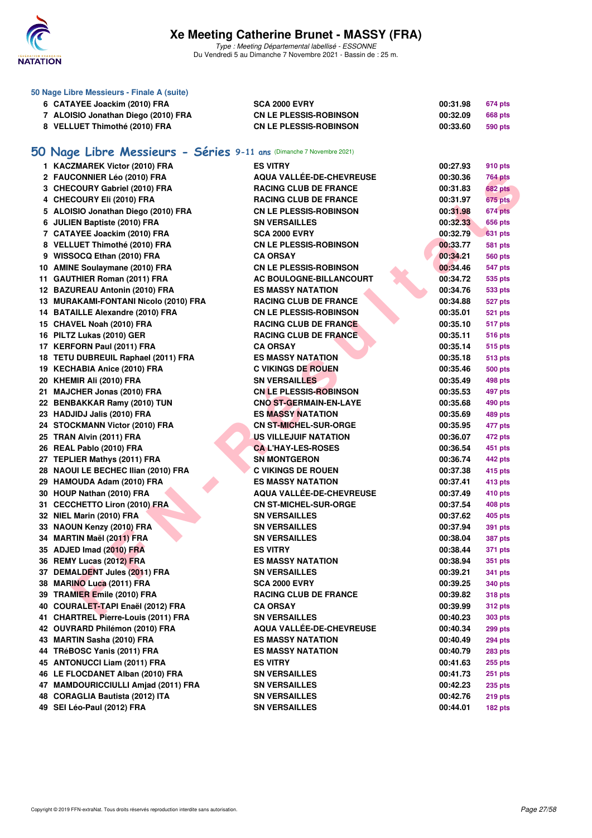

| 50 Nage Libre Messieurs - Finale A (suite)                           |                               |          |                |
|----------------------------------------------------------------------|-------------------------------|----------|----------------|
| 6 CATAYEE Joackim (2010) FRA                                         | <b>SCA 2000 EVRY</b>          | 00:31.98 | <b>674 pts</b> |
| 7 ALOISIO Jonathan Diego (2010) FRA                                  | <b>CN LE PLESSIS-ROBINSON</b> | 00:32.09 | <b>668 pts</b> |
| 8 VELLUET Thimothé (2010) FRA                                        | <b>CN LE PLESSIS-ROBINSON</b> | 00:33.60 | 590 pts        |
|                                                                      |                               |          |                |
| 50 Nage Libre Messieurs - Séries 9-11 ans (Dimanche 7 Novembre 2021) |                               |          |                |
| 1 KACZMAREK Victor (2010) FRA                                        | <b>ES VITRY</b>               | 00:27.93 | 910 pts        |
| 2 FAUCONNIER Léo (2010) FRA                                          | AQUA VALLÉE-DE-CHEVREUSE      | 00:30.36 | <b>764 pts</b> |
| 3 CHECOURY Gabriel (2010) FRA                                        | <b>RACING CLUB DE FRANCE</b>  | 00:31.83 | <b>682 pts</b> |
| 4 CHECOURY Eli (2010) FRA                                            | <b>RACING CLUB DE FRANCE</b>  | 00:31.97 | 675 pts        |
| 5 ALOISIO Jonathan Diego (2010) FRA                                  | <b>CN LE PLESSIS-ROBINSON</b> | 00:31.98 | 674 pts        |
| 6 JULIEN Baptiste (2010) FRA                                         | <b>SN VERSAILLES</b>          | 00:32.33 | 656 pts        |
| 7 CATAYEE Joackim (2010) FRA                                         | <b>SCA 2000 EVRY</b>          | 00:32.79 | <b>631 pts</b> |
| 8 VELLUET Thimothé (2010) FRA                                        | <b>CN LE PLESSIS-ROBINSON</b> | 00:33.77 | <b>581 pts</b> |
| 9 WISSOCQ Ethan (2010) FRA                                           | <b>CA ORSAY</b>               | 00:34.21 | <b>560 pts</b> |
| 10 AMINE Soulaymane (2010) FRA                                       | <b>CN LE PLESSIS-ROBINSON</b> | 00:34.46 | <b>547 pts</b> |
| 11 GAUTHIER Roman (2011) FRA                                         | AC BOULOGNE-BILLANCOURT       | 00:34.72 | 535 pts        |
| 12 BAZUREAU Antonin (2010) FRA                                       | <b>ES MASSY NATATION</b>      | 00:34.76 | 533 pts        |
| 13 MURAKAMI-FONTANI Nicolo (2010) FRA                                | <b>RACING CLUB DE FRANCE</b>  | 00:34.88 | 527 pts        |
| 14 BATAILLE Alexandre (2010) FRA                                     | <b>CN LE PLESSIS-ROBINSON</b> | 00:35.01 | <b>521 pts</b> |
| 15 CHAVEL Noah (2010) FRA                                            | <b>RACING CLUB DE FRANCE</b>  | 00:35.10 | <b>517 pts</b> |
| 16 PILTZ Lukas (2010) GER                                            | <b>RACING CLUB DE FRANCE</b>  | 00:35.11 | <b>516 pts</b> |
| 17 KERFORN Paul (2011) FRA                                           | <b>CA ORSAY</b>               | 00:35.14 | <b>515 pts</b> |
| 18 TETU DUBREUIL Raphael (2011) FRA                                  | <b>ES MASSY NATATION</b>      | 00:35.18 | <b>513 pts</b> |
| 19 KECHABIA Anice (2010) FRA                                         | <b>C VIKINGS DE ROUEN</b>     | 00:35.46 | <b>500 pts</b> |
| 20 KHEMIR Ali (2010) FRA                                             | <b>SN VERSAILLES</b>          | 00:35.49 | 498 pts        |
| 21 MAJCHER Jonas (2010) FRA                                          | <b>CN LE PLESSIS-ROBINSON</b> | 00:35.53 | 497 pts        |
| 22 BENBAKKAR Ramy (2010) TUN                                         | <b>CNO ST-GERMAIN-EN-LAYE</b> | 00:35.68 | 490 pts        |
| 23 HADJIDJ Jalis (2010) FRA                                          | <b>ES MASSY NATATION</b>      | 00:35.69 | 489 pts        |
| 24 STOCKMANN Victor (2010) FRA                                       | <b>CN ST-MICHEL-SUR-ORGE</b>  | 00:35.95 | 477 pts        |
| 25 TRAN Alvin (2011) FRA                                             | <b>US VILLEJUIF NATATION</b>  | 00:36.07 | 472 pts        |
| 26 REAL Pablo (2010) FRA                                             | <b>CA L'HAY-LES-ROSES</b>     | 00:36.54 | 451 pts        |
| 27 TEPLIER Mathys (2011) FRA                                         | <b>SN MONTGERON</b>           | 00:36.74 | 442 pts        |
| 28 NAOUI LE BECHEC Ilian (2010) FRA                                  | <b>C VIKINGS DE ROUEN</b>     | 00:37.38 | 415 pts        |
| 29 HAMOUDA Adam (2010) FRA                                           | <b>ES MASSY NATATION</b>      | 00:37.41 | 413 pts        |
| 30 HOUP Nathan (2010) FRA                                            | AQUA VALLÉE-DE-CHEVREUSE      | 00:37.49 | 410 pts        |
| 31 CECCHETTO Liron (2010) FRA                                        | <b>CN ST-MICHEL-SUR-ORGE</b>  | 00:37.54 | 408 pts        |
| 32 NIEL Marin (2010) FRA                                             | <b>SN VERSAILLES</b>          | 00:37.62 | <b>405 pts</b> |
| 33 NAOUN Kenzy (2010) FRA                                            | <b>SN VERSAILLES</b>          | 00:37.94 | <b>391 pts</b> |
| 34 MARTIN Maël (2011) FRA                                            | <b>SN VERSAILLES</b>          | 00:38.04 | <b>387 pts</b> |
| 35 ADJED Imad (2010) FRA                                             | <b>ES VITRY</b>               | 00:38.44 | 371 pts        |
| 36 REMY Lucas (2012) FRA                                             | ES MASSY NATATION             | 00:38.94 | 351 pts        |
| 37 DEMALDENT Jules (2011) FRA                                        | <b>SN VERSAILLES</b>          | 00:39.21 | 341 pts        |
| 38 MARINO Luca (2011) FRA                                            | <b>SCA 2000 EVRY</b>          | 00:39.25 | 340 pts        |
| 39 TRAMIER Emile (2010) FRA                                          | <b>RACING CLUB DE FRANCE</b>  | 00:39.82 | <b>318 pts</b> |
| 40 COURALET-TAPI Enaël (2012) FRA                                    | <b>CA ORSAY</b>               | 00:39.99 | <b>312 pts</b> |
| 41 CHARTREL Pierre-Louis (2011) FRA                                  | <b>SN VERSAILLES</b>          | 00:40.23 | 303 pts        |
| 42 OUVRARD Philémon (2010) FRA                                       | AQUA VALLÉE-DE-CHEVREUSE      | 00:40.34 | 299 pts        |
| 43 MARTIN Sasha (2010) FRA                                           | <b>ES MASSY NATATION</b>      | 00:40.49 | <b>294 pts</b> |
| 44 TRéBOSC Yanis (2011) FRA                                          | ES MASSY NATATION             | 00:40.79 | <b>283 pts</b> |
| 45 ANTONUCCI Liam (2011) FRA                                         | ES VITRY                      | 00:41.63 | 255 pts        |
| 46 LE FLOCDANET Alban (2010) FRA                                     | <b>SN VERSAILLES</b>          | 00:41.73 | <b>251 pts</b> |
| 47 MAMDOURICCIULLI Amjad (2011) FRA                                  | <b>SN VERSAILLES</b>          | 00:42.23 | <b>235 pts</b> |
| 48 CORAGLIA Bautista (2012) ITA                                      | <b>SN VERSAILLES</b>          | 00:42.76 | <b>219 pts</b> |
| 49 SEI Léo-Paul (2012) FRA                                           | <b>SN VERSAILLES</b>          | 00:44.01 | 182 pts        |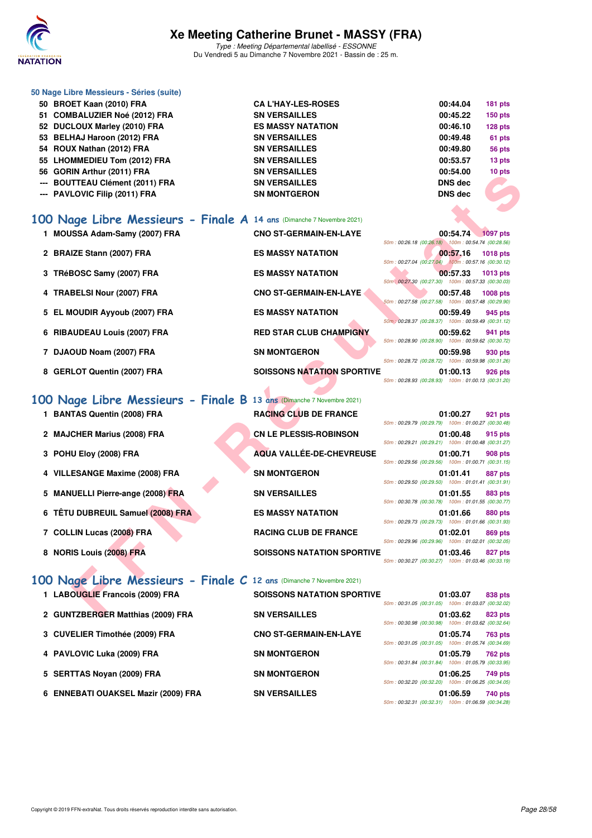

Type : Meeting Départemental labellisé - ESSONNE Du Vendredi 5 au Dimanche 7 Novembre 2021 - Bassin de : 25 m.

| 50 Nage Libre Messieurs - Séries (suite) |                          |                |                |
|------------------------------------------|--------------------------|----------------|----------------|
| 50 BROET Kaan (2010) FRA                 | <b>CAL'HAY-LES-ROSES</b> | 00:44.04       | <b>181 pts</b> |
| 51 COMBALUZIER Noé (2012) FRA            | <b>SN VERSAILLES</b>     | 00:45.22       | <b>150 pts</b> |
| 52 DUCLOUX Marley (2010) FRA             | <b>ES MASSY NATATION</b> | 00:46.10       | $128$ pts      |
| 53 BELHAJ Haroon (2012) FRA              | <b>SN VERSAILLES</b>     | 00:49.48       | 61 pts         |
| 54 ROUX Nathan (2012) FRA                | <b>SN VERSAILLES</b>     | 00:49.80       | 56 pts         |
| 55 LHOMMEDIEU Tom (2012) FRA             | <b>SN VERSAILLES</b>     | 00:53.57       | 13 pts         |
| 56 GORIN Arthur (2011) FRA               | <b>SN VERSAILLES</b>     | 00:54.00       | 10 pts         |
| --- BOUTTEAU Clément (2011) FRA          | <b>SN VERSAILLES</b>     | <b>DNS</b> dec |                |
| --- PAVLOVIC Filip (2011) FRA            | <b>SN MONTGERON</b>      | <b>DNS</b> dec |                |
|                                          |                          |                |                |

| JU QUNIIN AILIIUI (401 I) FNA                                         | JN VENJAILLEJ                     | <b>00.J4.UU</b><br><b>IV PIS</b>                                                  |
|-----------------------------------------------------------------------|-----------------------------------|-----------------------------------------------------------------------------------|
| --- BOUTTEAU Clément (2011) FRA                                       | <b>SN VERSAILLES</b>              | <b>DNS</b> dec                                                                    |
| --- PAVLOVIC Filip (2011) FRA                                         | <b>SN MONTGERON</b>               | <b>DNS</b> dec                                                                    |
|                                                                       |                                   |                                                                                   |
| 100 Nage Libre Messieurs - Finale A 14 ans (Dimanche 7 Novembre 2021) |                                   |                                                                                   |
| 1 MOUSSA Adam-Samy (2007) FRA                                         | <b>CNO ST-GERMAIN-EN-LAYE</b>     | 00:54.74 1097 pts<br>50m: 00:26.18 (00:26.18) 100m: 00:54.74 (00:28.56)           |
| 2 BRAIZE Stann (2007) FRA                                             | <b>ES MASSY NATATION</b>          | 00:57.16<br><b>1018 pts</b><br>50m: 00:27.04 (00:27.04) 100m: 00:57.16 (00:30.12) |
| 3 TRéBOSC Samy (2007) FRA                                             | <b>ES MASSY NATATION</b>          | 00:57.33<br>1013 pts                                                              |
| 4 TRABELSI Nour (2007) FRA                                            | <b>CNO ST-GERMAIN-EN-LAYE</b>     | 50m : 00:27.30 (00:27.30) 100m : 00:57.33 (00:30.03)<br>00:57.48<br>1008 pts      |
| 5 EL MOUDIR Ayyoub (2007) FRA                                         | <b>ES MASSY NATATION</b>          | 50m: 00:27.58 (00:27.58) 100m: 00:57.48 (00:29.90)<br>00:59.49<br>945 pts         |
|                                                                       |                                   | 50m : 00:28.37 (00:28.37) 100m : 00:59.49 (00:31.12)                              |
| 6 RIBAUDEAU Louis (2007) FRA                                          | <b>RED STAR CLUB CHAMPIGNY</b>    | 00:59.62<br>941 pts<br>50m: 00:28.90 (00:28.90) 100m: 00:59.62 (00:30.72)         |
| 7 DJAOUD Noam (2007) FRA                                              | <b>SN MONTGERON</b>               | 00:59.98<br>930 pts<br>50m: 00:28.72 (00:28.72) 100m: 00:59.98 (00:31.26)         |
| 8 GERLOT Quentin (2007) FRA                                           | <b>SOISSONS NATATION SPORTIVE</b> | 01:00.13<br>926 pts                                                               |
|                                                                       |                                   | 50m: 00:28.93 (00:28.93) 100m: 01:00.13 (00:31.20)                                |
| 100 Nage Libre Messieurs - Finale B 13 ans (Dimanche 7 Novembre 2021) |                                   |                                                                                   |
| 1 BANTAS Quentin (2008) FRA                                           | <b>RACING CLUB DE FRANCE</b>      | 01:00.27<br>921 pts                                                               |
| <b>MAJCHER Marius (2008) FRA</b>                                      | <b>CN LE PLESSIS-ROBINSON</b>     | 50m: 00:29.79 (00:29.79) 100m: 01:00.27 (00:30.48)<br>01:00.48<br>915 pts         |
|                                                                       |                                   | 50m: 00:29.21 (00:29.21) 100m: 01:00.48 (00:31.27)                                |
| 3 POHU Eloy (2008) FRA                                                | <b>AQUA VALLÉE-DE-CHEVREUSE</b>   | 01:00.71<br>908 pts<br>50m: 00:29.56 (00:29.56) 100m: 01:00.71 (00:31.15)         |
| 4 VILLESANGE Maxime (2008) FRA                                        | <b>SN MONTGERON</b>               | 01:01.41<br><b>887 pts</b>                                                        |
| 5 MANUELLI Pierre-ange (2008) FRA                                     | <b>SN VERSAILLES</b>              | 50m: 00:29.50 (00:29.50) 100m: 01:01.41 (00:31.91)<br>01:01.55<br><b>883 pts</b>  |
|                                                                       |                                   | 50m: 00:30.78 (00:30.78) 100m: 01:01.55 (00:30.77)                                |
| 6 TÊTU DUBREUIL Samuel (2008) FRA                                     | <b>ES MASSY NATATION</b>          | 01:01.66<br>880 pts<br>50m: 00:29.73 (00:29.73) 100m: 01:01.66 (00:31.93)         |
| 7 COLLIN Lucas (2008) FRA                                             | <b>RACING CLUB DE FRANCE</b>      | 01:02.01<br>869 pts                                                               |
| 8 NORIS Louis (2008) FRA                                              | <b>SOISSONS NATATION SPORTIVE</b> | 50m: 00:29.96 (00:29.96) 100m: 01:02.01 (00:32.05)<br>01:03.46<br><b>827 pts</b>  |
|                                                                       |                                   | 50m: 00:30.27 (00:30.27) 100m: 01:03.46 (00:33.19)                                |
| 100 Nage Libre Messieurs - Finale C 12 ans (Dimanche 7 Novembre 2021) |                                   |                                                                                   |
| 1 LABOUGLIE Francois (2009) FRA                                       | <b>SOISSONS NATATION SPORTIVE</b> | 01:03.07<br>838 pts                                                               |
|                                                                       |                                   | 50m: 00:31.05 (00:31.05) 100m: 01:03.07 (00:32.02)                                |
| 2 GUNTZBERGER Matthias (2009) FRA                                     | <b>SN VERSAILLES</b>              | 01:03.62<br>823 pts                                                               |

## 100 Nage Libre Messieurs - Finale B

- **1 BANTAS Quentin (2008) FRA**
- 2 **MAJCHER Marius (2008) FRA**
- **3 POHU Eloy (2008) FRA**
- **4 VILLESANGE Maxime (2008) FRA**
- **5 MANUELLI Pierre-ange (2008) FRA**
- **6 TÊTU DUBREUIL Samuel (2008) FRA**
- 7 COLLIN Lucas (2008) FRA
- 

|  |  |  | 00 Nage Libre Messieurs . |  |
|--|--|--|---------------------------|--|
|--|--|--|---------------------------|--|

- 
- 
- 
- 
- 
- 

| 13 ans (Dimanche 7 Novembre 2021) |
|-----------------------------------|
| <b>RACING CLUB DE FRANCE</b>      |
| <b>CN LE PLESSIS-ROBINSON</b>     |
| <b>AQUA VALLÉE-DE-CHEVREUSE</b>   |
| <b>SN MONTGERON</b>               |
| <b>SN VERSAILLES</b>              |
| <b>ES MASSY NATATION</b>          |
| <b>RACING CLUB DE FRANCE</b>      |

|  |  |  |  | 100 Nage Libre Messieurs - Finale C 12 ans (Dimanche 7 Novembre 2021) |  |  |  |  |  |  |  |
|--|--|--|--|-----------------------------------------------------------------------|--|--|--|--|--|--|--|
|--|--|--|--|-----------------------------------------------------------------------|--|--|--|--|--|--|--|

| 1 LABOUGLIE Francois (2009) FRA     | <b>SOISSONS NATATION SPORTIVE</b> | 50m: 00:31.05 (00:31.05) 100m: 01:03.07 (00:32.02) | 01:03.07 | 838 pts        |
|-------------------------------------|-----------------------------------|----------------------------------------------------|----------|----------------|
| 2 GUNTZBERGER Matthias (2009) FRA   | <b>SN VERSAILLES</b>              | 50m: 00:30.98 (00:30.98) 100m: 01:03.62 (00:32.64) | 01:03.62 | 823 pts        |
| 3 CUVELIER Timothée (2009) FRA      | <b>CNO ST-GERMAIN-EN-LAYE</b>     | 50m: 00:31.05 (00:31.05) 100m: 01:05.74 (00:34.69) | 01:05.74 | <b>763 pts</b> |
| 4 PAVLOVIC Luka (2009) FRA          | <b>SN MONTGERON</b>               | 50m: 00:31.84 (00:31.84) 100m: 01:05.79 (00:33.95) | 01:05.79 | <b>762 pts</b> |
| 5 SERTTAS Novan (2009) FRA          | <b>SN MONTGERON</b>               | 50m: 00:32.20 (00:32.20) 100m: 01:06.25 (00:34.05) | 01:06.25 | 749 pts        |
| 6 ENNEBATI OUAKSEL Mazir (2009) FRA | <b>SN VERSAILLES</b>              | 50m: 00:32.31 (00:32.31) 100m: 01:06.59 (00:34.28) | 01:06.59 | 740 pts        |

|    |                                                    |  | $00:54.74$ $1097$ pts |
|----|----------------------------------------------------|--|-----------------------|
|    | 50m: 00:26.18 (00:26.18) 100m: 00:54.74 (00:28.56) |  |                       |
|    |                                                    |  | 00:57.16 1018 pts     |
|    | 50m: 00:27.04 (00:27.04) 100m: 00:57.16 (00:30.12) |  |                       |
|    |                                                    |  | 00:57.33 1013 pts     |
|    | 50m: 00:27.30 (00:27.30) 100m: 00:57.33 (00:30.03) |  |                       |
|    |                                                    |  | 00:57.48 1008 pts     |
|    | 50m: 00:27.58 (00:27.58) 100m: 00:57.48 (00:29.90) |  |                       |
|    |                                                    |  | 00:59.49 945 pts      |
|    | 50m: 00:28.37 (00:28.37) 100m: 00:59.49 (00:31.12) |  |                       |
|    |                                                    |  | 00:59.62 941 pts      |
|    | 50m: 00:28.90 (00:28.90) 100m: 00:59.62 (00:30.72) |  |                       |
|    |                                                    |  | 00:59.98 930 pts      |
|    | 50m: 00:28.72 (00:28.72) 100m: 00:59.98 (00:31.26) |  |                       |
| VE |                                                    |  | 01:00.13 926 pts      |
|    |                                                    |  |                       |

|  | 01:00.27 921 pts                                   |  |
|--|----------------------------------------------------|--|
|  | 50m: 00:29.79 (00:29.79) 100m: 01:00.27 (00:30.48) |  |
|  | 01:00.48 915 pts                                   |  |
|  | 50m: 00:29.21 (00:29.21) 100m: 01:00.48 (00:31.27) |  |
|  | 01:00.71 908 pts                                   |  |
|  | 50m: 00:29.56 (00:29.56) 100m: 01:00.71 (00:31.15) |  |
|  | 01:01.41 887 pts                                   |  |
|  | 50m: 00:29.50 (00:29.50) 100m: 01:01.41 (00:31.91) |  |
|  | 01:01.55 883 pts                                   |  |
|  | 50m: 00:30.78 (00:30.78) 100m: 01:01.55 (00:30.77) |  |
|  | 01:01.66 880 pts                                   |  |
|  | 50m: 00:29.73 (00:29.73) 100m: 01:01.66 (00:31.93) |  |
|  | 01:02.01 869 pts                                   |  |
|  | 50m: 00:29.96 (00:29.96) 100m: 01:02.01 (00:32.05) |  |
|  | 01:03.46 827 pts                                   |  |
|  | 50m: 00:30.27 (00:30.27) 100m: 01:03.46 (00:33.19) |  |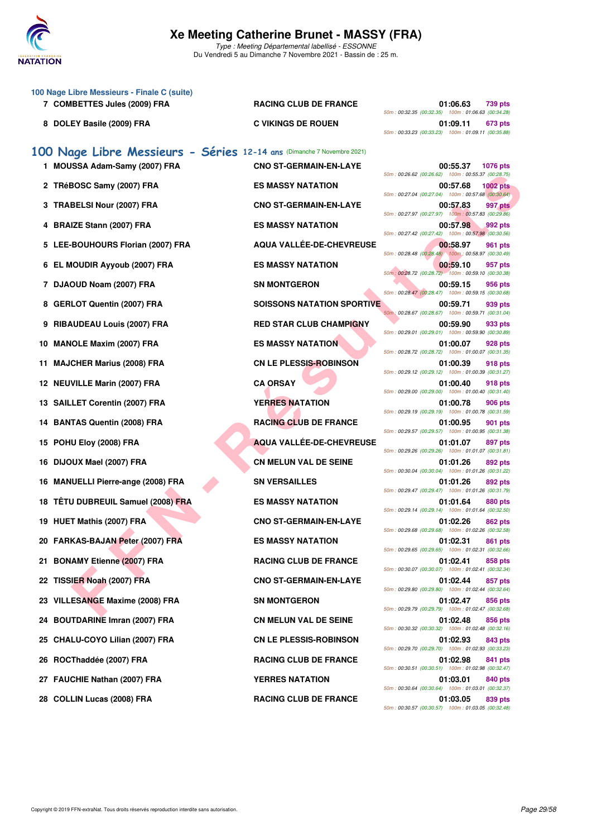

Du Vendredi 5 au Dimanche 7 Novembre 2021 - Bassin de : 25 m.

|     | 100 Nage Libre Messieurs - Finale C (suite)                            |                                   |                                                                                   |
|-----|------------------------------------------------------------------------|-----------------------------------|-----------------------------------------------------------------------------------|
|     | 7 COMBETTES Jules (2009) FRA                                           | <b>RACING CLUB DE FRANCE</b>      | 01:06.63<br>739 pts<br>50m: 00:32.35 (00:32.35) 100m: 01:06.63 (00:34.28)         |
|     | 8 DOLEY Basile (2009) FRA                                              | <b>C VIKINGS DE ROUEN</b>         | 01:09.11<br>673 pts<br>50m: 00:33.23 (00:33.23) 100m: 01:09.11 (00:35.88)         |
|     | 100 Nage Libre Messieurs - Séries 12-14 ans (Dimanche 7 Novembre 2021) |                                   |                                                                                   |
|     | 1 MOUSSA Adam-Samy (2007) FRA                                          | <b>CNO ST-GERMAIN-EN-LAYE</b>     | 00:55.37<br><b>1076 pts</b><br>50m: 00:26.62 (00:26.62) 100m: 00:55.37 (00:28.75) |
|     | 2 TRéBOSC Samy (2007) FRA                                              | <b>ES MASSY NATATION</b>          | 00:57.68<br><b>1002 pts</b><br>50m: 00:27.04 (00:27.04) 100m: 00:57.68 (00:30.64) |
|     | 3 TRABELSI Nour (2007) FRA                                             | <b>CNO ST-GERMAIN-EN-LAYE</b>     | 00:57.83<br>997 pts<br>50m: 00:27.97 (00:27.97) 100m: 00:57.83 (00:29.86)         |
|     | 4 BRAIZE Stann (2007) FRA                                              | <b>ES MASSY NATATION</b>          | 00:57.98<br>992 pts                                                               |
|     | 5 LEE-BOUHOURS Florian (2007) FRA                                      | AQUA VALLÉE-DE-CHEVREUSE          | 50m: 00:27.42 (00:27.42) 100m: 00:57.98 (00:30.56)<br>00:58.97<br>961 pts         |
|     | 6 EL MOUDIR Ayyoub (2007) FRA                                          | <b>ES MASSY NATATION</b>          | 50m: 00:28.48 (00:28.48) 100m: 00:58.97 (00:30.49)<br>00:59.10<br>957 pts         |
|     | 7 DJAOUD Noam (2007) FRA                                               | <b>SN MONTGERON</b>               | 50m: 00:28.72 (00:28.72) 100m: 00:59.10 (00:30.38)<br>00:59.15<br>956 pts         |
|     | 8 GERLOT Quentin (2007) FRA                                            | <b>SOISSONS NATATION SPORTIVE</b> | 50m: 00:28.47 (00:28.47) 100m: 00:59.15 (00:30.68)<br>00:59.71<br>939 pts         |
| 9   | <b>RIBAUDEAU Louis (2007) FRA</b>                                      | <b>RED STAR CLUB CHAMPIGNY</b>    | 50m: 00:28.67 (00:28.67) 100m: 00:59.71 (00:31.04)<br>00:59.90<br>933 pts         |
|     | 10 MANOLE Maxim (2007) FRA                                             | <b>ES MASSY NATATION</b>          | 50m: 00:29.01 (00:29.01) 100m: 00:59.90 (00:30.89)<br>01:00.07<br>928 pts         |
| 11  | <b>MAJCHER Marius (2008) FRA</b>                                       | <b>CN LE PLESSIS-ROBINSON</b>     | 50m: 00:28.72 (00:28.72) 100m: 01:00.07 (00:31.35)<br>01:00.39<br>918 pts         |
|     | 12 NEUVILLE Marin (2007) FRA                                           | <b>CA ORSAY</b>                   | 50m: 00:29.12 (00:29.12) 100m: 01:00.39 (00:31.27)<br>01:00.40<br>918 pts         |
|     | 13 SAILLET Corentin (2007) FRA                                         | <b>YERRES NATATION</b>            | 50m: 00:29.00 (00:29.00) 100m: 01:00.40 (00:31.40)<br>01:00.78<br>906 pts         |
| 14  | <b>BANTAS Quentin (2008) FRA</b>                                       | <b>RACING CLUB DE FRANCE</b>      | 50m: 00:29.19 (00:29.19) 100m: 01:00.78 (00:31.59)<br>01:00.95<br>901 pts         |
|     | 15 POHU Eloy (2008) FRA                                                | <b>AQUA VALLÉE-DE-CHEVREUSE</b>   | 50m: 00:29.57 (00:29.57) 100m: 01:00.95 (00:31.38)<br>01:01.07<br>897 pts         |
|     | 16 DIJOUX Mael (2007) FRA                                              | <b>CN MELUN VAL DE SEINE</b>      | 50m: 00:29.26 (00:29.26) 100m: 01:01.07 (00:31.81)<br>01:01.26<br>892 pts         |
| 16  | <b>MANUELLI Pierre-ange (2008) FRA</b>                                 | <b>SN VERSAILLES</b>              | 50m: 00:30.04 (00:30.04) 100m: 01:01.26 (00:31.22)<br>01:01.26<br>892 pts         |
| 18  | <b>TÊTU DUBREUIL Samuel (2008) FRA</b>                                 | <b>ES MASSY NATATION</b>          | 50m: 00:29.47 (00:29.47) 100m: 01:01.26 (00:31.79)<br>01:01.64<br>880 pts         |
|     | 19 HUET Mathis (2007) FRA                                              | <b>CNO ST-GERMAIN-EN-LAYE</b>     | 50m: 00:29.14 (00:29.14) 100m: 01:01.64 (00:32.50)<br>01:02.26<br>862 pts         |
|     | 20 FARKAS-BAJAN Peter (2007) FRA                                       | <b>ES MASSY NATATION</b>          | 50m: 00:29.68 (00:29.68) 100m: 01:02.26 (00:32.58)<br>01:02.31<br>861 pts         |
| 21. | <b>BONAMY Etienne (2007) FRA</b>                                       | <b>RACING CLUB DE FRANCE</b>      | 50m: 00:29.65 (00:29.65) 100m: 01:02.31 (00:32.66)<br>01:02.41<br>858 pts         |
|     | 22 TISSIER Noah (2007) FRA                                             | <b>CNO ST-GERMAIN-EN-LAYE</b>     | 50m: 00:30.07 (00:30.07) 100m: 01:02.41 (00:32.34)<br>01:02.44<br>857 pts         |
| 23  | <b>VILLESANGE Maxime (2008) FRA</b>                                    | <b>SN MONTGERON</b>               | 50m: 00:29.80 (00:29.80) 100m: 01:02.44 (00:32.64)<br>01:02.47<br>856 pts         |
| 24  | <b>BOUTDARINE Imran (2007) FRA</b>                                     | <b>CN MELUN VAL DE SEINE</b>      | 50m: 00:29.79 (00:29.79) 100m: 01:02.47 (00:32.68)<br>01:02.48<br>856 pts         |
| 25  | CHALU-COYO Lilian (2007) FRA                                           | <b>CN LE PLESSIS-ROBINSON</b>     | 50m: 00:30.32 (00:30.32) 100m: 01:02.48 (00:32.16)<br>01:02.93<br>843 pts         |
|     | 26 ROCThaddée (2007) FRA                                               | <b>RACING CLUB DE FRANCE</b>      | 50m: 00:29.70 (00:29.70) 100m: 01:02.93 (00:33.23)<br>01:02.98<br>841 pts         |
|     | 27 FAUCHIE Nathan (2007) FRA                                           | <b>YERRES NATATION</b>            | 50m: 00:30.51 (00:30.51) 100m: 01:02.98 (00:32.47)<br>01:03.01<br>840 pts         |
|     | 28 COLLIN Lucas (2008) FRA                                             | <b>RACING CLUB DE FRANCE</b>      | 50m: 00:30.64 (00:30.64) 100m: 01:03.01 (00:32.37)<br>01:03.05<br>839 pts         |

50m : 00:30.57 (00:30.57) 100m : 01:03.05 (00:32.48)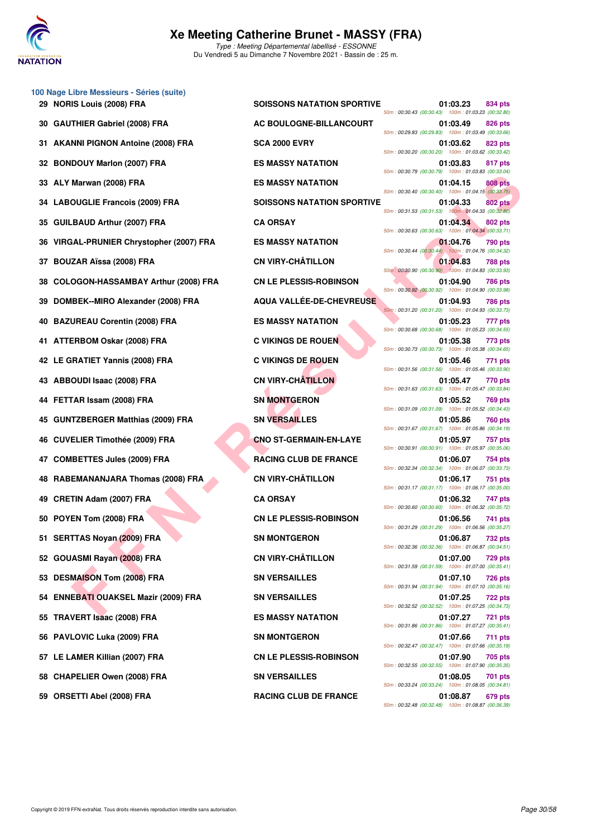

Type : Meeting Départemental labellisé - ESSONNE Du Vendredi 5 au Dimanche 7 Novembre 2021 - Bassin de : 25 m.

|      | 100 Nage Libre Messieurs - Séries (suite) |                                   |                                                                                                                                        |
|------|-------------------------------------------|-----------------------------------|----------------------------------------------------------------------------------------------------------------------------------------|
|      | 29 NORIS Louis (2008) FRA                 | <b>SOISSONS NATATION SPORTIVE</b> | 01:03.23<br>834 pts<br>50m: 00:30.43 (00:30.43) 100m: 01:03.23 (00:32.80)                                                              |
| 30   | <b>GAUTHIER Gabriel (2008) FRA</b>        | AC BOULOGNE-BILLANCOURT           | 01:03.49<br>826 pts<br>50m: 00:29.83 (00:29.83) 100m: 01:03.49 (00:33.66)                                                              |
| 31   | <b>AKANNI PIGNON Antoine (2008) FRA</b>   | <b>SCA 2000 EVRY</b>              | 01:03.62<br><b>823 pts</b><br>50m: 00:30.20 (00:30.20) 100m: 01:03.62 (00:33.42)                                                       |
| 32   | <b>BONDOUY Marlon (2007) FRA</b>          | <b>ES MASSY NATATION</b>          | 01:03.83<br>817 pts<br>50m: 00:30.79 (00:30.79) 100m: 01:03.83 (00:33.04)                                                              |
| 33   | ALY Marwan (2008) FRA                     | <b>ES MASSY NATATION</b>          | 01:04.15<br><b>808 pts</b><br>50m: 00:30.40 (00:30.40) 100m: 01:04.15 (00:33.75)                                                       |
| 34   | <b>LABOUGLIE Francois (2009) FRA</b>      | <b>SOISSONS NATATION SPORTIVE</b> | 01:04.33<br><b>802 pts</b><br>50m: 00:31.53 (00:31.53) 100m: 01:04.33 (00:32.80)                                                       |
| 35   | <b>GUILBAUD Arthur (2007) FRA</b>         | <b>CA ORSAY</b>                   | 01:04.34<br>802 pts<br>50m: 00:30.63 (00:30.63) 100m: 01:04.34 (00:33.71)                                                              |
| 36   | VIRGAL-PRUNIER Chrystopher (2007) FRA     | <b>ES MASSY NATATION</b>          | 01:04.76<br>790 pts<br>50m: 00:30.44 (00:30.44) 100m: 01:04.76 (00:34.32)                                                              |
| 37   | <b>BOUZAR Aïssa (2008) FRA</b>            | <b>CN VIRY-CHÂTILLON</b>          | 01:04.83<br><b>788 pts</b><br>50m: 00:30.90 (00:30.90) 100m: 01:04.83 (00:33.93)                                                       |
| 38   | COLOGON-HASSAMBAY Arthur (2008) FRA       | <b>CN LE PLESSIS-ROBINSON</b>     | 01:04.90<br><b>786 pts</b><br>50m: 00:30.92 (00:30.92) 100m: 01:04.90 (00:33.98)                                                       |
| 39   | DOMBEK--MIRO Alexander (2008) FRA         | <b>AQUA VALLÉE-DE-CHEVREUSE</b>   | 01:04.93<br><b>786 pts</b><br>50m: 00:31.20 (00:31.20) 100m: 01:04.93 (00:33.73)                                                       |
| 40   | <b>BAZUREAU Corentin (2008) FRA</b>       | <b>ES MASSY NATATION</b>          | 01:05.23<br>777 pts<br>50m: 00:30.68 (00:30.68) 100m: 01:05.23 (00:34.55)                                                              |
| 41   | <b>ATTERBOM Oskar (2008) FRA</b>          | <b>C VIKINGS DE ROUEN</b>         | 01:05.38<br>773 pts<br>50m: 00:30.73 (00:30.73) 100m: 01:05.38 (00:34.65)                                                              |
|      | 42 LE GRATIET Yannis (2008) FRA           | <b>C VIKINGS DE ROUEN</b>         | 01:05.46<br>771 pts<br>50m: 00:31.56 (00:31.56) 100m: 01:05.46 (00:33.90)                                                              |
| 43   | <b>ABBOUDI Isaac (2008) FRA</b>           | <b>CN VIRY-CHÂTILLON</b>          | 01:05.47<br>770 pts<br>50m: 00:31.63 (00:31.63) 100m: 01:05.47 (00:33.84)                                                              |
| 44   | FETTAR Issam (2008) FRA                   | <b>SN MONTGERON</b>               | 01:05.52<br><b>769 pts</b>                                                                                                             |
| 45   | <b>GUNTZBERGER Matthias (2009) FRA</b>    | <b>SN VERSAILLES</b>              | 50m: 00:31.09 (00:31.09) 100m: 01:05.52 (00:34.43)<br>01:05.86<br><b>760 pts</b><br>50m: 00:31.67 (00:31.67) 100m: 01:05.86 (00:34.19) |
| 46   | <b>CUVELIER Timothée (2009) FRA</b>       | <b>CNO ST-GERMAIN-EN-LAYE</b>     | 01:05.97<br>757 pts                                                                                                                    |
| 47   | <b>COMBETTES Jules (2009) FRA</b>         | <b>RACING CLUB DE FRANCE</b>      | 50m: 00:30.91 (00:30.91) 100m: 01:05.97 (00:35.06)<br>01:06.07<br>754 pts<br>50m: 00:32.34 (00:32.34) 100m: 01:06.07 (00:33.73)        |
| 48   | RABEMANANJARA Thomas (2008) FRA           | <b>CN VIRY-CHÂTILLON</b>          | 01:06.17<br>751 pts<br>50m: 00:31.17 (00:31.17) 100m: 01:06.17 (00:35.00)                                                              |
| 49   | CRETIN Adam (2007) FRA                    | <b>CA ORSAY</b>                   | 01:06.32<br>747 pts<br>50m: 00:30.60 (00:30.60) 100m: 01:06.32 (00:35.72)                                                              |
| 50 - | POYEN Tom (2008) FRA                      | <b>CN LE PLESSIS-ROBINSON</b>     | 01:06.56<br>741 pts                                                                                                                    |
|      | 51 SERTTAS Noyan (2009) FRA               | <b>SN MONTGERON</b>               | 50m: 00:31.29 (00:31.29) 100m: 01:06.56 (00:35.27)<br>01:06.87<br>732 pts                                                              |
|      | 52 GOUASMI Rayan (2008) FRA               | <b>CN VIRY-CHÂTILLON</b>          | 50m: 00:32.36 (00:32.36) 100m: 01:06.87 (00:34.51)<br>01:07.00<br><b>729 pts</b>                                                       |
| 53   | <b>DESMAISON Tom (2008) FRA</b>           | <b>SN VERSAILLES</b>              | 50m: 00:31.59 (00:31.59) 100m: 01:07.00 (00:35.41)<br>01:07.10<br><b>726 pts</b>                                                       |
|      | <b>ENNEBATI OUAKSEL Mazir (2009) FRA</b>  | <b>SN VERSAILLES</b>              | 50m: 00:31.94 (00:31.94) 100m: 01:07.10 (00:35.16)<br>01:07.25<br>722 pts                                                              |
| 55   | TRAVERT Isaac (2008) FRA                  | <b>ES MASSY NATATION</b>          | 50m: 00:32.52 (00:32.52) 100m: 01:07.25 (00:34.73)<br>01:07.27<br><b>721 pts</b>                                                       |
| 56   | PAVLOVIC Luka (2009) FRA                  | <b>SN MONTGERON</b>               | 50m: 00:31.86 (00:31.86) 100m: 01:07.27 (00:35.41)<br>01:07.66<br><b>711 pts</b>                                                       |
| 57   | LE LAMER Killian (2007) FRA               | <b>CN LE PLESSIS-ROBINSON</b>     | 50m: 00:32.47 (00:32.47) 100m: 01:07.66 (00:35.19)<br>01:07.90<br>705 pts                                                              |
|      | 58 CHAPELIER Owen (2008) FRA              | <b>SN VERSAILLES</b>              | 50m: 00:32.55 (00:32.55) 100m: 01:07.90 (00:35.35)<br>01:08.05<br>701 pts                                                              |
|      | 59 ORSETTI Abel (2008) FRA                | <b>RACING CLUB DE FRANCE</b>      | 50m: 00:33.24 (00:33.24) 100m: 01:08.05 (00:34.81)<br>01:08.87<br>679 pts                                                              |

| Е | 50m: 00:30.43 (00:30.43)  | 01:03.23<br>100m: 01:03.23 (00:32.80)                                                                                | 834 pts            |
|---|---------------------------|----------------------------------------------------------------------------------------------------------------------|--------------------|
|   | 50m: 00:29.83 (00:29.83)  | 01:03.49<br>100m: 01:03.49 (00:33.66)                                                                                | <b>826 pts</b>     |
|   | 50m: 00:30.20 (00:30.20)  | 01:03.62<br>100m: 01:03.62 (00:33.42)                                                                                | 823 pts            |
|   | 50m: 00:30.79 (00:30.79)  | 01:03.83<br>100m: 01:03.83 (00:33.04)                                                                                | 817 pts            |
|   | 50m: 00:30.40 (00:30.40)  | 01:04.15<br>100m: 01:04.15 (00:33.75)                                                                                | <b>808 pts</b>     |
| Е | 50m: 00:31.53 (00:31.53)  | 01:04.33<br>100m: 01:04.33 (00:32.80)                                                                                | <b>802 pts</b>     |
|   | 50m: 00:30.63 (00:30.63)  | 01:04.34<br>100m: 01:04.34 (00:33.71)                                                                                | <b>802 pts</b>     |
|   | 50m: 00:30.44 (00:30.44)  | 01:04.76<br>100m: 01:04.76 (00:34.32)                                                                                | 790 pts            |
|   | 50m : 00:30.90 (00:30.90) | 01:04.83<br>100m: 01:04.83 (00:33.93)                                                                                | 788 pts            |
|   | 50m: 00:30.92 (00:30.92)  | 01:04.90<br>100m: 01:04.90 (00:33.98)                                                                                | 786 pts            |
|   | 50m: 00:31.20 (00:31.20)  | 01:04.93<br>100m: 01:04.93 (00:33.73)                                                                                | <b>786 pts</b>     |
|   | 50m: 00:30.68 (00:30.68)  | 01:05.23<br>100m: 01:05.23 (00:34.55)                                                                                | 777 pts            |
|   | 50m: 00:30.73 (00:30.73)  | 01:05.38<br>100m: 01:05.38 (00:34.65)                                                                                | 773 pts            |
|   | 50m: 00:31.56 (00:31.56)  | 01:05.46<br>100m: 01:05.46 (00:33.90)<br>01:05.47                                                                    | 771 pts            |
|   | 50m: 00:31.63 (00:31.63)  | 100m: 01:05.47 (00:33.84)<br>01:05.52                                                                                | 770 pts<br>769 pts |
|   | 50m: 00:31.09 (00:31.09)  | 100m: 01:05.52 (00:34.43)<br>01:05.86                                                                                | <b>760 pts</b>     |
|   | 50m: 00:31.67 (00:31.67)  | 100m: 01:05.86 (00:34.19)<br>01:05.97                                                                                | 757 pts            |
|   | 50m: 00:30.91 (00:30.91)  | 100m: 01:05.97 (00:35.06)<br>01:06.07                                                                                | 754 pts            |
|   | 50m: 00:32.34 (00:32.34)  | 100m: 01:06.07 (00:33.73)<br>01:06.17                                                                                | 751 pts            |
|   | 50m: 00:31.17 (00:31.17)  | 100m: 01:06.17 (00:35.00)<br>01:06.32                                                                                | 747 pts            |
|   | 50m: 00:30.60 (00:30.60)  | 100m: 01:06.32 (00:35.72)<br>01:06.56                                                                                | 741 pts            |
|   | 50m: 00:31.29 (00:31.29)  | 100m: 01:06.56 (00:35.27)<br>01:06.87                                                                                | 732 pts            |
|   |                           | 50m: 00:32.36 (00:32.36) 100m: 01:06.87 (00:34.51)<br>01:07.00                                                       | 729 pts            |
|   |                           | 50m: 00:31.59 (00:31.59) 100m: 01:07.00 (00:35.41)<br>01:07.10                                                       | 726 pts            |
|   |                           | 50m: 00:31.94 (00:31.94) 100m: 01:07.10 (00:35.16)<br>01:07.25<br>50m: 00:32.52 (00:32.52) 100m: 01:07.25 (00:34.73) | <b>722 pts</b>     |
|   |                           | 01:07.27<br>50m: 00:31.86 (00:31.86) 100m: 01:07.27 (00:35.41)                                                       | 721 pts            |
|   |                           | 01:07.66<br>50m: 00:32.47 (00:32.47) 100m: 01:07.66 (00:35.19)                                                       | 711 pts            |
|   |                           | 01:07.90<br>50m: 00:32.55 (00:32.55) 100m: 01:07.90 (00:35.35)                                                       | 705 pts            |
|   |                           | 01:08.05<br>50m: 00:33.24 (00:33.24) 100m: 01:08.05 (00:34.81)                                                       | <b>701 pts</b>     |
|   |                           | 01:08.87<br>50m: 00:32.48 (00:32.48) 100m: 01:08.87 (00:36.39)                                                       | 679 pts            |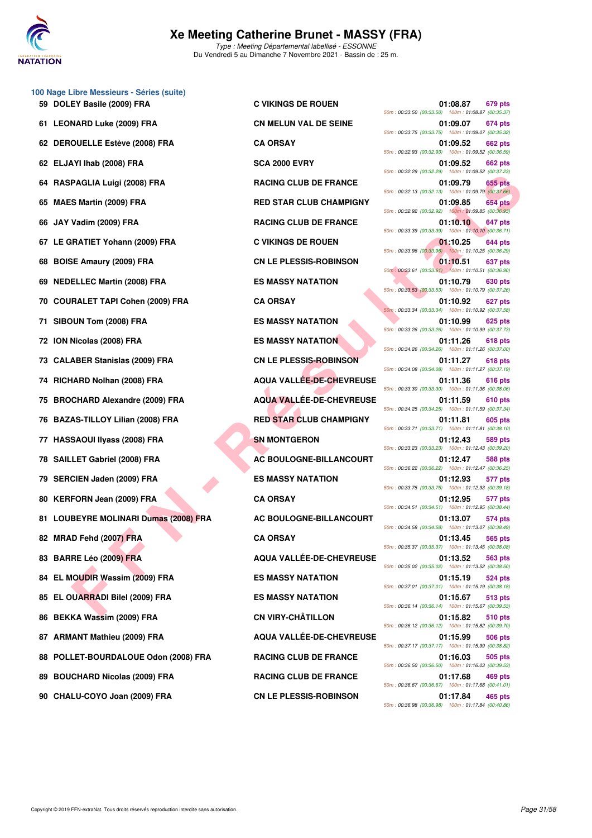

Type : Meeting Départemental labellisé - ESSONNE Du Vendredi 5 au Dimanche 7 Novembre 2021 - Bassin de : 25 m.

|     | 100 Nage Libre Messieurs - Séries (suite) |                                 |                                                                                                                                        |
|-----|-------------------------------------------|---------------------------------|----------------------------------------------------------------------------------------------------------------------------------------|
|     | 59 DOLEY Basile (2009) FRA                | <b>C VIKINGS DE ROUEN</b>       | 01:08.87<br><b>679 pts</b><br>50m: 00:33.50 (00:33.50) 100m: 01:08.87 (00:35.37)                                                       |
|     | 61 LEONARD Luke (2009) FRA                | <b>CN MELUN VAL DE SEINE</b>    | 01:09.07<br>674 pts<br>50m: 00:33.75 (00:33.75) 100m: 01:09.07 (00:35.32)                                                              |
|     | 62 DEROUELLE Estève (2008) FRA            | <b>CA ORSAY</b>                 | 01:09.52<br><b>662 pts</b><br>50m: 00:32.93 (00:32.93) 100m: 01:09.52 (00:36.59)                                                       |
|     | 62 ELJAYI Ihab (2008) FRA                 | <b>SCA 2000 EVRY</b>            | 01:09.52<br><b>662 pts</b><br>50m: 00:32.29 (00:32.29) 100m: 01:09.52 (00:37.23)                                                       |
| 64  | RASPAGLIA Luigi (2008) FRA                | <b>RACING CLUB DE FRANCE</b>    | 01:09.79<br>655 pts<br>50m: 00:32.13 (00:32.13) 100m: 01:09.79 (00:37.66)                                                              |
| 65  | <b>MAES Martin (2009) FRA</b>             | <b>RED STAR CLUB CHAMPIGNY</b>  | 01:09.85<br><b>654 pts</b><br>50m: 00:32.92 (00:32.92) 100m: 01:09.85 (00:36.93)                                                       |
| 66  | JAY Vadim (2009) FRA                      | <b>RACING CLUB DE FRANCE</b>    | 01:10.10<br>647 pts<br>50m: 00:33.39 (00:33.39) 100m: 01:10.10 (00:36.71)                                                              |
| 67  | LE GRATIET Yohann (2009) FRA              | <b>C VIKINGS DE ROUEN</b>       | 01:10.25<br>644 pts<br>50m: 00:33.96 (00:33.96) 100m: 01:10.25 (00:36.29)                                                              |
| 68  | <b>BOISE Amaury (2009) FRA</b>            | <b>CN LE PLESSIS-ROBINSON</b>   | 01:10.51<br>637 pts<br>50m: 00:33.61 (00:33.61) 100m: 01:10.51 (00:36.90)                                                              |
| 69  | <b>NEDELLEC Martin (2008) FRA</b>         | <b>ES MASSY NATATION</b>        | 01:10.79<br>630 pts<br>50m: 00:33.53 (00:33.53) 100m: 01:10.79 (00:37.26)                                                              |
| 70  | <b>COURALET TAPI Cohen (2009) FRA</b>     | <b>CA ORSAY</b>                 | 01:10.92<br>627 pts<br>50m: 00:33.34 (00:33.34) 100m: 01:10.92 (00:37.58)                                                              |
| 71  | SIBOUN Tom (2008) FRA                     | <b>ES MASSY NATATION</b>        | 01:10.99<br>625 pts                                                                                                                    |
| 72  | ION Nicolas (2008) FRA                    | <b>ES MASSY NATATION</b>        | 50m: 00:33.26 (00:33.26) 100m: 01:10.99 (00:37.73)<br>01:11.26<br><b>618 pts</b><br>50m: 00:34.26 (00:34.26) 100m: 01:11.26 (00:37.00) |
| 73. | <b>CALABER Stanislas (2009) FRA</b>       | <b>CN LE PLESSIS-ROBINSON</b>   | 01:11.27<br><b>618 pts</b><br>50m: 00:34.08 (00:34.08) 100m: 01:11.27 (00:37.19)                                                       |
|     | 74 RICHARD Nolhan (2008) FRA              | <b>AQUA VALLÉE-DE-CHEVREUSE</b> | 01:11.36<br>616 pts                                                                                                                    |
| 75  | <b>BROCHARD Alexandre (2009) FRA</b>      | <b>AQUA VALLEE-DE-CHEVREUSE</b> | 50m: 00:33.30 (00:33.30) 100m: 01:11.36 (00:38.06)<br>01:11.59<br>610 pts<br>50m: 00:34.25 (00:34.25) 100m: 01:11.59 (00:37.34)        |
| 76  | BAZAS-TILLOY Lilian (2008) FRA            | <b>RED STAR CLUB CHAMPIGNY</b>  | 605 pts<br>01:11.81<br>50m: 00:33.71 (00:33.71) 100m: 01:11.81 (00:38.10)                                                              |
| 77  | <b>HASSAOUI IIyass (2008) FRA</b>         | <b>SN MONTGERON</b>             | 01:12.43<br>589 pts<br>50m: 00:33.23 (00:33.23) 100m: 01:12.43 (00:39.20)                                                              |
| 78  | <b>SAILLET Gabriel (2008) FRA</b>         | AC BOULOGNE-BILLANCOURT         | 01:12.47<br>588 pts<br>50m: 00:36.22 (00:36.22) 100m: 01:12.47 (00:36.25)                                                              |
| 79  | <b>SERCIEN Jaden (2009) FRA</b>           | <b>ES MASSY NATATION</b>        | 01:12.93<br>577 pts<br>50m: 00:33.75 (00:33.75) 100m: 01:12.93 (00:39.18)                                                              |
| 80  | <b>KERFORN Jean (2009) FRA</b>            | <b>CA ORSAY</b>                 | 01:12.95<br>577 pts<br>50m: 00:34.51 (00:34.51) 100m: 01:12.95 (00:38.44)                                                              |
| 81  | <b>LOUBEYRE MOLINARI Dumas (2008) FRA</b> | AC BOULOGNE-BILLANCOURT         | 01:13.07<br>574 pts<br>50m: 00:34.58 (00:34.58) 100m: 01:13.07 (00:38.49)                                                              |
|     | 82 MRAD Fehd (2007) FRA                   | <b>CA ORSAY</b>                 | 01:13.45<br>565 pts<br>50m: 00:35.37 (00:35.37) 100m: 01:13.45 (00:38.08)                                                              |
|     | 83 BARRE Léo (2009) FRA                   | <b>AQUA VALLEE-DE-CHEVREUSE</b> | 01:13.52<br>563 pts<br>50m: 00:35.02 (00:35.02) 100m: 01:13.52 (00:38.50)                                                              |
| 84  | EL MOUDIR Wassim (2009) FRA               | <b>ES MASSY NATATION</b>        | 01:15.19<br>524 pts                                                                                                                    |
| 85  | EL OUARRADI Bilel (2009) FRA              | <b>ES MASSY NATATION</b>        | 50m: 00:37.01 (00:37.01) 100m: 01:15.19 (00:38.18)<br>01:15.67<br>513 pts<br>50m: 00:36.14 (00:36.14) 100m: 01:15.67 (00:39.53)        |
|     | 86 BEKKA Wassim (2009) FRA                | <b>CN VIRY-CHÂTILLON</b>        | 01:15.82<br>510 pts<br>50m: 00:36.12 (00:36.12) 100m: 01:15.82 (00:39.70)                                                              |
|     | 87 ARMANT Mathieu (2009) FRA              | AQUA VALLÉE-DE-CHEVREUSE        | 01:15.99<br>506 pts                                                                                                                    |
| 88  | POLLET-BOURDALOUE Odon (2008) FRA         | <b>RACING CLUB DE FRANCE</b>    | 50m: 00:37.17 (00:37.17) 100m: 01:15.99 (00:38.82)<br>01:16.03<br>505 pts<br>50m: 00:36.50 (00:36.50) 100m: 01:16.03 (00:39.53)        |
|     | 89 BOUCHARD Nicolas (2009) FRA            | <b>RACING CLUB DE FRANCE</b>    | 01:17.68<br>469 pts                                                                                                                    |

| 01:08.87<br>50m: 00:33.50 (00:33.50) 100m: 01:08.87 (00:35.37)    | 679 pts        |
|-------------------------------------------------------------------|----------------|
| 01:09.07<br>50m: 00:33.75 (00:33.75)<br>100m: 01:09.07 (00:35.32) | 674 pts        |
| 01:09.52<br>50m: 00:32.93 (00:32.93)<br>100m: 01:09.52 (00:36.59) | 662 pts        |
| 01:09.52                                                          | <b>662 pts</b> |
| 50m: 00:32.29 (00:32.29)<br>100m: 01:09.52 (00:37.23)<br>01:09.79 | <b>655 pts</b> |
| 50m: 00:32.13 (00:32.13)<br>100m: 01:09.79 (00:37.66)<br>01:09.85 | <b>654 pts</b> |
| 50m: 00:32.92 (00:32.92)<br>100m: 01:09.85 (00:36.93)             |                |
| 01:10.10<br>50m: 00:33.39 (00:33.39) 100m: 01:10.10 (00:36.71)    | 647 pts        |
| 01:10.25<br>50m: 00:33.96 (00:33.96) 100m: 01:10.25 (00:36.29)    | 644 pts        |
| 01:10.51<br>50m: 00:33.61 (00:33.61) 100m: 01:10.51 (00:36.90)    | 637 pts        |
| 01:10.79<br>50m: 00:33.53 (00:33.53) 100m: 01:10.79 (00:37.26)    | 630 pts        |
| 01:10.92                                                          | 627 pts        |
| 50m: 00:33.34 (00:33.34)<br>100m: 01:10.92 (00:37.58)<br>01:10.99 | <b>625 pts</b> |
| 50m: 00:33.26 (00:33.26)<br>100m: 01:10.99 (00:37.73)<br>01:11.26 | 618 pts        |
| 100m: 01:11.26 (00:37.00)<br>50m: 00:34.26 (00:34.26)<br>01:11.27 | 618 pts        |
| 50m: 00:34.08 (00:34.08)<br>100m: 01:11.27 (00:37.19)             |                |
| 01:11.36<br>50m: 00:33.30 (00:33.30)<br>100m: 01:11.36 (00:38.06) | 616 pts        |
| 01:11.59<br>50m: 00:34.25 (00:34.25)<br>100m: 01:11.59 (00:37.34) | 610 pts        |
| 01:11.81<br>50m: 00:33.71 (00:33.71) 100m: 01:11.81 (00:38.10)    | 605 pts        |
| 01:12.43<br>50m: 00:33.23 (00:33.23)<br>100m: 01:12.43 (00:39.20) | 589 pts        |
| 01:12.47                                                          | 588 pts        |
| 50m: 00:36.22 (00:36.22)<br>100m: 01:12.47 (00:36.25)<br>01:12.93 | 577 pts        |
| 50m: 00:33.75 (00:33.75)<br>100m: 01:12.93 (00:39.18)<br>01:12.95 | 577 pts        |
| 50m: 00:34.51 (00:34.51)<br>100m: 01:12.95 (00:38.44)<br>01:13.07 | 574 pts        |
| 50m: 00:34.58 (00:34.58)<br>100m: 01:13.07 (00:38.49)             |                |
| 01:13.45<br>50m: 00:35.37 (00:35.37) 100m: 01:13.45 (00:38.08)    | <b>565 pts</b> |
| 01:13.52<br>50m: 00:35.02 (00:35.02) 100m: 01:13.52 (00:38.50)    | 563 pts        |
| 01:15.19<br>50m: 00:37.01 (00:37.01)<br>100m: 01:15.19 (00:38.18) | <b>524 pts</b> |
| 01:15.67<br>50m: 00:36.14 (00:36.14) 100m: 01:15.67 (00:39.53)    | 513 pts        |
| 01:15.82                                                          | 510 pts        |
| 50m: 00:36.12 (00:36.12) 100m: 01:15.82 (00:39.70)<br>01:15.99    | <b>506 pts</b> |
| 50m: 00:37.17 (00:37.17) 100m: 01:15.99 (00:38.82)<br>01:16.03    | <b>505 pts</b> |
| 50m: 00:36.50 (00:36.50) 100m: 01:16.03 (00:39.53)<br>01:17.68    | 469 pts        |
| 50m: 00:36.67 (00:36.67) 100m: 01:17.68 (00:41.01)                |                |
| 01:17.84<br>50m : 00:36.98 (00:36.98) 100m : 01:17.84 (00:40.86)  | 465 pts        |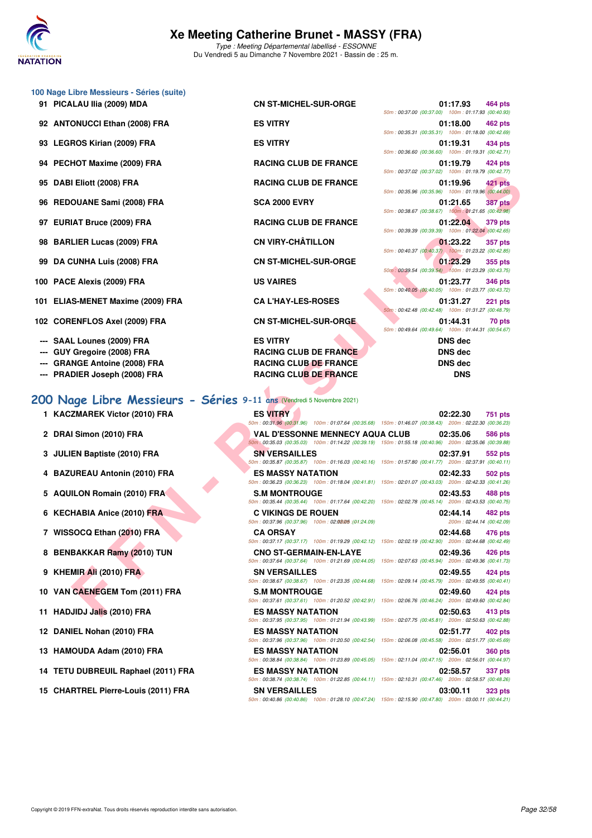

Type : Meeting Départemental labellisé - ESSONNE Du Vendredi 5 au Dimanche 7 Novembre 2021 - Bassin de : 25 m.

| 100 Nage Libre Messieurs - Séries (suite)                             |                                                                                   |                                                                                                                                  |
|-----------------------------------------------------------------------|-----------------------------------------------------------------------------------|----------------------------------------------------------------------------------------------------------------------------------|
| 91 PICALAU IIia (2009) MDA                                            | <b>CN ST-MICHEL-SUR-ORGE</b>                                                      | 01:17.93<br>464 pts                                                                                                              |
| 92 ANTONUCCI Ethan (2008) FRA                                         | <b>ES VITRY</b>                                                                   | 50m: 00:37.00 (00:37.00) 100m: 01:17.93 (00:40.93)<br>01:18.00<br>462 pts                                                        |
|                                                                       |                                                                                   | 50m: 00:35.31 (00:35.31) 100m: 01:18.00 (00:42.69)                                                                               |
| 93 LEGROS Kirian (2009) FRA                                           | <b>ES VITRY</b>                                                                   | 01:19.31<br>434 pts<br>50m: 00:36.60 (00:36.60) 100m: 01:19.31 (00:42.71)                                                        |
| 94 PECHOT Maxime (2009) FRA                                           | <b>RACING CLUB DE FRANCE</b>                                                      | 01:19.79<br>424 pts<br>50m: 00:37.02 (00:37.02) 100m: 01:19.79 (00:42.77)                                                        |
| 95 DABI Eliott (2008) FRA                                             | <b>RACING CLUB DE FRANCE</b>                                                      | 01:19.96<br>421 pts                                                                                                              |
| 96 REDOUANE Sami (2008) FRA                                           | <b>SCA 2000 EVRY</b>                                                              | 50m: 00:35.96 (00:35.96) 100m: 01:19.96 (00:44.00)<br>01:21.65<br>387 pts                                                        |
| 97 EURIAT Bruce (2009) FRA                                            | <b>RACING CLUB DE FRANCE</b>                                                      | 50m: 00:38.67 (00:38.67) 100m: 01:21.65 (00:42.98)<br>01:22.04<br>379 pts                                                        |
| 98 BARLIER Lucas (2009) FRA                                           | <b>CN VIRY-CHÂTILLON</b>                                                          | 50m: 00:39.39 (00:39.39) 100m: 01:22.04 (00:42.65)<br>01:23.22<br><b>357 pts</b>                                                 |
|                                                                       |                                                                                   | 50m: 00:40.37 (00:40.37) 100m: 01:23.22 (00:42.85)                                                                               |
| 99 DA CUNHA Luis (2008) FRA                                           | <b>CN ST-MICHEL-SUR-ORGE</b>                                                      | 01:23.29<br>355 pts<br>50m: 00:39.54 (00:39.54) 100m: 01:23.29 (00:43.75)                                                        |
| 100 PACE Alexis (2009) FRA                                            | <b>US VAIRES</b>                                                                  | 01:23.77<br><b>346 pts</b><br>50m: 00:40.05 (00:40.05) 100m: 01:23.77 (00:43.72)                                                 |
| 101 ELIAS-MENET Maxime (2009) FRA                                     | <b>CA L'HAY-LES-ROSES</b>                                                         | 01:31.27<br><b>221 pts</b><br>50m: 00:42.48 (00:42.48) 100m: 01:31.27 (00:48.79)                                                 |
| 102 CORENFLOS Axel (2009) FRA                                         | <b>CN ST-MICHEL-SUR-ORGE</b>                                                      | 01:44.31<br>70 pts<br>50m: 00:49.64 (00:49.64) 100m: 01:44.31 (00:54.67)                                                         |
| <b>SAAL Lounes (2009) FRA</b>                                         | <b>ES VITRY</b>                                                                   | <b>DNS</b> dec                                                                                                                   |
| GUY Gregoire (2008) FRA                                               | <b>RACING CLUB DE FRANCE</b>                                                      | <b>DNS</b> dec                                                                                                                   |
| <b>GRANGE Antoine (2008) FRA</b>                                      | <b>RACING CLUB DE FRANCE</b>                                                      | <b>DNS dec</b>                                                                                                                   |
| --- PRADIER Joseph (2008) FRA                                         | <b>RACING CLUB DE FRANCE</b>                                                      | <b>DNS</b>                                                                                                                       |
|                                                                       |                                                                                   |                                                                                                                                  |
| 200 Nage Libre Messieurs - Séries 9-11 ans (Vendredi 5 Novembre 2021) |                                                                                   |                                                                                                                                  |
| 1 KACZMAREK Victor (2010) FRA                                         | <b>ES VITRY</b>                                                                   |                                                                                                                                  |
|                                                                       |                                                                                   | 02:22.30<br><b>751 pts</b>                                                                                                       |
| 2 DRAI Simon (2010) FRA                                               | <b>VAL D'ESSONNE MENNECY AQUA CLUB</b>                                            | 50m: 00:31.96 (00:31.96) 100m: 01:07.64 (00:35.68) 150m: 01:46.07 (00:38.43) 200m: 02:22.30 (00:36.23)<br>02:35.06<br>586 pts    |
| 3 JULIEN Baptiste (2010) FRA                                          | <b>SN VERSAILLES</b>                                                              | $50$ m: 00:35.03 (00:35.03) 100m: 01:14.22 (00:39.19) 150m: 01:55.18 (00:40.96) 200m: 02:35.06 (00:39.88)<br>02:37.91<br>552 pts |
| 4 BAZUREAU Antonin (2010) FRA                                         | <b>ES MASSY NATATION</b>                                                          | 50m: 00:35.87 (00:35.87) 100m: 01:16.03 (00:40.16) 150m: 01:57.80 (00:41.77) 200m: 02:37.91 (00:40.11)<br>02:42.33<br>502 pts    |
| 5 AQUILON Romain (2010) FRA                                           | <b>S.M MONTROUGE</b>                                                              | 50m: 00:36.23 (00:36.23) 100m: 01:18.04 (00:41.81) 150m: 02:01.07 (00:43.03) 200m: 02:42.33 (00:41.26)<br>02:43.53<br>488 pts    |
|                                                                       |                                                                                   | 50m: 00:35.44 (00:35.44) 100m: 01:17.64 (00:42.20) 150m: 02:02.78 (00:45.14) 200m: 02:43.53 (00:40.75)                           |
| 6 KECHABIA Anice (2010) FRA                                           | <b>C VIKINGS DE ROUEN</b><br>50m: 00:37.96 (00:37.96) 100m: 02:02:05 : (01:24.09) | 02:44.14<br>482 pts<br>200m: 02:44.14 (00:42.09)                                                                                 |
| 7 WISSOCQ Ethan (2010) FRA                                            | <b>CA ORSAY</b>                                                                   | 02:44.68<br>476 pts<br>50m: 00:37.17 (00:37.17) 100m: 01:19.29 (00:42.12) 150m: 02:02.19 (00:42.90) 200m: 02:44.68 (00:42.49)    |
| 8 BENBAKKAR Ramy (2010) TUN                                           | <b>CNO ST-GERMAIN-EN-LAYE</b>                                                     | 02:49.36<br>426 pts<br>50m: 00:37.64 (00:37.64) 100m: 01:21.69 (00:44.05) 150m: 02:07.63 (00:45.94) 200m: 02:49.36 (00:41.73)    |
| 9 KHEMIR Ali (2010) FRA                                               | <b>SN VERSAILLES</b>                                                              | 02:49.55<br>424 pts<br>50m: 00:38.67 (00:38.67) 100m: 01:23.35 (00:44.68) 150m: 02:09.14 (00:45.79) 200m: 02:49.55 (00:40.41)    |
| 10 VAN CAENEGEM Tom (2011) FRA                                        | <b>S.M MONTROUGE</b>                                                              | 02:49.60<br>424 pts<br>50m: 00:37.61 (00:37.61) 100m: 01:20.52 (00:42.91) 150m: 02:06.76 (00:46.24) 200m: 02:49.60 (00:42.84)    |

# **[200 Nage Libre Messieurs - Séries](http://www.ffnatation.fr/webffn/resultats.php?idact=nat&go=epr&idcpt=72199&idepr=53) 9-11 ans** (Vendredi 5 Novembre 2021)

| 1 KACZMAREK Victor (2010) FRA | <b>ES VITRY</b> |                                                                                                                 | 02:22.30 | 751 pts |
|-------------------------------|-----------------|-----------------------------------------------------------------------------------------------------------------|----------|---------|
|                               |                 | 50m : 00:31.96 (00:31.96) = 100m : 01:07.64 (00:35.68) = 150m : 01:46.07 (00:38.43) = 200m : 02:22.30 (00:36.23 |          |         |

- 
- 
- 
- 
- 
- 
- 
- 
- 
- 
- 
- 
- 
- **15 CHARTREL Pierre-Louis (2011) FRA SN VERSAILLES 03:00.11 323 pts**

**2 DRAI Simon (2010) FRA VAL D'ESSONNE MENNECY AQUA CLUB 02:35.06 586 pts** 50m : 00:35.03 (00:35.03) 100m : 01:14.22 (00:39.19) 150m : 01:55.18 (00:40.96) 200m : 02:35.06 (00:39.88) **3 JULIEN Baptiste (2010) FRA SN VERSAILLES 02:37.91 552 pts** 50m : 00:35.87 (00:35.87) 100m : 01:16.03 (00:40.16) 150m : 01:57.80 (00:41.77) 200m : 02:37.91 (00:40.11) **4 BAZUREAU Antonin (2010) FRA ES MASSY NATATION 02:42.33 502 pts** 50m : 00:36.23 (00:36.23) 100m : 01:18.04 (00:41.81) 150m : 02:01.07 (00:43.03) 200m : 02:42.33 (00:41.26) **5 AQUILON Romain (2010) FRA S.M MONTROUGE 02:43.53 488 pts** 50m : 00:35.44 (00:35.44) 100m : 01:17.64 (00:42.20) 150m : 02:02.78 (00:45.14) 200m : 02:43.53 (00:40.75) **6 KECHABIA Anice (2010) FRA** C VIKINGS DE ROUEN 02:44.14 **02:44.14 482 pts**<br>  $\frac{50m : 00:37.96 (00:37.96) (0.37.96)}{100m : 0.209806 (0.20.99)}$  $50m : 00:37.96 (00:37.96) 100m : 02:02.05 (01:24.09)$ **7 WISSOCQ Ethan (2010) FRA CA ORSAY 02:44.68 476 pts** 50m : 00:37.17 (00:37.17) 100m : 01:19.29 (00:42.12) 150m : 02:02.19 (00:42.90) 200m : 02:44.68 (00:42.49) **8 BENBAKKAR Ramy (2010) TUN CNO ST-GERMAIN-EN-LAYE 02:49.36 426 pts** 50m : 00:37.64 (00:37.64) 100m : 01:21.69 (00:44.05) 150m : 02:07.63 (00:45.94) 200m : 02:49.36 (00:41.73) **9 KHEMIR Ali (2010) FRA SN VERSAILLES 02:49.55 424 pts** 50m : 00:38.67 (00:38.67) 100m : 01:23.35 (00:44.68) 150m : 02:09.14 (00:45.79) 200m : 02:49.55 (00:40.41) **10 VAN CAENEGEM Tom (2011) FRA S.M MONTROUGE 62:49.60 02:49.60 424 pts** 50m : 00:37.61 (00:37.61) 100m : 01:20.52 (00:42.91) 150m : 02:06.76 (00:46.24) 200m : 02:49.60 (00:42.84) **11 HADJIDJ Jalis (2010) FRA ES MASSY NATATION 02:50.63 413 pts** 50m : 00:37.95 (00:37.95) 100m : 01:21.94 (00:43.99) 150m : 02:07.75 (00:45.81) 200m : 02:50.63 (00:42.88) **12 DANIEL Nohan (2010) FRA ES MASSY NATATION 02:51.77 402 pts** 50m : 00:37.96 (00:37.96) 100m : 01:20.50 (00:42.54) 150m : 02:06.08 (00:45.58) 200m : 02:51.77 (00:45.69) **13 HAMOUDA Adam (2010) FRA ES MASSY NATATION 02:56.01 360 pts** 50m : 00:38.84 (00:38.84) 100m : 01:23.89 (00:45.05) 150m : 02:11.04 (00:47.15) 200m : 02:56.01 (00:44.97) **14 TETU DUBREUIL Raphael (2011) FRA ES MASSY NATATION 02:58.57 337 pts** 50m : 00:38.74 (00:38.74) 100m : 01:22.85 (00:44.11) 150m : 02:10.31 (00:47.46) 200m : 02:58.57 (00:48.26)

50m : 00:40.86 (00:40.86) 100m : 01:28.10 (00:47.24) 150m : 02:15.90 (00:47.80) 200m : 03:00.11 (00:44.21)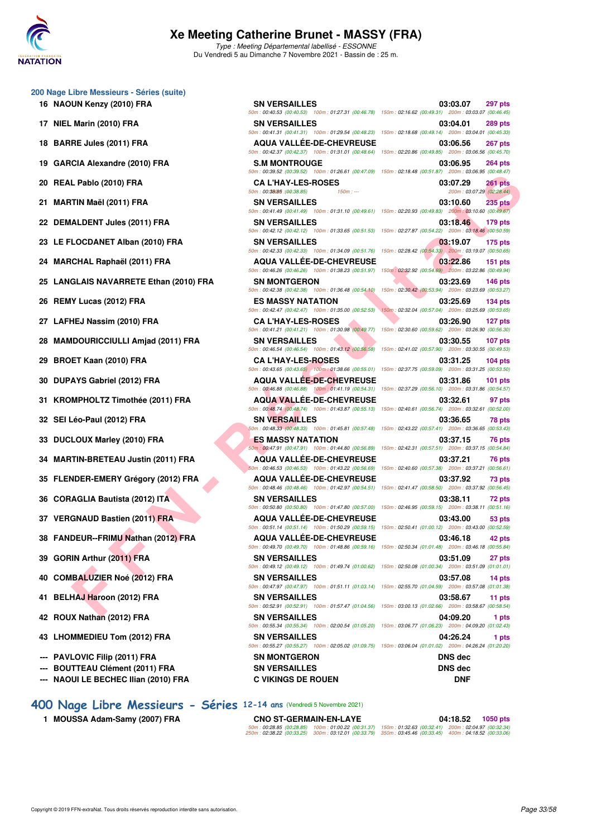

Type : Meeting Départemental labellisé - ESSONNE Du Vendredi 5 au Dimanche 7 Novembre 2021 - Bassin de : 25 m.

#### **200 Nage Libre Messieurs - Séries (suite)**

- 
- 
- 
- 
- 
- 
- 
- 
- 
- 
- 
- 
- 
- 
- 
- 
- 
- 
- 
- 
- 
- 
- 
- 
- 
- 
- 
- 
- 
- 
- **--- NAOUI LE BECHEC Ilian (2010) FRA C VIKINGS DE ROUEN DNF**
- **[400 Nage Libre Messieurs Séries](http://www.ffnatation.fr/webffn/resultats.php?idact=nat&go=epr&idcpt=72199&idepr=54) 12-14 ans** (Vendredi 5 Novembre 2021)
	- **1 MOUSSA Adam-Samy (2007) FRA**

| 00 Nage Libre Messieurs - Séries (suite) |                                                                                                                                                                                                                                         |                                                                                                                                          |
|------------------------------------------|-----------------------------------------------------------------------------------------------------------------------------------------------------------------------------------------------------------------------------------------|------------------------------------------------------------------------------------------------------------------------------------------|
| 16 NAOUN Kenzy (2010) FRA                | <b>SN VERSAILLES</b><br>50m: 00:40.53 (00:40.53) 100m: 01:27.31 (00:46.78) 150m: 02:16.62 (00:49.31) 200m: 03:03.07 (00:46.45)                                                                                                          | 03:03.07<br><b>297 pts</b>                                                                                                               |
| 17 NIEL Marin (2010) FRA                 | <b>SN VERSAILLES</b>                                                                                                                                                                                                                    | 03:04.01<br><b>289 pts</b><br>50m: 00:41.31 (00:41.31) 100m: 01:29.54 (00:48.23) 150m: 02:18.68 (00:49.14) 200m: 03:04.01 (00:45.33)     |
| 18 BARRE Jules (2011) FRA                | <b>AQUA VALLEE-DE-CHEVREUSE</b><br>50m: 00:42.37 (00:42.37) 100m: 01:31.01 (00:48.64) 150m: 02:20.86 (00:49.85) 200m: 03:06.56 (00:45.70)                                                                                               | 03:06.56<br>267 pts                                                                                                                      |
| 19 GARCIA Alexandre (2010) FRA           | <b>S.M MONTROUGE</b>                                                                                                                                                                                                                    | 03:06.95<br><b>264 pts</b><br>50m : 00:39.52 (00:39.52) 100m : 01:26.61 (00:47.09) 150m : 02:18.48 (00:51.87) 200m : 03:06.95 (00:48.47) |
| 20 REAL Pablo (2010) FRA                 | <b>CA L'HAY-LES-ROSES</b>                                                                                                                                                                                                               | 03:07.29<br><b>261 pts</b>                                                                                                               |
| 21 MARTIN Maël (2011) FRA                | 50m: 00:38085 : (00:38.85)<br>$150m: -$<br><b>SN VERSAILLES</b><br>50m: 00:41.49 (00:41.49) 100m: 01:31.10 (00:49.61) 150m: 02:20.93 (00:49.83) 200m: 03:10.60 (00:49.67)                                                               | 200m: 03:07.29 (02:28.44)<br>03:10.60<br>$235$ pts                                                                                       |
| 22 DEMALDENT Jules (2011) FRA            | <b>SN VERSAILLES</b><br>50m : 00:42.12 (00:42.12) 100m : 01:33.65 (00:51.53) 150m : 02:27.87 (00:54.22) 200m : 03:18.46 (00:50.59)                                                                                                      | 03:18.46<br>179 pts                                                                                                                      |
| 23 LE FLOCDANET Alban (2010) FRA         | <b>SN VERSAILLES</b><br>50m : 00:42.33 (00:42.33) 100m : 01:34.09 (00:51.76) 150m : 02:28.42 (00:54.33) 200m : 03:19.07 (00:50.65)                                                                                                      | 03:19.07<br>$175$ pts                                                                                                                    |
| 24 MARCHAL Raphaël (2011) FRA            | <b>AQUA VALLEE-DE-CHEVREUSE</b>                                                                                                                                                                                                         | 03:22.86<br>$151$ pts                                                                                                                    |
| 25 LANGLAIS NAVARRETE Ethan (2010) FRA   | 50m: 00:46.26 (00:46.26) 100m: 01:38.23 (00:51.97) 150m: 02:32.92 (00:54.69) 200m: 03:22.86 (00:49.94)<br><b>SN MONTGERON</b><br>50m: 00:42.38 (00:42.38) 100m: 01:36.48 (00:54.10) 150m: 02:30.42 (00:53.94) 200m: 03:23.69 (00:53.27) | 03:23.69<br><b>146 pts</b>                                                                                                               |
| 26 REMY Lucas (2012) FRA                 | <b>ES MASSY NATATION</b>                                                                                                                                                                                                                | 03:25.69<br>$134$ pts                                                                                                                    |
| 27 LAFHEJ Nassim (2010) FRA              | 50m: 00:42.47 (00:42.47) 100m: 01:35.00 (00:52.53)<br><b>CA L'HAY-LES-ROSES</b>                                                                                                                                                         | 150m: 02:32.04 (00:57.04) 200m: 03:25.69 (00:53.65)<br>03:26.90<br>127 pts                                                               |
| 28 MAMDOURICCIULLI Amjad (2011) FRA      | 50m: 00:41.21 (00:41.21) 100m: 01:30.98 (00:49.77) 150m: 02:30.60 (00:59.62) 200m: 03:26.90 (00:56.30)<br><b>SN VERSAILLES</b>                                                                                                          | 03:30.55<br>$107$ pts                                                                                                                    |
| 29 BROET Kaan (2010) FRA                 | 50m: 00:46.54 (00:46.54) 100m: 01:43.12 (00:56.58) 150m: 02:41.02 (00:57.90) 200m: 03:30.55 (00:49.53)<br><b>CA L'HAY-LES-ROSES</b>                                                                                                     | 03:31.25<br>$104$ pts                                                                                                                    |
| 30 DUPAYS Gabriel (2012) FRA             | 50m: 00:43.65 (00:43.65) 100m: 01:38.66 (00:55.01) 150m: 02:37.75 (00:59.09) 200m: 03:31.25 (00:53.50)<br><b>AQUA VALLEE-DE-CHEVREUSE</b>                                                                                               | 03:31.86<br>$101$ pts                                                                                                                    |
| 31 KROMPHOLTZ Timothée (2011) FRA        | 50m: 00:46.88 (00:46.88) 100m: 01:41.19 (00:54.31) 150m: 02:37.29 (00:56.10) 200m: 03:31.86 (00:54.57)<br><b>AQUA VALLEE-DE-CHEVREUSE</b>                                                                                               | 03:32.61<br>97 pts                                                                                                                       |
| 32 SEI Léo-Paul (2012) FRA               | 50m: 00:48.74 (00:48.74) 100m: 01:43.87 (00:55.13) 150m: 02:40.61 (00:56.74) 200m: 03:32.61 (00:52.00)<br><b>SN VERSAILLES</b>                                                                                                          | 03:36.65<br>78 pts                                                                                                                       |
| 33 DUCLOUX Marley (2010) FRA             | 50m: 00:48.33 (00:48.33) 100m: 01:45.81 (00:57.48) 150m: 02:43.22 (00:57.41) 200m: 03:36.65 (00:53.43)<br>ES MASSY NATATION                                                                                                             | 03:37.15<br>76 pts                                                                                                                       |
| 34 MARTIN-BRETEAU Justin (2011) FRA      | 50m: 00:47.91 (00:47.91) 100m: 01:44.80 (00:56.89) 150m: 02:42.31 (00:57.51) 200m: 03:37.15 (00:54.84)<br><b>AQUA VALLEE-DE-CHEVREUSE</b>                                                                                               | 03:37.21<br>76 pts                                                                                                                       |
| 35 FLENDER-EMERY Grégory (2012) FRA      | 50m : 00:46.53 (00:46.53) 100m : 01:43.22 (00:56.69) 150m : 02:40.60 (00:57.38) 200m : 03:37.21 (00:56.61)<br><b>AQUA VALLEE-DE-CHEVREUSE</b>                                                                                           | 03:37.92<br>73 pts                                                                                                                       |
| 36 CORAGLIA Bautista (2012) ITA          | 50m : 00:48.46 (00:48.46) 100m : 01:42.97 (00:54.51) 150m : 02:41.47 (00:58.50) 200m : 03:37.92 (00:56.45)<br><b>SN VERSAILLES</b>                                                                                                      | 03:38.11<br>72 pts                                                                                                                       |
| 37 VERGNAUD Bastien (2011) FRA           | 50m : 00:50.80 (00:50.80) 100m : 01:47.80 (00:57.00) 150m : 02:46.95 (00:59.15) 200m : 03:38.11 (00:51.16)<br><b>AQUA VALLEE-DE-CHEVREUSE</b>                                                                                           | 03:43.00<br>53 pts                                                                                                                       |
| 38 FANDEUR--FRIMU Nathan (2012) FRA      | 50m: 00:51.14 (00:51.14) 100m: 01:50.29 (00:59.15) 150m: 02:50.41 (01:00.12) 200m: 03:43.00 (00:52.59)<br><b>AQUA VALLEE-DE-CHEVREUSE</b>                                                                                               | 03:46.18                                                                                                                                 |
|                                          | 50m : 00:49.70 (00:49.70) 100m : 01:48.86 (00:59.16) 150m : 02:50.34 (01:01.48) 200m : 03:46.18 (00:55.84)                                                                                                                              | 42 pts                                                                                                                                   |
| 39 GORIN Arthur (2011) FRA               | <b>SN VERSAILLES</b><br>50m : 00:49.12 (00:49.12) 100m : 01:49.74 (01:00.62) 150m : 02:50.08 (01:00.34) 200m : 03:51.09 (01:01.01)                                                                                                      | 03:51.09<br>27 pts                                                                                                                       |
| 40 COMBALUZIER Noé (2012) FRA            | <b>SN VERSAILLES</b><br>50m: 00:47.97 (00:47.97) 100m: 01:51.11 (01:03.14) 150m: 02:55.70 (01:04.59) 200m: 03:57.08 (01:01.38)                                                                                                          | 03:57.08<br>14 pts                                                                                                                       |
| 41 BELHAJ Haroon (2012) FRA              | <b>SN VERSAILLES</b><br>50m: 00:52.91 (00:52.91) 100m: 01:57.47 (01:04.56) 150m: 03:00.13 (01:02.66) 200m: 03:58.67 (00:58.54)                                                                                                          | 03:58.67<br>11 pts                                                                                                                       |
| 40 DOUV Nether (0040) EDA                | CM VEDCALLED                                                                                                                                                                                                                            | 0.4.00, 20                                                                                                                               |

**42 ROUX Nathan (2012) FRA SN VERSAILLES 04:09.20 1 pts** 50m : 00:55.34 (00:55.34) 100m : 02:00.54 (01:05.20) 150m : 03:06.77 (01:06.23) 200m : 04:09.20 (01:02.43) **43 LHOMMEDIEU Tom (2012) FRA SN VERSAILLES 04:26.24 1 pts** 50m : 00:55.27 (00:55.27) 100m : 02:05.02 (01:09.75) 150m : 03:06.04 (01:01.02) 200m : 04:26.24 (01:20.20) **--- PAVLOVIC Filip (2011) FRA SN MONTGERON DNS dec --- BOUTTEAU Clément (2011) FRA SN VERSAILLES DNS dec**

| <b>CNO ST-GERMAIN-EN-LAYE</b> |                                                                                                                                                                                                                           | 04:18.52 | 1050 pts |
|-------------------------------|---------------------------------------------------------------------------------------------------------------------------------------------------------------------------------------------------------------------------|----------|----------|
|                               | $50m: 00:28.85$ (00:28.85) $100m: 01:00.22$ (00:31.37) $150m: 01:32.63$ (00:32.41) $200m: 02:04.97$ (00:32.34)<br>250m: 02:38.22 (00:33.25) 300m: 03:12.01 (00:33.79) 350m: 03:45.46 (00:33.45) 400m: 04:18.52 (00:33.06) |          |          |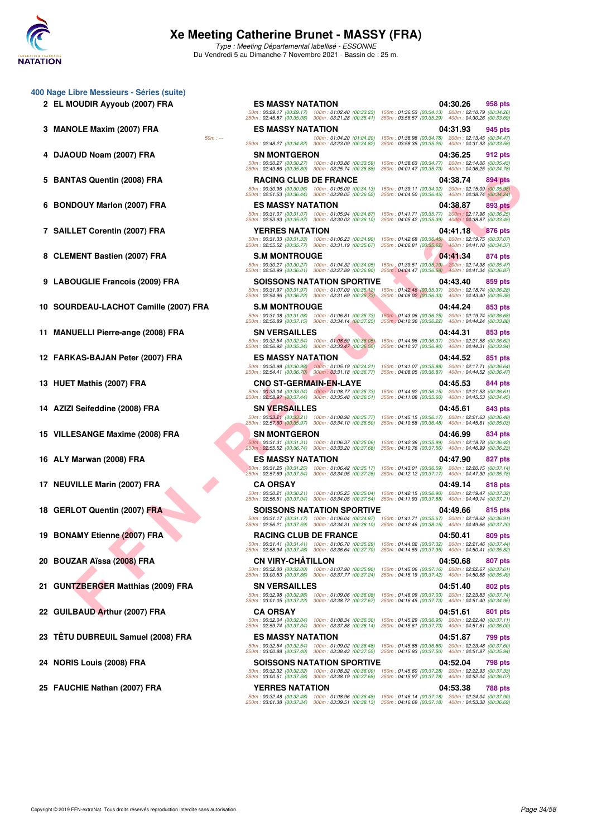

Type : Meeting Départemental labellisé - ESSONNE Du Vendredi 5 au Dimanche 7 Novembre 2021 - Bassin de : 25 m.

- **400 Nage Libre Messieurs Séries (suite)**
	-
	-
	-
	-
	-
	-
	-
	-
	-
	-
	-
	-
	-
	-
	-
	-
	-
	-
	-
	-
	-
	-

TAS OLEHAL (2007) FRA<br> **FRANCISCO (2007) FRA**<br>
ELET COVERAT (2007) FRA<br>
ELET COVERAT (2007) FRA<br>
ELET COVERAT (2007) FRA<br>
ELET COVERAT (2007) FRA<br>
1999 - THE RESERVE CONTINUES (2009) FRA<br>
1999 - THE RESERVE CONTINUES (200 **2 EL MOUDIR Ayyoub (2007) FRA ES MASSY NATATION 04:30.26 958 pts** 50m : 00:29.17 (00:29.17) 100m : 01:02.40 (00:33.23) 150m : 01:36.53 (00:34.13) 200m : 02:10.79 (00:34.26) 250m : 02:45.87 (00:35.08) 300m : 03:21.28 (00:35.41) 350m : 03:56.57 (00:35.29) 400m : 04:30.26 (00:33.69) **3 MANOLE Maxim (2007) FRA** ES MASSY NATATION **04:31.93 945 pts**<br>50m interval and 100m interval 20 01:04.20 01:04.20 01:04.20 01:04.20 01:038.98 00:34.28 200m interval 20 03:447 50m : --- 100m : 01:04.20 (01:04.20) 150m : 01:38.98 (00:34.78) 200m : 02:13.45 (00:34.47) 250m : 02:48.27 (00:34.82) 300m : 03:23.09 (00:34.82) 350m : 03:58.35 (00:35.26) 400m : 04:31.93 (00:33.58) **4 DJAOUD Noam (2007) FRA SN MONTGERON 04:36.25 912 pts** 50m : 00:30.27 (00:30.27) 100m : 01:03.86 (00:33.59) 150m : 01:38.63 (00:34.77) 200m : 02:14.06 (00:35.43) 250m : 02:49.86 (00:35.80) 300m : 03:25.74 (00:35.88) 350m : 04:01.47 (00:35.73) 400m : 04:36.25 (00:34.78) **5 BANTAS Quentin (2008) FRA RACING CLUB DE FRANCE 04:38.74 894 pts** 50m : 00:30.96 (00:30.96) 100m : 01:05.09 (00:34.13) 150m : 01:39.11 (00:34.02) 200m : 02:15.09 (00:35.98) 250m : 02:51.53 (00:36.44) 300m : 03:28.05 (00:36.52) 350m : 04:04.50 (00:36.45) 400m : 04:38.74 (00:34.24) **6 BONDOUY Marlon (2007) FRA ES MASSY NATATION 04:38.87 893 pts** 50m : 00:31.07 (00:31.07) 100m : 01:05.94 (00:34.87) 150m : 01:41.71 (00:35.77) 200m : 02:17.96 (00:36.25) 250m : 02:53.93 (00:35.97) 300m : 03:30.03 (00:36.10) 350m : 04:05.42 (00:35.39) 400m : 04:38.87 (00:33.45) **7 SAILLET Corentin (2007) FRA YERRES NATATION 04:41.18 876 pts** 50m : 00:31.33 (00:31.33) 100m : 01:06.23 (00:34.90) 150m : 01:42.68 (00:36.45) 200m : 02:19.75 (00:37.07) 250m : 02:55.52 (00:35.77) 300m : 03:31.19 (00:35.67) 350m : 04:06.81 (00:35.62) 400m : 04:41.18 (00:34.37) 8 CLEMENT Bastien (2007) FRA S.M MONTROUGE **8 CLEMENT Bastien (2007) FRA** 50m : 00:30.27 (00:30.27) 100m : 01:04.32 (00:34.05) 150m : 01:39.51 (00:35.19) 200m : 02:14.98 (00:35.47) 250m : 02:50.99 (00:36.01) 300m : 03:27.89 (00:36.90) 350m : 04:04.47 (00:36.58) 400m : 04:41.34 (00:36.87) **9 LABOUGLIE Francois (2009) FRA SOISSONS NATATION SPORTIVE 04:43.40 859 pts** 50m : 00:31.97 (00:31.97) 100m : 01:07.09 (00:35.12) 150m : 01:42.46 (00:35.37) 200m : 02:18.74 (00:36.28) 250m : 02:54.96 (00:36.22) 300m : 03:31.69 (00:36.73) 350m : 04:08.02 (00:36.33) 400m : 04:43.40 (00:35.38) **10 SOURDEAU-LACHOT Camille (2007) FRA S.M MONTROUGE 04:44.24 853 pts** 50m : 00:31.08 (00:31.08) 100m : 01:06.81 (00:35.73) 150m : 01:43.06 (00:36.25) 200m : 02:19.74 (00:36.68) 250m : 02:56.89 (00:37.15) 300m : 03:34.14 (00:37.25) 350m : 04:10.36 (00:36.22) 400m : 04:44.24 (00:33.88) **11 MANUELLI Pierre-ange (2008) FRA SN VERSAILLES 04:44.31 853 pts** 50m : 00:32.54 (00:32.54) 100m : 01:08.59 (00:36.05) 150m : 01:44.96 (00:36.37) 200m : 02:21.58 (00:36.62) 250m : 02:56.92 (00:35.34) 300m : 03:33.47 (00:36.55) 350m : 04:10.37 (00:36.90) 400m : 04:44.31 (00:33.94) **12 FARKAS-BAJAN Peter (2007) FRA ES MASSY NATATION 04:44.52 851 pts** 50m : 00:30.98 (00:30.98) 100m : 01:05.19 (00:34.21) 150m : 01:41.07 (00:35.88) 200m : 02:17.71 (00:36.64) 250m : 02:54.41 (00:36.70) 300m : 03:31.18 (00:36.77) 350m : 04:08.05 (00:36.87) 400m : 04:44.52 (00:36.47) **13 HUET Mathis (2007) FRA CNO ST-GERMAIN-EN-LAYE 04:45.53 844 pts** 50m : 00:33.04 (00:33.04) 100m : 01:08.77 (00:35.73) 150m : 01:44.92 (00:36.15) 200m : 02:21.53 (00:36.61) 250m : 02:58.97 (00:37.44) 300m : 03:35.48 (00:36.51) 350m : 04:11.08 (00:35.60) 400m : 04:45.53 (00:34.45) **14 AZIZI Seifeddine (2008) FRA SN VERSAILLES 04:45.61 843 pts** 50m : 00:33.21 (00:33.21) 100m : 01:08.98 (00:35.77) 150m : 01:45.15 (00:36.17) 200m : 02:21.63 (00:36.48) 250m : 02:57.60 (00:35.97) 300m : 03:34.10 (00:36.50) 350m : 04:10.58 (00:36.48) 400m : 04:45.61 (00:35.03) **15 VILLESANGE Maxime (2008) FRA SN MONTGERON 04:46.99 834 pts** 50m : 00:31.31 (00:31.31) 100m : 01:06.37 (00:35.06) 150m : 01:42.36 (00:35.99) 200m : 02:18.78 (00:36.42) 250m : 02:55.52 (00:36.74) 300m : 03:33.20 (00:37.68) 350m : 04:10.76 (00:37.56) 400m : 04:46.99 (00:36.23) **16 ALY Marwan (2008) FRA <b>ES MASSY NATATION** 64:47.90 **827 pts** 50m : 00:31.25 (00:31.25) 100m : 01:06.42 (00:35.17) 150m : 01:43.01 (00:36.59) 200m : 02:20.15 (00:37.14) 250m : 02:57.69 (00:37.54) 300m : 03:34.95 (00:37.26) 350m : 04:12.12 (00:37.17) 400m : 04:47.90 (00:35.78) **17 NEUVILLE Marin (2007) FRA CA ORSAY 04:49.14 818 pts** 50m : 00:30.21 (00:30.21) 100m : 01:05.25 (00:35.04) 150m : 01:42.15 (00:36.90) 200m : 02:19.47 (00:37.32) 250m : 02:56.51 (00:37.04) 300m : 03:34.05 (00:37.54) 350m : 04:11.93 (00:37.88) 400m : 04:49.14 (00:37.21) **18 GERLOT Quentin (2007) FRA SOISSONS NATATION SPORTIVE 04:49.66 815 pts** 50m : 00:31.17 (00:31.17) 100m : 01:06.04 (00:34.87) 150m : 01:41.71 (00:35.67) 200m : 02:18.62 (00:36.91) 250m : 02:56.21 (00:37.59) 300m : 03:34.31 (00:38.10) 350m : 04:12.46 (00:38.15) 400m : 04:49.66 (00:37.20) **19 BONAMY Etienne (2007) FRA** RACING CLUB DE FRANCE 04:50.41 809 pts 50m : 00:31.41 (00:31.41) 100m : 01:06.70 (00:35.29) 150m : 01:44.02 (00:37.32) 200m : 02:21.46 (00:37.44) 250m : 02:58.94 (00:37.48) 300m : 03:36.64 (00:37.70) 350m : 04:14.59 (00:37.95) 400m : 04:50.41 (00:35.82) **20 BOUZAR Aïssa (2008) FRA CN VIRY-CHÂTILLON 04:50.68 807 pts** 50m : 00:32.00 (00:32.00) 100m : 01:07.90 (00:35.90) 150m : 01:45.06 (00:37.16) 200m : 02:22.67 (00:37.61) 250m : 03:00.53 (00:37.86) 300m : 03:37.77 (00:37.24) 350m : 04:15.19 (00:37.42) 400m : 04:50.68 (00:35.49) **21 GUNTZBERGER Matthias (2009) FRA SN VERSAILLES 04:51.40 802 pts** 50m : 00:32.98 (00:32.98) 100m : 01:09.06 (00:36.08) 150m : 01:46.09 (00:37.03) 200m : 02:23.83 (00:37.74) 250m : 03:01.05 (00:37.22) 300m : 03:38.72 (00:37.67) 350m : 04:16.45 (00:37.73) 400m : 04:51.40 (00:34.95) **22 GUILBAUD Arthur (2007) FRA CA ORSAY 04:51.61 801 pts** 50m : 00:32.04 (00:32.04) 100m : 01:08.34 (00:36.30) 150m : 01:45.29 (00:36.95) 200m : 02:22.40 (00:37.11) 250m : 02:59.74 (00:37.34) 300m : 03:37.88 (00:38.14) 350m : 04:15.61 (00:37.73) 400m : 04:51.61 (00:36.00) **23 TÊTU DUBREUIL Samuel (2008) FRA ES MASSY NATATION 04:51.87 799 pts** 50m : 00:32.54 (00:32.54) 100m : 01:09.02 (00:36.48) 150m : 01:45.88 (00:36.86) 200m : 02:23.48 (00:37.60) 250m : 03:00.88 (00:37.40) 300m : 03:38.43 (00:37.55) 350m : 04:15.93 (00:37.50) 400m : 04:51.87 (00:35.94) **24 NORIS Louis (2008) FRA SOISSONS NATATION SPORTIVE 04:52.04 798 pts** 50m : 00:32.32 (00:32.32) 100m : 01:08.32 (00:36.00) 150m : 01:45.60 (00:37.28) 200m : 02:22.93 (00:37.33) 250m : 03:00.51 (00:37.58) 300m : 03:38.19 (00:37.68) 350m : 04:15.97 (00:37.78) 400m : 04:52.04 (00:36.07) **25 FAUCHIE Nathan (2007) FRA YERRES NATATION 04:53.38 788 pts** 50m : 00:32.48 (00:32.48) 100m : 01:08.96 (00:36.48) 150m : 01:46.14 (00:37.18) 200m : 02:24.04 (00:37.90) 250m : 03:01.38 (00:37.34) 300m : 03:39.51 (00:38.13) 350m : 04:16.69 (00:37.18) 400m : 04:53.38 (00:36.69)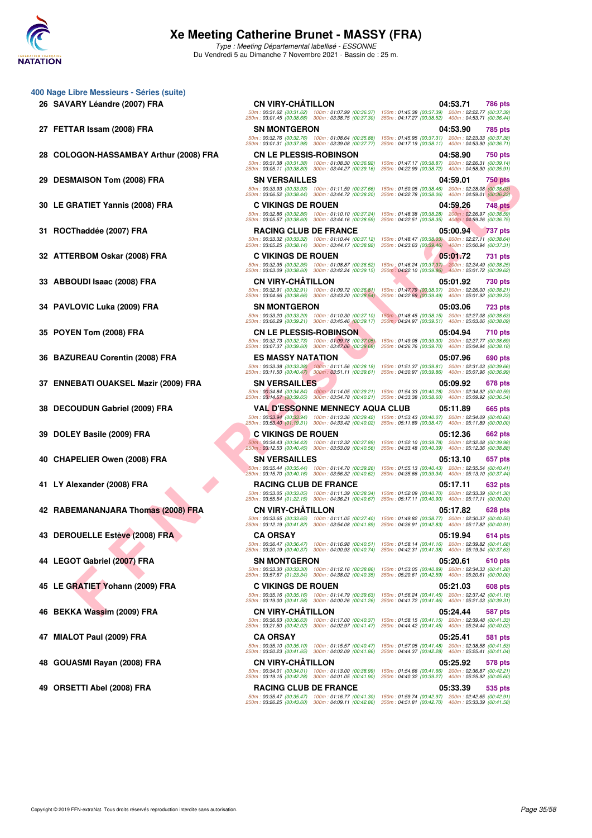

Type : Meeting Départemental labellisé - ESSONNE Du Vendredi 5 au Dimanche 7 Novembre 2021 - Bassin de : 25 m.

|    | 400 Nage Libre Messieurs - Séries (suite) |                                                                                                                                                                                                                       |                           |                                                                                                            |                                                                                                            |                |
|----|-------------------------------------------|-----------------------------------------------------------------------------------------------------------------------------------------------------------------------------------------------------------------------|---------------------------|------------------------------------------------------------------------------------------------------------|------------------------------------------------------------------------------------------------------------|----------------|
|    | 26 SAVARY Léandre (2007) FRA              | <b>CN VIRY-CHÂTILLON</b>                                                                                                                                                                                              |                           |                                                                                                            | 04:53.71                                                                                                   | 786 pts        |
|    |                                           | 50m: 00:31.62 (00:31.62) 100m: 01:07.99 (00:36.37) 150m: 01:45.38 (00:37.39) 200m: 02:22.77 (00:37.39)<br>250m: 03:01.45 (00:38.68) 300m: 03:38.75 (00:37.30)                                                         |                           | 350m: 04:17.27 (00:38.52) 400m: 04:53.71 (00:36.44)                                                        |                                                                                                            |                |
|    | 27 FETTAR Issam (2008) FRA                | <b>SN MONTGERON</b>                                                                                                                                                                                                   |                           |                                                                                                            | 04:53.90                                                                                                   | 785 pts        |
|    |                                           | 50m: 00:32.76 (00:32.76) 100m: 01:08.64 (00:35.88)<br>250m: 03:01.31 (00:37.98) 300m: 03:39.08 (00:37.77)                                                                                                             |                           | 350m: 04:17.19 (00:38.11) 400m: 04:53.90 (00:36.71)                                                        | 150m: 01:45.95 (00:37.31) 200m: 02:23.33 (00:37.38)                                                        |                |
| 28 | COLOGON-HASSAMBAY Arthur (2008) FRA       | <b>CN LE PLESSIS-ROBINSON</b>                                                                                                                                                                                         |                           |                                                                                                            | 04:58.90                                                                                                   | 750 pts        |
|    |                                           | 50m: 00:31.38 (00:31.38) 100m: 01:08.30 (00:36.92)<br>250m: 03:05.11 (00:38.80) 300m: 03:44.27 (00:39.16)                                                                                                             |                           |                                                                                                            | 150m: 01:47.17 (00:38.87) 200m: 02:26.31 (00:39.14)<br>350m: 04:22.99 (00:38.72) 400m: 04:58.90 (00:35.91) |                |
| 29 | <b>DESMAISON Tom (2008) FRA</b>           | <b>SN VERSAILLES</b>                                                                                                                                                                                                  |                           |                                                                                                            | 04:59.01                                                                                                   |                |
|    |                                           | 50m: 00:33.93 (00:33.93) 100m: 01:11.59 (00:37.66)                                                                                                                                                                    |                           |                                                                                                            | 150m: 01:50.05 (00:38.46) 200m: 02:28.08 (00:38.03)                                                        | <b>750 pts</b> |
|    |                                           | 250m: 03:06.52 (00:38.44)                                                                                                                                                                                             | 300m: 03:44.72 (00:38.20) | 350m: 04:22.78 (00:38.06)                                                                                  | 400m: 04:59.01 (00:36.23)                                                                                  |                |
|    | 30 LE GRATIET Yannis (2008) FRA           | <b>C VIKINGS DE ROUEN</b><br>50m: 00:32.86 (00:32.86) 100m: 01:10.10 (00:37.24)                                                                                                                                       |                           |                                                                                                            | 04:59.26<br>150m: 01:48.38 (00:38.28) 200m: 02:26.97 (00:38.59)                                            | <b>748 pts</b> |
|    |                                           | 250m: 03:05.57 (00:38.60) 300m: 03:44.16 (00:38.59)                                                                                                                                                                   |                           | 350m: 04:22.51 (00:38.35) 400m: 04:59.26 (00:36.75)                                                        |                                                                                                            |                |
|    | 31 ROCThaddée (2007) FRA                  | <b>RACING CLUB DE FRANCE</b>                                                                                                                                                                                          |                           |                                                                                                            | 05:00.94                                                                                                   | <b>737 pts</b> |
|    |                                           | 50m: 00:33.32 (00:33.32) 100m: 01:10.44 (00:37.12)<br>250m: 03:05.25 (00:38.14) 300m: 03:44.17 (00:38.92)                                                                                                             |                           | 150m: 01:48.47 (00:38.03) 200m: 02:27.11 (00:38.64)<br>350m: 04:23.63 (00:39.46) 400m: 05:00.94 (00:37.31) |                                                                                                            |                |
|    | 32 ATTERBOM Oskar (2008) FRA              | <b>C VIKINGS DE ROUEN</b>                                                                                                                                                                                             |                           |                                                                                                            | 05:01.72                                                                                                   | 731 pts        |
|    |                                           | 50m: 00:32.35 (00:32.35) 100m: 01:08.87 (00:36.52)<br>250m: 03:03.09 (00:38.60) 300m: 03:42.24 (00:39.15)                                                                                                             |                           | 150m: 01:46.24 (00:37.37) 200m: 02:24.49 (00:38.25)<br>350m: 04:22.10 (00:39.86) 400m: 05:01.72 (00:39.62) |                                                                                                            |                |
|    | 33 ABBOUDI Isaac (2008) FRA               | <b>CN VIRY-CHATILLON</b>                                                                                                                                                                                              |                           |                                                                                                            | 05:01.92                                                                                                   | 730 pts        |
|    |                                           | 50m: 00:32.91 (00:32.91) 100m: 01:09.72 (00:36.81)                                                                                                                                                                    |                           |                                                                                                            | 150m: 01:47.79 (00:38.07) 200m: 02:26.00 (00:38.21)                                                        |                |
|    |                                           | 250m: 03:04.66 (00:38.66) 300m: 03:43.20 (00:38.54)                                                                                                                                                                   |                           | 350m: 04:22.69 (00:39.49) 400m: 05:01.92 (00:39.23)                                                        |                                                                                                            |                |
|    | 34 PAVLOVIC Luka (2009) FRA               | <b>SN MONTGERON</b><br>50m: 00:33.20 (00:33.20) 100m: 01:10.30 (00:37.10)                                                                                                                                             |                           |                                                                                                            | 05:03.06<br>150m: 01:48.45 (00:38.15) 200m: 02:27.08 (00:38.63)                                            | <b>723 pts</b> |
|    |                                           | 250m: 03:06.29 (00:39.21) 300m: 03:45.46 (00:39.17)                                                                                                                                                                   |                           | 350m: 04:24.97 (00:39.51) 400m: 05:03.06 (00:38.09)                                                        |                                                                                                            |                |
| 35 | POYEN Tom (2008) FRA                      | <b>CN LE PLESSIS-ROBINSON</b>                                                                                                                                                                                         |                           |                                                                                                            | 05:04.94                                                                                                   | 710 pts        |
|    |                                           | 50m: 00:32.73 (00:32.73) 100m: 01:09.78 (00:37.05)<br>250m: 03:07.37 (00:39.60) 300m: 03:47.06 (00:39.69)                                                                                                             |                           | 350m: 04:26.76 (00:39.70) 400m: 05:04.94 (00:38.18)                                                        | 150m: 01:49.08 (00:39.30) 200m: 02:27.77 (00:38.69)                                                        |                |
|    | <b>BAZUREAU Corentin (2008) FRA</b>       | <b>ES MASSY NATATION</b>                                                                                                                                                                                              |                           |                                                                                                            | 05:07.96                                                                                                   | 690 pts        |
|    |                                           | 50m: 00:33.38 (00:33.38) 100m: 01:11.56 (00:38.18)<br>250m: 03:11.50 (00:40.47) 300m: 03:51.11 (00:39.61)                                                                                                             |                           | 350m: 04:30.97 (00:39.86) 400m: 05:07.96 (00:36.99)                                                        | 150m: 01:51.37 (00:39.81) 200m: 02:31.03 (00:39.66)                                                        |                |
|    | 37 ENNEBATI OUAKSEL Mazir (2009) FRA      | <b>SN VERSAILLES</b>                                                                                                                                                                                                  |                           |                                                                                                            | 05:09.92                                                                                                   | 678 pts        |
|    |                                           | 50m: 00:34.84 (00:34.84) 100m: 01:14.05 (00:39.21)                                                                                                                                                                    |                           | 150m: 01:54.33 (00:40.28) 200m: 02:34.92 (00:40.59)                                                        |                                                                                                            |                |
|    |                                           | 250m: 03:14.57 (00:39.65) 300m: 03:54.78 (00:40.21) 350m: 04:33.38 (00:38.60)                                                                                                                                         |                           |                                                                                                            | 400m: 05:09.92 (00:36.54)                                                                                  |                |
| 38 | DECOUDUN Gabriel (2009) FRA               | <b>VAL D'ESSONNE MENNECY AQUA CLUB</b><br>50m: 00:33.94 (00:33.94) 100m: 01:13.36 (00:39.42) 150m: 01:53.43 (00:40.07) 200m: 02:34.09 (00:40.66)                                                                      |                           |                                                                                                            | 05:11.89                                                                                                   | 665 pts        |
|    |                                           | 250m: 03:53.40 (01:19.31) 300m: 04:33.42 (00:40.02) 350m: 05:11.89 (00:38.47) 400m: 05:11.89 (00:00.00)                                                                                                               |                           |                                                                                                            |                                                                                                            |                |
|    | 39 DOLEY Basile (2009) FRA                | <b>C VIKINGS DE ROUEN</b>                                                                                                                                                                                             |                           |                                                                                                            | 05:12.36                                                                                                   | 662 pts        |
|    |                                           | 50m : 00:34.43 (00:34.43) 100m : 01:12.32 (00:37.89) 150m : 01:52.10 (00:39.78) 200m : 02:32.08 (00:39.98)<br>250m: 03:12.53 (00:40.45) 300m: 03:53.09 (00:40.56)                                                     |                           | 350m: 04:33.48 (00:40.39) 400m: 05:12.36 (00:38.88)                                                        |                                                                                                            |                |
|    | 40 CHAPELIER Owen (2008) FRA              | <b>SN VERSAILLES</b>                                                                                                                                                                                                  |                           |                                                                                                            | 05:13.10                                                                                                   | 657 pts        |
|    |                                           | 50m: 00:35.44 (00:35.44) 100m: 01:14.70 (00:39.26)<br>250m: 03:15.70 (00:40.16) 300m: 03:56.32 (00:40.62)                                                                                                             |                           | 150m: 01:55.13 (00:40.43) 200m: 02:35.54 (00:40.41)<br>350m: 04:35.66 (00:39.34) 400m: 05:13.10 (00:37.44) |                                                                                                            |                |
|    | 41 LY Alexander (2008) FRA                | <b>RACING CLUB DE FRANCE</b>                                                                                                                                                                                          |                           |                                                                                                            | 05:17.11                                                                                                   | 632 pts        |
|    |                                           | 50m: 00:33.05 (00:33.05) 100m: 01:11.39 (00:38.34) 150m: 01:52.09 (00:40.70) 200m: 02:33.39 (00:41.30)                                                                                                                |                           |                                                                                                            |                                                                                                            |                |
|    |                                           | 250m: 03:55.54 (01:22.15) 300m: 04:36.21 (00:40.67) 350m: 05:17.11 (00:40.90) 400m: 05:17.11 (00:00.00)                                                                                                               |                           |                                                                                                            |                                                                                                            |                |
|    | 42 RABEMANANJARA Thomas (2008) FRA        | <b>CN VIRY-CHATILLON</b><br>50m: 00:33.65 (00:33.65) 100m: 01:11.05 (00:37.40) 150m: 01:49.82 (00:38.77) 200m: 02:30.37 (00:40.55)                                                                                    |                           |                                                                                                            | 05:17.82                                                                                                   | 628 pts        |
|    |                                           | 250m: 03:12.19 (00:41.82) 300m: 03:54.08 (00:41.89) 350m: 04:36.91 (00:42.83) 400m: 05:17.82 (00:40.91)                                                                                                               |                           |                                                                                                            |                                                                                                            |                |
|    | 43 DEROUELLE Estève (2008) FRA            | <b>CA ORSAY</b>                                                                                                                                                                                                       |                           |                                                                                                            | 05:19.94                                                                                                   | <b>614 pts</b> |
|    |                                           | 50m: 00:36.47 (00:36.47) 100m: 01:16.98 (00:40.51) 150m: 01:58.14 (00:41.16) 200m: 02:39.82 (00:41.68)<br>250m: 03:20.19 (00:40.37) 300m: 04:00.93 (00:40.74) 350m: 04:42.31 (00:41.38) 400m: 05:19.94 (00:37.63)     |                           |                                                                                                            |                                                                                                            |                |
|    | 44 LEGOT Gabriel (2007) FRA               | <b>SN MONTGERON</b>                                                                                                                                                                                                   |                           |                                                                                                            | 05:20.61                                                                                                   | 610 pts        |
|    |                                           | 50m : 00:33.30 (00:33.30) 100m : 01:12.16 (00:38.86) 150m : 01:53.05 (00:40.89) 200m : 02:34.33 (00:41.28)<br>250m: 03:57.67 (01:23.34) 300m: 04:38.02 (00:40.35) 350m: 05:20.61 (00:42.59) 400m: 05:20.61 (00:00.00) |                           |                                                                                                            |                                                                                                            |                |
|    | 45 LE GRATIET Yohann (2009) FRA           | <b>C VIKINGS DE ROUEN</b>                                                                                                                                                                                             |                           |                                                                                                            | 05:21.03                                                                                                   | 608 pts        |
|    |                                           | 50m: 00:35.16 (00:35.16) 100m: 01:14.79 (00:39.63) 150m: 01:56.24 (00:41.45) 200m: 02:37.42 (00:41.18)                                                                                                                |                           |                                                                                                            |                                                                                                            |                |
|    |                                           | 250m: 03:19.00 (00:41.58) 300m: 04:00.26 (00:41.26) 350m: 04:41.72 (00:41.46) 400m: 05:21.03 (00:39.31)<br><b>CN VIRY-CHATILLON</b>                                                                                   |                           |                                                                                                            | 05:24.44                                                                                                   |                |
| 46 | BEKKA Wassim (2009) FRA                   | 50m: 00:36.63 (00:36.63) 100m: 01:17.00 (00:40.37) 150m: 01:58.15 (00:41.15) 200m: 02:39.48 (00:41.33)                                                                                                                |                           |                                                                                                            |                                                                                                            | 587 pts        |
|    |                                           | 250m: 03:21.50 (00:42.02) 300m: 04:02.97 (00:41.47) 350m: 04:44.42 (00:41.45) 400m: 05:24.44 (00:40.02)                                                                                                               |                           |                                                                                                            |                                                                                                            |                |
| 47 | <b>MIALOT Paul (2009) FRA</b>             | <b>CA ORSAY</b>                                                                                                                                                                                                       |                           |                                                                                                            | 05:25.41                                                                                                   | 581 pts        |
|    |                                           | 50m: 00:35.10 (00:35.10) 100m: 01:15.57 (00:40.47) 150m: 01:57.05 (00:41.48) 200m: 02:38.58 (00:41.53)<br>250m: 03:20.23 (00:41.65) 300m: 04:02.09 (00:41.86) 350m: 04:44.37 (00:42.28) 400m: 05:25.41 (00:41.04)     |                           |                                                                                                            |                                                                                                            |                |
|    | GOUASMI Rayan (2008) FRA                  | <b>CN VIRY-CHATILLON</b>                                                                                                                                                                                              |                           |                                                                                                            | 05:25.92                                                                                                   | 578 pts        |
|    |                                           | 50m: 00:34.01 (00:34.01) 100m: 01:13.00 (00:38.99)<br>250m: 03:19.15 (00:42.28) 300m: 04:01.05 (00:41.90) 350m: 04:40.32 (00:39.27) 400m: 05:25.92 (00:45.60)                                                         |                           | 150m: 01:54.66 (00:41.66) 200m: 02:36.87 (00:42.21)                                                        |                                                                                                            |                |
|    | 49 ORSETTI Abel (2008) FRA                | <b>RACING CLUB DE FRANCE</b>                                                                                                                                                                                          |                           |                                                                                                            | 05:33.39                                                                                                   | 535 pts        |
|    |                                           |                                                                                                                                                                                                                       |                           |                                                                                                            |                                                                                                            |                |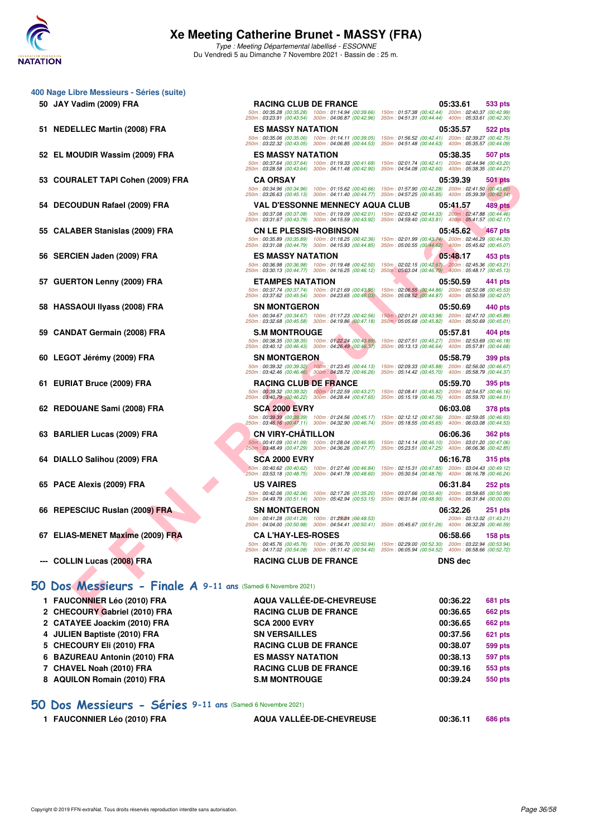

**400 Nage Libre Messieurs - Séries (suite)**

## **Xe Meeting Catherine Brunet - MASSY (FRA)**

Type : Meeting Départemental labellisé - ESSONNE Du Vendredi 5 au Dimanche 7 Novembre 2021 - Bassin de : 25 m.

**50 JAY Vadim (2009) FRA RACING CLUB DE FRANCE 05:33.61 533 pts**

| 51 NEDELLEC Martin (2008) FRA                                 | ES MASSY NATATION                                                                                           | 05:35.57<br>522 pts                                                                                           |
|---------------------------------------------------------------|-------------------------------------------------------------------------------------------------------------|---------------------------------------------------------------------------------------------------------------|
|                                                               | 50m: 00:35.06 (00:35.06) 100m: 01:14.11 (00:39.05)<br>250m: 03:22.32 (00:43.05) 300m: 04:06.85 (00:44.53)   | 150m: 01:56.52 (00:42.41) 200m: 02:39.27 (00:42.75)<br>350m: 04:51.48 (00:44.63) 400m: 05:35.57 (00:44.09)    |
| 52 EL MOUDIR Wassim (2009) FRA                                | <b>ES MASSY NATATION</b>                                                                                    | 05:38.35<br>507 pts                                                                                           |
|                                                               | 50m: 00:37.64 (00:37.64) 100m: 01:19.33 (00:41.69)                                                          | 150m: 02:01.74 (00:42.41) 200m: 02:44.94 (00:43.20)                                                           |
|                                                               | 250m: 03:28.58 (00:43.64) 300m: 04:11.48 (00:42.90)<br><b>CA ORSAY</b>                                      | 350m: 04:54.08 (00:42.60) 400m: 05:38.35 (00:44.27)<br>05:39.39                                               |
| 53 COURALET TAPI Cohen (2009) FRA                             | 50m: 00:34.96 (00:34.96) 100m: 01:15.62 (00:40.66)                                                          | <b>501 pts</b><br>150m: 01:57.90 (00:42.28) 200m: 02:41.50 (00:43.60)                                         |
|                                                               | 250m: 03:26.63 (00:45.13) 300m: 04:11.40 (00:44.77)                                                         | 350m: 04:57.25 (00:45.85) 400m: 05:39.39 (00:42.14)                                                           |
| DECOUDUN Rafael (2009) FRA                                    | <b>VAL D'ESSONNE MENNECY AQUA CLUB</b><br>50m: 00:37.08 (00:37.08) 100m: 01:19.09 (00:42.01)                | 05:41.57<br>489 pts<br>150m: 02:03.42 (00:44.33) 200m: 02:47.88 (00:44.46)                                    |
|                                                               | 250m: 03:31.67 (00:43.79) 300m: 04:15.59 (00:43.92)                                                         | 350m: 04:59.40 (00:43.81) 400m: 05:41.57 (00:42.17)                                                           |
| 55 CALABER Stanislas (2009) FRA                               | <b>CN LE PLESSIS-ROBINSON</b>                                                                               | 05:45.62<br>467 pts                                                                                           |
|                                                               | 50m: 00:35.89 (00:35.89) 100m: 01:18.25 (00:42.36)<br>250m: 03:31.08 (00:44.79) 300m: 04:15.93 (00:44.85)   | 150m: 02:01.99 (00:43.74) 200m: 02:46.29 (00:44.30)<br>350m: 05:00.55 (00:44.62) 400m: 05:45.62 (00:45.07)    |
| 56 SERCIEN Jaden (2009) FRA                                   | <b>ES MASSY NATATION</b>                                                                                    | 05:48.17<br>453 pts                                                                                           |
|                                                               | 50m: 00:36.98 (00:36.98) 100m: 01:19.48 (00:42.50)<br>250m: 03:30.13 (00:44.77) 300m: 04:16.25 (00:46.12)   | 150m: 02:02.15 (00:42.67) 200m: 02:45.36 (00:43.21)<br>350m: 05:03.04 (00:46.79) 400m: 05:48.17 (00:45.13)    |
| 57 GUERTON Lenny (2009) FRA                                   | <b>ETAMPES NATATION</b>                                                                                     | 05:50.59<br>441 pts                                                                                           |
|                                                               | 50m: 00:37.74 (00:37.74) 100m: 01:21.69 (00:43.95)<br>250m: 03:37.62 (00:45.54) 300m: 04:23.65 (00:46.03)   | 150m: 02:06.55 (00:44.86) 200m: 02:52.08 (00:45.53)<br>350m: 05:08.52 (00:44.87) 400m: 05:50.59 (00:42.07)    |
| 58 HASSAOUI IIyass (2008) FRA                                 | <b>SN MONTGERON</b>                                                                                         | 05:50.69<br>440 pts                                                                                           |
|                                                               | 50m: 00:34.67 (00:34.67) 100m: 01:17.23 (00:42.56)                                                          | 150m: 02:01.21 (00:43.98) 200m: 02:47.10 (00:45.89)                                                           |
|                                                               | 250m: 03:32.68 (00:45.58) 300m: 04:19.86 (00:47.18)                                                         | 350m: 05:05.68 (00:45.82) 400m: 05:50.69 (00:45.01)                                                           |
| 59 CANDAT Germain (2008) FRA                                  | <b>S.M MONTROUGE</b><br>50m: 00:38.35 (00:38.35)<br>100m: 01:22.24 (00:43.89)                               | 05:57.81<br>404 pts<br>150m: 02:07.51 (00:45.27) 200m: 02:53.69 (00:46.18)                                    |
|                                                               | 250m: 03:40.12 (00:46.43)<br>300m: 04:26.49 (00:46.37)                                                      | 350m: 05:13.13 (00:46.64) 400m: 05:57.81 (00:44.68)                                                           |
| 60 LEGOT Jérémy (2009) FRA                                    | <b>SN MONTGERON</b>                                                                                         | 05:58.79<br>399 pts                                                                                           |
|                                                               | 50m: 00:39.32 (00:39.32) 100m: 01:23.45 (00:44.13)<br>250m: 03:42.46 (00:46.46) 300m: 04:28.72 (00:46.26)   | 150m: 02:09.33 (00:45.88) 200m: 02:56.00 (00:46.67)<br>350m: 05:14.42 (00:45.70) 400m: 05:58.79 (00:44.37)    |
| 61 EURIAT Bruce (2009) FRA                                    | <b>RACING CLUB DE FRANCE</b>                                                                                | 05:59.70<br>395 pts                                                                                           |
|                                                               | 50m: 00:39.32 (00:39.32) 100m: 01:22.59 (00:43.27)<br>250m: 03:40.79 (00:46.22) 300m: 04:28.44 (00:47.65)   | 150m: 02:08.41 (00:45.82) 200m: 02:54.57 (00:46.16)<br>350m: 05:15.19 (00:46.75) 400m: 05:59.70 (00:44.51)    |
| 62 REDOUANE Sami (2008) FRA                                   | <b>SCA 2000 EVRY</b>                                                                                        | 06:03.08<br>378 pts                                                                                           |
|                                                               | 50m: 00:39.39 (00:39.39) 100m: 01:24.56 (00:45.17)<br>250m: 03:46.16 (00:47.11) 300m: 04:32.90 (00:46.74)   | 150m: 02:12.12 (00:47.56) 200m: 02:59.05 (00:46.93)<br>350m: 05:18.55 (00:45.65)<br>400m: 06:03.08 (00:44.53) |
| 63 BARLIER Lucas (2009) FRA                                   | <b>CN VIRY-CHATILLON</b>                                                                                    | 06:06.36<br><b>362 pts</b>                                                                                    |
|                                                               | 50m: 00:41.09 (00:41.09) 100m: 01:28.04 (00:46.95)                                                          | 150m: 02:14.14 (00:46.10) 200m: 03:01.20 (00:47.06)                                                           |
|                                                               | 250m: 03:48.49 (00:47.29) 300m: 04:36.26 (00:47.77)                                                         | 350m: 05:23.51 (00:47.25)<br>400m: 06:06.36 (00:42.85)                                                        |
| 64 DIALLO Salihou (2009) FRA                                  | <b>SCA 2000 EVRY</b><br>50m: 00:40.62 (00:40.62)<br>100m: 01:27.46 (00:46.84)                               | 06:16.78<br>315 pts<br>150m: 02:15.31 (00:47.85) 200m: 03:04.43 (00:49.12)                                    |
|                                                               | 250m: 03:53.18 (00:48.75)<br>300m: 04:41.78 (00:48.60)                                                      | 350m: 05:30.54 (00:48.76) 400m: 06:16.78 (00:46.24)                                                           |
| 65 PACE Alexis (2009) FRA                                     | <b>US VAIRES</b><br>50m: 00:42.06 (00:42.06) 100m: 02:17.26 (01:35.20)                                      | 06:31.84<br><b>252 pts</b><br>150m: 03:07.66 (00:50.40) 200m: 03:58.65 (00:50.99)                             |
|                                                               | 250m: 04:49.79 (00:51.14) 300m: 05:42.94 (00:53.15)                                                         | 350m: 06:31.84 (00:48.90) 400m: 06:31.84 (00:00.00)                                                           |
| 66 REPESCIUC Ruslan (2009) FRA                                | <b>SN MONTGERON</b>                                                                                         | 06:32.26<br>251 pts                                                                                           |
|                                                               | 50m: 00:41.28 (00:41.28) 100m: 01:29081 : (00:48.53)<br>250m: 04:04.00 (00:50.98) 300m: 04:54.41 (00:50.41) | 200m: 03:13.02 (01:43.21)<br>350m: 05:45.67 (00:51.26) 400m: 06:32.26 (00:46.59)                              |
| 67 ELIAS-MENET Maxime (2009) FRA                              | <b>CA L'HAY-LES-ROSES</b>                                                                                   | 06:58.66<br><b>158 pts</b>                                                                                    |
|                                                               | 50m: 00:45.76 (00:45.76) 100m: 01:36.70 (00:50.94)<br>250m: 04:17.02 (00:54.08) 300m: 05:11.42 (00:54.40)   | 150m: 02:29.00 (00:52.30) 200m: 03:22.94 (00:53.94)<br>350m: 06:05.94 (00:54.52) 400m: 06:58.66 (00:52.72)    |
| --- COLLIN Lucas (2008) FRA                                   | <b>RACING CLUB DE FRANCE</b>                                                                                | <b>DNS dec</b>                                                                                                |
|                                                               |                                                                                                             |                                                                                                               |
| 50 Dos Messieurs - Finale A 9-11 ans (Samedi 6 Novembre 2021) |                                                                                                             |                                                                                                               |
|                                                               |                                                                                                             |                                                                                                               |
| 1 FAUCONNIER Léo (2010) FRA                                   | AQUA VALLÉE-DE-CHEVREUSE                                                                                    | 00:36.22<br><b>681 pts</b>                                                                                    |
| 2 CHECOURY Gabriel (2010) FRA                                 | <b>RACING CLUB DE FRANCE</b>                                                                                | 00:36.65<br><b>662 pts</b>                                                                                    |
| 2 CATAYEE Joackim (2010) FRA                                  | <b>SCA 2000 EVRY</b>                                                                                        | 00:36.65<br><b>662 pts</b>                                                                                    |
| 4 JULIEN Baptiste (2010) FRA<br>5 CHECOURY Eli (2010) FRA     | <b>SN VERSAILLES</b><br><b>RACING CLUB DE FRANCE</b>                                                        | 00:37.56<br><b>621 pts</b>                                                                                    |
| 6 BAZUREAU Antonin (2010) FRA                                 | <b>ES MASSY NATATION</b>                                                                                    | 00:38.07<br><b>599 pts</b><br>00:38.13                                                                        |
| 7 CHAVEL Noah (2010) FRA                                      | <b>RACING CLUB DE FRANCE</b>                                                                                | <b>597 pts</b><br>00:39.16<br>553 pts                                                                         |
|                                                               |                                                                                                             |                                                                                                               |

**8 AQUILON Romain (2010) FRA S.M MONTROUGE 00:39.24 550 pts**

#### **[50 Dos Messieurs - Séries](http://www.ffnatation.fr/webffn/resultats.php?idact=nat&go=epr&idcpt=72199&idepr=61) 9-11 ans** (Samedi 6 Novembre 2021)

| 1 FAUCONNIER Léo (2010) FRA | <b>AQUA VALLÉE-DE-CHEVREUSE</b> | 00:36.11 | 686 pts |
|-----------------------------|---------------------------------|----------|---------|
|-----------------------------|---------------------------------|----------|---------|

|                                                              | 50m : 00:35.28 (00:35.28) 100m : 01:14.94 (00:39.66) 150m : 01:57.38 (00:42.44) 200m : 02:40.37 (00:42.99)<br>250m: 03:23.91 (00:43.54) 300m: 04:06.87 (00:42.96) 350m: 04:51.31 (00:44.44) 400m: 05:33.61 (00:42.30) |                                                                                                              |
|--------------------------------------------------------------|-----------------------------------------------------------------------------------------------------------------------------------------------------------------------------------------------------------------------|--------------------------------------------------------------------------------------------------------------|
| 51 NEDELLEC Martin (2008) FRA                                | <b>ES MASSY NATATION</b>                                                                                                                                                                                              | 05:35.57<br><b>522 pts</b>                                                                                   |
|                                                              | 50m: 00:35.06 (00:35.06) 100m: 01:14.11 (00:39.05) 150m: 01:56.52 (00:42.41) 200m: 02:39.27 (00:42.75)<br>250m: 03:22.32 (00:43.05) 300m: 04:06.85 (00:44.53)                                                         | 350m: 04:51.48 (00:44.63) 400m: 05:35.57 (00:44.09)                                                          |
| 52   EL MOUDIR Wassim (2009) FRA                             | <b>ES MASSY NATATION</b>                                                                                                                                                                                              | 05:38.35<br>507 pts                                                                                          |
|                                                              | 50m: 00:37.64 (00:37.64) 100m: 01:19.33 (00:41.69) 150m: 02:01.74 (00:42.41) 200m: 02:44.94 (00:43.20)<br>250m: 03:28.58 (00:43.64) 300m: 04:11.48 (00:42.90)                                                         | 350m: 04:54.08 (00:42.60) 400m: 05:38.35 (00:44.27)                                                          |
| 53 COURALET TAPI Cohen (2009) FRA                            | <b>CA ORSAY</b>                                                                                                                                                                                                       | 05:39.39<br><b>501 pts</b>                                                                                   |
|                                                              | 50m: 00:34.96 (00:34.96) 100m: 01:15.62 (00:40.66) 150m: 01:57.90 (00:42.28) 200m: 02:41.50 (00:43.60)<br>250m: 03:26.63 (00:45.13) 300m: 04:11.40 (00:44.77) 350m: 04:57.25 (00:45.85) 400m: 05:39.39 (00:42.14)     |                                                                                                              |
| 54   DECOUDUN Rafael (2009) FRA                              | <b>VAL D'ESSONNE MENNECY AQUA CLUB</b>                                                                                                                                                                                | 05:41.57<br>489 pts                                                                                          |
|                                                              | 50m: 00:37.08 (00:37.08) 100m: 01:19.09 (00:42.01) 150m: 02:03.42 (00:44.33) 200m: 02:47.88 (00:44.46)<br>250m: 03:31.67 (00:43.79) 300m: 04:15.59 (00:43.92) 350m: 04:59.40 (00:43.81) 400m: 05:41.57 (00:42.17)     |                                                                                                              |
| 55   CALABER Stanislas (2009) FRA                            | <b>CN LE PLESSIS-ROBINSON</b>                                                                                                                                                                                         | 05:45.62<br>467 pts                                                                                          |
|                                                              | 50m: 00:35.89 (00:35.89) 100m: 01:18.25 (00:42.36)<br>250m: 03:31.08 (00:44.79) 300m: 04:15.93 (00:44.85)                                                                                                             | 150m: 02:01.99 (00:43.74) 200m: 02:46.29 (00:44.30)<br>350m: 05:00.55 (00:44.62) 400m: 05:45.62 (00:45.07)   |
| 56 SERCIEN Jaden (2009) FRA                                  | <b>ES MASSY NATATION</b>                                                                                                                                                                                              | 05:48.17<br>453 pts                                                                                          |
|                                                              | 50m: 00:36.98 (00:36.98) 100m: 01:19.48 (00:42.50)<br>250m: 03:30.13 (00:44.77) 300m: 04:16.25 (00:46.12)                                                                                                             | 150m: 02:02.15 (00:42.67) 200m: 02:45.36 (00:43.21)<br>350m: 05:03.04 (00:46.79) 400m: 05:48.17 (00:45.13)   |
| 57   GUERTON Lenny (2009) FRA                                | <b>ETAMPES NATATION</b>                                                                                                                                                                                               | 05:50.59<br>441 pts                                                                                          |
|                                                              | 50m: 00:37.74 (00:37.74) 100m: 01:21.69 (00:43.95)<br>250m: 03:37.62 (00:45.54) 300m: 04:23.65 (00:46.03)                                                                                                             | 150m: 02:06.55 (00:44.86) 200m: 02:52.08 (00:45.53)<br>350m: 05:08.52 (00:44.87) 400m: 05:50.59 (00:42.07)   |
| 58   HASSAOUI Ilyass (2008) FRA                              | <b>SN MONTGERON</b>                                                                                                                                                                                                   | 05:50.69<br>440 pts                                                                                          |
|                                                              | 50m: 00:34.67 (00:34.67) 100m: 01:17.23 (00:42.56)<br>250m: 03:32.68 (00:45.58) 300m: 04:19.86 (00:47.18)                                                                                                             | 150m: 02:01.21 (00:43.98) 200m: 02:47.10 (00:45.89)<br>350m : 05:05.68 (00:45.82) 400m : 05:50.69 (00:45.01) |
| 59   CANDAT Germain (2008) FRA                               | <b>S.M MONTROUGE</b>                                                                                                                                                                                                  | 05:57.81<br>404 pts                                                                                          |
|                                                              | 50m: 00:38.35 (00:38.35) 100m: 01:22.24 (00:43.89)<br>250m: 03:40.12 (00:46.43) 300m: 04:26.49 (00:46.37)                                                                                                             | 150m: 02:07.51 (00:45.27) 200m: 02:53.69 (00:46.18)<br>350m: 05:13.13 (00:46.64) 400m: 05:57.81 (00:44.68)   |
| 60   LEGOT Jérémy (2009) FRA                                 | <b>SN MONTGERON</b>                                                                                                                                                                                                   | 05:58.79<br><b>399 pts</b>                                                                                   |
|                                                              | 50m: 00:39.32 (00:39.32) 100m: 01:23.45 (00:44.13)<br>250m: 03:42.46 (00:46.46) 300m: 04:28.72 (00:46.26)                                                                                                             | 150m: 02:09.33 (00:45.88) 200m: 02:56.00 (00:46.67)<br>350m: 05:14.42 (00:45.70) 400m: 05:58.79 (00:44.37)   |
| 61   EURIAT Bruce (2009) FRA                                 | <b>RACING CLUB DE FRANCE</b>                                                                                                                                                                                          | 05:59.70<br><b>395 pts</b>                                                                                   |
|                                                              | 50m: 00:39.32 (00:39.32) 100m: 01:22.59 (00:43.27)<br>250m: 03:40.79 (00:46.22) 300m: 04:28.44 (00:47.65)                                                                                                             | 150m: 02:08.41 (00:45.82) 200m: 02:54.57 (00:46.16)<br>350m: 05:15.19 (00:46.75) 400m: 05:59.70 (00:44.51)   |
| 62   REDOUANE Sami (2008) FRA                                | <b>SCA 2000 EVRY</b>                                                                                                                                                                                                  | 06:03.08<br><b>378 pts</b>                                                                                   |
|                                                              | 50m: 00:39.39 (00:39.39) 100m: 01:24.56 (00:45.17) 150m: 02:12.12 (00:47.56) 200m: 02:59.05 (00:46.93)<br>250m: 03:46.16 (00:47.11) 300m: 04:32.90 (00:46.74) 350m: 05:18.55 (00:45.65) 400m: 06:03.08 (00:44.53)     |                                                                                                              |
| 63   BARLIER Lucas (2009) FRA                                | <b>CN VIRY-CHATILLON</b>                                                                                                                                                                                              | 06:06.36<br><b>362 pts</b>                                                                                   |
|                                                              | $50m$ : 00:41.09 (00:41.09) 100m: 01:28.04 (00:46.95) 150m: 02:14.14 (00:46.10) 200m: 03:01.20 (00:47.06)<br>250m: 03:48.49 (00:47.29) 300m: 04:36.26 (00:47.77)                                                      | 350m: 05:23.51 (00:47.25) 400m: 06:06.36 (00:42.85)                                                          |
| 64   DIALLO Salihou (2009) FRA                               | <b>SCA 2000 EVRY</b>                                                                                                                                                                                                  | 06:16.78<br><b>315 pts</b>                                                                                   |
|                                                              | 50m: 00:40.62 (00:40.62) 100m: 01:27.46 (00:46.84)<br>250m: 03:53.18 (00:48.75) 300m: 04:41.78 (00:48.60)                                                                                                             | 150m: 02:15.31 (00:47.85) 200m: 03:04.43 (00:49.12)<br>350m: 05:30.54 (00:48.76) 400m: 06:16.78 (00:46.24)   |
| 65   PACE Alexis (2009) FRA                                  | <b>US VAIRES</b>                                                                                                                                                                                                      | 06:31.84<br><b>252 pts</b>                                                                                   |
|                                                              | 50m: 00:42.06 (00:42.06) 100m: 02:17.26 (01:35.20)<br>250m: 04:49.79 (00:51.14) 300m: 05:42.94 (00:53.15)                                                                                                             | 150m: 03:07.66 (00:50.40) 200m: 03:58.65 (00:50.99)<br>350m: 06:31.84 (00:48.90) 400m: 06:31.84 (00:00.00)   |
| 66 REPESCIUC Ruslan (2009) FRA                               | <b>SN MONTGERON</b>                                                                                                                                                                                                   | 06:32.26<br><b>251 pts</b>                                                                                   |
|                                                              | 50m: 00:41.28 (00:41.28) 100m: 01:29 (81.(00:48.53)<br>250m: 04:04.00 (00:50.98) 300m: 04:54.41 (00:50.41) 350m: 05:45.67 (00:51.26) 400m: 06:32.26 (00:46.59)                                                        | 200m: 03:13.02 (01:43.21)                                                                                    |
| 67   ELIAS-MENET Maxime (2009) FRA                           | <b>CA L'HAY-LES-ROSES</b>                                                                                                                                                                                             | 06:58.66<br><b>158 pts</b>                                                                                   |
|                                                              | 50m : 00:45.76 (00:45.76) 100m : 01:36.70 (00:50.94) 150m : 02:29.00 (00:52.30) 200m : 03:22.94 (00:53.94)<br>250m: 04:17.02 (00:54.08) 300m: 05:11.42 (00:54.40) 350m: 06:05.94 (00:54.52) 400m: 06:58.66 (00:52.72) |                                                                                                              |
| --- COLLIN Lucas (2008) FRA                                  | <b>RACING CLUB DE FRANCE</b>                                                                                                                                                                                          | <b>DNS</b> dec                                                                                               |
|                                                              |                                                                                                                                                                                                                       |                                                                                                              |
| O Dos Messieurs - Finale A 9-11 ans (Samedi 6 Novembre 2021) |                                                                                                                                                                                                                       |                                                                                                              |
| 1 FAUCONNIER Léo (2010) FRA                                  | <b>AQUA VALLÉE-DE-CHEVREUSE</b>                                                                                                                                                                                       | 00:36.22<br>681 pts                                                                                          |
| 2 CHECOURY Gabriel (2010) FRA                                | <b>RACING CLUB DE FRANCE</b>                                                                                                                                                                                          | 00:36.65<br>662 pts                                                                                          |
|                                                              |                                                                                                                                                                                                                       |                                                                                                              |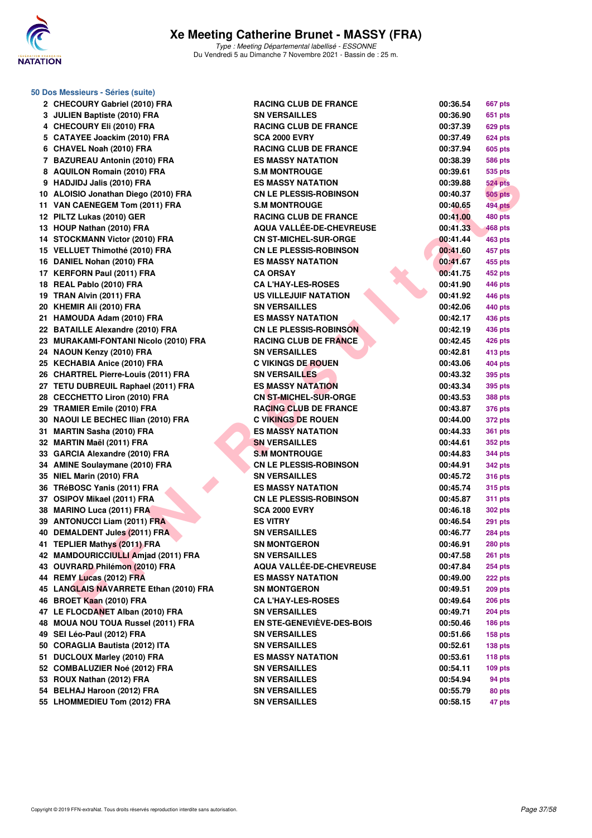

**50 Dos Messieurs - Séries (suite)**

| 2 CHECOURY Gabriel (2010) FRA          | <b>RACING CLUB DE FRANCE</b>     | 00:36.54<br>667 pts        |
|----------------------------------------|----------------------------------|----------------------------|
| 3 JULIEN Baptiste (2010) FRA           | <b>SN VERSAILLES</b>             | 00:36.90<br>651 pts        |
| 4 CHECOURY Eli (2010) FRA              | <b>RACING CLUB DE FRANCE</b>     | 00:37.39<br>629 pts        |
| 5 CATAYEE Joackim (2010) FRA           | <b>SCA 2000 EVRY</b>             | 00:37.49<br><b>624 pts</b> |
| 6 CHAVEL Noah (2010) FRA               | <b>RACING CLUB DE FRANCE</b>     | 00:37.94<br>605 pts        |
| 7 BAZUREAU Antonin (2010) FRA          | <b>ES MASSY NATATION</b>         | 00:38.39<br><b>586 pts</b> |
| 8 AQUILON Romain (2010) FRA            | <b>S.M MONTROUGE</b>             | 00:39.61<br>535 pts        |
| 9 HADJIDJ Jalis (2010) FRA             | <b>ES MASSY NATATION</b>         | 00:39.88<br><b>524 pts</b> |
| 10 ALOISIO Jonathan Diego (2010) FRA   | <b>CN LE PLESSIS-ROBINSON</b>    | <b>505 pts</b><br>00:40.37 |
| 11 VAN CAENEGEM Tom (2011) FRA         | <b>S.M MONTROUGE</b>             | <b>494 pts</b><br>00:40.65 |
| 12 PILTZ Lukas (2010) GER              | <b>RACING CLUB DE FRANCE</b>     | 00:41.00<br><b>480 pts</b> |
| 13 HOUP Nathan (2010) FRA              | AQUA VALLÉE-DE-CHEVREUSE         | 00:41.33<br>468 pts        |
| 14 STOCKMANN Victor (2010) FRA         | <b>CN ST-MICHEL-SUR-ORGE</b>     | <b>463 pts</b><br>00:41.44 |
| 15 VELLUET Thimothé (2010) FRA         | <b>CN LE PLESSIS-ROBINSON</b>    | 00:41.60<br>457 pts        |
| 16 DANIEL Nohan (2010) FRA             | <b>ES MASSY NATATION</b>         | 00:41.67<br>455 pts        |
| 17 KERFORN Paul (2011) FRA             | <b>CA ORSAY</b>                  | 00:41.75<br>452 pts        |
| 18 REAL Pablo (2010) FRA               | <b>CA L'HAY-LES-ROSES</b>        | 00:41.90<br>446 pts        |
| 19 TRAN Alvin (2011) FRA               | <b>US VILLEJUIF NATATION</b>     | 00:41.92<br>446 pts        |
| 20 KHEMIR Ali (2010) FRA               | <b>SN VERSAILLES</b>             | 00:42.06<br>440 pts        |
| 21 HAMOUDA Adam (2010) FRA             | <b>ES MASSY NATATION</b>         | 00:42.17<br>436 pts        |
| 22 BATAILLE Alexandre (2010) FRA       | <b>CN LE PLESSIS-ROBINSON</b>    | 00:42.19<br>436 pts        |
| 23 MURAKAMI-FONTANI Nicolo (2010) FRA  | <b>RACING CLUB DE FRANCE</b>     | 00:42.45<br>426 pts        |
| 24 NAOUN Kenzy (2010) FRA              | <b>SN VERSAILLES</b>             | 00:42.81<br><b>413 pts</b> |
| 25 KECHABIA Anice (2010) FRA           | <b>C VIKINGS DE ROUEN</b>        | 00:43.06<br>404 pts        |
| 26 CHARTREL Pierre-Louis (2011) FRA    | <b>SN VERSAILLES</b>             | 00:43.32<br>395 pts        |
| 27 TETU DUBREUIL Raphael (2011) FRA    | <b>ES MASSY NATATION</b>         | 00:43.34<br>395 pts        |
| 28 CECCHETTO Liron (2010) FRA          | <b>CN ST-MICHEL-SUR-ORGE</b>     |                            |
| 29 TRAMIER Emile (2010) FRA            | <b>RACING CLUB DE FRANCE</b>     | 00:43.53<br><b>388 pts</b> |
|                                        |                                  | 00:43.87<br><b>376 pts</b> |
| 30 NAOUI LE BECHEC Ilian (2010) FRA    | <b>C VIKINGS DE ROUEN</b>        | 00:44.00<br><b>372 pts</b> |
| 31 MARTIN Sasha (2010) FRA             | <b>ES MASSY NATATION</b>         | 00:44.33<br><b>361 pts</b> |
| 32 MARTIN Maël (2011) FRA              | <b>SN VERSAILLES</b>             | 00:44.61<br><b>352 pts</b> |
| 33 GARCIA Alexandre (2010) FRA         | <b>S.M MONTROUGE</b>             | 00:44.83<br>344 pts        |
| 34 AMINE Soulaymane (2010) FRA         | <b>CN LE PLESSIS-ROBINSON</b>    | 00:44.91<br><b>342 pts</b> |
| 35 NIEL Marin (2010) FRA               | <b>SN VERSAILLES</b>             | 00:45.72<br><b>316 pts</b> |
| 36 TRéBOSC Yanis (2011) FRA            | <b>ES MASSY NATATION</b>         | 00:45.74<br><b>315 pts</b> |
| 37 OSIPOV Mikael (2011) FRA            | <b>CN LE PLESSIS-ROBINSON</b>    | 00:45.87<br><b>311 pts</b> |
| 38 MARINO Luca (2011) FRA              | <b>SCA 2000 EVRY</b>             | 00:46.18<br><b>302 pts</b> |
| 39 ANTONUCCI Liam (2011) FRA           | <b>ES VITRY</b>                  | 00:46.54<br><b>291 pts</b> |
| 40 DEMALDENT Jules (2011) FRA          | <b>SN VERSAILLES</b>             | 00:46.77<br><b>284 pts</b> |
| 41 TEPLIER Mathys (2011) FRA           | <b>SN MONTGERON</b>              | 00:46.91<br><b>280 pts</b> |
| 42 MAMDOURICCIULLI Amjad (2011) FRA    | <b>SN VERSAILLES</b>             | 00:47.58<br><b>261 pts</b> |
| 43 OUVRARD Philémon (2010) FRA         | AQUA VALLÉE-DE-CHEVREUSE         | 00:47.84<br><b>254 pts</b> |
| 44 REMY Lucas (2012) FRA               | <b>ES MASSY NATATION</b>         | 00:49.00<br>222 pts        |
| 45 LANGLAIS NAVARRETE Ethan (2010) FRA | <b>SN MONTGERON</b>              | 00:49.51<br>209 pts        |
| 46 BROET Kaan (2010) FRA               | <b>CA L'HAY-LES-ROSES</b>        | 00:49.64<br><b>206 pts</b> |
| 47 LE FLOCDANET Alban (2010) FRA       | <b>SN VERSAILLES</b>             | 00:49.71<br><b>204 pts</b> |
| 48 MOUA NOU TOUA Russel (2011) FRA     | <b>EN STE-GENEVIÈVE-DES-BOIS</b> | 00:50.46<br><b>186 pts</b> |
| 49 SEI Léo-Paul (2012) FRA             | <b>SN VERSAILLES</b>             | 00:51.66<br><b>158 pts</b> |
| 50 CORAGLIA Bautista (2012) ITA        | <b>SN VERSAILLES</b>             | 00:52.61<br>138 pts        |
| 51 DUCLOUX Marley (2010) FRA           | <b>ES MASSY NATATION</b>         | 00:53.61<br>118 pts        |
| 52 COMBALUZIER Noé (2012) FRA          | <b>SN VERSAILLES</b>             | 00:54.11<br>109 pts        |
| 53 ROUX Nathan (2012) FRA              | <b>SN VERSAILLES</b>             | 00:54.94<br>94 pts         |
| 54 BELHAJ Haroon (2012) FRA            | <b>SN VERSAILLES</b>             | 00:55.79<br>80 pts         |
| 55 LHOMMEDIEU Tom (2012) FRA           | <b>SN VERSAILLES</b>             | 00:58.15<br>47 pts         |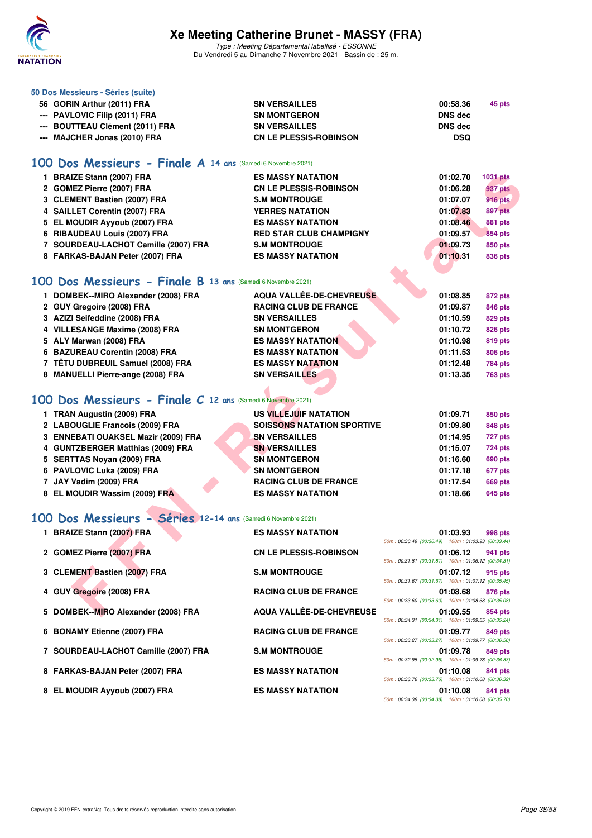

Type : Meeting Départemental labellisé - ESSONNE Du Vendredi 5 au Dimanche 7 Novembre 2021 - Bassin de : 25 m.

| 50 Dos Messieurs - Séries (suite)                             |                                                          |                                                                |                           |  |  |  |  |  |  |  |
|---------------------------------------------------------------|----------------------------------------------------------|----------------------------------------------------------------|---------------------------|--|--|--|--|--|--|--|
| 56 GORIN Arthur (2011) FRA                                    | <b>SN VERSAILLES</b>                                     | 00:58.36                                                       | 45 pts                    |  |  |  |  |  |  |  |
| --- PAVLOVIC Filip (2011) FRA                                 | <b>SN MONTGERON</b>                                      | <b>DNS dec</b>                                                 |                           |  |  |  |  |  |  |  |
| <b>BOUTTEAU Clément (2011) FRA</b>                            | <b>SN VERSAILLES</b>                                     | <b>DNS dec</b>                                                 |                           |  |  |  |  |  |  |  |
| --- MAJCHER Jonas (2010) FRA                                  | <b>CN LE PLESSIS-ROBINSON</b>                            | <b>DSQ</b>                                                     |                           |  |  |  |  |  |  |  |
| 100 Dos Messieurs - Finale A 14 ans (Samedi 6 Novembre 2021)  |                                                          |                                                                |                           |  |  |  |  |  |  |  |
| 1 BRAIZE Stann (2007) FRA                                     | <b>ES MASSY NATATION</b>                                 | 01:02.70                                                       | 1031 pts                  |  |  |  |  |  |  |  |
| 2 GOMEZ Pierre (2007) FRA                                     | <b>CN LE PLESSIS-ROBINSON</b>                            | 01:06.28                                                       | <b>937 pts</b>            |  |  |  |  |  |  |  |
| 3 CLEMENT Bastien (2007) FRA                                  | <b>S.M MONTROUGE</b>                                     | 01:07.07                                                       | <b>916 pts</b>            |  |  |  |  |  |  |  |
| 4 SAILLET Corentin (2007) FRA                                 | <b>YERRES NATATION</b>                                   | 01:07.83                                                       | 897 pts                   |  |  |  |  |  |  |  |
| 5 EL MOUDIR Ayyoub (2007) FRA                                 | <b>ES MASSY NATATION</b>                                 | 01:08.46                                                       | <b>881 pts</b>            |  |  |  |  |  |  |  |
| 6 RIBAUDEAU Louis (2007) FRA                                  | <b>RED STAR CLUB CHAMPIGNY</b>                           | 01:09.57                                                       | 854 pts                   |  |  |  |  |  |  |  |
| 7 SOURDEAU-LACHOT Camille (2007) FRA                          | <b>S.M MONTROUGE</b>                                     | 01:09.73                                                       | 850 pts                   |  |  |  |  |  |  |  |
| 8 FARKAS-BAJAN Peter (2007) FRA                               | <b>ES MASSY NATATION</b>                                 | 01:10.31                                                       | 836 pts                   |  |  |  |  |  |  |  |
| 100 Dos Messieurs - Finale B 13 ans (Samedi 6 Novembre 2021)  |                                                          |                                                                |                           |  |  |  |  |  |  |  |
| 1 DOMBEK--MIRO Alexander (2008) FRA                           | AQUA VALLÉE-DE-CHEVREUSE                                 | 01:08.85                                                       | 872 pts                   |  |  |  |  |  |  |  |
| 2 GUY Gregoire (2008) FRA                                     | <b>RACING CLUB DE FRANCE</b>                             | 01:09.87                                                       | 846 pts                   |  |  |  |  |  |  |  |
| 3 AZIZI Seifeddine (2008) FRA                                 | <b>SN VERSAILLES</b>                                     | 01:10.59                                                       | 829 pts                   |  |  |  |  |  |  |  |
| 4 VILLESANGE Maxime (2008) FRA                                | <b>SN MONTGERON</b>                                      | 01:10.72                                                       | 826 pts                   |  |  |  |  |  |  |  |
| 5 ALY Marwan (2008) FRA                                       | <b>ES MASSY NATATION</b>                                 | 01:10.98                                                       | 819 pts                   |  |  |  |  |  |  |  |
| 6 BAZUREAU Corentin (2008) FRA                                | <b>ES MASSY NATATION</b>                                 | 01:11.53                                                       | <b>806 pts</b>            |  |  |  |  |  |  |  |
| 7 TÊTU DUBREUIL Samuel (2008) FRA                             | <b>ES MASSY NATATION</b>                                 | 01:12.48                                                       | <b>784 pts</b>            |  |  |  |  |  |  |  |
| 8 MANUELLI Pierre-ange (2008) FRA                             | <b>SN VERSAILLES</b>                                     | 01:13.35                                                       | <b>763 pts</b>            |  |  |  |  |  |  |  |
|                                                               |                                                          |                                                                |                           |  |  |  |  |  |  |  |
| 100 Dos Messieurs - Finale C 12 ans (Samedi 6 Novembre 2021)  |                                                          |                                                                |                           |  |  |  |  |  |  |  |
| 1 TRAN Augustin (2009) FRA                                    | US VILLEJUIF NATATION                                    | 01:09.71                                                       | 850 pts                   |  |  |  |  |  |  |  |
| 2 LABOUGLIE Francois (2009) FRA                               | <b>SOISSONS NATATION SPORTIVE</b>                        | 01:09.80                                                       | 848 pts                   |  |  |  |  |  |  |  |
| 3 ENNEBATI OUAKSEL Mazir (2009) FRA                           | <b>SN VERSAILLES</b>                                     | 01:14.95                                                       | 727 pts                   |  |  |  |  |  |  |  |
| 4 GUNTZBERGER Matthias (2009) FRA                             | <b>SN VERSAILLES</b>                                     | 01:15.07                                                       | <b>724 pts</b>            |  |  |  |  |  |  |  |
| 5 SERTTAS Noyan (2009) FRA                                    | <b>SN MONTGERON</b>                                      | 01:16.60                                                       | 690 pts                   |  |  |  |  |  |  |  |
| 6 PAVLOVIC Luka (2009) FRA                                    | <b>SN MONTGERON</b>                                      | 01:17.18                                                       | 677 pts                   |  |  |  |  |  |  |  |
| 7 JAY Vadim (2009) FRA<br>8 EL MOUDIR Wassim (2009) FRA       | <b>RACING CLUB DE FRANCE</b><br><b>ES MASSY NATATION</b> | 01:17.54<br>01:18.66                                           | <b>669 pts</b><br>645 pts |  |  |  |  |  |  |  |
|                                                               |                                                          |                                                                |                           |  |  |  |  |  |  |  |
| 100 Dos Messieurs - Séries 12-14 ans (Samedi 6 Novembre 2021) |                                                          |                                                                |                           |  |  |  |  |  |  |  |
| 1 BRAIZE Stann (2007) FRA                                     | <b>ES MASSY NATATION</b>                                 | 01:03.93<br>50m: 00:30.49 (00:30.49) 100m: 01:03.93 (00:33.44) | 998 pts                   |  |  |  |  |  |  |  |
| 2 GOMEZ Pierre (2007) FRA                                     | <b>CN LE PLESSIS-ROBINSON</b>                            | 01:06.12                                                       | 941 pts                   |  |  |  |  |  |  |  |
|                                                               |                                                          | 50m: 00:31.81 (00:31.81) 100m: 01:06.12 (00:34.31)             |                           |  |  |  |  |  |  |  |
| 3 CLEMENT Bastien (2007) FRA                                  | <b>S.M MONTROUGE</b>                                     | 01:07.12<br>50m: 00:31.67 (00:31.67) 100m: 01:07.12 (00:35.45) | 915 pts                   |  |  |  |  |  |  |  |
| 4 GUY Gregoire (2008) FRA                                     | <b>RACING CLUB DE FRANCE</b>                             | 01:08.68<br>50m: 00:33.60 (00:33.60) 100m: 01:08.68 (00:35.08) | 876 pts                   |  |  |  |  |  |  |  |
| DOMBEK--MIRO Alexander (2008) FRA<br>5                        | AQUA VALLÉE-DE-CHEVREUSE                                 | 01:09.55                                                       | 854 pts                   |  |  |  |  |  |  |  |
| 6 BONAMY Etienne (2007) FRA                                   | <b>RACING CLUB DE FRANCE</b>                             | 50m: 00:34.31 (00:34.31) 100m: 01:09.55 (00:35.24)<br>01:09.77 | 849 pts                   |  |  |  |  |  |  |  |
|                                                               |                                                          | 50m: 00:33.27 (00:33.27) 100m: 01:09.77 (00:36.50)             |                           |  |  |  |  |  |  |  |
| 7 SOURDEAU-LACHOT Camille (2007) FRA                          | <b>S.M MONTROUGE</b>                                     | 01:09.78<br>50m: 00:32.95 (00:32.95) 100m: 01:09.78 (00:36.83) | 849 pts                   |  |  |  |  |  |  |  |
| 8 FARKAS-BAJAN Peter (2007) FRA                               | <b>ES MASSY NATATION</b>                                 | 01:10.08<br>50m: 00:33.76 (00:33.76) 100m: 01:10.08 (00:36.32) | 841 pts                   |  |  |  |  |  |  |  |
|                                                               |                                                          |                                                                |                           |  |  |  |  |  |  |  |

**8 EL MOUDIR Ayyoub (2007) FRA ES MASSY NATATION 01:10.08 841 pts**

50m : 00:34.38 (00:34.38) 100m : 01:10.08 (00:35.70)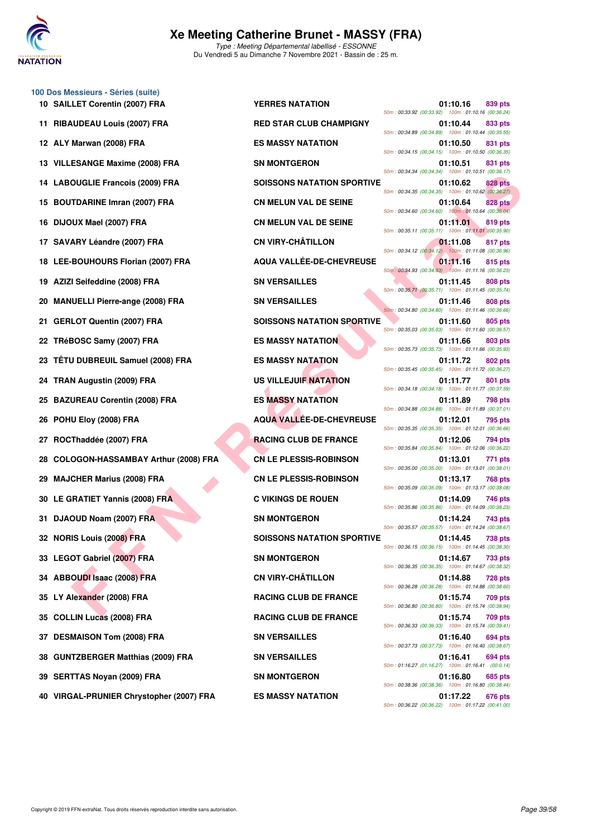

**FOULLE FRIDGE (2009) FRA**<br> **FOURNINE Immain (2009) FRA**<br> **FINAL ENGINE (2009) FRA**<br> **FINAL ENGINE (2009) FRA**<br> **FINAL ENGINE (2009) FRA**<br> **FINAL ENGINE (2009) FRA**<br> **FINAL ENGINE (2009) FRA**<br> **FINAL ENGINE (2009) FRA**<br> **100 Dos Messieurs - Séries (suite) 10 SAILLET Corentin (2007) FRA YERRES NATATION 01:10.16 839 pts 11 RIBAUDEAU Louis (2007) FRA RED STAR CLUB CHAMPIGNY 01:10.44 833 pts 12 ALY Marwan (2008) FRA ES MASSY NATATION 01:10.50 831 pts 13 VILLESANGE Maxime (2008) FRA SN MONTGERON 01:10.51 831 pts 14 LABOUGLIE Francois (2009) FRA SOISSONS NATATION SPORTIVE 01:10.62 828 pts 15 BOUTDARINE Imran (2007) FRA CN MELUN VAL DE SEINE 01:10.64 828 pts 16 DIJOUX Mael (2007) FRA CN MELUN VAL DE SEINE 01:11.01 819 pts 17 SAVARY Léandre (2007) FRA CN VIRY-CHÂTILLON 01:11.08 817 pts 18 LEE-BOUHOURS Florian (2007) FRA AQUA VALLÉE-DE-CHEVREUSE 611.11.16 815 pts 19 AZIZI Seifeddine (2008) FRA SN VERSAILLES 01:11.45 808 pts 20 MANUELLI Pierre-ange (2008) FRA SN VERSAILLES 01:11.46 808 pts 21 GERLOT Quentin (2007) FRA SOISSONS NATATION SPORTIVE 01:11.60 805 pts 22 TRéBOSC Samy (2007) FRA ES MASSY NATATION 01:11.66 803 pts 23 TÊTU DUBREUIL Samuel (2008) FRA ES MASSY NATATION 01:11.72 802 pts 24 TRAN Augustin (2009) FRA US VILLEJUIF NATATION 01:11.77 801 pts 25 BAZUREAU Corentin (2008) FRA ES MASSY NATATION 01:11.89 798 pts 26 POHU Eloy (2008) FRA AQUA VALLÉE-DE-CHEVREUSE 01:12.01 795 pts 27 ROCThaddée (2007) FRA RACING CLUB DE FRANCE 01:12.06 794 pts 28 COLOGON-HASSAMBAY Arthur (2008) FRA CN LE PLESSIS-ROBINSON 01:13.01 771 pts 29 MAJCHER Marius (2008) FRA CN LE PLESSIS-ROBINSON 01:13.17 768 pts 30 LE GRATIET Yannis (2008) FRA C VIKINGS DE ROUEN 01:14.09 746 pts 31 DJAOUD Noam (2007) FRA SN MONTGERON 501:14.24 743 pts 32 NORIS Louis (2008) FRA SOISSONS NATATION SPORTIVE 01:14.45 738 pts 33 LEGOT Gabriel (2007) FRA** SN MONTGERON SN MONTGERON 01:14.67 733 pts **34 ABBOUDI Isaac (2008) FRA CN VIRY-CHÂTILLON 01:14.88 728 pts 35 LY Alexander (2008) FRA RACING CLUB DE FRANCE 01:15.74 709 pts 35 COLLIN Lucas (2008) FRA RACING CLUB DE FRANCE 01:15.74 709 pts 37 DESMAISON Tom (2008) FRA SN VERSAILLES 01:16.40 694 pts 38 GUNTZBERGER Matthias (2009) FRA SN VERSAILLES 01:16.41 694 pts 39 SERTTAS Noyan (2009) FRA SN MONTGERON 01:16.80 685 pts**

**40 VIRGAL-PRUNIER Chrystopher (2007) FRA ES MASSY NATATION 01:17.22 676 pts**

50m : 00:33.92 (00:33.92) 100m : 01:10.16 (00:36.24) 50m : 00:34.89 (00:34.89) 100m : 01:10.44 (00:35.55) 50m : 00:34.15 (00:34.15) 100m : 01:10.50 (00:36.35) 50m : 00:34.34 (00:34.34) 100m : 01:10.51 (00:36.17) 50m : 00:34.35 (00:34.35) 100m : 01:10.62 (00:36.27) 50m : 00:34.60 (00:34.60) 100m : 01:10.64 (00:36.04) 50m : 00:35.11 (00:35.11) 100m : 01:11.01 (00:35.90) 50m : 00:34.12 (00:34.12) 100m : 01:11.08 (00:36.96) 50m : 00:34.93 (00:34.93) 100m : 01:11.16 (00:36.23) 50m : 00:35.71 (00:35.71) 100m : 01:11.45 (00:35.74) 50m : 00:34.80 (00:34.80) 100m : 01:11.46 (00:36.66) 50m : 00:35.03 (00:35.03) 100m : 01:11.60 (00:36.57) 50m : 00:35.73 (00:35.73) 100m : 01:11.66 (00:35.93) 50m : 00:35.45 (00:35.45) 100m : 01:11.72 (00:36.27) 50m : 00:34.18 (00:34.18) 100m : 01:11.77 (00:37.59) 50m : 00:34.88 (00:34.88) 100m : 01:11.89 (00:37.01) 50m : 00:35.35 (00:35.35) 100m : 01:12.01 (00:36.66) 50m : 00:35.84 (00:35.84) 100m : 01:12.06 (00:36.22) 50m : 00:35.00 (00:35.00) 100m : 01:13.01 (00:38.01) 50m : 00:35.09 (00:35.09) 100m : 01:13.17 (00:38.08) 50m : 00:35.86 (00:35.86) 100m : 01:14.09 (00:38.23) 50m : 00:35.57 (00:35.57) 100m : 01:14.24 (00:38.67) 50m : 00:36.15 (00:36.15) 100m : 01:14.45 (00:38.30) 50m : 00:36.35 (00:36.35) 100m : 01:14.67 (00:38.32) 50m : 00:36.28 (00:36.28) 100m : 01:14.88 (00:38.60) 50m : 00:36.80 (00:36.80) 100m : 01:15.74 (00:38.94) 50m : 00:36.33 (00:36.33) 100m : 01:15.74 (00:39.41) 50m : 00:37.73 (00:37.73) 100m : 01:16.40 (00:38.67) 50m : 01:16.27 (01:16.27) 100m : 01:16.41 (00:0.14) 50m : 00:38.36 (00:38.36) 100m : 01:16.80 (00:38.44) 50m : 00:36.22 (00:36.22) 100m : 01:17.22 (00:41.00)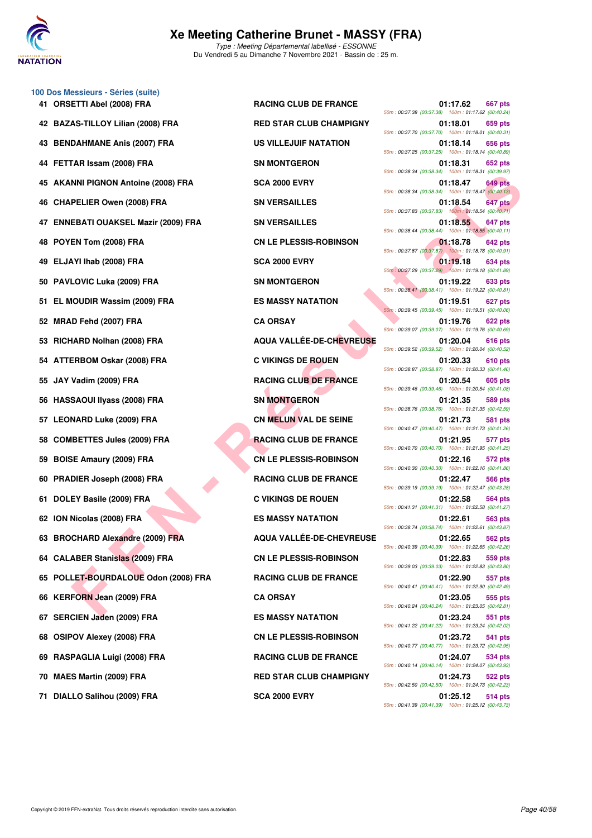

## **Xe Meeting Catherine Brunet - MASSY (FRA)** Type : Meeting Départemental labellisé - ESSONNE

Du Vendredi 5 au Dimanche 7 Novembre 2021 - Bassin de : 25 m.

|     | 100 Dos Messieurs - Séries (suite)       |                                 |                                                                                  |
|-----|------------------------------------------|---------------------------------|----------------------------------------------------------------------------------|
|     | 41 ORSETTI Abel (2008) FRA               | <b>RACING CLUB DE FRANCE</b>    | 01:17.62<br>667 pts<br>50m: 00:37.38 (00:37.38) 100m: 01:17.62 (00:40.24)        |
| 42  | <b>BAZAS-TILLOY Lilian (2008) FRA</b>    | <b>RED STAR CLUB CHAMPIGNY</b>  | 01:18.01<br>659 pts<br>50m: 00:37.70 (00:37.70) 100m: 01:18.01 (00:40.31)        |
| 43  | <b>BENDAHMANE Anis (2007) FRA</b>        | <b>US VILLEJUIF NATATION</b>    | 01:18.14<br>656 pts<br>50m: 00:37.25 (00:37.25) 100m: 01:18.14 (00:40.89)        |
| 44  | FETTAR Issam (2008) FRA                  | <b>SN MONTGERON</b>             | 01:18.31<br>652 pts<br>50m: 00:38.34 (00:38.34) 100m: 01:18.31 (00:39.97)        |
|     | <b>AKANNI PIGNON Antoine (2008) FRA</b>  | <b>SCA 2000 EVRY</b>            | 01:18.47<br>649 pts<br>50m: 00:38.34 (00:38.34) 100m: 01:18.47 (00:40.13)        |
| 46. | <b>CHAPELIER Owen (2008) FRA</b>         | <b>SN VERSAILLES</b>            | 01:18.54<br>647 pts<br>50m: 00:37.83 (00:37.83) 100m: 01:18.54 (00:40.71)        |
| 47  | <b>ENNEBATI OUAKSEL Mazir (2009) FRA</b> | <b>SN VERSAILLES</b>            | 01:18.55<br>647 pts<br>50m: 00:38.44 (00:38.44) 100m: 01:18.55 (00:40.11)        |
| 48  | POYEN Tom (2008) FRA                     | <b>CN LE PLESSIS-ROBINSON</b>   | 01:18.78<br>642 pts<br>50m: 00:37.87 (00:37.87)  100m: 01:18.78 (00:40.91)       |
| 49  | ELJAYI Ihab (2008) FRA                   | <b>SCA 2000 EVRY</b>            | 01:19.18<br>634 pts<br>50m: 00:37.29 (00:37.29) 100m: 01:19.18 (00:41.89)        |
| 50  | <b>PAVLOVIC Luka (2009) FRA</b>          | <b>SN MONTGERON</b>             | 01:19.22<br><b>633 pts</b><br>50m: 00:38.41 (00:38.41) 100m: 01:19.22 (00:40.81) |
| 51  | EL MOUDIR Wassim (2009) FRA              | <b>ES MASSY NATATION</b>        | 01:19.51<br>627 pts                                                              |
| 52  | MRAD Fehd (2007) FRA                     | <b>CA ORSAY</b>                 | 50m: 00:39.45 (00:39.45) 100m: 01:19.51 (00:40.06)<br>01:19.76<br>622 pts        |
| 53  | RICHARD Nolhan (2008) FRA                | <b>AQUA VALLÉE-DE-CHEVREUSE</b> | 50m: 00:39.07 (00:39.07) 100m: 01:19.76 (00:40.69)<br>01:20.04<br>616 pts        |
| 54  | <b>ATTERBOM Oskar (2008) FRA</b>         | <b>C VIKINGS DE ROUEN</b>       | 50m: 00:39.52 (00:39.52) 100m: 01:20.04 (00:40.52)<br>01:20.33<br>610 pts        |
| 55  | JAY Vadim (2009) FRA                     | <b>RACING CLUB DE FRANCE</b>    | 50m: 00:38.87 (00:38.87) 100m: 01:20.33 (00:41.46)<br>01:20.54<br>605 pts        |
| 56  | <b>HASSAOUI IIyass (2008) FRA</b>        | <b>SN MONTGERON</b>             | 50m: 00:39.46 (00:39.46) 100m: 01:20.54 (00:41.08)<br>01:21.35<br>589 pts        |
| 57  | <b>LEONARD Luke (2009) FRA</b>           | <b>CN MELUN VAL DE SEINE</b>    | 50m: 00:38.76 (00:38.76) 100m: 01:21.35 (00:42.59)<br>01:21.73<br>581 pts        |
| 58  | <b>COMBETTES Jules (2009) FRA</b>        | <b>RACING CLUB DE FRANCE</b>    | 50m: 00:40.47 (00:40.47) 100m: 01:21.73 (00:41.26)<br>01:21.95<br>577 pts        |
| 59  | <b>BOISE Amaury (2009) FRA</b>           | <b>CN LE PLESSIS-ROBINSON</b>   | 50m: 00:40.70 (00:40.70) 100m: 01:21.95 (00:41.25)<br>01:22.16<br><b>572 pts</b> |
| 60  | PRADIER Joseph (2008) FRA                | <b>RACING CLUB DE FRANCE</b>    | 50m: 00:40.30 (00:40.30) 100m: 01:22.16 (00:41.86)<br>01:22.47<br>566 pts        |
| 61  | DOLEY Basile (2009) FRA                  | <b>C VIKINGS DE ROUEN</b>       | 50m: 00:39.19 (00:39.19) 100m: 01:22.47 (00:43.28)<br>01:22.58<br>564 pts        |
|     | 62 ION Nicolas (2008) FRA                | <b>ES MASSY NATATION</b>        | 50m: 00:41.31 (00:41.31) 100m: 01:22.58 (00:41.27)<br>01:22.61<br>563 pts        |
|     | 63 BROCHARD Alexandre (2009) FRA         | <b>AQUA VALLEE-DE-CHEVREUSE</b> | 50m: 00:38.74 (00:38.74) 100m: 01:22.61 (00:43.87)<br>01:22.65<br>562 pts        |
|     | 64 CALABER Stanislas (2009) FRA          | <b>CN LE PLESSIS-ROBINSON</b>   | 50m: 00:40.39 (00:40.39) 100m: 01:22.65 (00:42.26)<br>01:22.83<br>559 pts        |
|     | 65 POLLET-BOURDALOUE Odon (2008) FRA     | <b>RACING CLUB DE FRANCE</b>    | 50m: 00:39.03 (00:39.03) 100m: 01:22.83 (00:43.80)<br>01:22.90<br>557 pts        |
| 66  | <b>KERFORN Jean (2009) FRA</b>           | <b>CA ORSAY</b>                 | 50m: 00:40.41 (00:40.41) 100m: 01:22.90 (00:42.49)<br>01:23.05<br>555 pts        |
| 67  | SERCIEN Jaden (2009) FRA                 | <b>ES MASSY NATATION</b>        | 50m: 00:40.24 (00:40.24) 100m: 01:23.05 (00:42.81)<br>01:23.24<br>551 pts        |
| 68  | <b>OSIPOV Alexey (2008) FRA</b>          | <b>CN LE PLESSIS-ROBINSON</b>   | 50m: 00:41.22 (00:41.22) 100m: 01:23.24 (00:42.02)<br>01:23.72<br>541 pts        |
|     | 69 RASPAGLIA Luigi (2008) FRA            | <b>RACING CLUB DE FRANCE</b>    | 50m: 00:40.77 (00:40.77) 100m: 01:23.72 (00:42.95)<br>01:24.07<br>534 pts        |
|     | 70 MAES Martin (2009) FRA                | <b>RED STAR CLUB CHAMPIGNY</b>  | 50m: 00:40.14 (00:40.14) 100m: 01:24.07 (00:43.93)<br>01:24.73<br>522 pts        |
|     |                                          | ---- -----                      | 50m: 00:42.50 (00:42.50) 100m: 01:24.73 (00:42.23)                               |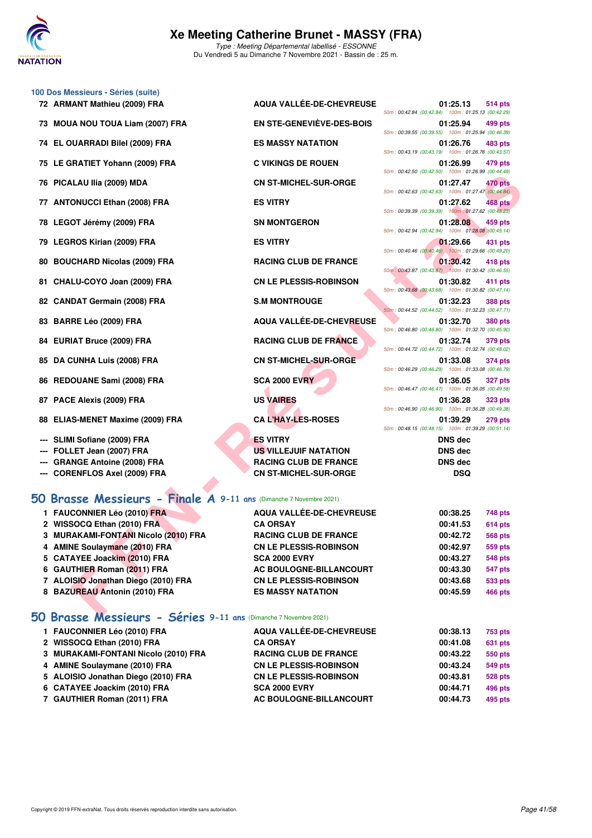

#### **100 Dos Messieurs - Séries (suite)**

| 72 ARMANT Mathieu (2009) FRA                                          | <b>AQUA VALLÉE-DE-CHEVREUSE</b> | 01:25.13<br>514 pts<br>50m: 00:42.84 (00:42.84) 100m: 01:25.13 (00:42.29)        |
|-----------------------------------------------------------------------|---------------------------------|----------------------------------------------------------------------------------|
| 73 MOUA NOU TOUA Liam (2007) FRA                                      | EN STE-GENEVIÈVE-DES-BOIS       | 01:25.94<br>499 pts<br>50m: 00:39.55 (00:39.55) 100m: 01:25.94 (00:46.39)        |
| 74 EL OUARRADI Bilel (2009) FRA                                       | <b>ES MASSY NATATION</b>        | 01:26.76<br>483 pts                                                              |
| 75 LE GRATIET Yohann (2009) FRA                                       | <b>C VIKINGS DE ROUEN</b>       | 50m: 00:43.19 (00:43.19) 100m: 01:26.76 (00:43.57)<br>01:26.99<br>479 pts        |
| 76 PICALAU IIIa (2009) MDA                                            | <b>CN ST-MICHEL-SUR-ORGE</b>    | 50m: 00:42.50 (00:42.50) 100m: 01:26.99 (00:44.49)<br>01:27.47<br>470 pts        |
| 77 ANTONUCCI Ethan (2008) FRA                                         | <b>ES VITRY</b>                 | 50m: 00:42.63 (00:42.63) 100m: 01:27.47 (00:44.84)<br>01:27.62<br>468 pts        |
| 78 LEGOT Jérémy (2009) FRA                                            | <b>SN MONTGERON</b>             | 50m: 00:39.39 (00:39.39) 100m: 01:27.62 (00:48.23)<br>01:28.08<br>459 pts        |
| 79 LEGROS Kirian (2009) FRA                                           | <b>ES VITRY</b>                 | 50m: 00:42.94 (00:42.94) 100m: 01:28.08 (00:45.14)<br>01:29.66<br>431 pts        |
| 80 BOUCHARD Nicolas (2009) FRA                                        | <b>RACING CLUB DE FRANCE</b>    | 50m: 00:40.46 (00:40.46) 100m: 01:29.66 (00:49.20)<br>01:30.42<br>418 pts        |
| 81 CHALU-COYO Joan (2009) FRA                                         | <b>CN LE PLESSIS-ROBINSON</b>   | 50m: 00:43.87 (00:43.87) 100m: 01:30.42 (00:46.55)<br>01:30.82<br>411 pts        |
| 82 CANDAT Germain (2008) FRA                                          | <b>S.M MONTROUGE</b>            | 50m: 00:43.68 (00:43.68) 100m: 01:30.82 (00:47.14)<br>01:32.23<br><b>388 pts</b> |
| 83 BARRE Léo (2009) FRA                                               | <b>AQUA VALLÉE-DE-CHEVREUSE</b> | 50m: 00:44.52 (00:44.52) 100m: 01:32.23 (00:47.71)<br>01:32.70<br><b>380 pts</b> |
| 84 EURIAT Bruce (2009) FRA                                            | <b>RACING CLUB DE FRANCE</b>    | 50m: 00:46.80 (00:46.80) 100m: 01:32.70 (00:45.90)<br>01:32.74<br>379 pts        |
| 85 DA CUNHA Luis (2008) FRA                                           | <b>CN ST-MICHEL-SUR-ORGE</b>    | 50m: 00:44.72 (00:44.72) 100m: 01:32.74 (00:48.02)<br>01:33.08<br>374 pts        |
| 86 REDOUANE Sami (2008) FRA                                           | <b>SCA 2000 EVRY</b>            | 50m: 00:46.29 (00:46.29) 100m: 01:33.08 (00:46.79)<br>01:36.05<br><b>327 pts</b> |
| 87 PACE Alexis (2009) FRA                                             | <b>US VAIRES</b>                | 50m: 00:46.47 (00:46.47) 100m: 01:36.05 (00:49.58)<br>01:36.28<br><b>323 pts</b> |
| 88 ELIAS-MENET Maxime (2009) FRA                                      | <b>CA L'HAY-LES-ROSES</b>       | 50m: 00:46.90 (00:46.90) 100m: 01:36.28 (00:49.38)<br>01:39.29<br><b>279 pts</b> |
|                                                                       | <b>ES VITRY</b>                 | 50m: 00:48.15 (00:48.15) 100m: 01:39.29 (00:51.14)                               |
| SLIMI Sofiane (2009) FRA                                              |                                 | <b>DNS</b> dec                                                                   |
| FOLLET Jean (2007) FRA                                                | US VILLEJUIF NATATION           | <b>DNS</b> dec                                                                   |
| <b>GRANGE Antoine (2008) FRA</b>                                      | <b>RACING CLUB DE FRANCE</b>    | <b>DNS</b> dec                                                                   |
| --- CORENFLOS Axel (2009) FRA                                         | <b>CN ST-MICHEL-SUR-ORGE</b>    | <b>DSQ</b>                                                                       |
| O Brasse Messieurs - Finale A 9-11 ans (Dimanche 7 Novembre 2021)     |                                 |                                                                                  |
| 1 FAUCONNIER Léo (2010) FRA                                           | AQUA VALLÉE-DE-CHEVREUSE        | 00:38.25<br>748 pts                                                              |
| 2 WISSOCQ Ethan (2010) FRA                                            | <b>CA ORSAY</b>                 | 00:41.53<br>614 pts                                                              |
| 3 MURAKAMI-FONTANI Nicolo (2010) FRA                                  | <b>RACING CLUB DE FRANCE</b>    | 00:42.72<br><b>568 pts</b>                                                       |
| 4 AMINE Soulaymane (2010) FRA                                         | <b>CN LE PLESSIS-ROBINSON</b>   | 00:42.97<br>559 pts                                                              |
| 5 CATAYEE Joackim (2010) FRA                                          | <b>SCA 2000 EVRY</b>            | 00:43.27<br><b>548 pts</b>                                                       |
| 6 GAUTHIER Roman (2011) FRA                                           | AC BOULOGNE-BILLANCOURT         | 00:43.30<br><b>547 pts</b>                                                       |
| 7 ALOISIO Jonathan Diego (2010) FRA                                   | <b>CN LE PLESSIS-ROBINSON</b>   | 00:43.68<br>533 pts                                                              |
| 8 BAZUREAU Antonin (2010) FRA                                         | <b>ES MASSY NATATION</b>        | 00:45.59<br><b>466 pts</b>                                                       |
| $C2$ $m2 = 0.11$ $m2$ $n2$ $n3$ $n4$ $n5$ $n6$<br>0 Desses Massisines |                                 |                                                                                  |

## **[50 Brasse Messieurs - Finale A](http://www.ffnatation.fr/webffn/resultats.php?idact=nat&go=epr&idcpt=72199&idepr=71) 9-11 ans** (Dimanche 7 Novembre 2021)

| 1 FAUCONNIER Léo (2010) FRA          | AQUA VALLÉE-DE-CHEVREUSE      | 00:38.25 | 748 pts        |
|--------------------------------------|-------------------------------|----------|----------------|
| 2 WISSOCQ Ethan (2010) FRA           | <b>CA ORSAY</b>               | 00:41.53 | <b>614 pts</b> |
| 3 MURAKAMI-FONTANI Nicolo (2010) FRA | <b>RACING CLUB DE FRANCE</b>  | 00:42.72 | <b>568 pts</b> |
| 4 AMINE Soulaymane (2010) FRA        | <b>CN LE PLESSIS-ROBINSON</b> | 00:42.97 | 559 pts        |
| 5 CATAYEE Joackim (2010) FRA         | <b>SCA 2000 EVRY</b>          | 00:43.27 | <b>548 pts</b> |
| 6 GAUTHIER Roman (2011) FRA          | AC BOULOGNE-BILLANCOURT       | 00:43.30 | <b>547 pts</b> |
| 7 ALOISIO Jonathan Diego (2010) FRA  | <b>CN LE PLESSIS-ROBINSON</b> | 00:43.68 | 533 pts        |
| 8 BAZUREAU Antonin (2010) FRA        | <b>ES MASSY NATATION</b>      | 00:45.59 | <b>466 pts</b> |
|                                      |                               |          |                |

## **[50 Brasse Messieurs - Séries](http://www.ffnatation.fr/webffn/resultats.php?idact=nat&go=epr&idcpt=72199&idepr=71) 9-11 ans** (Dimanche 7 Novembre 2021)

| 1 FAUCONNIER Léo (2010) FRA          | AQUA VALLÉE-DE-CHEVREUSE      | 00:38.13 | 753 pts |
|--------------------------------------|-------------------------------|----------|---------|
| 2 WISSOCQ Ethan (2010) FRA           | <b>CA ORSAY</b>               | 00:41.08 | 631 pts |
| 3 MURAKAMI-FONTANI Nicolo (2010) FRA | <b>RACING CLUB DE FRANCE</b>  | 00:43.22 | 550 pts |
| 4 AMINE Soulaymane (2010) FRA        | <b>CN LE PLESSIS-ROBINSON</b> | 00:43.24 | 549 pts |
| 5 ALOISIO Jonathan Diego (2010) FRA  | <b>CN LE PLESSIS-ROBINSON</b> | 00:43.81 | 528 pts |
| 6 CATAYEE Joackim (2010) FRA         | <b>SCA 2000 EVRY</b>          | 00:44.71 | 496 pts |
| 7 GAUTHIER Roman (2011) FRA          | AC BOULOGNE-BILLANCOURT       | 00:44.73 | 495 pts |
|                                      |                               |          |         |

|                           | 50m: 00:39.55 (00:39.55)       |
|---------------------------|--------------------------------|
| <b>SY NATATION</b>        | 0<br>50m: 00:43.19 (00:43.19)  |
| <b>GS DE ROUEN</b>        | 0                              |
| <b>IICHEL-SUR-ORGE</b>    | 50m: 00:42.50 (00:42.50)<br>0  |
| Υ                         | 50m: 00:42.63 (00:42.63)<br>0  |
|                           | 50m: 00:39.39 (00:39.39)       |
| <b>ITGERON</b>            | 0<br>50m: 00:42.94 (00:42.94)  |
| Υ                         | 0<br>50m: 00:40.46 (00:40.46)  |
| <b>CLUB DE FRANCE</b>     | 0<br>50m : 00:43.87 (00:43.87) |
| <b>LESSIS-ROBINSON</b>    | 0<br>50m: 00:43.68 (00:43.68)  |
| <b>NTROUGE</b>            | 0                              |
| <b>ALLÉE-DE-CHEVREUSE</b> | 50m: 00:44.52 (00:44.52)<br>0  |
| <b>CLUB DE FRANCE</b>     | 50m: 00:46.80 (00:46.80)<br>0  |
|                           | 50m: 00:44.72 (00:44.72)       |
| <b>IICHEL-SUR-ORGE</b>    | 0<br>50m: 00:46.29 (00:46.29)  |
| <b>0 EVRY</b>             | 0<br>50m: 00:46.47 (00:46.47)  |
| <b>IES</b>                | 0<br>50m: 00:46.90 (00:46.90)  |
| <b>Y-LES-ROSES</b>        | 0<br>50m: 00:48.15 (00:48.15)  |
| γ                         | D                              |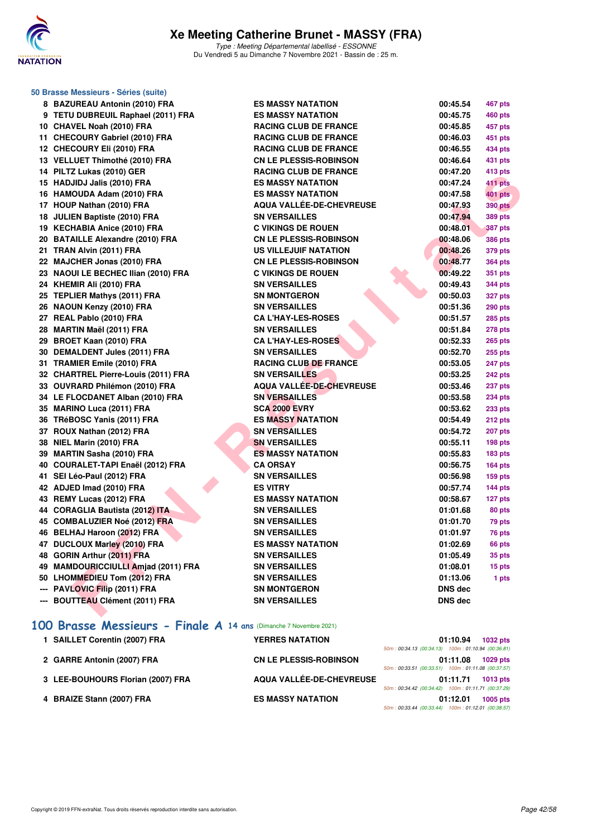

| 50 Brasse Messieurs - Séries (suite)                              |                                 |                            |  |
|-------------------------------------------------------------------|---------------------------------|----------------------------|--|
| 8 BAZUREAU Antonin (2010) FRA                                     | <b>ES MASSY NATATION</b>        | 00:45.54<br>467 pts        |  |
| 9 TETU DUBREUIL Raphael (2011) FRA                                | <b>ES MASSY NATATION</b>        | 00:45.75<br><b>460 pts</b> |  |
| 10 CHAVEL Noah (2010) FRA                                         | <b>RACING CLUB DE FRANCE</b>    | 00:45.85<br>457 pts        |  |
| 11 CHECOURY Gabriel (2010) FRA                                    | <b>RACING CLUB DE FRANCE</b>    | 00:46.03<br>451 pts        |  |
| 12 CHECOURY Eli (2010) FRA                                        | <b>RACING CLUB DE FRANCE</b>    | 00:46.55<br>434 pts        |  |
| 13 VELLUET Thimothé (2010) FRA                                    | <b>CN LE PLESSIS-ROBINSON</b>   | 00:46.64<br>431 pts        |  |
| 14 PILTZ Lukas (2010) GER                                         | <b>RACING CLUB DE FRANCE</b>    | 00:47.20<br>413 pts        |  |
| 15 HADJIDJ Jalis (2010) FRA                                       | <b>ES MASSY NATATION</b>        | 00:47.24<br>411 pts        |  |
| 16 HAMOUDA Adam (2010) FRA                                        | <b>ES MASSY NATATION</b>        | <b>401 pts</b><br>00:47.58 |  |
| 17 HOUP Nathan (2010) FRA                                         | <b>AQUA VALLÉE-DE-CHEVREUSE</b> | 00:47.93<br><b>390 pts</b> |  |
| 18 JULIEN Baptiste (2010) FRA                                     | <b>SN VERSAILLES</b>            | 00:47.94<br><b>389 pts</b> |  |
| 19 KECHABIA Anice (2010) FRA                                      | <b>C VIKINGS DE ROUEN</b>       | 00:48.01<br><b>387 pts</b> |  |
| 20 BATAILLE Alexandre (2010) FRA                                  | <b>CN LE PLESSIS-ROBINSON</b>   | 00:48.06<br><b>386 pts</b> |  |
| 21 TRAN Alvin (2011) FRA                                          | US VILLEJUIF NATATION           | 00:48.26<br>379 pts        |  |
| 22 MAJCHER Jonas (2010) FRA                                       | <b>CN LE PLESSIS-ROBINSON</b>   | 00:48.77<br>364 pts        |  |
| 23 NAOUI LE BECHEC Ilian (2010) FRA                               | <b>C VIKINGS DE ROUEN</b>       | 00:49.22<br>351 pts        |  |
| 24 KHEMIR Ali (2010) FRA                                          | <b>SN VERSAILLES</b>            | 00:49.43<br>344 pts        |  |
| 25 TEPLIER Mathys (2011) FRA                                      | <b>SN MONTGERON</b>             | 00:50.03<br>327 pts        |  |
| 26 NAOUN Kenzy (2010) FRA                                         | <b>SN VERSAILLES</b>            | 00:51.36<br><b>290 pts</b> |  |
| 27 REAL Pablo (2010) FRA                                          | <b>CA L'HAY-LES-ROSES</b>       | 00:51.57<br>285 pts        |  |
| 28 MARTIN Maël (2011) FRA                                         | <b>SN VERSAILLES</b>            | 00:51.84<br><b>278 pts</b> |  |
| 29 BROET Kaan (2010) FRA                                          | <b>CA L'HAY-LES-ROSES</b>       | 00:52.33<br><b>265 pts</b> |  |
| 30 DEMALDENT Jules (2011) FRA                                     | <b>SN VERSAILLES</b>            | 00:52.70<br>255 pts        |  |
| 31 TRAMIER Emile (2010) FRA                                       | <b>RACING CLUB DE FRANCE</b>    | 00:53.05<br><b>247 pts</b> |  |
| 32 CHARTREL Pierre-Louis (2011) FRA                               | <b>SN VERSAILLES</b>            | 00:53.25<br>242 pts        |  |
| 33 OUVRARD Philémon (2010) FRA                                    | <b>AQUA VALLÉE-DE-CHEVREUSE</b> | 00:53.46<br>237 pts        |  |
| 34 LE FLOCDANET Alban (2010) FRA                                  | <b>SN VERSAILLES</b>            | 00:53.58<br><b>234 pts</b> |  |
| 35 MARINO Luca (2011) FRA                                         | <b>SCA 2000 EVRY</b>            | 00:53.62<br>233 pts        |  |
| 36 TRéBOSC Yanis (2011) FRA                                       | <b>ES MASSY NATATION</b>        | 00:54.49<br>212 pts        |  |
| 37 ROUX Nathan (2012) FRA                                         | <b>SN VERSAILLES</b>            | 00:54.72<br><b>207 pts</b> |  |
| 38 NIEL Marin (2010) FRA                                          | <b>SN VERSAILLES</b>            | 00:55.11<br>198 pts        |  |
| 39 MARTIN Sasha (2010) FRA                                        | <b>ES MASSY NATATION</b>        | 00:55.83<br><b>183 pts</b> |  |
| 40 COURALET-TAPI Enaël (2012) FRA                                 | <b>CA ORSAY</b>                 | 00:56.75<br>$164$ pts      |  |
| 41 SEI Léo-Paul (2012) FRA                                        | <b>SN VERSAILLES</b>            | 00:56.98<br>$159$ pts      |  |
| 42 ADJED Imad (2010) FRA                                          | <b>ES VITRY</b>                 | 00:57.74<br>$144$ pts      |  |
| 43 REMY Lucas (2012) FRA                                          | <b>ES MASSY NATATION</b>        | 00:58.67<br>127 pts        |  |
| 44 CORAGLIA Bautista (2012) ITA                                   | <b>SN VERSAILLES</b>            | 01:01.68<br>80 pts         |  |
| 45 COMBALUZIER Noé (2012) FRA                                     | <b>SN VERSAILLES</b>            | 01:01.70<br>79 pts         |  |
| 46 BELHAJ Haroon (2012) FRA                                       | <b>SN VERSAILLES</b>            | 01:01.97<br>76 pts         |  |
| 47 DUCLOUX Marley (2010) FRA                                      | ES MASSY NATATION               | 01:02.69<br>66 pts         |  |
| 48 GORIN Arthur (2011) FRA                                        | <b>SN VERSAILLES</b>            | 35 pts<br>01:05.49         |  |
| 49 MAMDOURICCIULLI Amjad (2011) FRA                               | <b>SN VERSAILLES</b>            | 01:08.01<br>15 pts         |  |
| 50 LHOMMEDIEU Tom (2012) FRA                                      | <b>SN VERSAILLES</b>            | 01:13.06<br>1 pts          |  |
| --- PAVLOVIC Filip (2011) FRA                                     | <b>SN MONTGERON</b>             | <b>DNS</b> dec             |  |
| --- BOUTTEAU Clément (2011) FRA                                   | <b>SN VERSAILLES</b>            | <b>DNS</b> dec             |  |
| 100 Brasse Messieurs - Finale A 14 ans (Dimanche 7 Novembre 2021) |                                 |                            |  |

| 1 SAILLET Corentin (2007) FRA     | <b>YERRES NATATION</b>        |                                                                                                          | 01:10.94 | 1032 pts |
|-----------------------------------|-------------------------------|----------------------------------------------------------------------------------------------------------|----------|----------|
| 2 GARRE Antonin (2007) FRA        | <b>CN LE PLESSIS-ROBINSON</b> | 50m: 00:34.13 (00:34.13) 100m: 01:10.94 (00:36.81                                                        | 01:11.08 | 1029 pts |
| 3 LEE-BOUHOURS Florian (2007) FRA | AQUA VALLÉE-DE-CHEVREUSE      | 50m: 00:33.51 (00:33.51) 100m: 01:11.08 (00:37.57)                                                       | 01:11.71 | 1013 pts |
| 4 BRAIZE Stann (2007) FRA         | <b>ES MASSY NATATION</b>      | 50m: 00:34.42 (00:34.42) 100m: 01:11.71 (00:37.29)<br>50m: 00:33.44 (00:33.44) 100m: 01:12.01 (00:38.57) | 01:12.01 | 1005 pts |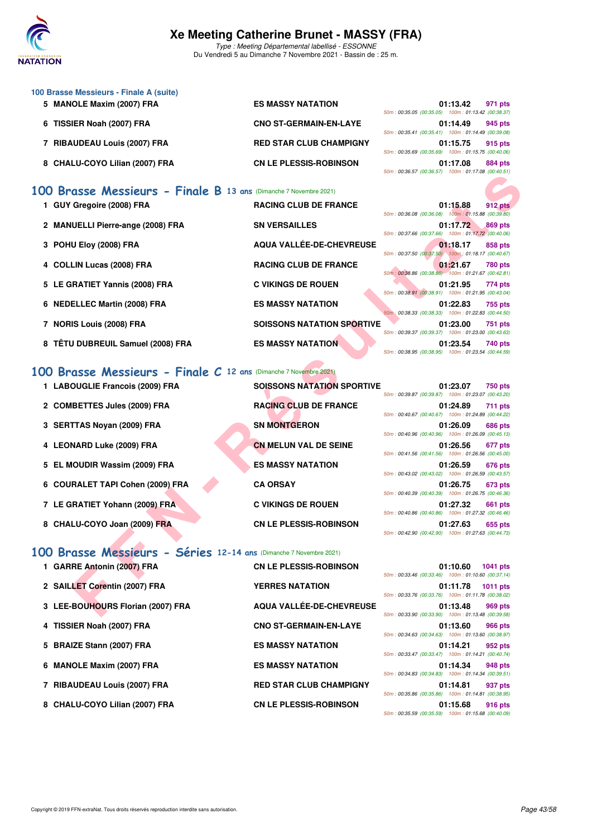

Type : Meeting Départemental labellisé - ESSONNE Du Vendredi 5 au Dimanche 7 Novembre 2021 - Bassin de : 25 m.

| 100 Brasse Messieurs - Finale A (suite) |                                |                                                    |
|-----------------------------------------|--------------------------------|----------------------------------------------------|
| 5 MANOLE Maxim (2007) FRA               | <b>ES MASSY NATATION</b>       | 01:13.42<br>971 pts                                |
|                                         |                                | 50m: 00:35.05 (00:35.05) 100m: 01:13.42 (00:38.37) |
| 6 TISSIER Noah (2007) FRA               | <b>CNO ST-GERMAIN-EN-LAYE</b>  | 01:14.49<br>945 pts                                |
|                                         |                                | 50m: 00:35.41 (00:35.41) 100m: 01:14.49 (00:39.08) |
| 7 RIBAUDEAU Louis (2007) FRA            | <b>RED STAR CLUB CHAMPIGNY</b> | 01:15.75<br>915 pts                                |
|                                         |                                | 50m: 00:35.69 (00:35.69) 100m: 01:15.75 (00:40.06) |
| 8 CHALU-COYO Lilian (2007) FRA          | <b>CN LE PLESSIS-ROBINSON</b>  | 01:17.08<br>884 pts                                |
|                                         |                                | 50m: 00:36.57 (00:36.57) 100m: 01:17.08 (00:40.51  |

## **[100 Brasse Messieurs - Finale B](http://www.ffnatation.fr/webffn/resultats.php?idact=nat&go=epr&idcpt=72199&idepr=72) 13 ans** (Dimanche 7 Novembre 2021)

|                                                                   |                                   | <u>10011.00.00.01 [00.00.01]</u> [00111.01.11.00 [00. <del>4</del> 0.01]                                                        |
|-------------------------------------------------------------------|-----------------------------------|---------------------------------------------------------------------------------------------------------------------------------|
| 00 Brasse Messieurs - Finale B 13 ans (Dimanche 7 Novembre 2021)  |                                   |                                                                                                                                 |
| 1 GUY Gregoire (2008) FRA                                         | <b>RACING CLUB DE FRANCE</b>      | 01:15.88<br>912 pts<br>50m: 00:36.08 (00:36.08) 100m: 01:15.88 (00:39.80)                                                       |
| 2 MANUELLI Pierre-ange (2008) FRA                                 | <b>SN VERSAILLES</b>              | 01:17.72<br>869 pts<br>50m: 00:37.66 (00:37.66) 100m: 01:17.72 (00:40.06)                                                       |
| 3 POHU Eloy (2008) FRA                                            | AQUA VALLÉE-DE-CHEVREUSE          | 01:18.17<br>858 pts<br>50m: 00:37.50 (00:37.50) 100m: 01:18.17 (00:40.67)                                                       |
| 4 COLLIN Lucas (2008) FRA                                         | <b>RACING CLUB DE FRANCE</b>      | 01:21.67<br><b>780 pts</b><br>50m: 00:38.86 (00:38.86) 100m: 01:21.67 (00:42.81)                                                |
| 5 LE GRATIET Yannis (2008) FRA                                    | <b>C VIKINGS DE ROUEN</b>         | 01:21.95<br>774 pts<br>50m: 00:38.91 (00:38.91) 100m: 01:21.95 (00:43.04)                                                       |
| 6 NEDELLEC Martin (2008) FRA                                      | <b>ES MASSY NATATION</b>          | 01:22.83<br>755 pts                                                                                                             |
| 7 NORIS Louis (2008) FRA                                          | <b>SOISSONS NATATION SPORTIVE</b> | 50m: 00:38.33 (00:38.33) 100m: 01:22.83 (00:44.50)<br>01:23.00<br><b>751 pts</b>                                                |
| 8 TÊTU DUBREUIL Samuel (2008) FRA                                 | <b>ES MASSY NATATION</b>          | 50m: 00:39.37 (00:39.37) 100m: 01:23.00 (00:43.63)<br>01:23.54<br>740 pts<br>50m: 00:38.95 (00:38.95) 100m: 01:23.54 (00:44.59) |
| 00 Brasse Messieurs - Finale C 12 ans (Dimanche 7 Novembre 2021)  |                                   |                                                                                                                                 |
| 1 LABOUGLIE Francois (2009) FRA                                   | <b>SOISSONS NATATION SPORTIVE</b> | 01:23.07<br><b>750 pts</b>                                                                                                      |
| 2 COMBETTES Jules (2009) FRA                                      | <b>RACING CLUB DE FRANCE</b>      | 50m: 00:39.87 (00:39.87) 100m: 01:23.07 (00:43.20)<br>01:24.89<br>711 pts                                                       |
| 3 SERTTAS Noyan (2009) FRA                                        | <b>SN MONTGERON</b>               | 50m: 00:40.67 (00:40.67) 100m: 01:24.89 (00:44.22)<br>01:26.09<br>686 pts                                                       |
| 4 LEONARD Luke (2009) FRA                                         | <b>CN MELUN VAL DE SEINE</b>      | 50m: 00:40.96 (00:40.96) 100m: 01:26.09 (00:45.13)<br>01:26.56<br>677 pts                                                       |
| 5 EL MOUDIR Wassim (2009) FRA                                     | <b>ES MASSY NATATION</b>          | 50m: 00:41.56 (00:41.56) 100m: 01:26.56 (00:45.00)<br>01:26.59<br>676 pts                                                       |
| 6 COURALET TAPI Cohen (2009) FRA                                  | <b>CA ORSAY</b>                   | 50m: 00:43.02 (00:43.02) 100m: 01:26.59 (00:43.57)<br>01:26.75<br>673 pts                                                       |
| 7 LE GRATIET Yohann (2009) FRA                                    | <b>C VIKINGS DE ROUEN</b>         | 50m: 00:40.39 (00:40.39) 100m: 01:26.75 (00:46.36)<br>01:27.32<br>661 pts                                                       |
| 8 CHALU-COYO Joan (2009) FRA                                      | <b>CN LE PLESSIS-ROBINSON</b>     | 50m: 00:40.86 (00:40.86) 100m: 01:27.32 (00:46.46)<br>01:27.63<br>655 pts                                                       |
|                                                                   |                                   | 50m: 00:42.90 (00:42.90) 100m: 01:27.63 (00:44.73)                                                                              |
| 00 Brasse Messieurs - Séries 12-14 ans (Dimanche 7 Novembre 2021) |                                   |                                                                                                                                 |
| 1 GARRE Antonin (2007) FRA                                        | <b>CN LE PLESSIS-ROBINSON</b>     | 01:10.60<br><b>1041 pts</b><br>50m: 00:33.46 (00:33.46) 100m: 01:10.60 (00:37.14)                                               |
| 2 SAILLET Corentin (2007) FRA                                     | <b>YERRES NATATION</b>            | 01:11.78<br><b>1011 pts</b><br>50m: 00:33.76 (00:33.76) 100m: 01:11.78 (00:38.02)                                               |
| 3 LEE-BOUHOURS Florian (2007) FRA                                 | AQUA VALLÉE-DE-CHEVREUSE          | 01:13.48<br>969 pts<br>50m: 00:33.90 (00:33.90) 100m: 01:13.48 (00:39.58)                                                       |

#### **[100 Brasse Messieurs - Finale C](http://www.ffnatation.fr/webffn/resultats.php?idact=nat&go=epr&idcpt=72199&idepr=72) 12 ans** (Dimanche 7 Novembre 2021)

| 1 LABOUGLIE Francois (2009) FRA  | <b>SOISSONS NATATION SPORTIVE</b> | 50m: 00:39.87 (00:39.87) 100m: 01:23.07 (00:43.20 | 01:23.07 | 750 pts |
|----------------------------------|-----------------------------------|---------------------------------------------------|----------|---------|
| 2 COMBETTES Jules (2009) FRA     | <b>RACING CLUB DE FRANCE</b>      | 50m: 00:40.67 (00:40.67) 100m: 01:24.89 (00:44.22 | 01:24.89 | 711 pts |
| 3 SERTTAS Novan (2009) FRA       | <b>SN MONTGERON</b>               | 50m: 00:40.96 (00:40.96) 100m: 01:26.09 (00:45.13 | 01:26.09 | 686 pts |
| 4 LEONARD Luke (2009) FRA        | <b>CN MELUN VAL DE SEINE</b>      | 50m: 00:41.56 (00:41.56) 100m: 01:26.56 (00:45.00 | 01:26.56 | 677 pts |
| 5 EL MOUDIR Wassim (2009) FRA    | <b>ES MASSY NATATION</b>          | 50m: 00:43.02 (00:43.02) 100m: 01:26.59 (00:43.57 | 01:26.59 | 676 pts |
| 6 COURALET TAPI Cohen (2009) FRA | <b>CA ORSAY</b>                   | 50m: 00:40.39 (00:40.39) 100m: 01:26.75 (00:46.36 | 01:26.75 | 673 pts |
| 7 LE GRATIET Yohann (2009) FRA   | <b>C VIKINGS DE ROUEN</b>         | 50m: 00:40.86 (00:40.86) 100m: 01:27.32 (00:46.46 | 01:27.32 | 661 pts |
| 8 CHALU-COYO Joan (2009) FRA     | <b>CN LE PLESSIS-ROBINSON</b>     | 50m: 00:42.90 (00:42.90) 100m: 01:27.63 (00:44.73 | 01:27.63 | 655 pts |

|   |  | 01:15.88 912 pts                                   |  |
|---|--|----------------------------------------------------|--|
|   |  | 50m: 00:36.08 (00:36.08) 100m: 01:15.88 (00:39.80) |  |
|   |  | 01:17.72 869 pts                                   |  |
|   |  | 50m: 00:37.66 (00:37.66) 100m: 01:17.72 (00:40.06) |  |
|   |  | 01:18.17 858 pts                                   |  |
|   |  | 50m: 00:37.50 (00:37.50) 100m: 01:18.17 (00:40.67) |  |
|   |  | 01:21.67 780 pts                                   |  |
|   |  | 50m: 00:38.86 (00:38.86) 100m: 01:21.67 (00:42.81) |  |
|   |  | 01:21.95 774 pts                                   |  |
|   |  | 50m: 00:38.91 (00:38.91) 100m: 01:21.95 (00:43.04) |  |
|   |  | 01:22.83 755 pts                                   |  |
|   |  | 50m: 00:38.33 (00:38.33) 100m: 01:22.83 (00:44.50) |  |
| Е |  | 01:23.00 751 pts                                   |  |
|   |  | 50m: 00:39.37 (00:39.37) 100m: 01:23.00 (00:43.63) |  |
|   |  | 01:23.54 740 pts                                   |  |
|   |  | 50m: 00:38.95 (00:38.95) 100m: 01:23.54 (00:44.59) |  |
|   |  |                                                    |  |
|   |  |                                                    |  |
|   |  |                                                    |  |

|                                                    | 01.23.07 750 pts |  |
|----------------------------------------------------|------------------|--|
| 50m: 00:39.87 (00:39.87) 100m: 01:23.07 (00:43.20) |                  |  |
|                                                    | 01:24.89 711 pts |  |
| 50m: 00:40.67 (00:40.67) 100m: 01:24.89 (00:44.22) |                  |  |
|                                                    | 01:26.09 686 pts |  |
| 50m: 00:40.96 (00:40.96) 100m: 01:26.09 (00:45.13) |                  |  |
|                                                    | 01:26.56 677 pts |  |
| 50m: 00:41.56 (00:41.56) 100m: 01:26.56 (00:45.00) |                  |  |
|                                                    | 01:26.59 676 pts |  |
|                                                    |                  |  |
| 50m: 00:43.02 (00:43.02) 100m: 01:26.59 (00:43.57) |                  |  |
|                                                    | 01:26.75 673 pts |  |
| 50m: 00:40.39 (00:40.39) 100m: 01:26.75 (00:46.36) |                  |  |
|                                                    | 01:27.32 661 pts |  |
| 50m: 00:40.86 (00:40.86) 100m: 01:27.32 (00:46.46) |                  |  |
|                                                    | 01:27.63 655 pts |  |

|  |  |  |  |  |  |  | 100 Brasse Messieurs - Séries 12-14 ans (Dimanche 7 Novembre 2021) |
|--|--|--|--|--|--|--|--------------------------------------------------------------------|
|--|--|--|--|--|--|--|--------------------------------------------------------------------|

| 1 GARRE Antonin (2007) FRA        | <b>CN LE PLESSIS-ROBINSON</b>  |                                                           | 01:10.60 | 1041 pts        |
|-----------------------------------|--------------------------------|-----------------------------------------------------------|----------|-----------------|
|                                   |                                | 50m: 00:33.46 (00:33.46) 100m: 01:10.60 (00:37.14         |          |                 |
| 2 SAILLET Corentin (2007) FRA     | <b>YERRES NATATION</b>         |                                                           | 01:11.78 | <b>1011 pts</b> |
|                                   |                                | 50m: 00:33.76 (00:33.76) 100m: 01:11.78 (00:38.02)        |          |                 |
| 3 LEE-BOUHOURS Florian (2007) FRA | AQUA VALLÉE-DE-CHEVREUSE       |                                                           | 01:13.48 | 969 pts         |
|                                   |                                | 50m: 00:33.90 (00:33.90) 100m: 01:13.48 (00:39.58         |          |                 |
| 4 TISSIER Noah (2007) FRA         | <b>CNO ST-GERMAIN-EN-LAYE</b>  |                                                           | 01:13.60 | 966 pts         |
|                                   |                                | 50m: 00:34.63 (00:34.63) 100m: 01:13.60 (00:38.97         |          |                 |
| 5 BRAIZE Stann (2007) FRA         | <b>ES MASSY NATATION</b>       |                                                           | 01:14.21 | 952 pts         |
|                                   |                                | 50m: 00:33.47 (00:33.47) 100m: 01:14.21 (00:40.74         |          |                 |
| 6 MANOLE Maxim (2007) FRA         | <b>ES MASSY NATATION</b>       |                                                           | 01:14.34 | 948 pts         |
|                                   |                                | 50m: 00:34.83 (00:34.83) 100m: 01:14.34 (00:39.51         |          |                 |
| 7 RIBAUDEAU Louis (2007) FRA      | <b>RED STAR CLUB CHAMPIGNY</b> |                                                           | 01:14.81 | 937 pts         |
|                                   |                                | 50m: 00:35.86 (00:35.86) 100m: 01:14.81 (00:38.95         |          |                 |
| 8 CHALU-COYO Lilian (2007) FRA    | <b>CN LE PLESSIS-ROBINSON</b>  |                                                           | 01:15.68 | 916 pts         |
|                                   |                                | $F0m + 00.25 F0$ (00:25 FQ) $A00m + 01.15 F20$ (00:40.00) |          |                 |

|  | 01:10.60 1041 pts<br>50m: 00:33.46 (00:33.46) 100m: 01:10.60 (00:37.14) |  |
|--|-------------------------------------------------------------------------|--|
|  | 01:11.78 1011 pts<br>50m: 00:33.76 (00:33.76) 100m: 01:11.78 (00:38.02) |  |
|  | 01:13.48 969 pts<br>50m: 00:33.90 (00:33.90) 100m: 01:13.48 (00:39.58)  |  |
|  | 01:13.60 966 pts<br>50m: 00:34.63 (00:34.63) 100m: 01:13.60 (00:38.97)  |  |
|  | 01:14.21 952 pts<br>50m: 00:33.47 (00:33.47) 100m: 01:14.21 (00:40.74)  |  |
|  | 01:14.34 948 pts<br>50m: 00:34.83 (00:34.83) 100m: 01:14.34 (00:39.51)  |  |
|  | 01:14.81 937 pts<br>50m: 00:35.86 (00:35.86) 100m: 01:14.81 (00:38.95)  |  |
|  | 01:15.68 916 pts<br>50m: 00:35.59 (00:35.59) 100m: 01:15.68 (00:40.09)  |  |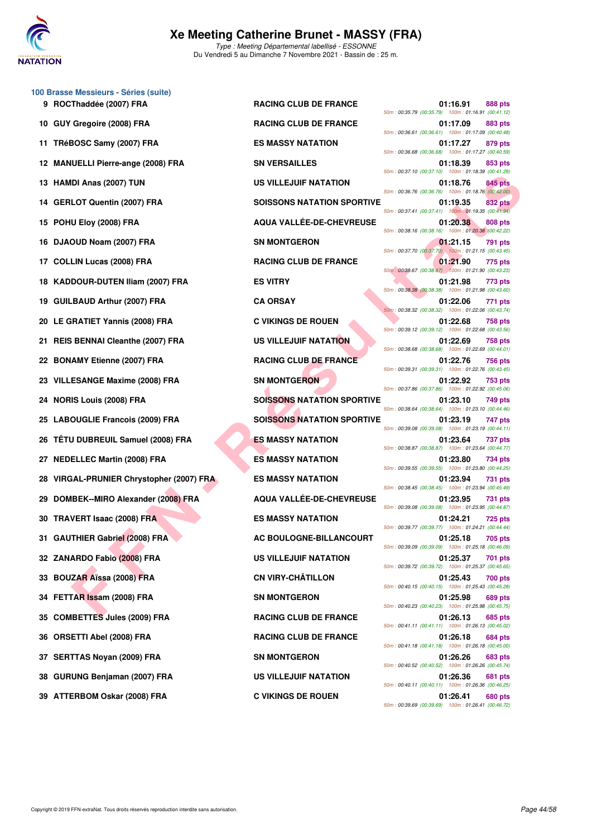

Type : Meeting Départemental labellisé - ESSONNE Du Vendredi 5 au Dimanche 7 Novembre 2021 - Bassin de : 25 m.

|     | 100 Brasse Messieurs - Séries (suite)<br>9 ROCThaddée (2007) FRA | <b>RACING CLUB DE FRANCE</b>      | 01:16.91<br>888 pts                                                                                                                    |
|-----|------------------------------------------------------------------|-----------------------------------|----------------------------------------------------------------------------------------------------------------------------------------|
| 10  | GUY Gregoire (2008) FRA                                          | <b>RACING CLUB DE FRANCE</b>      | 50m: 00:35.79 (00:35.79) 100m: 01:16.91 (00:41.12)<br>01:17.09<br>883 pts                                                              |
|     | 11 TRéBOSC Samy (2007) FRA                                       | <b>ES MASSY NATATION</b>          | 50m: 00:36.61 (00:36.61) 100m: 01:17.09 (00:40.48)<br>01:17.27<br>879 pts                                                              |
| 12  | <b>MANUELLI Pierre-ange (2008) FRA</b>                           | <b>SN VERSAILLES</b>              | 50m: 00:36.68 (00:36.68) 100m: 01:17.27 (00:40.59)<br>01:18.39<br>853 pts                                                              |
| 13  | HAMDI Anas (2007) TUN                                            | <b>US VILLEJUIF NATATION</b>      | 50m: 00:37.10 (00:37.10) 100m: 01:18.39 (00:41.29)<br>01:18.76<br>845 pts                                                              |
|     | 14 GERLOT Quentin (2007) FRA                                     | <b>SOISSONS NATATION SPORTIVE</b> | 50m: 00:36.76 (00:36.76) 100m: 01:18.76 (00:42.00)<br><b>832 pts</b><br>01:19.35                                                       |
| 15  | POHU Eloy (2008) FRA                                             | <b>AQUA VALLÉE-DE-CHEVREUSE</b>   | 50m: 00:37.41 (00:37.41) 100m: 01:19.35 (00:41.94)<br>01:20.38<br><b>808 pts</b>                                                       |
| 16  | DJAOUD Noam (2007) FRA                                           | <b>SN MONTGERON</b>               | 50m: 00:38.16 (00:38.16) 100m: 01:20.38 (00:42.22)<br>01:21.15<br>791 pts                                                              |
| 17. | <b>COLLIN Lucas (2008) FRA</b>                                   | <b>RACING CLUB DE FRANCE</b>      | 50m: 00:37.70 (00:37.70) 100m: 01:21.15 (00:43.45)<br>01:21.90<br>775 pts                                                              |
| 18  | <b>KADDOUR-DUTEN Iliam (2007) FRA</b>                            | <b>ES VITRY</b>                   | 50m: 00:38.67 (00:38.67) 100m: 01:21.90 (00:43.23)<br>01:21.98<br>773 pts                                                              |
| 19  | <b>GUILBAUD Arthur (2007) FRA</b>                                | <b>CA ORSAY</b>                   | 50m: 00:38.38 (00:38.38) 100m: 01:21.98 (00:43.60)<br>01:22.06<br>771 pts                                                              |
|     | 20 LE GRATIET Yannis (2008) FRA                                  | <b>C VIKINGS DE ROUEN</b>         | 50m: 00:38.32 (00:38.32) 100m: 01:22.06 (00:43.74)<br>01:22.68<br>758 pts                                                              |
| 21  | <b>REIS BENNAI Cleanthe (2007) FRA</b>                           | <b>US VILLEJUIF NATATION</b>      | 50m: 00:39.12 (00:39.12) 100m: 01:22.68 (00:43.56)<br>01:22.69<br><b>758 pts</b><br>50m: 00:38.68 (00:38.68) 100m: 01:22.69 (00:44.01) |
| 22  | <b>BONAMY Etienne (2007) FRA</b>                                 | <b>RACING CLUB DE FRANCE</b>      | 01:22.76<br>756 pts<br>50m: 00:39.31 (00:39.31) 100m: 01:22.76 (00:43.45)                                                              |
| 23  | <b>VILLESANGE Maxime (2008) FRA</b>                              | <b>SN MONTGERON</b>               | 01:22.92<br>753 pts<br>50m: 00:37.86 (00:37.86) 100m: 01:22.92 (00:45.06)                                                              |
| 24  | <b>NORIS Louis (2008) FRA</b>                                    | <b>SOISSONS NATATION SPORTIVE</b> | 01:23.10<br>749 pts<br>50m: 00:38.64 (00:38.64) 100m: 01:23.10 (00:44.46)                                                              |
| 25  | <b>LABOUGLIE Francois (2009) FRA</b>                             | <b>SOISSONS NATATION SPORTIVE</b> | 01:23.19<br>747 pts<br>50m: 00:39.08 (00:39.08) 100m: 01:23.19 (00:44.11)                                                              |
| 26  | <b>TÊTU DUBREUIL Samuel (2008) FRA</b>                           | <b>ES MASSY NATATION</b>          | 01:23.64<br><b>737 pts</b><br>50m: 00:38.87 (00:38.87) 100m: 01:23.64 (00:44.77)                                                       |
| 27  | <b>NEDELLEC Martin (2008) FRA</b>                                | <b>ES MASSY NATATION</b>          | 01:23.80<br><b>734 pts</b><br>50m: 00:39.55 (00:39.55) 100m: 01:23.80 (00:44.25)                                                       |
| 28  | VIRGAL-PRUNIER Chrystopher (2007) FRA                            | <b>ES MASSY NATATION</b>          | 01:23.94<br>731 pts<br>50m: 00:38.45 (00:38.45) 100m: 01:23.94 (00:45.49)                                                              |
| 29  | DOMBEK--MIRO Alexander (2008) FRA                                | AQUA VALLÉE-DE-CHEVREUSE          | 01:23.95<br>731 pts<br>50m: 00:39.08 (00:39.08) 100m: 01:23.95 (00:44.87)                                                              |
|     | 30 TRAVERT Isaac (2008) FRA                                      | <b>ES MASSY NATATION</b>          | 01:24.21<br><b>725 pts</b><br>50m: 00:39.77 (00:39.77) 100m: 01:24.21 (00:44.44)                                                       |
|     | 31 GAUTHIER Gabriel (2008) FRA                                   | AC BOULOGNE-BILLANCOURT           | 01:25.18<br>705 pts<br>50m: 00:39.09 (00:39.09) 100m: 01:25.18 (00:46.09)                                                              |
|     | 32 ZANARDO Fabio (2008) FRA                                      | <b>US VILLEJUIF NATATION</b>      | 01:25.37<br>701 pts<br>50m: 00:39.72 (00:39.72) 100m: 01:25.37 (00:45.65)                                                              |
|     | 33 BOUZAR Aïssa (2008) FRA                                       | <b>CN VIRY-CHÂTILLON</b>          | 01:25.43<br>700 pts<br>50m: 00:40.15 (00:40.15) 100m: 01:25.43 (00:45.28)                                                              |
| 34  | FETTAR Issam (2008) FRA                                          | <b>SN MONTGERON</b>               | 01:25.98<br><b>689 pts</b><br>50m: 00:40.23 (00:40.23) 100m: 01:25.98 (00:45.75)                                                       |
| 35  | <b>COMBETTES Jules (2009) FRA</b>                                | <b>RACING CLUB DE FRANCE</b>      | 01:26.13<br>685 pts<br>50m: 00:41.11 (00:41.11) 100m: 01:26.13 (00:45.02)                                                              |
| 36  | <b>ORSETTI Abel (2008) FRA</b>                                   | <b>RACING CLUB DE FRANCE</b>      | 01:26.18<br>684 pts<br>50m: 00:41.18 (00:41.18) 100m: 01:26.18 (00:45.00)                                                              |
|     | 37 SERTTAS Noyan (2009) FRA                                      | <b>SN MONTGERON</b>               | 01:26.26<br>683 pts<br>50m: 00:40.52 (00:40.52) 100m: 01:26.26 (00:45.74)                                                              |
|     | 38 GURUNG Benjaman (2007) FRA                                    | US VILLEJUIF NATATION             | 01:26.36<br>681 pts<br>50m: 00:40.11 (00:40.11) 100m: 01:26.36 (00:46.25)                                                              |
|     |                                                                  |                                   |                                                                                                                                        |

|  | 50m: 00:35.79 (00:35.79)  |  | 01:16.91 | <b>888 pts</b><br>100m: 01:16.91 (00:41.12)                          |
|--|---------------------------|--|----------|----------------------------------------------------------------------|
|  | 50m: 00:36.61 (00:36.61)  |  | 01:17.09 | <b>883 pts</b><br>100m: 01:17.09 (00:40.48)                          |
|  | 50m: 00:36.68 (00:36.68)  |  | 01:17.27 | 879 pts<br>100m: 01:17.27 (00:40.59)                                 |
|  | 50m: 00:37.10 (00:37.10)  |  | 01:18.39 | 853 pts<br>100m: 01:18.39 (00:41.29)                                 |
|  | 50m: 00:36.76 (00:36.76)  |  | 01:18.76 | <b>845 pts</b><br>100m: 01:18.76 (00:42.00)                          |
|  | 50m: 00:37.41 (00:37.41)  |  | 01:19.35 | 832 pts<br>100m: 01:19.35 (00:41.94)                                 |
|  | 50m: 00:38.16 (00:38.16)  |  | 01:20.38 | <b>808 pts</b><br>100m: 01:20.38 (00:42.22)                          |
|  |                           |  | 01:21.15 | 791 pts<br>50m: 00:37.70 (00:37.70) 100m: 01:21.15 (00:43.45)        |
|  | 50m : 00:38.67 (00:38.67) |  | 01:21.90 | 775 pts<br>100m: 01:21.90 (00:43.23)                                 |
|  | 50m: 00:38.38 (00:38.38)  |  | 01:21.98 | 773 pts<br>100m: 01:21.98 (00:43.60)                                 |
|  | 50m: 00:38.32 (00:38.32)  |  | 01:22.06 | 771 pts<br>100m: 01:22.06 (00:43.74)                                 |
|  | 50m: 00:39.12 (00:39.12)  |  | 01:22.68 | 758 pts<br>100m: 01:22.68 (00:43.56)                                 |
|  | 50m: 00:38.68 (00:38.68)  |  | 01:22.69 | 758 pts<br>100m: 01:22.69 (00:44.01)                                 |
|  | 50m: 00:39.31 (00:39.31)  |  | 01:22.76 | 756 pts<br>100m: 01:22.76 (00:43.45)                                 |
|  | 50m: 00:37.86 (00:37.86)  |  | 01:22.92 | 753 pts<br>100m: 01:22.92 (00:45.06)                                 |
|  | 50m: 00:38.64 (00:38.64)  |  | 01:23.10 | 749 pts<br>100m: 01:23.10 (00:44.46)                                 |
|  | 50m: 00:39.08 (00:39.08)  |  | 01:23.19 | 747 pts<br>100m: 01:23.19 (00:44.11)                                 |
|  | 50m: 00:38.87 (00:38.87)  |  | 01:23.64 | 737 pts<br>100m: 01:23.64 (00:44.77)                                 |
|  | 50m: 00:39.55 (00:39.55)  |  | 01:23.80 | <b>734 pts</b><br>100m: 01:23.80 (00:44.25)                          |
|  | 50m: 00:38.45 (00:38.45)  |  | 01:23.94 | 731 pts<br>100m: 01:23.94 (00:45.49)                                 |
|  | 50m: 00:39.08 (00:39.08)  |  | 01:23.95 | 731 pts<br>100m: 01:23.95 (00:44.87)                                 |
|  | 50m: 00:39.77 (00:39.77)  |  | 01:24.21 | 725 pts<br>100m: 01:24.21 (00:44.44)                                 |
|  |                           |  | 01:25.18 | <b>705 pts</b><br>50m: 00:39.09 (00:39.09) 100m: 01:25.18 (00:46.09) |
|  |                           |  | 01:25.37 | 701 pts<br>50m: 00:39.72 (00:39.72) 100m: 01:25.37 (00:45.65)        |
|  |                           |  | 01:25.43 | <b>700 pts</b><br>50m: 00:40.15 (00:40.15) 100m: 01:25.43 (00:45.28) |
|  |                           |  | 01:25.98 | 689 pts<br>50m: 00:40.23 (00:40.23) 100m: 01:25.98 (00:45.75)        |
|  |                           |  | 01:26.13 | 685 pts<br>50m: 00:41.11 (00:41.11) 100m: 01:26.13 (00:45.02)        |
|  |                           |  | 01:26.18 | 684 pts<br>50m: 00:41.18 (00:41.18) 100m: 01:26.18 (00:45.00)        |
|  |                           |  | 01:26.26 | <b>683 pts</b><br>50m: 00:40.52 (00:40.52) 100m: 01:26.26 (00:45.74) |
|  |                           |  | 01:26.36 | 681 pts<br>50m: 00:40.11 (00:40.11) 100m: 01:26.36 (00:46.25)        |
|  |                           |  | 01:26.41 | 680 pts<br>$50m + 00:3969$ (00:39.69) $100m + 01:2641$ (00:46.72)    |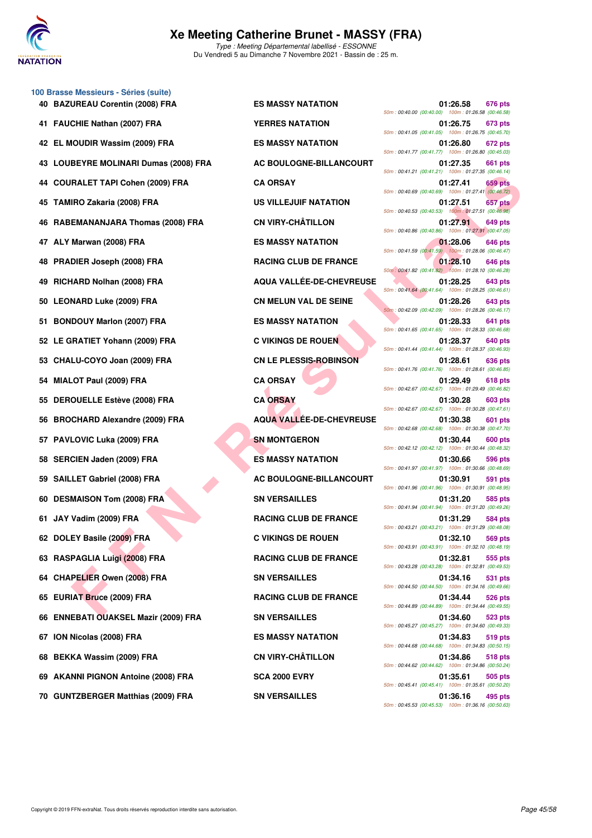

**FALE TAPI CORRESPONSIBE CORPANY CALCUS AREASS OF THAT CONFINE TRANSIBE CORPANY CALCUS AREASS OF THE SEARCHING CUID BY THE SEARCHING CUID BY THE SEARCHING CORPANY CONFIDENT CONFIDENT CONFIDENT CONFIDENT CONFIDENT CONFIDENT 100 Brasse Messieurs - Séries (suite) 40 BAZUREAU Corentin (2008) FRA ES MASSY NATATION 01:26.58 676 pts 41 FAUCHIE Nathan (2007) FRA YERRES NATATION 01:26.75 673 pts 42 EL MOUDIR Wassim (2009) FRA ES MASSY NATATION 01:26.80 672 pts 43 LOUBEYRE MOLINARI Dumas (2008) FRA AC BOULOGNE-BILLANCOURT 01:27.35 661 pts 44 COURALET TAPI Cohen (2009) FRA CA ORSAY 01:27.41 659 pts 45 TAMIRO Zakaria (2008) FRA US VILLEJUIF NATATION 01:27.51 657 pts 46 RABEMANANJARA Thomas (2008) FRA CN VIRY-CHÂTILLON 01:27.91 649 pts 47 ALY Marwan (2008) FRA ES MASSY NATATION 01:28.06 646 pts 48 PRADIER Joseph (2008) FRA RACING CLUB DE FRANCE 01:28.10 646 pts 49 RICHARD Nolhan (2008) FRA AQUA VALLÉE-DE-CHEVREUSE 01:28.25 643 pts 50 LEONARD Luke (2009) FRA CN MELUN VAL DE SEINE 01:28.26 643 pts 51 BONDOUY Marlon (2007) FRA ES MASSY NATATION 01:28.33 641 pts 52 LE GRATIET Yohann (2009) FRA C VIKINGS DE ROUEN 01:28.37 640 pts 53 CHALU-COYO Joan (2009) FRA CN LE PLESSIS-ROBINSON 01:28.61 636 pts 54 MIALOT Paul (2009) FRA CA ORSAY 01:29.49 618 pts 55 DEROUELLE Estève (2008) FRA CA ORSAY 01:30.28 603 pts 56 BROCHARD Alexandre (2009) FRA AQUA VALLÉE-DE-CHEVREUSE 01:30.38 601 pts 57 PAVLOVIC Luka (2009) FRA** SN MONTGERON 600 pts 600 pts **58 SERCIEN Jaden (2009) FRA ES MASSY NATATION 01:30.66 596 pts 59 SAILLET Gabriel (2008) FRA AC BOULOGNE-BILLANCOURT** 01:30.91 591 pts **60 DESMAISON Tom (2008) FRA SN VERSAILLES** 60 DESMAISON Tom (2008) FRA SN VERSAILLES 685 pts **61 JAY Vadim (2009) FRA RACING CLUB DE FRANCE 01:31.29 584 pts 62 DOLEY Basile (2009) FRA C VIKINGS DE ROUEN 01:32.10 569 pts 63 RASPAGLIA Luigi (2008) FRA RACING CLUB DE FRANCE 01:32.81 555 pts 64 CHAPELIER Owen (2008) FRA SN VERSAILLES 01:34.16 531 pts 65 EURIAT Bruce (2009) FRA RACING CLUB DE FRANCE 01:34.44 526 pts 66 ENNEBATI OUAKSEL Mazir (2009) FRA SN VERSAILLES 01:34.60 523 pts 67 ION Nicolas (2008) FRA ES MASSY NATATION 01:34.83 519 pts 68 BEKKA Wassim (2009) FRA CN VIRY-CHÂTILLON 01:34.86 518 pts 69 AKANNI PIGNON Antoine (2008) FRA SCA 2000 EVRY 01:35.61 505 pts**

50m : 00:40.00 (00:40.00) 100m : 01:26.58 (00:46.58) 50m : 00:41.05 (00:41.05) 100m : 01:26.75 (00:45.70) 50m : 00:41.77 (00:41.77) 100m : 01:26.80 (00:45.03) 50m : 00:41.21 (00:41.21) 100m : 01:27.35 (00:46.14) 50m : 00:40.69 (00:40.69) 100m : 01:27.41 (00:46.72) 50m : 00:40.53 (00:40.53) 100m : 01:27.51 (00:46.98) 50m : 00:40.86 (00:40.86) 100m : 01:27.91 (00:47.05) 50m : 00:41.59 (00:41.59) 100m : 01:28.06 (00:46.47) 50m : 00:41.82 (00:41.82) 100m : 01:28.10 (00:46.28) 50m : 00:41.64 (00:41.64) 100m : 01:28.25 (00:46.61) 50m : 00:42.09 (00:42.09) 100m : 01:28.26 (00:46.17) 50m : 00:41.65 (00:41.65) 100m : 01:28.33 (00:46.68) 50m : 00:41.44 (00:41.44) 100m : 01:28.37 (00:46.93) 50m : 00:41.76 (00:41.76) 100m : 01:28.61 (00:46.85) 50m : 00:42.67 (00:42.67) 100m : 01:29.49 (00:46.82) 50m : 00:42.67 (00:42.67) 100m : 01:30.28 (00:47.61) 50m : 00:42.68 (00:42.68) 100m : 01:30.38 (00:47.70) 50m : 00:42.12 (00:42.12) 100m : 01:30.44 (00:48.32) 50m : 00:41.97 (00:41.97) 100m : 01:30.66 (00:48.69) 50m : 00:41.96 (00:41.96) 100m : 01:30.91 (00:48.95) 50m : 00:41.94 (00:41.94) 100m : 01:31.20 (00:49.26) 50m : 00:43.21 (00:43.21) 100m : 01:31.29 (00:48.08) 50m : 00:43.91 (00:43.91) 100m : 01:32.10 (00:48.19) 50m : 00:43.28 (00:43.28) 100m : 01:32.81 (00:49.53) 50m : 00:44.50 (00:44.50) 100m : 01:34.16 (00:49.66) 50m : 00:44.89 (00:44.89) 100m : 01:34.44 (00:49.55) 50m : 00:45.27 (00:45.27) 100m : 01:34.60 (00:49.33) 50m : 00:44.68 (00:44.68) 100m : 01:34.83 (00:50.15) 50m : 00:44.62 (00:44.62) 100m : 01:34.86 (00:50.24) 50m : 00:45.41 (00:45.41) 100m : 01:35.61 (00:50.20) **70 GUNTZBERGER Matthias (2009) FRA SN VERSAILLES 01:36.16 495 pts** 50m : 00:45.53 (00:45.53) 100m : 01:36.16 (00:50.63)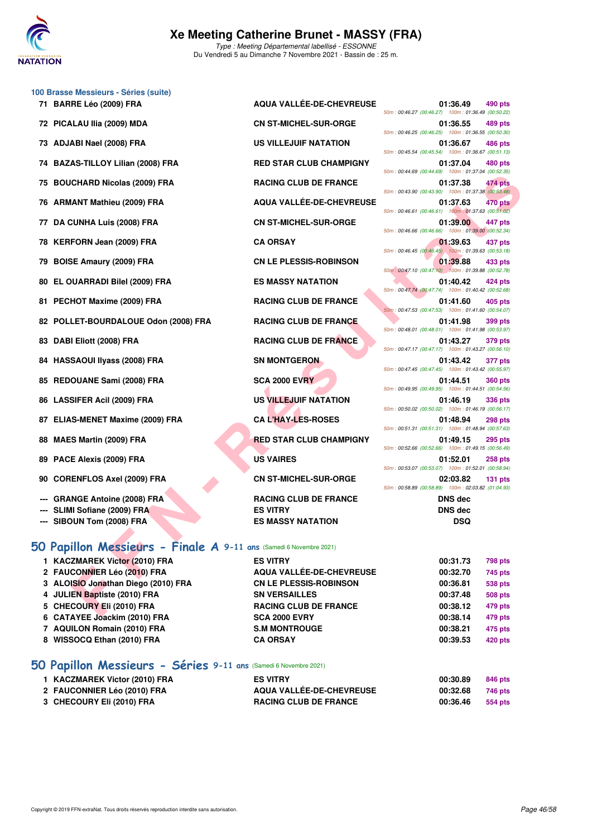

**71 BARRE Léo (2009) FRA AQUA VALLÉE-DE-CHEVREUSE 01:36.49 490 pts**

| 100 Brasse Messieurs - Séries (suite) |  |  |
|---------------------------------------|--|--|
| 71 BARRE Léo (2009) FRA               |  |  |

- 
- 
- **74 BAZAS-TILLOY Lilian (2008) FRA RED STAR CLUB CHAMPIGNY 01:37.04 480 pts**
- **75 BOUCHARD Nicolas (2009) FRA RACING CLUB DE FRANCE 01:37.38 474 pts**
- 
- 
- 78 KERFORN Jean (2009) FRA CA ORSAY
- **79 BOISE Amaury (2009) FRA CN LE PLESSIS-ROBINSON**
- 
- 81 PECHOT Maxime (2009) FRA RACING CLUB DE FRANCE
- 
- 
- 
- 85 REDOUANE Sami (2008) FRA SCA 2000 EVRY
- 
- 87 ELIAS-MENET Maxime (2009) FRA CA L'HAY-LES-ROSES
- 
- 89 PACE Alexis (2009) FRA US VAIRES
- **90 CORENFLOS Axel (2009) FRA CN ST-MICHEL-SUR-ORGE**
- **--- GRANGE Antoine (2008) FRA RACING CLUB DE FRANCE DNS dec**
- **--- SLIMI Sofiane (2009) FRA ES VITRY DNS dec**
- **--- SIBOUN Tom (2008) FRA ES MASSY NATATION DSQ**

#### **[50 Papillon Messieurs - Finale A](http://www.ffnatation.fr/webffn/resultats.php?idact=nat&go=epr&idcpt=72199&idepr=81) 9-11 ans** (Samedi 6 Novembre 2021)

- **1 KACZMAREK Victor (20 2 FAUCONNIER Léo (201) 3 ALOISIO Jonathan Dieg** 4 JULIEN Baptiste (2010) FRA SN VERSAILLES 5 CHECOURY EII (2010) FRA RACING CLUB DE FRANCE **6 CATAYEE Joackim (2010) FRA SCA 2000 EVRY 7 AQUILON Romain (2010) FRA S.M MONTROUGE** 8 WISSOCQ Ethan (2010) FRA CA ORSAY
- CHARD Niedis (2009) FRA<br>
EACHINA LUIS DE FRANCE DE CHEVREUSE<br>
TENN Musine (2009) FRA<br>
ENT Musine (2009) FRA<br>
CALOR CHEVRES (2009) FRA<br>
CALOR CHEVRES (2009) FRA<br>
CALOR CHEVRES (2009) FRA<br>
FORM Musine (2009) FRA<br>
FRANCIS CHE **72 PICALAU Ilia (2009) MDA CN ST-MICHEL-SUR-ORGE 01:36.55 489 pts 73 ADJABI Nael (2008) FRA US VILLEJUIF NATATION 01:36.67 486 pts 76 ARMANT Mathieu (2009) FRA AQUA VALLÉE-DE-CHEVREUSE 01:37.63 470 pts 77 DA CUNHA Luis (2008) FRA CN ST-MICHEL-SUR-ORGE 01:39.00 447 pts** 80 EL OUARRADI Bilel (2009) FRA **ES MASSY NATATION** 82 POLLET-BOURDALOUE Odon (2008) FRA RACING CLUB DE FRANCE 83 DABI Eliott (2008) FRA RACING CLUB DE FRANCE **84 HASSAOUI IIyass (2008) FRA SN MONTGERON SN MONTGERON 86 LASSIFER Acil (2009) FRA** US VILLEJUIF NATATION **88 MAES Martin (2009) FRA RED STAR CLUB CHAMPIGNY**

| $\mathbf{H}$ $\mathbf{S}$ = 1 <b>HOUS</b> $\mathbf{A}$ $\mathbf{S}$ = 11 ans (cancel chovering EQET) |                               |
|------------------------------------------------------------------------------------------------------|-------------------------------|
| )10) FRA                                                                                             | <b>ES VITRY</b>               |
| 0) FRA                                                                                               | AQUA VALLÉE-DE-CHEVREUSE      |
| յօ (2010) FRA                                                                                        | <b>CN LE PLESSIS-ROBINSON</b> |

|                                                    | 01:39.63 437 pts |  |
|----------------------------------------------------|------------------|--|
| 50m: 00:46.45 (00:46.45) 100m: 01:39.63 (00:53.18) |                  |  |
|                                                    | 01:39.88 433 pts |  |
| 50m: 00:47.10 (00:47.10) 100m: 01:39.88 (00:52.78) |                  |  |
|                                                    | 01:40.42 424 pts |  |
| 50m: 00:47.74 (00:47.74) 100m: 01:40.42 (00:52.68) |                  |  |
|                                                    | 01:41.60 405 pts |  |
| 50m: 00:47.53 (00:47.53) 100m: 01:41.60 (00:54.07) |                  |  |
|                                                    | 01:41.98 399 pts |  |
| 50m: 00:48.01 (00:48.01) 100m: 01:41.98 (00:53.97) |                  |  |
|                                                    | 01:43.27 379 pts |  |
| 50m: 00:47.17 (00:47.17) 100m: 01:43.27 (00:56.10) |                  |  |
| 50m: 00:47.45 (00:47.45) 100m: 01:43.42 (00:55.97) | 01:43.42 377 pts |  |
|                                                    |                  |  |
| 50m: 00:49.95 (00:49.95) 100m: 01:44.51 (00:54.56) | 01:44.51 360 pts |  |
|                                                    |                  |  |
| 50m: 00:50.02 (00:50.02) 100m: 01:46.19 (00:56.17) | 01:46.19 336 pts |  |
|                                                    | 01:48.94 298 pts |  |
| 50m: 00:51.31 (00:51.31) 100m: 01:48.94 (00:57.63) |                  |  |
|                                                    | 01:49.15 295 pts |  |
| 50m: 00:52.66 (00:52.66) 100m: 01:49.15 (00:56.49) |                  |  |
|                                                    | 01:52.01 258 pts |  |
| 50m: 00:53.07 (00:53.07) 100m: 01:52.01 (00:58.94) |                  |  |
|                                                    | 02:03.82 131 pts |  |
| 50m: 00:58.89 (00:58.89) 100m: 02:03.82 (01:04.93) |                  |  |

50m : 00:46.27 (00:46.27) 100m : 01:36.49 (00:50.22)

50m : 00:46.25 (00:46.25) 100m : 01:36.55 (00:50.30)

50m : 00:45.54 (00:45.54) 100m : 01:36.67 (00:51.13)

50m : 00:44.69 (00:44.69) 100m : 01:37.04 (00:52.35)

50m : 00:43.90 (00:43.90) 100m : 01:37.38 (00:53.48)

50m : 00:46.61 (00:46.61) 100m : 01:37.63 (00:51.02)

50m : 00:46.66 (00:46.66) 100m : 01:39.00 (00:52.34)

| 00:31.73 | <b>798 pts</b> |
|----------|----------------|
| 00:32.70 | 745 pts        |
| 00:36.81 | 538 pts        |
| 00:37.48 | <b>508 pts</b> |
| 00:38.12 | 479 pts        |
| 00:38.14 | 479 pts        |
| 00:38.21 | 475 pts        |
| 00:39.53 | 420 pts        |
|          |                |

#### **[50 Papillon Messieurs - Séries](http://www.ffnatation.fr/webffn/resultats.php?idact=nat&go=epr&idcpt=72199&idepr=81) 9-11 ans** (Samedi 6 Novembre 2021)

| 1 KACZMAREK Victor (2010) FRA | <b>ES VITRY</b>              | 00:30.89 | 846 pts |
|-------------------------------|------------------------------|----------|---------|
| 2 FAUCONNIER Léo (2010) FRA   | AQUA VALLÉE-DE-CHEVREUSE     | 00:32.68 | 746 pts |
| 3 CHECOURY Eli (2010) FRA     | <b>RACING CLUB DE FRANCE</b> | 00:36.46 | 554 pts |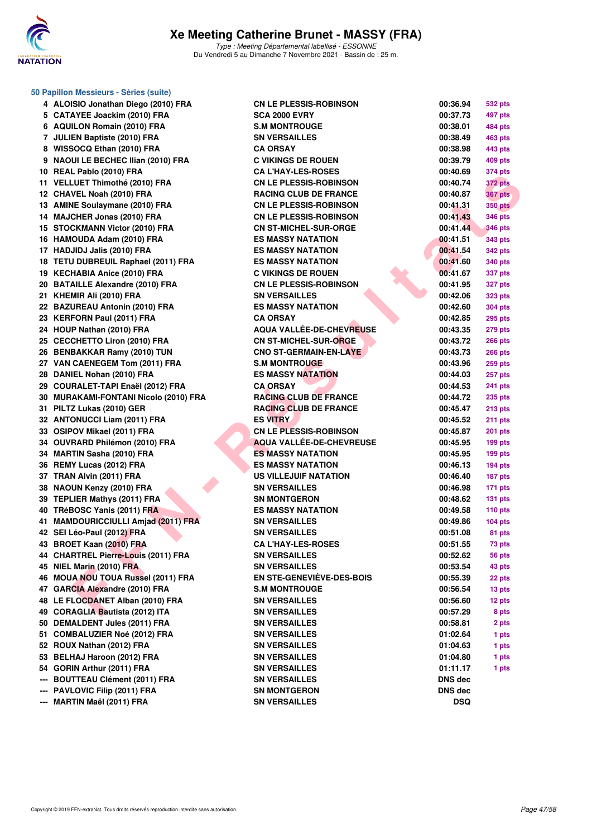

|     | 50 Papillon Messieurs - Séries (suite) |                                  |            |                |  |  |  |  |
|-----|----------------------------------------|----------------------------------|------------|----------------|--|--|--|--|
|     | 4 ALOISIO Jonathan Diego (2010) FRA    | <b>CN LE PLESSIS-ROBINSON</b>    | 00:36.94   | 532 pts        |  |  |  |  |
|     | 5 CATAYEE Joackim (2010) FRA           | <b>SCA 2000 EVRY</b>             | 00:37.73   | 497 pts        |  |  |  |  |
|     | 6 AQUILON Romain (2010) FRA            | <b>S.M MONTROUGE</b>             | 00:38.01   | 484 pts        |  |  |  |  |
|     | 7 JULIEN Baptiste (2010) FRA           | <b>SN VERSAILLES</b>             | 00:38.49   | 463 pts        |  |  |  |  |
|     | 8 WISSOCQ Ethan (2010) FRA             | <b>CA ORSAY</b>                  | 00:38.98   | 443 pts        |  |  |  |  |
|     | 9 NAOUI LE BECHEC Ilian (2010) FRA     | <b>C VIKINGS DE ROUEN</b>        | 00:39.79   | 409 pts        |  |  |  |  |
|     | 10 REAL Pablo (2010) FRA               | <b>CA L'HAY-LES-ROSES</b>        | 00:40.69   | 374 pts        |  |  |  |  |
|     | 11 VELLUET Thimothé (2010) FRA         | <b>CN LE PLESSIS-ROBINSON</b>    | 00:40.74   | <b>372 pts</b> |  |  |  |  |
|     | 12 CHAVEL Noah (2010) FRA              | <b>RACING CLUB DE FRANCE</b>     | 00:40.87   | <b>367 pts</b> |  |  |  |  |
|     | 13 AMINE Soulaymane (2010) FRA         | <b>CN LE PLESSIS-ROBINSON</b>    | 00:41.31   | <b>350 pts</b> |  |  |  |  |
|     | 14 MAJCHER Jonas (2010) FRA            | <b>CN LE PLESSIS-ROBINSON</b>    | 00:41.43   | <b>346 pts</b> |  |  |  |  |
|     | 15 STOCKMANN Victor (2010) FRA         | <b>CN ST-MICHEL-SUR-ORGE</b>     | 00:41.44   | <b>346 pts</b> |  |  |  |  |
|     | 16 HAMOUDA Adam (2010) FRA             | <b>ES MASSY NATATION</b>         | 00:41.51   | 343 pts        |  |  |  |  |
|     | 17 HADJIDJ Jalis (2010) FRA            | <b>ES MASSY NATATION</b>         | 00:41.54   | <b>342 pts</b> |  |  |  |  |
|     | 18 TETU DUBREUIL Raphael (2011) FRA    | <b>ES MASSY NATATION</b>         | 00:41.60   | <b>340 pts</b> |  |  |  |  |
|     | 19 KECHABIA Anice (2010) FRA           | <b>C VIKINGS DE ROUEN</b>        | 00:41.67   | 337 pts        |  |  |  |  |
|     | 20 BATAILLE Alexandre (2010) FRA       | <b>CN LE PLESSIS-ROBINSON</b>    | 00:41.95   | <b>327 pts</b> |  |  |  |  |
|     | 21 KHEMIR Ali (2010) FRA               | <b>SN VERSAILLES</b>             | 00:42.06   | <b>323 pts</b> |  |  |  |  |
|     | 22 BAZUREAU Antonin (2010) FRA         | <b>ES MASSY NATATION</b>         | 00:42.60   | <b>304 pts</b> |  |  |  |  |
|     | 23 KERFORN Paul (2011) FRA             | <b>CA ORSAY</b>                  | 00:42.85   | <b>295 pts</b> |  |  |  |  |
|     | 24 HOUP Nathan (2010) FRA              | AQUA VALLÉE-DE-CHEVREUSE         | 00:43.35   | <b>279 pts</b> |  |  |  |  |
|     | 25 CECCHETTO Liron (2010) FRA          | CN ST-MICHEL-SUR-ORGE            | 00:43.72   | <b>266 pts</b> |  |  |  |  |
|     | 26 BENBAKKAR Ramy (2010) TUN           | <b>CNO ST-GERMAIN-EN-LAYE</b>    | 00:43.73   | <b>266 pts</b> |  |  |  |  |
|     | 27 VAN CAENEGEM Tom (2011) FRA         | <b>S.M MONTROUGE</b>             | 00:43.96   | <b>259 pts</b> |  |  |  |  |
|     | 28 DANIEL Nohan (2010) FRA             | <b>ES MASSY NATATION</b>         | 00:44.03   | 257 pts        |  |  |  |  |
|     | 29 COURALET-TAPI Enaël (2012) FRA      | <b>CA ORSAY</b>                  | 00:44.53   | <b>241 pts</b> |  |  |  |  |
|     | 30 MURAKAMI-FONTANI Nicolo (2010) FRA  | <b>RACING CLUB DE FRANCE</b>     | 00:44.72   | <b>235 pts</b> |  |  |  |  |
|     | 31 PILTZ Lukas (2010) GER              | <b>RACING CLUB DE FRANCE</b>     | 00:45.47   | 213 pts        |  |  |  |  |
|     | 32 ANTONUCCI Liam (2011) FRA           | <b>ES VITRY</b>                  | 00:45.52   | 211 pts        |  |  |  |  |
|     | 33 OSIPOV Mikael (2011) FRA            | <b>CN LE PLESSIS-ROBINSON</b>    | 00:45.87   | <b>201 pts</b> |  |  |  |  |
|     | 34 OUVRARD Philémon (2010) FRA         | AQUA VALLÉE-DE-CHEVREUSE         | 00:45.95   | 199 pts        |  |  |  |  |
|     | 34 MARTIN Sasha (2010) FRA             | <b>ES MASSY NATATION</b>         | 00:45.95   | 199 pts        |  |  |  |  |
|     | 36 REMY Lucas (2012) FRA               | <b>ES MASSY NATATION</b>         | 00:46.13   | $194$ pts      |  |  |  |  |
|     | 37 TRAN Alvin (2011) FRA               | <b>US VILLEJUIF NATATION</b>     | 00:46.40   | 187 pts        |  |  |  |  |
|     | 38 NAOUN Kenzy (2010) FRA              | <b>SN VERSAILLES</b>             | 00:46.98   | 171 pts        |  |  |  |  |
|     | 39 TEPLIER Mathys (2011) FRA           | <b>SN MONTGERON</b>              | 00:48.62   | $131$ pts      |  |  |  |  |
|     | 40 TRéBOSC Yanis (2011) FRA            | <b>ES MASSY NATATION</b>         | 00:49.58   | 110 $pts$      |  |  |  |  |
|     | 41 MAMDOURICCIULLI Amjad (2011) FRA    | <b>SN VERSAILLES</b>             | 00:49.86   | $104$ pts      |  |  |  |  |
|     | 42 SEI Léo-Paul (2012) FRA             | <b>SN VERSAILLES</b>             | 00:51.08   | 81 pts         |  |  |  |  |
|     | 43 BROET Kaan (2010) FRA               | <b>CA L'HAY-LES-ROSES</b>        | 00:51.55   | 73 pts         |  |  |  |  |
|     | 44 CHARTREL Pierre-Louis (2011) FRA    | <b>SN VERSAILLES</b>             | 00:52.62   | 56 pts         |  |  |  |  |
|     | 45 NIEL Marin (2010) FRA               | <b>SN VERSAILLES</b>             | 00:53.54   | 43 pts         |  |  |  |  |
|     | 46 MOUA NOU TOUA Russel (2011) FRA     | <b>EN STE-GENEVIEVE-DES-BOIS</b> | 00:55.39   | 22 pts         |  |  |  |  |
|     | 47 GARCIA Alexandre (2010) FRA         | <b>S.M MONTROUGE</b>             | 00:56.54   | 13 pts         |  |  |  |  |
|     | 48 LE FLOCDANET Alban (2010) FRA       | <b>SN VERSAILLES</b>             | 00:56.60   | 12 pts         |  |  |  |  |
|     | 49 CORAGLIA Bautista (2012) ITA        | <b>SN VERSAILLES</b>             | 00:57.29   | 8 pts          |  |  |  |  |
|     | 50 DEMALDENT Jules (2011) FRA          | <b>SN VERSAILLES</b>             | 00:58.81   | 2 pts          |  |  |  |  |
|     | 51 COMBALUZIER Noé (2012) FRA          | <b>SN VERSAILLES</b>             | 01:02.64   | 1 pts          |  |  |  |  |
|     | 52 ROUX Nathan (2012) FRA              | <b>SN VERSAILLES</b>             | 01:04.63   | 1 pts          |  |  |  |  |
|     | 53 BELHAJ Haroon (2012) FRA            | <b>SN VERSAILLES</b>             | 01:04.80   | 1 pts          |  |  |  |  |
|     | 54 GORIN Arthur (2011) FRA             | <b>SN VERSAILLES</b>             | 01:11.17   | 1 pts          |  |  |  |  |
| --- | <b>BOUTTEAU Clément (2011) FRA</b>     | <b>SN VERSAILLES</b>             | DNS dec    |                |  |  |  |  |
|     | --- PAVLOVIC Filip (2011) FRA          | <b>SN MONTGERON</b>              | DNS dec    |                |  |  |  |  |
|     | --- MARTIN Maël (2011) FRA             | <b>SN VERSAILLES</b>             | <b>DSQ</b> |                |  |  |  |  |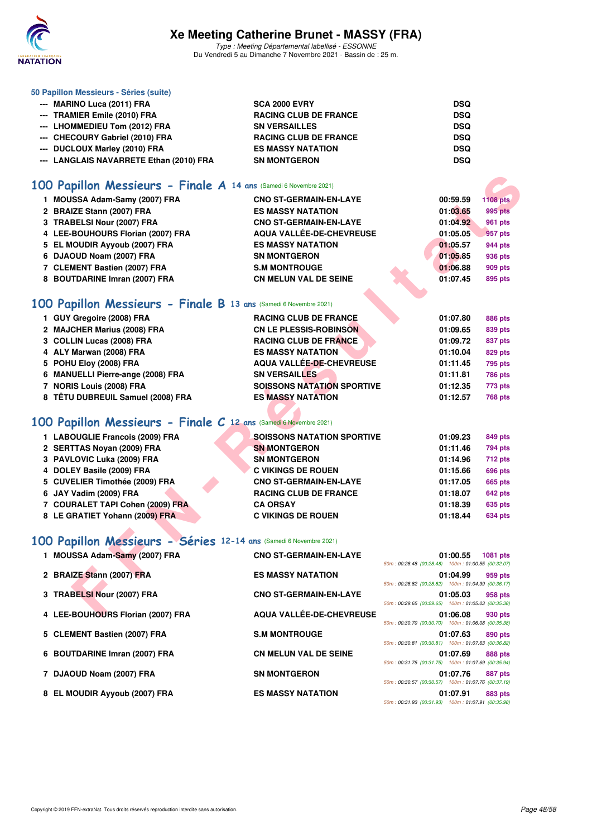

Type : Meeting Départemental labellisé - ESSONNE Du Vendredi 5 au Dimanche 7 Novembre 2021 - Bassin de : 25 m.

| 50 Papillon Messieurs - Séries (suite)  |                              |            |
|-----------------------------------------|------------------------------|------------|
| --- MARINO Luca (2011) FRA              | <b>SCA 2000 EVRY</b>         | <b>DSQ</b> |
| --- TRAMIER Emile (2010) FRA            | <b>RACING CLUB DE FRANCE</b> | <b>DSQ</b> |
| --- LHOMMEDIEU Tom (2012) FRA           | <b>SN VERSAILLES</b>         | <b>DSQ</b> |
| --- CHECOURY Gabriel (2010) FRA         | <b>RACING CLUB DE FRANCE</b> | <b>DSQ</b> |
| --- DUCLOUX Marley (2010) FRA           | <b>ES MASSY NATATION</b>     | <b>DSQ</b> |
| --- LANGLAIS NAVARRETE Ethan (2010) FRA | <b>SN MONTGERON</b>          | <b>DSQ</b> |

## **[100 Papillon Messieurs - Finale A](http://www.ffnatation.fr/webffn/resultats.php?idact=nat&go=epr&idcpt=72199&idepr=82) 14 ans** (Samedi 6 Novembre 2021)

| 00 Papillon Messieurs - Finale A 14 ans (Samedi 6 Novembre 2021)  |                                   |                                                                           |
|-------------------------------------------------------------------|-----------------------------------|---------------------------------------------------------------------------|
| 1 MOUSSA Adam-Samy (2007) FRA                                     | <b>CNO ST-GERMAIN-EN-LAYE</b>     | 00:59.59<br><b>1108 pts</b>                                               |
| 2 BRAIZE Stann (2007) FRA                                         | <b>ES MASSY NATATION</b>          | 01:03.65<br>995 pts                                                       |
| 3 TRABELSI Nour (2007) FRA                                        | <b>CNO ST-GERMAIN-EN-LAYE</b>     | 01:04.92<br><b>961 pts</b>                                                |
| 4 LEE-BOUHOURS Florian (2007) FRA                                 | AQUA VALLÉE-DE-CHEVREUSE          | 01:05.05<br>957 pts                                                       |
| 5 EL MOUDIR Ayyoub (2007) FRA                                     | <b>ES MASSY NATATION</b>          | 01:05.57<br>944 pts                                                       |
| 6 DJAOUD Noam (2007) FRA                                          | <b>SN MONTGERON</b>               | 01:05.85<br>936 pts                                                       |
| 7 CLEMENT Bastien (2007) FRA                                      | <b>S.M MONTROUGE</b>              | 01:06.88<br><b>909 pts</b>                                                |
| 8 BOUTDARINE Imran (2007) FRA                                     | CN MELUN VAL DE SEINE             | 01:07.45<br>895 pts                                                       |
|                                                                   |                                   |                                                                           |
| 00 Papillon Messieurs - Finale B 13 ans (Samedi 6 Novembre 2021)  |                                   |                                                                           |
| 1 GUY Gregoire (2008) FRA                                         | <b>RACING CLUB DE FRANCE</b>      | 01:07.80<br><b>886 pts</b>                                                |
| 2 MAJCHER Marius (2008) FRA                                       | <b>CN LE PLESSIS-ROBINSON</b>     | 01:09.65<br>839 pts                                                       |
| 3 COLLIN Lucas (2008) FRA                                         | <b>RACING CLUB DE FRANCE</b>      | 01:09.72<br>837 pts                                                       |
| 4 ALY Marwan (2008) FRA                                           | <b>ES MASSY NATATION</b>          | 01:10.04<br><b>829 pts</b>                                                |
| 5 POHU Eloy (2008) FRA                                            | AQUA VALLÉE-DE-CHEVREUSE          | 01:11.45<br><b>795 pts</b>                                                |
| 6 MANUELLI Pierre-ange (2008) FRA                                 | <b>SN VERSAILLES</b>              | 01:11.81<br><b>786 pts</b>                                                |
| 7 NORIS Louis (2008) FRA                                          | <b>SOISSONS NATATION SPORTIVE</b> | 01:12.35<br>773 pts                                                       |
| 8 TÊTU DUBREUIL Samuel (2008) FRA                                 | <b>ES MASSY NATATION</b>          | 01:12.57<br><b>768 pts</b>                                                |
|                                                                   |                                   |                                                                           |
| 00 Papillon Messieurs - Finale C 12 ans (Samedi 6 Novembre 2021)  |                                   |                                                                           |
| 1 LABOUGLIE Francois (2009) FRA                                   | <b>SOISSONS NATATION SPORTIVE</b> | 01:09.23<br>849 pts                                                       |
| 2 SERTTAS Noyan (2009) FRA                                        | <b>SN MONTGERON</b>               | 01:11.46<br>794 pts                                                       |
| 3 PAVLOVIC Luka (2009) FRA                                        | <b>SN MONTGERON</b>               | 01:14.96<br><b>712 pts</b>                                                |
| 4 DOLEY Basile (2009) FRA                                         | <b>C VIKINGS DE ROUEN</b>         | 01:15.66<br>696 pts                                                       |
| 5 CUVELIER Timothée (2009) FRA                                    | <b>CNO ST-GERMAIN-EN-LAYE</b>     | 01:17.05<br><b>665 pts</b>                                                |
| 6 JAY Vadim (2009) FRA                                            | <b>RACING CLUB DE FRANCE</b>      | 01:18.07<br>642 pts                                                       |
| 7 COURALET TAPI Cohen (2009) FRA                                  | <b>CA ORSAY</b>                   | 01:18.39<br>635 pts                                                       |
| 8 LE GRATIET Yohann (2009) FRA                                    | <b>C VIKINGS DE ROUEN</b>         | 01:18.44<br>634 pts                                                       |
|                                                                   |                                   |                                                                           |
| 00 Papillon Messieurs - Séries 12-14 ans (Samedi 6 Novembre 2021) |                                   |                                                                           |
| 1 MOUSSA Adam-Samy (2007) FRA                                     | <b>CNO ST-GERMAIN-EN-LAYE</b>     | 01:00.55<br>1081 pts                                                      |
|                                                                   |                                   | 50m: 00:28.48 (00:28.48) 100m: 01:00.55 (00:32.07)                        |
| 2 BRAIZE Stann (2007) FRA                                         | <b>ES MASSY NATATION</b>          | 01:04.99<br>959 pts<br>50m: 00:28.82 (00:28.82) 100m: 01:04.99 (00:36.17) |
| 3 TRABELSI Nour (2007) FRA                                        | <b>CNO ST-GERMAIN-EN-LAYE</b>     | 01:05.03<br>958 pts                                                       |
|                                                                   |                                   | 50m: 00:29.65 (00:29.65) 100m: 01:05.03 (00:35.38)                        |
| 4 LEE-BOUHOURS Florian (2007) FRA                                 | <b>AQUA VALLÉE-DE-CHEVREUSE</b>   | 01:06.08<br>930 pts                                                       |

#### **[100 Papillon Messieurs - Finale B](http://www.ffnatation.fr/webffn/resultats.php?idact=nat&go=epr&idcpt=72199&idepr=82) 13 ans** (Samedi 6 Novembre 2021)

| 1 GUY Gregoire (2008) FRA         | <b>RACING CLUB DE FRANCE</b>      | 01:07.80<br>886 pts        |
|-----------------------------------|-----------------------------------|----------------------------|
| 2 MAJCHER Marius (2008) FRA       | <b>CN LE PLESSIS-ROBINSON</b>     | 01:09.65<br>839 pts        |
| 3 COLLIN Lucas (2008) FRA         | <b>RACING CLUB DE FRANCE</b>      | 01:09.72<br>837 pts        |
| 4 ALY Marwan (2008) FRA           | <b>ES MASSY NATATION</b>          | 01:10.04<br>829 pts        |
| 5 POHU Eloy (2008) FRA            | <b>AQUA VALLÉE-DE-CHEVREUSE</b>   | 01:11.45<br>795 pts        |
| 6 MANUELLI Pierre-ange (2008) FRA | <b>SN VERSAILLES</b>              | 01:11.81<br><b>786 pts</b> |
| 7 NORIS Louis (2008) FRA          | <b>SOISSONS NATATION SPORTIVE</b> | 01:12.35<br>773 pts        |
| 8 TÊTU DUBREUIL Samuel (2008) FRA | <b>ES MASSY NATATION</b>          | 01:12.57<br><b>768 pts</b> |
|                                   |                                   |                            |

# **[100 Papillon Messieurs - Finale C](http://www.ffnatation.fr/webffn/resultats.php?idact=nat&go=epr&idcpt=72199&idepr=82) 12 ans** (Samedi 6 Novembre 2021)

| 1 LABOUGLIE Francois (2009) FRA  | SOISSONS NATATION SPORTIVE    | 01:09.23 | 849 pts        |
|----------------------------------|-------------------------------|----------|----------------|
| 2 SERTTAS Noyan (2009) FRA       | <b>SN MONTGERON</b>           | 01:11.46 | 794 pts        |
| 3 PAVLOVIC Luka (2009) FRA       | <b>SN MONTGERON</b>           | 01:14.96 | <b>712 pts</b> |
| 4 DOLEY Basile (2009) FRA        | <b>C VIKINGS DE ROUEN</b>     | 01:15.66 | <b>696 pts</b> |
| 5 CUVELIER Timothée (2009) FRA   | <b>CNO ST-GERMAIN-EN-LAYE</b> | 01:17.05 | <b>665 pts</b> |
| 6 JAY Vadim (2009) FRA           | <b>RACING CLUB DE FRANCE</b>  | 01:18.07 | 642 pts        |
| 7 COURALET TAPI Cohen (2009) FRA | <b>CA ORSAY</b>               | 01:18.39 | 635 pts        |
| 8 LE GRATIET Yohann (2009) FRA   | <b>C VIKINGS DE ROUEN</b>     | 01:18.44 | <b>634 pts</b> |
|                                  |                               |          |                |

## **[100 Papillon Messieurs - Séries](http://www.ffnatation.fr/webffn/resultats.php?idact=nat&go=epr&idcpt=72199&idepr=82) 12-14 ans** (Samedi 6 Novembre 2021)

| 1 MOUSSA Adam-Samy (2007) FRA     | <b>CNO ST-GERMAIN-EN-LAYE</b> | 50m: 00:28.48 (00:28.48) 100m: 01:00.55 (00:32.07) | 01:00.55 | 1081 pts       |
|-----------------------------------|-------------------------------|----------------------------------------------------|----------|----------------|
| 2 BRAIZE Stann (2007) FRA         | <b>ES MASSY NATATION</b>      | 50m: 00:28.82 (00:28.82) 100m: 01:04.99 (00:36.17) | 01:04.99 | 959 pts        |
| 3 TRABELSI Nour (2007) FRA        | <b>CNO ST-GERMAIN-EN-LAYE</b> | 50m: 00:29.65 (00:29.65) 100m: 01:05.03 (00:35.38) | 01:05.03 | 958 pts        |
| 4 LEE-BOUHOURS Florian (2007) FRA | AQUA VALLÉE-DE-CHEVREUSE      | 50m: 00:30.70 (00:30.70) 100m: 01:06.08 (00:35.38) | 01:06.08 | 930 pts        |
| 5 CLEMENT Bastien (2007) FRA      | <b>S.M MONTROUGE</b>          | 50m: 00:30.81 (00:30.81) 100m: 01:07.63 (00:36.82) | 01:07.63 | 890 pts        |
| 6 BOUTDARINE Imran (2007) FRA     | <b>CN MELUN VAL DE SEINE</b>  | 50m: 00:31.75 (00:31.75) 100m: 01:07.69 (00:35.94) | 01:07.69 | <b>888 pts</b> |
| 7 DJAOUD Noam (2007) FRA          | <b>SN MONTGERON</b>           | 50m: 00:30.57 (00:30.57) 100m: 01:07.76 (00:37.19) | 01:07.76 | 887 pts        |
| 8 EL MOUDIR Ayyoub (2007) FRA     | <b>ES MASSY NATATION</b>      | 50m: 00:31.93 (00:31.93) 100m: 01:07.91 (00:35.98) | 01:07.91 | 883 pts        |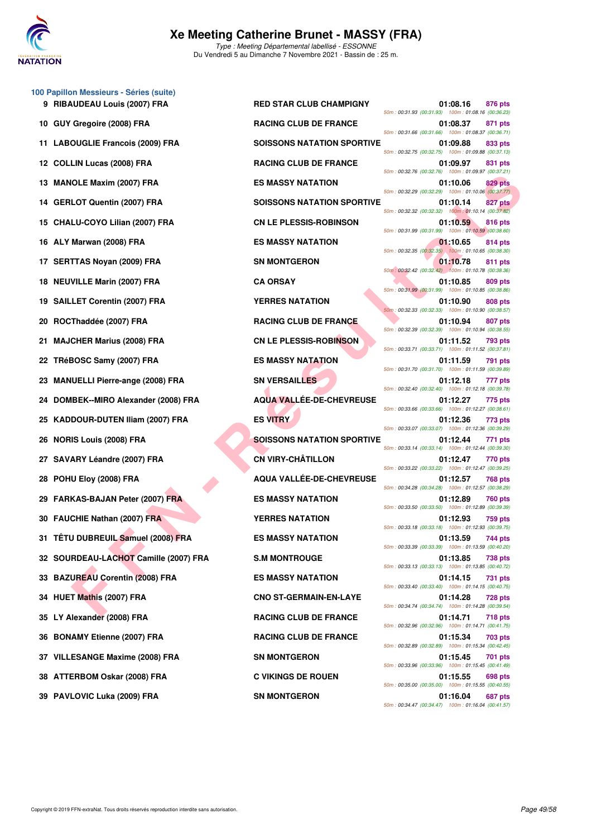

**100 Papillon Messieurs - Séries (suite)**

Du Vendredi 5 au Dimanche 7 Novembre 2021 - Bassin de : 25 m.

|    |                                        |                                   | 50m: 00:31.66 (00:31.66) 100m: 01:08.37 (00:36.71)                                                                   |                |                |
|----|----------------------------------------|-----------------------------------|----------------------------------------------------------------------------------------------------------------------|----------------|----------------|
|    | 11 LABOUGLIE Francois (2009) FRA       | <b>SOISSONS NATATION SPORTIVE</b> | 01:09.88<br>50m: 00:32.75 (00:32.75) 100m: 01:09.88 (00:37.13)                                                       | 833 pts        |                |
| 12 | <b>COLLIN Lucas (2008) FRA</b>         | <b>RACING CLUB DE FRANCE</b>      | 01:09.97<br>50m: 00:32.76 (00:32.76) 100m: 01:09.97 (00:37.21)                                                       | 831 pts        |                |
| 13 | <b>MANOLE Maxim (2007) FRA</b>         | <b>ES MASSY NATATION</b>          | 01:10.06<br>50m: 00:32.29 (00:32.29) 100m: 01:10.06 (00:37.77)                                                       | 829 pts        |                |
| 14 | <b>GERLOT Quentin (2007) FRA</b>       | <b>SOISSONS NATATION SPORTIVE</b> | 01:10.14<br>50m: 00:32.32 (00:32.32) 100m: 01:10.14 (00:37.82)                                                       | 827 pts        |                |
| 15 | CHALU-COYO Lilian (2007) FRA           | <b>CN LE PLESSIS-ROBINSON</b>     | 01:10.59<br>50m: 00:31.99 (00:31.99) 100m: 01:10.59 (00:38.60)                                                       | 816 pts        |                |
| 16 | ALY Marwan (2008) FRA                  | <b>ES MASSY NATATION</b>          | 01:10.65<br>50m: 00:32.35 (00:32.35) 100m: 01:10.65 (00:38.30)                                                       |                | 814 pts        |
| 17 | <b>SERTTAS Noyan (2009) FRA</b>        | <b>SN MONTGERON</b>               | 01:10.78                                                                                                             | 811 pts        |                |
| 18 | <b>NEUVILLE Marin (2007) FRA</b>       | <b>CA ORSAY</b>                   | 50m: 00:32.42 (00:32.42) 100m: 01:10.78 (00:38.36)<br>01:10.85<br>50m: 00:31.99 (00:31.99) 100m: 01:10.85 (00:38.86) | 809 pts        |                |
| 19 | <b>SAILLET Corentin (2007) FRA</b>     | <b>YERRES NATATION</b>            | 01:10.90                                                                                                             | 808 pts        |                |
| 20 | ROCThaddée (2007) FRA                  | <b>RACING CLUB DE FRANCE</b>      | 50m: 00:32.33 (00:32.33) 100m: 01:10.90 (00:38.57)<br>01:10.94                                                       |                | 807 pts        |
| 21 | <b>MAJCHER Marius (2008) FRA</b>       | <b>CN LE PLESSIS-ROBINSON</b>     | 50m: 00:32.39 (00:32.39) 100m: 01:10.94 (00:38.55)<br>01:11.52                                                       | 793 pts        |                |
| 22 | TRéBOSC Samy (2007) FRA                | <b>ES MASSY NATATION</b>          | 50m: 00:33.71 (00:33.71) 100m: 01:11.52 (00:37.81)<br>01:11.59                                                       | 791 pts        |                |
| 23 | <b>MANUELLI Pierre-ange (2008) FRA</b> | <b>SN VERSAILLES</b>              | 50m: 00:31.70 (00:31.70) 100m: 01:11.59 (00:39.89)<br>01:12.18                                                       |                | 777 pts        |
| 24 | DOMBEK--MIRO Alexander (2008) FRA      | <b>AQUA VALLÉE-DE-CHEVREUSE</b>   | 50m: 00:32.40 (00:32.40) 100m: 01:12.18 (00:39.78)<br>01:12.27                                                       | 775 pts        |                |
| 25 | <b>KADDOUR-DUTEN Iliam (2007) FRA</b>  | <b>ES VITRY</b>                   | 50m: 00:33.66 (00:33.66) 100m: 01:12.27 (00:38.61)<br>01:12.36                                                       | 773 pts        |                |
| 26 | <b>NORIS Louis (2008) FRA</b>          | <b>SOISSONS NATATION SPORTIVE</b> | 50m: 00:33.07 (00:33.07) 100m: 01:12.36 (00:39.29)<br>01:12.44                                                       | 771 pts        |                |
| 27 | SAVARY Léandre (2007) FRA              | <b>CN VIRY-CHÂTILLON</b>          | 50m: 00:33.14 (00:33.14) 100m: 01:12.44 (00:39.30)<br>01:12.47                                                       | 770 pts        |                |
| 28 | POHU Eloy (2008) FRA                   | AQUA VALLÉE-DE-CHEVREUSE          | 50m: 00:33.22 (00:33.22) 100m: 01:12.47 (00:39.25)<br>01:12.57                                                       | <b>768 pts</b> |                |
|    | <b>FARKAS-BAJAN Peter (2007) FRA</b>   | <b>ES MASSY NATATION</b>          | 50m: 00:34.28 (00:34.28) 100m: 01:12.57 (00:38.29)<br>01:12.89                                                       |                | <b>760 pts</b> |
| 30 | FAUCHIE Nathan (2007) FRA              | <b>YERRES NATATION</b>            | 50m: 00:33.50 (00:33.50) 100m: 01:12.89 (00:39.39)<br>01:12.93                                                       | 759 pts        |                |
| 31 | TÊTU DUBREUIL Samuel (2008) FRA        | <b>ES MASSY NATATION</b>          | 50m: 00:33.18 (00:33.18) 100m: 01:12.93 (00:39.75)<br>01:13.59                                                       | 744 pts        |                |
|    | 32 SOURDEAU-LACHOT Camille (2007) FRA  | <b>S.M MONTROUGE</b>              | 50m: 00:33.39 (00:33.39) 100m: 01:13.59 (00:40.20)<br>01:13.85                                                       | <b>738 pts</b> |                |
|    | 33 BAZUREAU Corentin (2008) FRA        | <b>ES MASSY NATATION</b>          | 50m: 00:33.13 (00:33.13) 100m: 01:13.85 (00:40.72)<br>01:14.15                                                       |                | 731 pts        |
|    | 34 HUET Mathis (2007) FRA              | <b>CNO ST-GERMAIN-EN-LAYE</b>     | 50m: 00:33.40 (00:33.40) 100m: 01:14.15 (00:40.75)<br>01:14.28                                                       |                | <b>728 pts</b> |
|    | 35 LY Alexander (2008) FRA             | <b>RACING CLUB DE FRANCE</b>      | 50m: 00:34.74 (00:34.74) 100m: 01:14.28 (00:39.54)<br>01:14.71                                                       |                | 718 pts        |
| 36 | <b>BONAMY Etienne (2007) FRA</b>       | <b>RACING CLUB DE FRANCE</b>      | 50m: 00:32.96 (00:32.96) 100m: 01:14.71 (00:41.75)<br>01:15.34                                                       |                | 703 pts        |
|    | 37 VILLESANGE Maxime (2008) FRA        | <b>SN MONTGERON</b>               | 50m: 00:32.89 (00:32.89) 100m: 01:15.34 (00:42.45)<br>01:15.45                                                       |                | 701 pts        |
|    | 38 ATTERBOM Oskar (2008) FRA           | <b>C VIKINGS DE ROUEN</b>         | 50m: 00:33.96 (00:33.96) 100m: 01:15.45 (00:41.49)<br>01:15.55                                                       |                | 698 pts        |
|    |                                        |                                   |                                                                                                                      |                |                |

**9 RIBAUDEAU Louis (2007) FRA RED STAR CLUB CHAMPIGNY 01:08.16 876 pts** 50m : 00:31.93 (00:31.93) 100m : 01:08.16 (00:36.23) **10 GUY Gregoire (2008) FRA RACING CLUB DE FRANCE 01:08.37 871 pts** 50m : 00:31.66 (00:31.66) 100m : 01:08.37 (00:36.71) **11:09.88 833 pts 11:09.88 833 pts** 50m : 00:32.75 (00:32.75) 100m : 01:09.88 (00:37.13) **12 COLLING CLUB DE FRANCE** 01:09.97 **831 pts** 50m : 00:32.76 (00:32.76) 100m : 01:09.97 (00:37.21) **13 MASSY NATATION 13 MASSY NATATION** 01:10.06 **829 pts** 50m : 00:32.29 (00:32.29) 100m : 01:10.06 (00:37.77) **14 BOISSONS NATATION SPORTIVE 01:10.14 827 pts** 50m : 00:32.32 (00:32.32) 100m : 01:10.14 (00:37.82) **15 CN LE PLESSIS-ROBINSON** 01:10.59 816 pts 50m : 00:31.99 (00:31.99) 100m : 01:10.59 (00:38.60) **16 BS MASSY NATATION 61:10.65 814 pts** 50m : 00:32.35 (00:32.35) 100m : 01:10.65 (00:38.30) **17 SN MONTGERON 61:10.78 811 pts** 50m : 00:32.42 (00:32.42) 100m : 01:10.78 (00:38.36) 50m : 00:31.99 (00:31.99) 100m : 01:10.85 (00:38.86) **19 ST SERVICES NATATION 01:10.90** 808 pts 50m : 00:32.33 (00:32.33) 100m : 01:10.90 (00:38.57) **20 RACING CLUB DE FRANCE 01:10.94 807 pts** 50m : 00:32.39 (00:32.39) 100m : 01:10.94 (00:38.55) **21 MAJOR CN LE PLESSIS-ROBINSON 01:11.52** 793 pts 50m : 00:33.71 (00:33.71) 100m : 01:11.52 (00:37.81) **22 TREBOS SAMPLE STAMPS (2007) FRA ES MASSY NATATION 01:11.59** 791 pts 50m : 00:31.70 (00:31.70) 100m : 01:11.59 (00:39.89) **23 MANUELLI PIERRAILLES 21:12.18 777 pts** 50m : 00:32.40 (00:32.40) 100m : 01:12.18 (00:39.78) **24 DOMBEK--MIRO Alexander (2008) FRA AQUA VALLÉE-DE-CHEVREUSE 01:12.27 775 pts** 50m : 00:33.66 (00:33.66) 100m : 01:12.27 (00:38.61) 50m : 00:33.07 (00:33.07) 100m : 01:12.36 (00:39.29) **26 NORIS 26 ISSONS NATATION SPORTIVE 01:12.44** 771 pts 50m : 00:33.14 (00:33.14) 100m : 01:12.44 (00:39.30) **27 SAVARY Léandre (2007) FRA CN VIRY-CHÂTILLON 01:12.47 770 pts** 50m : 00:33.22 (00:33.22) 100m : 01:12.47 (00:39.25) **28 POHU Eloy (2008) FRA AQUA VALLÉE-DE-CHEVREUSE 01:12.57 768 pts** 50m : 00:34.28 (00:34.28) 100m : 01:12.57 (00:38.29) **29 TABLE PETER IN ARKASSY NATATION 12.89 760 pts** 50m : 00:33.50 (00:33.50) 100m : 01:12.89 (00:39.39) **30 FBAUCHIES NATATION 61:12.93 759 pts** 50m : 00:33.18 (00:33.18) 100m : 01:12.93 (00:39.75) **21 TES MASSY NATATION** 01:13.59 **744 pts** 50m : 00:33.39 (00:33.39) 100m : 01:13.59 (00:40.20) **3.M MONTROUGE 01:13.85 738 pts** 50m : 00:33.13 (00:33.13) 100m : 01:13.85 (00:40.72) **23 BBC BAZUREAU CORENTIN CORENTIN CORENTIN DES MASSY NATATION CORE** 50m : 00:33.40 (00:33.40) 100m : 01:14.15 (00:40.75) **34 CNO ST-GERMAIN-EN-LAYE 61:14.28 728 pts** 50m : 00:34.74 (00:34.74) 100m : 01:14.28 (00:39.54) **35 LY Alexander (2008) FRA RACING CLUB DE FRANCE 01:14.71 718 pts** 50m : 00:32.96 (00:32.96) 100m : 01:14.71 (00:41.75) **36 BONAMY ETHER RACING CLUB DE FRANCE 01:15.34 703 pts** 50m : 00:32.89 (00:32.89) 100m : 01:15.34 (00:42.45) **37 VILLES ANGERON 37 VILLES AND SIMULATE CONSUMING A STATE OF STATE OF STATE OF STATE OF STATE OF STATE OF STATE OF STATE OF STATE OF STATE OF STATE OF STATE OF STATE OF STATE OF STATE OF STATE OF STATE OF STATE OF STATE** 50m : 00:33.96 (00:33.96) 100m : 01:15.45 (00:41.49) **38 ATTERBOM Oskar (2008) FRA C VIKINGS DE ROUEN 01:15.55 698 pts** 50m : 00:35.00 (00:35.00) 100m : 01:15.55 (00:40.55) **39 PAVLOVIC Luka (2009) FRA** SN MONTGERON SN MONTGERON 01:16.04 687 pts 50m : 00:34.47 (00:34.47) 100m : 01:16.04 (00:41.57)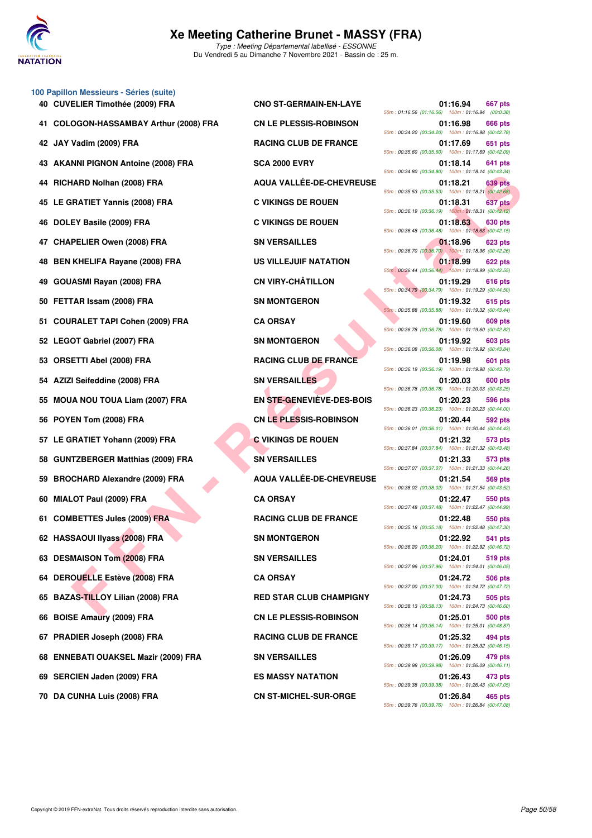

Type : Meeting Départemental labellisé - ESSONNE Du Vendredi 5 au Dimanche 7 Novembre 2021 - Bassin de : 25 m.

|    | 100 Papillon Messieurs - Séries (suite) |                                 |                                                                           |
|----|-----------------------------------------|---------------------------------|---------------------------------------------------------------------------|
|    | 40 CUVELIER Timothée (2009) FRA         | <b>CNO ST-GERMAIN-EN-LAYE</b>   | 01:16.94<br>667 pts<br>50m: 01:16.56 (01:16.56) 100m: 01:16.94 (00:0.38)  |
| 41 | COLOGON-HASSAMBAY Arthur (2008) FRA     | <b>CN LE PLESSIS-ROBINSON</b>   | 01:16.98<br>666 pts<br>50m: 00:34.20 (00:34.20) 100m: 01:16.98 (00:42.78) |
|    | 42 JAY Vadim (2009) FRA                 | <b>RACING CLUB DE FRANCE</b>    | 01:17.69<br>651 pts<br>50m: 00:35.60 (00:35.60) 100m: 01:17.69 (00:42.09) |
| 43 | <b>AKANNI PIGNON Antoine (2008) FRA</b> | <b>SCA 2000 EVRY</b>            | 01:18.14<br>641 pts<br>50m: 00:34.80 (00:34.80) 100m: 01:18.14 (00:43.34) |
| 44 | RICHARD Nolhan (2008) FRA               | <b>AQUA VALLÉE-DE-CHEVREUSE</b> | 01:18.21<br>639 pts<br>50m: 00:35.53 (00:35.53) 100m: 01:18.21 (00:42.68) |
|    | 45 LE GRATIET Yannis (2008) FRA         | <b>C VIKINGS DE ROUEN</b>       | 01:18.31<br>637 pts<br>50m: 00:36.19 (00:36.19) 100m: 01:18.31 (00:42.12) |
| 46 | DOLEY Basile (2009) FRA                 | <b>C VIKINGS DE ROUEN</b>       | 01:18.63<br>630 pts<br>50m: 00:36.48 (00:36.48) 100m: 01:18.63 (00:42.15) |
| 47 | <b>CHAPELIER Owen (2008) FRA</b>        | <b>SN VERSAILLES</b>            | 01:18.96<br>623 pts<br>50m: 00:36.70 (00:36.70) 100m: 01:18.96 (00:42.26) |
| 48 | <b>BEN KHELIFA Rayane (2008) FRA</b>    | <b>US VILLEJUIF NATATION</b>    | 01:18.99<br>622 pts<br>50m: 00:36.44 (00:36.44) 100m: 01:18.99 (00:42.55) |
| 49 | <b>GOUASMI Rayan (2008) FRA</b>         | <b>CN VIRY-CHÂTILLON</b>        | 01:19.29<br>616 pts<br>50m: 00:34.79 (00:34.79) 100m: 01:19.29 (00:44.50) |
| 50 | FETTAR Issam (2008) FRA                 | <b>SN MONTGERON</b>             | 01:19.32<br>615 pts<br>50m: 00:35.88 (00:35.88) 100m: 01:19.32 (00:43.44) |
| 51 | <b>COURALET TAPI Cohen (2009) FRA</b>   | <b>CA ORSAY</b>                 | 01:19.60<br>609 pts<br>50m: 00:36.78 (00:36.78) 100m: 01:19.60 (00:42.82) |
|    | 52 LEGOT Gabriel (2007) FRA             | <b>SN MONTGERON</b>             | 01:19.92<br>603 pts<br>50m: 00:36.08 (00:36.08) 100m: 01:19.92 (00:43.84) |
| 53 | <b>ORSETTI Abel (2008) FRA</b>          | <b>RACING CLUB DE FRANCE</b>    | 01:19.98<br>601 pts<br>50m: 00:36.19 (00:36.19) 100m: 01:19.98 (00:43.79) |
| 54 | AZIZI Seifeddine (2008) FRA             | <b>SN VERSAILLES</b>            | 01:20.03<br>600 pts<br>50m: 00:36.78 (00:36.78) 100m: 01:20.03 (00:43.25) |
| 55 | <b>MOUA NOU TOUA Liam (2007) FRA</b>    | EN STE-GENEVIÈVE-DES-BOIS       | 01:20.23<br>596 pts<br>50m: 00:36.23 (00:36.23) 100m: 01:20.23 (00:44.00) |
| 56 | POYEN Tom (2008) FRA                    | <b>CN LE PLESSIS-ROBINSON</b>   | 01:20.44<br>592 pts<br>50m: 00:36.01 (00:36.01) 100m: 01:20.44 (00:44.43) |
|    | 57 LE GRATIET Yohann (2009) FRA         | <b>C VIKINGS DE ROUEN</b>       | 01:21.32<br>573 pts<br>50m: 00:37.84 (00:37.84) 100m: 01:21.32 (00:43.48) |
| 58 | <b>GUNTZBERGER Matthias (2009) FRA</b>  | <b>SN VERSAILLES</b>            | 01:21.33<br>573 pts<br>50m: 00:37.07 (00:37.07) 100m: 01:21.33 (00:44.26) |
| 59 | <b>BROCHARD Alexandre (2009) FRA</b>    | AQUA VALLÉE-DE-CHEVREUSE        | 01:21.54<br>569 pts<br>50m: 00:38.02 (00:38.02) 100m: 01:21.54 (00:43.52) |
| 60 | MIALOT Paul (2009) FRA                  | <b>CA ORSAY</b>                 | 01:22.47<br>550 pts<br>50m: 00:37.48 (00:37.48) 100m: 01:22.47 (00:44.99) |
|    | 61 COMBETTES Jules (2009) FRA           | <b>RACING CLUB DE FRANCE</b>    | 01:22.48<br>550 pts<br>50m: 00:35.18 (00:35.18) 100m: 01:22.48 (00:47.30) |
|    | 62 HASSAOUI IIyass (2008) FRA           | <b>SN MONTGERON</b>             | 01:22.92<br>541 pts<br>50m: 00:36.20 (00:36.20) 100m: 01:22.92 (00:46.72) |
|    | 63 DESMAISON Tom (2008) FRA             | <b>SN VERSAILLES</b>            | 01:24.01<br>519 pts<br>50m: 00:37.96 (00:37.96) 100m: 01:24.01 (00:46.05) |
|    | 64 DEROUELLE Estève (2008) FRA          | <b>CA ORSAY</b>                 | 01:24.72<br>506 pts<br>50m: 00:37.00 (00:37.00) 100m: 01:24.72 (00:47.72) |
|    | 65 BAZAS-TILLOY Lilian (2008) FRA       | <b>RED STAR CLUB CHAMPIGNY</b>  | 01:24.73<br>505 pts<br>50m: 00:38.13 (00:38.13) 100m: 01:24.73 (00:46.60) |
| 66 | <b>BOISE Amaury (2009) FRA</b>          | <b>CN LE PLESSIS-ROBINSON</b>   | 01:25.01<br>500 pts<br>50m: 00:36.14 (00:36.14) 100m: 01:25.01 (00:48.87) |
|    | 67 PRADIER Joseph (2008) FRA            | <b>RACING CLUB DE FRANCE</b>    | 01:25.32<br>494 pts<br>50m: 00:39.17 (00:39.17) 100m: 01:25.32 (00:46.15) |
|    | 68 ENNEBATI OUAKSEL Mazir (2009) FRA    | <b>SN VERSAILLES</b>            | 01:26.09<br>479 pts<br>50m: 00:39.98 (00:39.98) 100m: 01:26.09 (00:46.11) |
|    | 69 SERCIEN Jaden (2009) FRA             | <b>ES MASSY NATATION</b>        | 01:26.43<br>473 pts<br>50m: 00:39.38 (00:39.38) 100m: 01:26.43 (00:47.05) |
|    |                                         |                                 |                                                                           |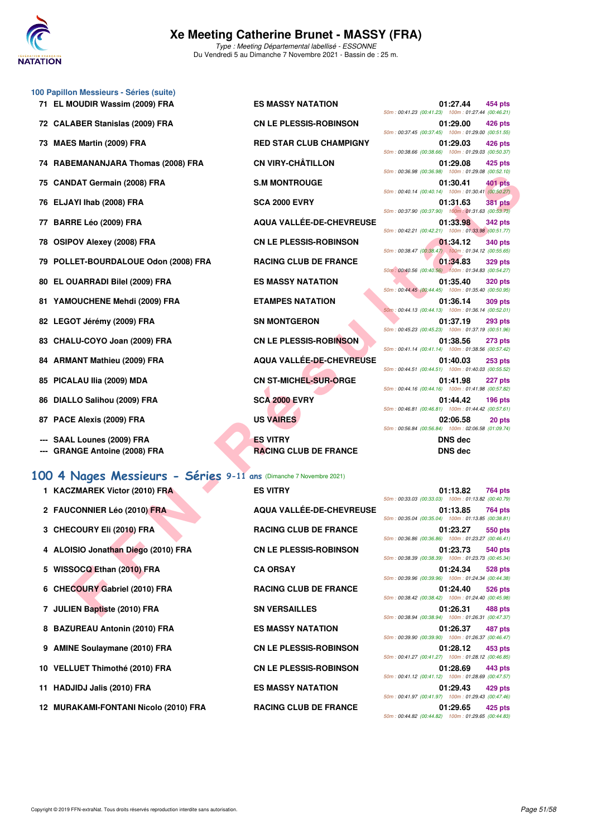

|    | 100 Papillon Messieurs - Séries (suite)                            |                                 |                                                                                  |
|----|--------------------------------------------------------------------|---------------------------------|----------------------------------------------------------------------------------|
|    | 71 EL MOUDIR Wassim (2009) FRA                                     | <b>ES MASSY NATATION</b>        | 01:27.44<br>454 pts<br>50m: 00:41.23 (00:41.23) 100m: 01:27.44 (00:46.21)        |
|    | 72 CALABER Stanislas (2009) FRA                                    | <b>CN LE PLESSIS-ROBINSON</b>   | 01:29.00<br>426 pts<br>50m: 00:37.45 (00:37.45) 100m: 01:29.00 (00:51.55)        |
| 73 | <b>MAES Martin (2009) FRA</b>                                      | <b>RED STAR CLUB CHAMPIGNY</b>  | 01:29.03<br>426 pts<br>50m: 00:38.66 (00:38.66) 100m: 01:29.03 (00:50.37)        |
| 74 | RABEMANANJARA Thomas (2008) FRA                                    | <b>CN VIRY-CHÂTILLON</b>        | 01:29.08<br>425 pts<br>50m: 00:36.98 (00:36.98) 100m: 01:29.08 (00:52.10)        |
| 75 | <b>CANDAT Germain (2008) FRA</b>                                   | <b>S.M MONTROUGE</b>            | 01:30.41<br>401 pts<br>50m: 00:40.14 (00:40.14) 100m: 01:30.41 (00:50.27)        |
|    | 76 ELJAYI Ihab (2008) FRA                                          | <b>SCA 2000 EVRY</b>            | 01:31.63<br><b>381 pts</b><br>50m: 00:37.90 (00:37.90) 100m: 01:31.63 (00:53.73) |
| 77 | BARRE Léo (2009) FRA                                               | AQUA VALLÉE-DE-CHEVREUSE        | 01:33.98<br><b>342 pts</b>                                                       |
| 78 | <b>OSIPOV Alexey (2008) FRA</b>                                    | <b>CN LE PLESSIS-ROBINSON</b>   | 50m: 00:42.21 (00:42.21) 100m: 01:33.98 (00:51.77)<br>01:34.12<br>340 pts        |
| 79 | POLLET-BOURDALOUE Odon (2008) FRA                                  | <b>RACING CLUB DE FRANCE</b>    | 50m: 00:38.47 (00:38.47) 100m: 01:34.12 (00:55.65)<br>01:34.83<br><b>329 pts</b> |
| 80 | EL OUARRADI Bilel (2009) FRA                                       | <b>ES MASSY NATATION</b>        | 50m: 00:40.56 (00:40.56) 100m: 01:34.83 (00:54.27)<br>01:35.40<br><b>320 pts</b> |
| 81 | YAMOUCHENE Mehdi (2009) FRA                                        | <b>ETAMPES NATATION</b>         | 50m: 00:44.45 (00:44.45) 100m: 01:35.40 (00:50.95)<br>01:36.14<br><b>309 pts</b> |
| 82 | LEGOT Jérémy (2009) FRA                                            | <b>SN MONTGERON</b>             | 50m: 00:44.13 (00:44.13) 100m: 01:36.14 (00:52.01)<br>01:37.19<br><b>293 pts</b> |
| 83 | CHALU-COYO Joan (2009) FRA                                         | <b>CN LE PLESSIS-ROBINSON</b>   | 50m: 00:45.23 (00:45.23) 100m: 01:37.19 (00:51.96)<br>01:38.56<br><b>273 pts</b> |
|    | 84 ARMANT Mathieu (2009) FRA                                       | <b>AQUA VALLÉE-DE-CHEVREUSE</b> | 50m: 00:41.14 (00:41.14) 100m: 01:38.56 (00:57.42)<br>01:40.03<br>$253$ pts      |
| 85 | PICALAU IIia (2009) MDA                                            | <b>CN ST-MICHEL-SUR-ORGE</b>    | 50m: 00:44.51 (00:44.51) 100m: 01:40.03 (00:55.52)<br>01:41.98<br>227 pts        |
| 86 | DIALLO Salihou (2009) FRA                                          | <b>SCA 2000 EVRY</b>            | 50m: 00:44.16 (00:44.16) 100m: 01:41.98 (00:57.82)<br>01:44.42<br>$196$ pts      |
| 87 | PACE Alexis (2009) FRA                                             | <b>US VAIRES</b>                | 50m: 00:46.81 (00:46.81) 100m: 01:44.42 (00:57.61)<br>02:06.58<br>20 pts         |
|    | SAAL Lounes (2009) FRA                                             | <b>ES VITRY</b>                 | 50m: 00:56.84 (00:56.84) 100m: 02:06.58 (01:09.74)<br><b>DNS</b> dec             |
|    | <b>GRANGE Antoine (2008) FRA</b>                                   | <b>RACING CLUB DE FRANCE</b>    | <b>DNS</b> dec                                                                   |
|    | 100 4 Nages Messieurs - Séries 9-11 ans (Dimanche 7 Novembre 2021) |                                 |                                                                                  |
|    | 1 KACZMAREK Victor (2010) FRA                                      | <b>ES VITRY</b>                 | 01:13.82<br>764 pts                                                              |
|    | 2 FAUCONNIER Léo (2010) FRA                                        | AQUA VALLÉE-DE-CHEVREUSE        | 50m: 00:33.03 (00:33.03) 100m: 01:13.82 (00:40.79)<br>01:13.85<br>764 pts        |
|    | 3 CHECOURY Eli (2010) FRA                                          | <b>RACING CLUB DE FRANCE</b>    | 50m: 00:35.04 (00:35.04) 100m: 01:13.85 (00:38.81)<br>01:23.27<br>550 pts        |
|    | 4 ALOISIO Jonathan Diego (2010) FRA                                | <b>CN LE PLESSIS-ROBINSON</b>   | 50m: 00:36.86 (00:36.86) 100m: 01:23.27 (00:46.41)<br>01:23.73<br>540 pts        |
|    | 5 WISSOCQ Ethan (2010) FRA                                         | <b>CA ORSAY</b>                 | 50m: 00:38.39 (00:38.39) 100m: 01:23.73 (00:45.34)<br>01:24.34<br>528 pts        |
|    | 6 CHECOURY Gabriel (2010) FRA                                      | <b>RACING CLUB DE FRANCE</b>    | 50m: 00:39.96 (00:39.96) 100m: 01:24.34 (00:44.38)<br>01:24.40<br>526 pts        |
|    | 7 JULIEN Baptiste (2010) FRA                                       | <b>SN VERSAILLES</b>            | 50m: 00:38.42 (00:38.42) 100m: 01:24.40 (00:45.98)<br>01:26.31<br>488 pts        |
|    |                                                                    |                                 |                                                                                  |

#### **[100 4 Nages Messieurs - Séries](http://www.ffnatation.fr/webffn/resultats.php?idact=nat&go=epr&idcpt=72199&idepr=90) 9-11 ans** (Dimanche 7 Novembre 2021)

- 1 KACZMAREK Victor (2010) FRA **ES VITRY**
- 
- 
- 4 ALOISIO Jonathan Diego (2010) FRA CN LE PLESSIS-ROBINSON
- 5 WISSOCQ Ethan (2010) FRA CA ORSAY
- 6 CHECOURY Gabriel (2010) FRA RACING CLUB DE FRANCE
- 7 JULIEN Baptiste (2010) FRA SN VERSAILLES
- 8 BAZUREAU Antonin (2010) FRA ES MASSY NATATION
- 
- 10 VELLUET Thimothé (2010) FRA CN LE PLESSIS-ROBINSON
- 11 HADJIDJ Jalis (2010) FRA ES MASSY NATATION
- 12 MURAKAMI-FONTANI Nicolo (2010) FRA RACING CLUB DE FRANCE

2 FAUCONNIER Léo (2010) FRA AQUA VALLÉE-DE-CHEVREUSE **3 CHECOURY EII (2010) FRA RACING CLUB DE FRANCE** 9 AMINE Soulaymane (2010) FRA CN LE PLESSIS-ROBINSON

| 01:27.44<br>454 pts                                                       |
|---------------------------------------------------------------------------|
| 50m: 00:41.23 (00:41.23) 100m: 01:27.44 (00:46.21)                        |
| 01:29.00 426 pts                                                          |
| 50m: 00:37.45 (00:37.45) 100m: 01:29.00 (00:51.55)                        |
| 01:29.03 426 pts                                                          |
| 50m: 00:38.66 (00:38.66) 100m: 01:29.03 (00:50.37)                        |
| 01:29.08 425 pts                                                          |
| 50m: 00:36.98 (00:36.98) 100m: 01:29.08 (00:52.10)                        |
| 01:30.41 401 pts<br>50m: 00:40.14 (00:40.14) 100m: 01:30.41 (00:50.27)    |
|                                                                           |
| 01:31.63 381 pts<br>50m: 00:37.90 (00:37.90) 100m: 01:31.63 (00:53.73)    |
| 01:33.98 342 pts                                                          |
| 50m: 00:42.21 (00:42.21) 100m: 01:33.98 (00:51.77)                        |
| 01:34.12<br><b>340 pts</b>                                                |
| 50m: 00:38.47 (00:38.47) 100m: 01:34.12 (00:55.65)                        |
| 01:34.83<br><b>329 pts</b>                                                |
| 50m: 00:40.56 (00:40.56) 100m: 01:34.83 (00:54.27)                        |
| 01:35.40 320 pts                                                          |
| 50m: 00:44.45 (00:44.45) 100m: 01:35.40 (00:50.95)                        |
| 01:36.14 309 pts                                                          |
| 50m: 00:44.13 (00:44.13) 100m: 01:36.14 (00:52.01)                        |
| 01:37.19 293 pts                                                          |
| 50m: 00:45.23 (00:45.23) 100m: 01:37.19 (00:51.96)                        |
| 01:38.56 273 pts                                                          |
| 50m: 00:41.14 (00:41.14) 100m: 01:38.56 (00:57.42)                        |
| 01:40.03<br><b>253 pts</b>                                                |
| 50m: 00:44.51 (00:44.51) 100m: 01:40.03 (00:55.52)                        |
| 01:41.98<br>227 pts<br>50m: 00:44.16 (00:44.16) 100m: 01:41.98 (00:57.82) |
| 01:44.42<br><b>196 pts</b>                                                |
| 50m: 00:46.81 (00:46.81) 100m: 01:44.42 (00:57.61)                        |
| 02:06.58<br>20 pts                                                        |
| 50m: 00:56.84 (00:56.84) 100m: 02:06.58 (01:09.74)                        |
| <b>DNS</b> dec                                                            |
|                                                                           |

| DNS dec |  |
|---------|--|
|---------|--|

|                                                    | 01:13.82 764 pts |  |
|----------------------------------------------------|------------------|--|
| 50m: 00:33.03 (00:33.03) 100m: 01:13.82 (00:40.79) |                  |  |
|                                                    | 01:13.85 764 pts |  |
| 50m: 00:35.04 (00:35.04) 100m: 01:13.85 (00:38.81) |                  |  |
|                                                    | 01:23.27 550 pts |  |
| 50m: 00:36.86 (00:36.86) 100m: 01:23.27 (00:46.41) |                  |  |
|                                                    | 01:23.73 540 pts |  |
| 50m: 00:38.39 (00:38.39) 100m: 01:23.73 (00:45.34) |                  |  |
|                                                    | 01:24.34 528 pts |  |
| 50m: 00:39.96 (00:39.96) 100m: 01:24.34 (00:44.38) |                  |  |
|                                                    | 01:24.40 526 pts |  |
| 50m: 00:38.42 (00:38.42) 100m: 01:24.40 (00:45.98) |                  |  |
|                                                    | 01:26.31 488 pts |  |
| 50m: 00:38.94 (00:38.94) 100m: 01:26.31 (00:47.37) |                  |  |
|                                                    | 01:26.37 487 pts |  |
| 50m: 00:39.90 (00:39.90) 100m: 01:26.37 (00:46.47) |                  |  |
|                                                    |                  |  |
|                                                    |                  |  |
| 50m: 00:41.27 (00:41.27) 100m: 01:28.12 (00:46.85) | 01:28.12 453 pts |  |
|                                                    |                  |  |
| 50m: 00:41.12 (00:41.12) 100m: 01:28.69 (00:47.57) | 01:28.69 443 pts |  |
|                                                    |                  |  |
| 50m: 00:41.97 (00:41.97) 100m: 01:29.43 (00:47.46) | 01:29.43 429 pts |  |
|                                                    |                  |  |
| 50m: 00:44.82 (00:44.82) 100m: 01:29.65 (00:44.83) | 01:29.65 425 pts |  |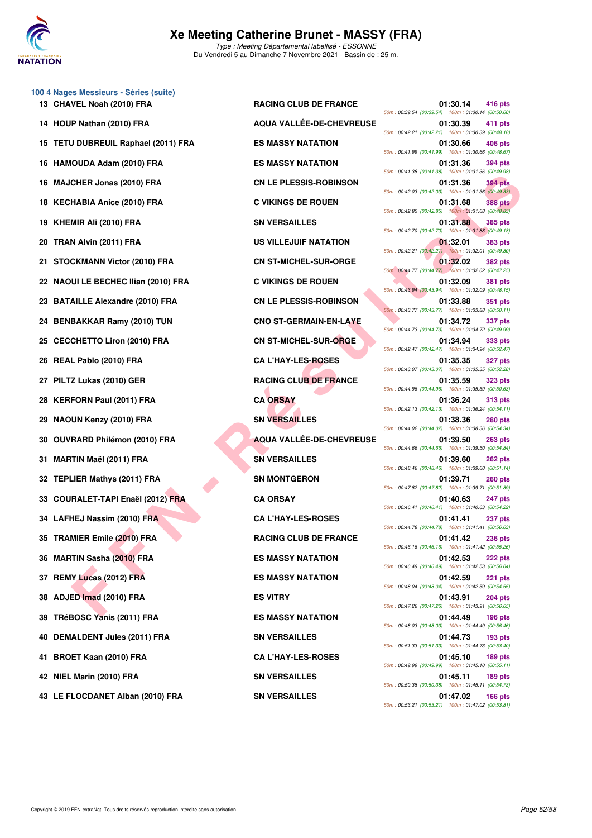

**100 4 Nages Messieurs - Séries (suite) 13 CHAVEL Noah (2010) FRA RACING CLUB DE FRANCE 01:30.14 416 pts 14 HOUP Nathan (2010) FRA AQUA VALLÉE-DE-CHEVREUSE 01:30.39 411 pts 15 TETU DUBREUIL Raphael (2011) FRA ES MASSY NATATION 01:30.66 406 pts 16 HAMOUDA Adam (2010) FRA ES MASSY NATATION 01:31.36 394 pts 16 MAJCHER Jonas (2010) FRA CN LE PLESSIS-ROBINSON 01:31.36 394 pts 18 KECHABIA Anice (2010) FRA C VIKINGS DE ROUEN 01:31.68 388 pts 19 KHEMIR Ali (2010) FRA** SN VERSAILLES **19 SN VERSAILLES 11:31.88 385 pts 20 TRAN Alvin (2011) FRA US VILLEJUIF NATATION 01:32.01 383 pts 21 STOCKMANN Victor (2010) FRA CN ST-MICHEL-SUR-ORGE 01:32.02 382 pts 22 NAOUI LE BECHEC Ilian (2010) FRA C VIKINGS DE ROUEN 01:32.09 381 pts 23 BATAILLE Alexandre (2010) FRA CN LE PLESSIS-ROBINSON 01:33.88 351 pts 24 BENBAKKAR Ramy (2010) TUN CNO ST-GERMAIN-EN-LAYE 01:34.72 337 pts 25 CECCHETTO Liron (2010) FRA CN ST-MICHEL-SUR-ORGE 01:34.94 333 pts 26 REAL Pablo (2010) FRA CA L'HAY-LES-ROSES 01:35.35 327 pts 27 PILTZ Lukas (2010) GER RACING CLUB DE FRANCE 01:35.59 323 pts 28 KERFORN Paul (2011) FRA CA ORSAY 01:36.24 313 pts 29 NAOUN Kenzy (2010) FRA SN VERSAILLES 01:38.36 280 pts 30 OUVRARD Philémon (2010) FRA AQUA VALLÉE-DE-CHEVREUSE 01:39.50 263 pts 31 MARTIN Maël (2011) FRA SN VERSAILLES 01:39.60 262 pts 32 TEPLIER Mathys (2011) FRA SN MONTGERON 01:39.71 260 pts 33 COURALET-TAPI Enaël (2012) FRA CA ORSAY 01:40.63 247 pts 34 LAFHEJ Nassim (2010) FRA CA L'HAY-LES-ROSES** 01:41.41 **237 pts 35 TRAMIER Emile (2010) FRA** RACING CLUB DE FRANCE 01:41.42 236 pts **36 MARTIN Sasha (2010) FRA ES MASSY NATATION 01:42.53 222 pts 37 REMY Lucas (2012) FRA ES MASSY NATATION 01:42.59 221 pts 38 ADJED Imad (2010) FRA ES VITRY 01:43.91 204 pts 39 TRéBOSC Yanis (2011) FRA ES MASSY NATATION 01:44.49 196 pts 40 DEMALDENT Jules (2011) FRA SN VERSAILLES 01:44.73 193 pts 41 BROET Kaan (2010) FRA CA L'HAY-LES-ROSES 01:45.10 189 pts**

**CHER JONE RAILLE CHE AREA CHE ARE AREN'S CHE ARE AREN'S CONFIRM CHE AREN'S CONFIRM CONFIRM CHE AREN'S CHE AREN'S CHE AREN'S CHE AREN'S CHE AREN'S CHE AREN'S CHE AREN'S CHE AREN'S CHE AREN'S CHE AREN'S CHE AREN'S CHE AREN'** 50m : 00:39.54 (00:39.54) 100m : 01:30.14 (00:50.60) 50m : 00:42.21 (00:42.21) 100m : 01:30.39 (00:48.18) 50m : 00:41.99 (00:41.99) 100m : 01:30.66 (00:48.67) 50m : 00:41.38 (00:41.38) 100m : 01:31.36 (00:49.98) 50m : 00:42.03 (00:42.03) 100m : 01:31.36 (00:49.33) 50m : 00:42.85 (00:42.85) 100m : 01:31.68 (00:48.83) 50m : 00:42.70 (00:42.70) 100m : 01:31.88 (00:49.18) 50m : 00:42.21 (00:42.21) 100m : 01:32.01 (00:49.80) 50m : 00:44.77 (00:44.77) 100m : 01:32.02 (00:47.25) 50m : 00:43.94 (00:43.94) 100m : 01:32.09 (00:48.15) 50m : 00:43.77 (00:43.77) 100m : 01:33.88 (00:50.11) 50m : 00:44.73 (00:44.73) 100m : 01:34.72 (00:49.99) 50m : 00:42.47 (00:42.47) 100m : 01:34.94 (00:52.47) 50m : 00:43.07 (00:43.07) 100m : 01:35.35 (00:52.28) 50m : 00:44.96 (00:44.96) 100m : 01:35.59 (00:50.63) 50m : 00:42.13 (00:42.13) 100m : 01:36.24 (00:54.11) 50m : 00:44.02 (00:44.02) 100m : 01:38.36 (00:54.34) 50m : 00:44.66 (00:44.66) 100m : 01:39.50 (00:54.84) 50m : 00:48.46 (00:48.46) 100m : 01:39.60 (00:51.14) 50m : 00:47.82 (00:47.82) 100m : 01:39.71 (00:51.89) 50m : 00:46.41 (00:46.41) 100m : 01:40.63 (00:54.22) 50m : 00:44.78 (00:44.78) 100m : 01:41.41 (00:56.63) 50m : 00:46.16 (00:46.16) 100m : 01:41.42 (00:55.26) 50m : 00:46.49 (00:46.49) 100m : 01:42.53 (00:56.04) 50m : 00:48.04 (00:48.04) 100m : 01:42.59 (00:54.55) 50m : 00:47.26 (00:47.26) 100m : 01:43.91 (00:56.65) 50m : 00:48.03 (00:48.03) 100m : 01:44.49 (00:56.46) 50m : 00:51.33 (00:51.33) 100m : 01:44.73 (00:53.40) 50m : 00:49.99 (00:49.99) 100m : 01:45.10 (00:55.11) **42 NIEL Marin (2010) FRA SN VERSAILLES 01:45.11 189 pts** 50m : 00:50.38 (00:50.38) 100m : 01:45.11 (00:54.73) **43 LE FLOCDANET Alban (2010) FRA SN VERSAILLES 01:47.02 166 pts** 50m : 00:53.21 (00:53.21) 100m : 01:47.02 (00:53.81)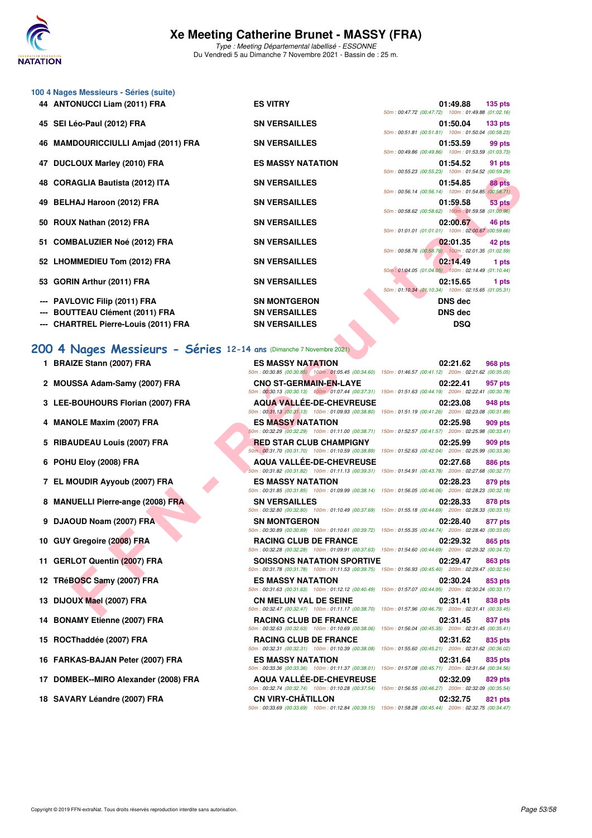

Type : Meeting Départemental labellisé - ESSONNE Du Vendredi 5 au Dimanche 7 Novembre 2021 - Bassin de : 25 m.

|     | 100 4 Nages Messieurs - Séries (suite)  |                                   |                                                                                                                                   |
|-----|-----------------------------------------|-----------------------------------|-----------------------------------------------------------------------------------------------------------------------------------|
|     | 44 ANTONUCCI Liam (2011) FRA            | <b>ES VITRY</b>                   | 01:49.88<br>$135$ pts<br>50m: 00:47.72 (00:47.72) 100m: 01:49.88 (01:02.16)                                                       |
| 45. | SEI Léo-Paul (2012) FRA                 | <b>SN VERSAILLES</b>              | 01:50.04<br>133 <sub>pts</sub><br>50m: 00:51.81 (00:51.81) 100m: 01:50.04 (00:58.23)                                              |
| 46  | <b>MAMDOURICCIULLI Amjad (2011) FRA</b> | <b>SN VERSAILLES</b>              | 01:53.59<br>99 pts                                                                                                                |
| 47  | <b>DUCLOUX Marley (2010) FRA</b>        | <b>ES MASSY NATATION</b>          | 50m: 00:49.86 (00:49.86) 100m: 01:53.59 (01:03.73)<br>01:54.52<br>91 pts                                                          |
| 48  | <b>CORAGLIA Bautista (2012) ITA</b>     | <b>SN VERSAILLES</b>              | 50m: 00:55.23 (00:55.23) 100m: 01:54.52 (00:59.29)<br>01:54.85<br>88 pts                                                          |
| 49  | <b>BELHAJ Haroon (2012) FRA</b>         | <b>SN VERSAILLES</b>              | 50m: 00:56.14 (00:56.14) 100m: 01:54.85 (00:58.71)<br>01:59.58<br>53 pts                                                          |
| 50  | ROUX Nathan (2012) FRA                  | <b>SN VERSAILLES</b>              | 50m: 00:58.62 (00:58.62) 100m: 01:59.58 (01:00.96)<br>02:00.67<br>46 pts                                                          |
|     |                                         |                                   | 50m: 01:01.01 (01:01.01) 100m: 02:00.67 (00:59.66)                                                                                |
| 51  | <b>COMBALUZIER Noé (2012) FRA</b>       | <b>SN VERSAILLES</b>              | 02:01.35<br>42 pts<br>50m: 00:58.76 (00:58.76) 100m: 02:01.35 (01:02.59)                                                          |
|     | 52 LHOMMEDIEU Tom (2012) FRA            | <b>SN VERSAILLES</b>              | 02:14.49<br>1 pts<br>50m: 01:04.05 (01:04.05) 100m: 02:14.49 (01:10.44)                                                           |
| 53  | GORIN Arthur (2011) FRA                 | <b>SN VERSAILLES</b>              | 02:15.65<br>1 pts<br>50m: 01:10.34 (01:10.34) 100m: 02:15.65 (01:05.31)                                                           |
|     | PAVLOVIC Filip (2011) FRA               | <b>SN MONTGERON</b>               | <b>DNS</b> dec                                                                                                                    |
|     | <b>BOUTTEAU Clément (2011) FRA</b>      | <b>SN VERSAILLES</b>              | <b>DNS</b> dec                                                                                                                    |
|     | <b>CHARTREL Pierre-Louis (2011) FRA</b> | <b>SN VERSAILLES</b>              | <b>DSQ</b>                                                                                                                        |
|     |                                         |                                   | 50m : 00:30.85 (00:30.85) 100m : 01:05.45 (00:34.60) 150m : 01:46.57 (00:41.12) 200m : 02:21.62 (00:35.05)                        |
|     | 1 BRAIZE Stann (2007) FRA               | <b>ES MASSY NATATION</b>          | 02:21.62<br>968 pts                                                                                                               |
| 2   | MOUSSA Adam-Samy (2007) FRA             | <b>CNO ST-GERMAIN-EN-LAYE</b>     | 02:22.41<br>957 pts<br>50m: 00:30.13 (00:30.13) 100m: 01:07.44 (00:37.31) 150m: 01:51.63 (00:44.19) 200m: 02:22.41 (00:30.78)     |
|     | 3 LEE-BOUHOURS Florian (2007) FRA       | <b>AQUA VALLEE-DE-CHEVREUSE</b>   | 02:23.08<br>948 pts                                                                                                               |
| 4   |                                         |                                   | 50m : 00:31.13 (00:31.13) 100m : 01:09.93 (00:38.80) 150m : 01:51.19 (00:41.26) 200m : 02:23.08 (00:31.89)                        |
|     | <b>MANOLE Maxim (2007) FRA</b>          | <b>ES MASSY NATATION</b>          | 02:25.98<br>909 pts<br>50m : 00:32.29 (00:32.29) 100m : 01:11.00 (00:38.71) 150m : 01:52.57 (00:41.57) 200m : 02:25.98 (00:33.41) |
|     | 5 RIBAUDEAU Louis (2007) FRA            | <b>RED STAR CLUB CHAMPIGNY</b>    | 02:25.99<br>909 pts<br>50m; 00:31.70 (00:31.70) 100m: 01:10.59 (00:38.89) 150m: 01:52.63 (00:42.04) 200m: 02:25.99 (00:33.36)     |
|     | 6 POHU Eloy (2008) FRA                  | <b>AQUA VALLEE-DE-CHEVREUSE</b>   | 02:27.68<br>886 pts                                                                                                               |
|     | 7 EL MOUDIR Ayyoub (2007) FRA           | <b>ES MASSY NATATION</b>          | 50m: 00:31.82 (00:31.82) 100m: 01:11.13 (00:39.31) 150m: 01:54.91 (00:43.78) 200m: 02:27.68 (00:32.77)<br>02:28.23<br>879 pts     |
|     | 8 MANUELLI Pierre-ange (2008) FRA       | <b>SN VERSAILLES</b>              | 50m : 00:31.85 (00:31.85) 100m : 01:09.99 (00:38.14) 150m : 01:56.05 (00:46.06) 200m : 02:28.23 (00:32.18)<br>02:28.33<br>878 pts |
|     | 9 DJAOUD Noam (2007) FRA                | <b>SN MONTGERON</b>               | 50m : 00:32.80 (00:32.80) 100m : 01:10.49 (00:37.69) 150m : 01:55.18 (00:44.69) 200m : 02:28.33 (00:33.15)<br>02:28.40<br>877 pts |
|     | 10 GUY Gregoire (2008) FRA              | <b>RACING CLUB DE FRANCE</b>      | 50m: 00:30.89 (00:30.89) 100m: 01:10.61 (00:39.72) 150m: 01:55.35 (00:44.74) 200m: 02:28.40 (00:33.05)<br>02:29.32<br>865 pts     |
|     |                                         |                                   | 50m: 00:32.28 (00:32.28) 100m: 01:09.91 (00:37.63) 150m: 01:54.60 (00:44.69) 200m: 02:29.32 (00:34.72)                            |
|     | 11 GERLOT Quentin (2007) FRA            | <b>SOISSONS NATATION SPORTIVE</b> | 02:29.47<br>863 pts<br>50m: 00:31.78 (00:31.78) 100m: 01:11.53 (00:39.75) 150m: 01:56.93 (00:45.40) 200m: 02:29.47 (00:32.54)     |
|     | 12 TRéBOSC Samy (2007) FRA              | <b>ES MASSY NATATION</b>          | 02:30.24<br>853 pts<br>50m : 00:31.63 (00:31.63) 100m : 01:12.12 (00:40.49) 150m : 01:57.07 (00:44.95) 200m : 02:30.24 (00:33.17) |
|     | 13 DIJOUX Mael (2007) FRA               | <b>CN MELUN VAL DE SEINE</b>      | 02:31.41<br>838 pts<br>50m: 00:32.47 (00:32.47) 100m: 01:11.17 (00:38.70) 150m: 01:57.96 (00:46.79) 200m: 02:31.41 (00:33.45)     |

## [200 4 Nages Messieurs - Séries](http://www.ffnatation.fr/webffn/resultats.php?idact=nat&go=epr&idcpt=72199&idepr=91) 12-14 a

- **1 BRAIZE Stann (2007) FRA E** *Bom*
- 2 **MOUSSA Adam-Samy (2007) FRA** C
- **3 LEE-BOUHOURS Florian (2007) FRA A**
- **4 MANOLE Maxim (2007) FRA BEST ASSESSED ASSESSED ASSESSED BEST ASSESSED BEST ASSESSED BEST ASSESSED BEST ASSESSED BEST ASSESSED BEST ASSESSED BEST ASSESSED BEST ASSESSED BEST ASSESSED BEST ASSESSED BEST ASSESSED BEST ASSE**
- **5 RIBAUDEAU Louis (2007) FRA RED STAR CLUB CHAMPIGNY OF RED STAR CLUB CHAMPIGNY OF RED STAR CLUB CHAMPIGNY**
- **6 POHU Eloy (2008) FRA ADUA VALLEE**
- **7 EL MOUDIR Ayyoub (2007) FRA BILLION DESCRIPTION OF A BILLION OF BILLION OF BILLION OF BILLION OF BILLION CONTRACT DESCRIPTION OF BILLION OF BILLION OF BILLION OF BILLION OF BILLION OF BILLION OF BILLION OF BILLION OF BI**
- **8 MANUELLI Pierre-ange (2008) FRA SN BS**
- **9 DJAOUD Noam (2007) FRA S**
- **10 GUY Gregoire (2008) FRA R**<br> **RACING CLUB DE FRA**
- **11 GERLOT Quentin (2007) FRA** S
- **12 TRéBOSC Samy (2007) FRA E**<br> **ESS**
- **13 DIJOUX Mael (2007) FRA** C
- **14 BONAMY Etienne (2007) FRA R**<br>SOM
- **15 ROCThaddée (2007) FRA RACING CLUB DE FRA**
- **16 FARKAS-BAJAN Peter (2007) FRA** E
- 17 DOMBEK--MIRO Alexander (2008) FRA AQUA VALLÉE-DE-CHEVREU
- 18 SAVARY Léandre (2007) FRA CN VIRY-CHÂTILLON

| <b>SN VERSAILLES</b>             |                                                                                                           |                                                     | <b>DSQ</b>             |                |
|----------------------------------|-----------------------------------------------------------------------------------------------------------|-----------------------------------------------------|------------------------|----------------|
| 4 ans (Dimanche 7 Novembre 2021) |                                                                                                           |                                                     |                        |                |
|                                  |                                                                                                           |                                                     |                        |                |
| <b>ES MASSY NATATION</b>         | 50m: 00:30.85 (00:30.85) 100m: 01:05.45 (00:34.60) 150m: 01:46.57 (00:41.12) 200m: 02:21.62 (00:35.05     |                                                     | 02:21.62 968 pts       |                |
| <b>CNO ST-GERMAIN-EN-LAYE</b>    |                                                                                                           |                                                     | 02:22.41               | 957 pts        |
|                                  | 50m: 00:30.13 (00:30.13) 100m: 01:07.44 (00:37.31)                                                        | 150m: 01:51.63 (00:44.19) 200m: 02:22.41 (00:30.78) |                        |                |
|                                  | AQUA VALLÉE-DE-CHEVREUSE                                                                                  |                                                     | 02:23.08               | 948 pts        |
|                                  | 50m: 00:31.13 (00:31.13) 100m: 01:09.93 (00:38.80) 150m: 01:51.19 (00:41.26) 200m: 02:23.08 (00:31.89     |                                                     |                        |                |
| <b>ES MASSY NATATION</b>         |                                                                                                           |                                                     | 02:25.98               | 909 pts        |
|                                  | 50m : 00:32.29 (00:32.29) 100m : 01:11.00 (00:38.71) 150m : 01:52.57 (00:41.57) 200m : 02:25.98 (00:33.41 |                                                     |                        |                |
|                                  | <b>RED STAR CLUB CHAMPIGNY</b>                                                                            |                                                     | 02:25.99               | 909 pts        |
|                                  | 50m; 00:31.70 (00:31.70) 100m: 01:10.59 (00:38.89) 150m: 01:52.63 (00:42.04) 200m: 02:25.99 (00:33.36     |                                                     |                        |                |
|                                  | <b>AQUA VALLÉE-DE-CHEVREUSE</b>                                                                           |                                                     | 02:27.68               | 886 pts        |
|                                  | 50m: 00:31.82 (00:31.82) 100m: 01:11.13 (00:39.31) 150m: 01:54.91 (00:43.78) 200m: 02:27.68 (00:32.77     |                                                     |                        |                |
| <b>ES MASSY NATATION</b>         | 50m: 00:31.85 (00:31.85) 100m: 01:09.99 (00:38.14) 150m: 01:56.05 (00:46.06) 200m: 02:28.23 (00:32.18     |                                                     | 02:28.23 879 pts       |                |
| <b>SN VERSAILLES</b>             |                                                                                                           |                                                     | 02:28.33               | 878 pts        |
|                                  | 50m: 00:32.80 (00:32.80) 100m: 01:10.49 (00:37.69) 150m: 01:55.18 (00:44.69) 200m: 02:28.33 (00:33.15     |                                                     |                        |                |
| <b>SN MONTGERON</b>              |                                                                                                           |                                                     | 02:28.40               | 877 pts        |
|                                  | 50m: 00:30.89 (00:30.89) 100m: 01:10.61 (00:39.72) 150m: 01:55.35 (00:44.74) 200m: 02:28.40 (00:33.05     |                                                     |                        |                |
| <b>RACING CLUB DE FRANCE</b>     |                                                                                                           |                                                     | 02:29.32               | 865 pts        |
|                                  | 50m : 00:32.28 (00:32.28) 100m : 01:09.91 (00:37.63) 150m : 01:54.60 (00:44.69) 200m : 02:29.32 (00:34.72 |                                                     |                        |                |
|                                  | <b>SOISSONS NATATION SPORTIVE</b>                                                                         |                                                     | 02:29.47               | <b>863 pts</b> |
|                                  | 50m: 00:31.78 (00:31.78) 100m: 01:11.53 (00:39.75) 150m: 01:56.93 (00:45.40) 200m: 02:29.47 (00:32.54     |                                                     |                        |                |
| <b>ES MASSY NATATION</b>         |                                                                                                           |                                                     | 02:30.24               | 853 pts        |
|                                  | 50m: 00:31.63 (00:31.63) 100m: 01:12.12 (00:40.49) 150m: 01:57.07 (00:44.95) 200m: 02:30.24 (00:33.17     |                                                     |                        |                |
| <b>CN MELUN VAL DE SEINE</b>     | 50m: 00:32.47 (00:32.47) 100m: 01:11.17 (00:38.70) 150m: 01:57.96 (00:46.79) 200m: 02:31.41 (00:33.45     |                                                     | 02:31.41               | 838 pts        |
|                                  |                                                                                                           |                                                     |                        |                |
| <b>RACING CLUB DE FRANCE</b>     | 50m: 00:32.63 (00:32.63) 100m: 01:10.69 (00:38.06) 150m: 01:56.04 (00:45.35) 200m: 02:31.45 (00:35.41     |                                                     | 02:31.45               | 837 pts        |
| <b>RACING CLUB DE FRANCE</b>     |                                                                                                           |                                                     | 02:31.62               | 835 pts        |
|                                  | 50m: 00:32.31 (00:32.31) 100m: 01:10.39 (00:38.08) 150m: 01:55.60 (00:45.21) 200m: 02:31.62 (00:36.02)    |                                                     |                        |                |
| <b>ES MASSY NATATION</b>         |                                                                                                           |                                                     | 02:31.64 835 pts       |                |
|                                  | 50m: 00:33.36 (00:33.36) 100m: 01:11.37 (00:38.01) 150m: 01:57.08 (00:45.71) 200m: 02:31.64 (00:34.56     |                                                     |                        |                |
|                                  | AOUA VALLÉE DE OUEVOEUSE                                                                                  |                                                     | $0.00000 - 0.000 + 1.$ |                |

# 50m : 00:47.72 (00:47.72) 100m : 01:49.88 (01:02.16) 50m : 00:51.81 (00:51.81) 100m : 01:50.04 (00:58.23) 50m : 00:49.86 (00:49.86) 100m : 01:53.59 (01:03.73) 50m : 00:55.23 (00:55.23) 100m : 01:54.52 (00:59.29) 50m : 00:56.14 (00:56.14) 100m : 01:54.85 (00:58.71) 50m : 00:58.62 (00:58.62) 100m : 01:59.58 (01:00.96) 50m : 01:01.01 (01:01.01) 100m : 02:00.67 (00:59.66) 50m : 00:58.76 (00:58.76) 100m : 02:01.35 (01:02.59) **52 LHOMMEDIEU Tom (2012) FRA SN VERSAILLES 02:14.49 1 pts** 50m : 01:04.05 (01:04.05) 100m : 02:14.49 (01:10.44) 50m : 01:10.34 (01:10.34) 100m : 02:15.65 (01:05.31)

| <b>ES MASSY NATATION</b>                                                                                                                  |  | 02:21.62<br><b>968 pts</b>                                                 |
|-------------------------------------------------------------------------------------------------------------------------------------------|--|----------------------------------------------------------------------------|
| 50m : 00:30.85 (00:30.85) 100m : 01:05.45 (00:34.60) 150m : 01:46.57 (00:41.12) 200m : 02:21.62 (00:35.05)                                |  |                                                                            |
| <b>CNO ST-GERMAIN-EN-LAYE</b>                                                                                                             |  | 02:22.41<br>957 pts                                                        |
| 50m: 00:30.13 (00:30.13) 100m: 01:07.44 (00:37.31)                                                                                        |  | 150m: 01:51.63 (00:44.19) 200m: 02:22.41 (00:30.78)                        |
| AQUA VALLÉE-DE-CHEVREUSE                                                                                                                  |  | 02:23.08<br>948 pts                                                        |
| 50m: 00:31.13 (00:31.13) 100m: 01:09.93 (00:38.80)                                                                                        |  | 150m: 01:51.19 (00:41.26) 200m: 02:23.08 (00:31.89)                        |
| <b>ES MASSY NATATION</b>                                                                                                                  |  | 02:25.98<br><b>909 pts</b>                                                 |
| 50m: 00:32.29 (00:32.29) 100m: 01:11.00 (00:38.71)                                                                                        |  | 150m: 01:52.57 (00:41.57) 200m: 02:25.98 (00:33.41)                        |
| <b>RED STAR CLUB CHAMPIGNY</b>                                                                                                            |  | 02:25.99<br><b>909 pts</b>                                                 |
| 50m: 00:31.70 (00:31.70) 100m: 01:10.59 (00:38.89)                                                                                        |  | 150m: 01:52.63 (00:42.04) 200m: 02:25.99 (00:33.36)                        |
| <b>AQUA VALLÉE-DE-CHEVREUSE</b>                                                                                                           |  | 02:27.68<br><b>886 pts</b>                                                 |
| 50m: 00:31.82 (00:31.82) 100m: 01:11.13 (00:39.31)                                                                                        |  | 150m: 01:54.91 (00:43.78) 200m: 02:27.68 (00:32.77)                        |
| <b>ES MASSY NATATION</b>                                                                                                                  |  | 02:28.23<br>879 pts                                                        |
| 50m : 00:31.85 (00:31.85) 100m : 01:09.99 (00:38.14) 150m : 01:56.05 (00:46.06) 200m : 02:28.23 (00:32.18)                                |  |                                                                            |
| <b>SN VERSAILLES</b>                                                                                                                      |  | 02:28.33<br><b>878 pts</b>                                                 |
| 50m: 00:32.80 (00:32.80) 100m: 01:10.49 (00:37.69) 150m: 01:55.18 (00:44.69) 200m: 02:28.33 (00:33.15)                                    |  |                                                                            |
| <b>SN MONTGERON</b>                                                                                                                       |  | 02:28.40<br>877 pts                                                        |
| 50m: 00:30.89 (00:30.89) 100m: 01:10.61 (00:39.72) 150m: 01:55.35 (00:44.74) 200m: 02:28.40 (00:33.05)                                    |  |                                                                            |
|                                                                                                                                           |  |                                                                            |
| <b>RACING CLUB DE FRANCE</b>                                                                                                              |  | 02:29.32<br><b>865 pts</b>                                                 |
| 50m: 00:32.28 (00:32.28) 100m: 01:09.91 (00:37.63) 150m: 01:54.60 (00:44.69) 200m: 02:29.32 (00:34.72)                                    |  |                                                                            |
| <b>SOISSONS NATATION SPORTIVE</b>                                                                                                         |  | 02:29.47<br>863 pts                                                        |
| 50m: 00:31.78 (00:31.78) 100m: 01:11.53 (00:39.75) 150m: 01:56.93 (00:45.40) 200m: 02:29.47 (00:32.54)                                    |  |                                                                            |
| <b>ES MASSY NATATION</b>                                                                                                                  |  | 02:30.24<br>853 pts                                                        |
| 50m: 00:31.63 (00:31.63) 100m: 01:12.12 (00:40.49) 150m: 01:57.07 (00:44.95) 200m: 02:30.24 (00:33.17)                                    |  |                                                                            |
| <b>CN MELUN VAL DE SEINE</b>                                                                                                              |  | 02:31.41<br><b>838 pts</b>                                                 |
| 50m: 00:32.47 (00:32.47) 100m: 01:11.17 (00:38.70) 150m: 01:57.96 (00:46.79) 200m: 02:31.41 (00:33.45)                                    |  |                                                                            |
| <b>RACING CLUB DE FRANCE</b>                                                                                                              |  | 02:31.45<br>837 pts                                                        |
| 50m: 00:32.63 (00:32.63) 100m: 01:10.69 (00:38.06)                                                                                        |  | 150m: 01:56.04 (00:45.35) 200m: 02:31.45 (00:35.41)                        |
| <b>RACING CLUB DE FRANCE</b><br>50m: 00:32.31 (00:32.31) 100m: 01:10.39 (00:38.08)                                                        |  | 02:31.62<br>835 pts<br>150m: 01:55.60 (00:45.21) 200m: 02:31.62 (00:36.02) |
|                                                                                                                                           |  |                                                                            |
| <b>ES MASSY NATATION</b><br>50m: 00:33.36 (00:33.36) 100m: 01:11.37 (00:38.01)                                                            |  | 02:31.64 835 pts<br>150m: 01:57.08 (00:45.71) 200m: 02:31.64 (00:34.56)    |
|                                                                                                                                           |  |                                                                            |
| <b>AQUA VALLÉE-DE-CHEVREUSE</b><br>50m: 00:32.74 (00:32.74) 100m: 01:10.28 (00:37.54) 150m: 01:56.55 (00:46.27) 200m: 02:32.09 (00:35.54) |  | 02:32.09<br>829 pts                                                        |
| <b>CN VIRY-CHÂTILLON</b>                                                                                                                  |  | 02:32.75<br><b>821 pts</b>                                                 |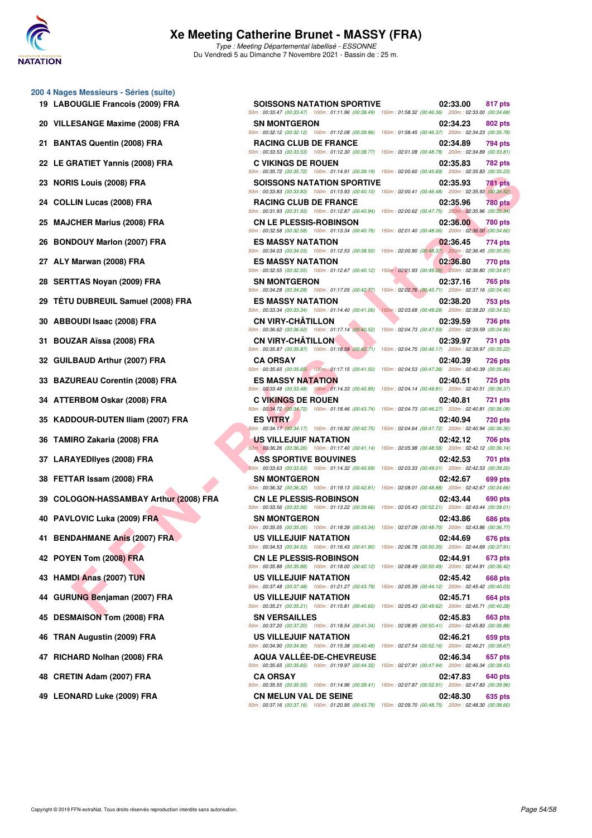

#### **Xe Meeting Catherine Brunet - MASSY (FRA)** Type : Meeting Départemental labellisé - ESSONNE

Du Vendredi 5 au Dimanche 7 Novembre 2021 - Bassin de : 25 m.

#### **200 4 Nages Messieurs - Séries (suite)**

- 
- 
- 
- 
- 
- 
- 
- 
- 
- 
- 
- 
- 
- 
- 
- 
- 
- 
- 
- 
- 
- 
- 
- 
- 
- 
- 
- 
- 
- 
- 

|                                                                                                                                        | 02:33.00 | 817 pts                                                                                                                                                                                                                                                                                                                                                                                                                                                                                                                                                                                                                                                                                                                                                                                                                                                                                                                                                                                                                                                                                                                                                                                                                                                                                                                                                                                                                                                                                                                                                                                                                                                                                                                                                                                                                                                                                                                                                                                                                                                                                                                                                                                                                                                                                                                                                                                                                                                                                                                                                                                                                                                                                                                                                                                                                                                                                                                                                                                                                                                                                                                                                                                                                                                                                                                                                                                                                                        |
|----------------------------------------------------------------------------------------------------------------------------------------|----------|------------------------------------------------------------------------------------------------------------------------------------------------------------------------------------------------------------------------------------------------------------------------------------------------------------------------------------------------------------------------------------------------------------------------------------------------------------------------------------------------------------------------------------------------------------------------------------------------------------------------------------------------------------------------------------------------------------------------------------------------------------------------------------------------------------------------------------------------------------------------------------------------------------------------------------------------------------------------------------------------------------------------------------------------------------------------------------------------------------------------------------------------------------------------------------------------------------------------------------------------------------------------------------------------------------------------------------------------------------------------------------------------------------------------------------------------------------------------------------------------------------------------------------------------------------------------------------------------------------------------------------------------------------------------------------------------------------------------------------------------------------------------------------------------------------------------------------------------------------------------------------------------------------------------------------------------------------------------------------------------------------------------------------------------------------------------------------------------------------------------------------------------------------------------------------------------------------------------------------------------------------------------------------------------------------------------------------------------------------------------------------------------------------------------------------------------------------------------------------------------------------------------------------------------------------------------------------------------------------------------------------------------------------------------------------------------------------------------------------------------------------------------------------------------------------------------------------------------------------------------------------------------------------------------------------------------------------------------------------------------------------------------------------------------------------------------------------------------------------------------------------------------------------------------------------------------------------------------------------------------------------------------------------------------------------------------------------------------------------------------------------------------------------------------------------------------|
| <b>SN MONTGERON</b>                                                                                                                    | 02:34.23 | 802 pts                                                                                                                                                                                                                                                                                                                                                                                                                                                                                                                                                                                                                                                                                                                                                                                                                                                                                                                                                                                                                                                                                                                                                                                                                                                                                                                                                                                                                                                                                                                                                                                                                                                                                                                                                                                                                                                                                                                                                                                                                                                                                                                                                                                                                                                                                                                                                                                                                                                                                                                                                                                                                                                                                                                                                                                                                                                                                                                                                                                                                                                                                                                                                                                                                                                                                                                                                                                                                                        |
| <b>RACING CLUB DE FRANCE</b>                                                                                                           | 02:34.89 | 794 pts                                                                                                                                                                                                                                                                                                                                                                                                                                                                                                                                                                                                                                                                                                                                                                                                                                                                                                                                                                                                                                                                                                                                                                                                                                                                                                                                                                                                                                                                                                                                                                                                                                                                                                                                                                                                                                                                                                                                                                                                                                                                                                                                                                                                                                                                                                                                                                                                                                                                                                                                                                                                                                                                                                                                                                                                                                                                                                                                                                                                                                                                                                                                                                                                                                                                                                                                                                                                                                        |
| <b>C VIKINGS DE ROUEN</b>                                                                                                              | 02:35.83 | 782 pts                                                                                                                                                                                                                                                                                                                                                                                                                                                                                                                                                                                                                                                                                                                                                                                                                                                                                                                                                                                                                                                                                                                                                                                                                                                                                                                                                                                                                                                                                                                                                                                                                                                                                                                                                                                                                                                                                                                                                                                                                                                                                                                                                                                                                                                                                                                                                                                                                                                                                                                                                                                                                                                                                                                                                                                                                                                                                                                                                                                                                                                                                                                                                                                                                                                                                                                                                                                                                                        |
|                                                                                                                                        | 02:35.93 | 781 pts                                                                                                                                                                                                                                                                                                                                                                                                                                                                                                                                                                                                                                                                                                                                                                                                                                                                                                                                                                                                                                                                                                                                                                                                                                                                                                                                                                                                                                                                                                                                                                                                                                                                                                                                                                                                                                                                                                                                                                                                                                                                                                                                                                                                                                                                                                                                                                                                                                                                                                                                                                                                                                                                                                                                                                                                                                                                                                                                                                                                                                                                                                                                                                                                                                                                                                                                                                                                                                        |
| <b>RACING CLUB DE FRANCE</b>                                                                                                           | 02:35.96 | <b>780 pts</b>                                                                                                                                                                                                                                                                                                                                                                                                                                                                                                                                                                                                                                                                                                                                                                                                                                                                                                                                                                                                                                                                                                                                                                                                                                                                                                                                                                                                                                                                                                                                                                                                                                                                                                                                                                                                                                                                                                                                                                                                                                                                                                                                                                                                                                                                                                                                                                                                                                                                                                                                                                                                                                                                                                                                                                                                                                                                                                                                                                                                                                                                                                                                                                                                                                                                                                                                                                                                                                 |
| <b>CN LE PLESSIS-ROBINSON</b>                                                                                                          | 02:36.00 | 780 pts                                                                                                                                                                                                                                                                                                                                                                                                                                                                                                                                                                                                                                                                                                                                                                                                                                                                                                                                                                                                                                                                                                                                                                                                                                                                                                                                                                                                                                                                                                                                                                                                                                                                                                                                                                                                                                                                                                                                                                                                                                                                                                                                                                                                                                                                                                                                                                                                                                                                                                                                                                                                                                                                                                                                                                                                                                                                                                                                                                                                                                                                                                                                                                                                                                                                                                                                                                                                                                        |
| <b>ES MASSY NATATION</b>                                                                                                               | 02:36.45 | 774 pts                                                                                                                                                                                                                                                                                                                                                                                                                                                                                                                                                                                                                                                                                                                                                                                                                                                                                                                                                                                                                                                                                                                                                                                                                                                                                                                                                                                                                                                                                                                                                                                                                                                                                                                                                                                                                                                                                                                                                                                                                                                                                                                                                                                                                                                                                                                                                                                                                                                                                                                                                                                                                                                                                                                                                                                                                                                                                                                                                                                                                                                                                                                                                                                                                                                                                                                                                                                                                                        |
| ES MASSY NATATION                                                                                                                      | 02:36.80 | 770 pts                                                                                                                                                                                                                                                                                                                                                                                                                                                                                                                                                                                                                                                                                                                                                                                                                                                                                                                                                                                                                                                                                                                                                                                                                                                                                                                                                                                                                                                                                                                                                                                                                                                                                                                                                                                                                                                                                                                                                                                                                                                                                                                                                                                                                                                                                                                                                                                                                                                                                                                                                                                                                                                                                                                                                                                                                                                                                                                                                                                                                                                                                                                                                                                                                                                                                                                                                                                                                                        |
| <b>SN MONTGERON</b>                                                                                                                    | 02:37.16 | 765 pts                                                                                                                                                                                                                                                                                                                                                                                                                                                                                                                                                                                                                                                                                                                                                                                                                                                                                                                                                                                                                                                                                                                                                                                                                                                                                                                                                                                                                                                                                                                                                                                                                                                                                                                                                                                                                                                                                                                                                                                                                                                                                                                                                                                                                                                                                                                                                                                                                                                                                                                                                                                                                                                                                                                                                                                                                                                                                                                                                                                                                                                                                                                                                                                                                                                                                                                                                                                                                                        |
| <b>ES MASSY NATATION</b>                                                                                                               | 02:38.20 | <b>753 pts</b>                                                                                                                                                                                                                                                                                                                                                                                                                                                                                                                                                                                                                                                                                                                                                                                                                                                                                                                                                                                                                                                                                                                                                                                                                                                                                                                                                                                                                                                                                                                                                                                                                                                                                                                                                                                                                                                                                                                                                                                                                                                                                                                                                                                                                                                                                                                                                                                                                                                                                                                                                                                                                                                                                                                                                                                                                                                                                                                                                                                                                                                                                                                                                                                                                                                                                                                                                                                                                                 |
| <b>CN VIRY-CHATILLON</b>                                                                                                               | 02:39.59 | 736 pts                                                                                                                                                                                                                                                                                                                                                                                                                                                                                                                                                                                                                                                                                                                                                                                                                                                                                                                                                                                                                                                                                                                                                                                                                                                                                                                                                                                                                                                                                                                                                                                                                                                                                                                                                                                                                                                                                                                                                                                                                                                                                                                                                                                                                                                                                                                                                                                                                                                                                                                                                                                                                                                                                                                                                                                                                                                                                                                                                                                                                                                                                                                                                                                                                                                                                                                                                                                                                                        |
| <b>CN VIRY-CHATILLON</b>                                                                                                               | 02:39.97 | <b>731 pts</b>                                                                                                                                                                                                                                                                                                                                                                                                                                                                                                                                                                                                                                                                                                                                                                                                                                                                                                                                                                                                                                                                                                                                                                                                                                                                                                                                                                                                                                                                                                                                                                                                                                                                                                                                                                                                                                                                                                                                                                                                                                                                                                                                                                                                                                                                                                                                                                                                                                                                                                                                                                                                                                                                                                                                                                                                                                                                                                                                                                                                                                                                                                                                                                                                                                                                                                                                                                                                                                 |
| <b>CA ORSAY</b>                                                                                                                        | 02:40.39 | <b>726 pts</b>                                                                                                                                                                                                                                                                                                                                                                                                                                                                                                                                                                                                                                                                                                                                                                                                                                                                                                                                                                                                                                                                                                                                                                                                                                                                                                                                                                                                                                                                                                                                                                                                                                                                                                                                                                                                                                                                                                                                                                                                                                                                                                                                                                                                                                                                                                                                                                                                                                                                                                                                                                                                                                                                                                                                                                                                                                                                                                                                                                                                                                                                                                                                                                                                                                                                                                                                                                                                                                 |
| <b>ES MASSY NATATION</b>                                                                                                               | 02:40.51 | <b>725 pts</b>                                                                                                                                                                                                                                                                                                                                                                                                                                                                                                                                                                                                                                                                                                                                                                                                                                                                                                                                                                                                                                                                                                                                                                                                                                                                                                                                                                                                                                                                                                                                                                                                                                                                                                                                                                                                                                                                                                                                                                                                                                                                                                                                                                                                                                                                                                                                                                                                                                                                                                                                                                                                                                                                                                                                                                                                                                                                                                                                                                                                                                                                                                                                                                                                                                                                                                                                                                                                                                 |
| <b>C VIKINGS DE ROUEN</b>                                                                                                              | 02:40.81 | 721 pts                                                                                                                                                                                                                                                                                                                                                                                                                                                                                                                                                                                                                                                                                                                                                                                                                                                                                                                                                                                                                                                                                                                                                                                                                                                                                                                                                                                                                                                                                                                                                                                                                                                                                                                                                                                                                                                                                                                                                                                                                                                                                                                                                                                                                                                                                                                                                                                                                                                                                                                                                                                                                                                                                                                                                                                                                                                                                                                                                                                                                                                                                                                                                                                                                                                                                                                                                                                                                                        |
| <b>ES VITRY</b>                                                                                                                        | 02:40.94 | <b>720 pts</b>                                                                                                                                                                                                                                                                                                                                                                                                                                                                                                                                                                                                                                                                                                                                                                                                                                                                                                                                                                                                                                                                                                                                                                                                                                                                                                                                                                                                                                                                                                                                                                                                                                                                                                                                                                                                                                                                                                                                                                                                                                                                                                                                                                                                                                                                                                                                                                                                                                                                                                                                                                                                                                                                                                                                                                                                                                                                                                                                                                                                                                                                                                                                                                                                                                                                                                                                                                                                                                 |
| US VILLEJUIF NATATION                                                                                                                  | 02:42.12 | 706 pts                                                                                                                                                                                                                                                                                                                                                                                                                                                                                                                                                                                                                                                                                                                                                                                                                                                                                                                                                                                                                                                                                                                                                                                                                                                                                                                                                                                                                                                                                                                                                                                                                                                                                                                                                                                                                                                                                                                                                                                                                                                                                                                                                                                                                                                                                                                                                                                                                                                                                                                                                                                                                                                                                                                                                                                                                                                                                                                                                                                                                                                                                                                                                                                                                                                                                                                                                                                                                                        |
| <b>ASS SPORTIVE BOUVINES</b>                                                                                                           | 02:42.53 | 701 pts                                                                                                                                                                                                                                                                                                                                                                                                                                                                                                                                                                                                                                                                                                                                                                                                                                                                                                                                                                                                                                                                                                                                                                                                                                                                                                                                                                                                                                                                                                                                                                                                                                                                                                                                                                                                                                                                                                                                                                                                                                                                                                                                                                                                                                                                                                                                                                                                                                                                                                                                                                                                                                                                                                                                                                                                                                                                                                                                                                                                                                                                                                                                                                                                                                                                                                                                                                                                                                        |
| <b>SN MONTGERON</b>                                                                                                                    | 02:42.67 | 699 pts                                                                                                                                                                                                                                                                                                                                                                                                                                                                                                                                                                                                                                                                                                                                                                                                                                                                                                                                                                                                                                                                                                                                                                                                                                                                                                                                                                                                                                                                                                                                                                                                                                                                                                                                                                                                                                                                                                                                                                                                                                                                                                                                                                                                                                                                                                                                                                                                                                                                                                                                                                                                                                                                                                                                                                                                                                                                                                                                                                                                                                                                                                                                                                                                                                                                                                                                                                                                                                        |
| <b>CN LE PLESSIS-ROBINSON</b>                                                                                                          | 02:43.44 | 690 pts                                                                                                                                                                                                                                                                                                                                                                                                                                                                                                                                                                                                                                                                                                                                                                                                                                                                                                                                                                                                                                                                                                                                                                                                                                                                                                                                                                                                                                                                                                                                                                                                                                                                                                                                                                                                                                                                                                                                                                                                                                                                                                                                                                                                                                                                                                                                                                                                                                                                                                                                                                                                                                                                                                                                                                                                                                                                                                                                                                                                                                                                                                                                                                                                                                                                                                                                                                                                                                        |
| <b>SN MONTGERON</b>                                                                                                                    | 02:43.86 | <b>686 pts</b>                                                                                                                                                                                                                                                                                                                                                                                                                                                                                                                                                                                                                                                                                                                                                                                                                                                                                                                                                                                                                                                                                                                                                                                                                                                                                                                                                                                                                                                                                                                                                                                                                                                                                                                                                                                                                                                                                                                                                                                                                                                                                                                                                                                                                                                                                                                                                                                                                                                                                                                                                                                                                                                                                                                                                                                                                                                                                                                                                                                                                                                                                                                                                                                                                                                                                                                                                                                                                                 |
| US VILLEJUIF NATATION                                                                                                                  | 02:44.69 | 676 pts                                                                                                                                                                                                                                                                                                                                                                                                                                                                                                                                                                                                                                                                                                                                                                                                                                                                                                                                                                                                                                                                                                                                                                                                                                                                                                                                                                                                                                                                                                                                                                                                                                                                                                                                                                                                                                                                                                                                                                                                                                                                                                                                                                                                                                                                                                                                                                                                                                                                                                                                                                                                                                                                                                                                                                                                                                                                                                                                                                                                                                                                                                                                                                                                                                                                                                                                                                                                                                        |
| <b>CN LE PLESSIS-ROBINSON</b>                                                                                                          | 02:44.91 | 673 pts                                                                                                                                                                                                                                                                                                                                                                                                                                                                                                                                                                                                                                                                                                                                                                                                                                                                                                                                                                                                                                                                                                                                                                                                                                                                                                                                                                                                                                                                                                                                                                                                                                                                                                                                                                                                                                                                                                                                                                                                                                                                                                                                                                                                                                                                                                                                                                                                                                                                                                                                                                                                                                                                                                                                                                                                                                                                                                                                                                                                                                                                                                                                                                                                                                                                                                                                                                                                                                        |
| US VILLEJUIF NATATION                                                                                                                  | 02:45.42 | 668 pts                                                                                                                                                                                                                                                                                                                                                                                                                                                                                                                                                                                                                                                                                                                                                                                                                                                                                                                                                                                                                                                                                                                                                                                                                                                                                                                                                                                                                                                                                                                                                                                                                                                                                                                                                                                                                                                                                                                                                                                                                                                                                                                                                                                                                                                                                                                                                                                                                                                                                                                                                                                                                                                                                                                                                                                                                                                                                                                                                                                                                                                                                                                                                                                                                                                                                                                                                                                                                                        |
| US VILLEJUIF NATATION                                                                                                                  | 02:45.71 | 664 pts                                                                                                                                                                                                                                                                                                                                                                                                                                                                                                                                                                                                                                                                                                                                                                                                                                                                                                                                                                                                                                                                                                                                                                                                                                                                                                                                                                                                                                                                                                                                                                                                                                                                                                                                                                                                                                                                                                                                                                                                                                                                                                                                                                                                                                                                                                                                                                                                                                                                                                                                                                                                                                                                                                                                                                                                                                                                                                                                                                                                                                                                                                                                                                                                                                                                                                                                                                                                                                        |
| <b>SN VERSAILLES</b>                                                                                                                   | 02:45.83 | 663 pts                                                                                                                                                                                                                                                                                                                                                                                                                                                                                                                                                                                                                                                                                                                                                                                                                                                                                                                                                                                                                                                                                                                                                                                                                                                                                                                                                                                                                                                                                                                                                                                                                                                                                                                                                                                                                                                                                                                                                                                                                                                                                                                                                                                                                                                                                                                                                                                                                                                                                                                                                                                                                                                                                                                                                                                                                                                                                                                                                                                                                                                                                                                                                                                                                                                                                                                                                                                                                                        |
| US VILLEJUIF NATATION                                                                                                                  | 02:46.21 | 659 pts                                                                                                                                                                                                                                                                                                                                                                                                                                                                                                                                                                                                                                                                                                                                                                                                                                                                                                                                                                                                                                                                                                                                                                                                                                                                                                                                                                                                                                                                                                                                                                                                                                                                                                                                                                                                                                                                                                                                                                                                                                                                                                                                                                                                                                                                                                                                                                                                                                                                                                                                                                                                                                                                                                                                                                                                                                                                                                                                                                                                                                                                                                                                                                                                                                                                                                                                                                                                                                        |
| <b>AQUA VALLEE-DE-CHEVREUSE</b>                                                                                                        | 02:46.34 | 657 pts                                                                                                                                                                                                                                                                                                                                                                                                                                                                                                                                                                                                                                                                                                                                                                                                                                                                                                                                                                                                                                                                                                                                                                                                                                                                                                                                                                                                                                                                                                                                                                                                                                                                                                                                                                                                                                                                                                                                                                                                                                                                                                                                                                                                                                                                                                                                                                                                                                                                                                                                                                                                                                                                                                                                                                                                                                                                                                                                                                                                                                                                                                                                                                                                                                                                                                                                                                                                                                        |
| <b>CA ORSAY</b>                                                                                                                        | 02:47.83 | 640 pts                                                                                                                                                                                                                                                                                                                                                                                                                                                                                                                                                                                                                                                                                                                                                                                                                                                                                                                                                                                                                                                                                                                                                                                                                                                                                                                                                                                                                                                                                                                                                                                                                                                                                                                                                                                                                                                                                                                                                                                                                                                                                                                                                                                                                                                                                                                                                                                                                                                                                                                                                                                                                                                                                                                                                                                                                                                                                                                                                                                                                                                                                                                                                                                                                                                                                                                                                                                                                                        |
| <b>CN MELUN VAL DE SEINE</b><br>50m: 00:37.16 (00:37.16) 100m: 01:20.95 (00:43.79) 150m: 02:09.70 (00:48.75) 200m: 02:48.30 (00:38.60) | 02:48.30 | 635 pts                                                                                                                                                                                                                                                                                                                                                                                                                                                                                                                                                                                                                                                                                                                                                                                                                                                                                                                                                                                                                                                                                                                                                                                                                                                                                                                                                                                                                                                                                                                                                                                                                                                                                                                                                                                                                                                                                                                                                                                                                                                                                                                                                                                                                                                                                                                                                                                                                                                                                                                                                                                                                                                                                                                                                                                                                                                                                                                                                                                                                                                                                                                                                                                                                                                                                                                                                                                                                                        |
|                                                                                                                                        |          | <b>SOISSONS NATATION SPORTIVE</b><br>50m: 00:33.47 (00:33.47) 100m: 01:11.96 (00:38.49) 150m: 01:58.32 (00:46.36) 200m: 02:33.00 (00:34.68)<br>50m: 00:32.12 (00:32.12) 100m: 01:12.08 (00:39.96) 150m: 01:58.45 (00:46.37) 200m: 02:34.23 (00:35.78)<br>50m: 00:33.53 (00:33.53) 100m: 01:12.30 (00:38.77) 150m: 02:01.08 (00:48.78) 200m: 02:34.89 (00:33.81)<br>50m : 00:35.72 (00:35.72) 100m : 01:14.91 (00:39.19) 150m : 02:00.60 (00:45.69) 200m : 02:35.83 (00:35.23)<br><b>SOISSONS NATATION SPORTIVE</b><br>50m: 00:33.83 (00:33.83) 100m: 01:13.93 (00:40.10) 150m: 02:00.41 (00:46.48) 200m: 02:35.93 (00:35.52)<br>50m : 00:31.93 (00:31.93) 100m : 01:12.87 (00:40.94) 150m : 02:00.62 (00:47.75) 200m : 02:35.96 (00:35.34)<br>50m : 00:32.58 (00:32.58) 100m : 01:13.34 (00:40.76) 150m : 02:01.40 (00:48.06) 200m : 02:36.00 (00:34.60)<br>50m: 00:34.03 (00:34.03) 100m: 01:12.53 (00:38.50) 150m: 02:00.90 (00:48.37) 200m: 02:36.45 (00:35.55)<br>50m : 00:32.55 (00:32.55) 100m : 01:12.67 (00:40.12) 150m : 02:01.93 (00:49.26) 200m : 02:36.80 (00:34.87)<br>50m : 00:34.28 (00:34.28) 100m : 01:17.05 (00:42.77) 150m : 02:02.76 (00:45.71) 200m : 02:37.16 (00:34.40)<br>50m : 00:33.34 (00:33.34) 100m : 01:14.40 (00:41.06) 150m : 02:03.68 (00:49.28) 200m : 02:38.20 (00:34.52)<br>50m : 00:36.62 (00:36.62) 100m : 01:17.14 (00:40.52) 150m : 02:04.73 (00:47.59) 200m : 02:39.59 (00:34.86)<br>50m: 00:35.87 (00:35.87) 100m: 01:18.58 (00:42.71) 150m: 02:04.75 (00:46.17) 200m: 02:39.97 (00:35.22)<br>50m: 00:35.65 (00:35.65) 100m: 01:17.15 (00:41.50) 150m: 02:04.53 (00:47.38) 200m: 02:40.39 (00:35.86)<br>50m: 00:33.48 (00:33.48) 100m: 01:14.33 (00:40.85) 150m: 02:04.14 (00:49.81) 200m: 02:40.51 (00:36.37)<br>50m : 00:34.72 (00:34.72) 100m : 01:18.46 (00:43.74) 150m : 02:04.73 (00:46.27) 200m : 02:40.81 (00:36.08)<br>50m : 00:34.17 (00:34.17) 100m : 01:16.92 (00:42.75) 150m : 02:04.64 (00:47.72) 200m : 02:40.94 (00:36.30)<br>50m : 00:36.26 (00:36.26) 100m : 01:17.40 (00:41.14) 150m : 02:05.98 (00:48.58) 200m : 02:42.12 (00:36.14)<br>50m : 00:33.63 (00:33.63) 100m : 01:14.32 (00:40.69) 150m : 02:03.33 (00:49.01) 200m : 02:42.53 (00:39.20)<br>50m: 00:36.32 (00:36.32) 100m: 01:19.13 (00:42.81) 150m: 02:08.01 (00:48.88) 200m: 02:42.67 (00:34.66)<br>50m : 00:33.56 (00:33.56) 100m : 01:13.22 (00:39.66) 150m : 02:05.43 (00:52.21) 200m : 02:43.44 (00:38.01)<br>50m : 00:35.05 (00:35.05) 100m : 01:18.39 (00:43.34) 150m : 02:07.09 (00:48.70) 200m : 02:43.86 (00:36.77)<br>50m : 00:34.53 (00:34.53) 100m : 01:16.43 (00:41.90) 150m : 02:06.78 (00:50.35) 200m : 02:44.69 (00:37.91)<br>50m: 00:35.88 (00:35.88) 100m: 01:18.00 (00:42.12) 150m: 02:08.49 (00:50.49) 200m: 02:44.91 (00:36.42)<br>50m: 00:37.48 (00:37.48) 100m: 01:21.27 (00:43.79) 150m: 02:05.39 (00:44.12) 200m: 02:45.42 (00:40.03)<br>50m: 00:35.21 (00:35.21) 100m: 01:15.81 (00:40.60) 150m: 02:05.43 (00:49.62) 200m: 02:45.71 (00:40.28)<br>50m : 00:37.20 (00:37.20) 100m : 01:18.54 (00:41.34) 150m : 02:08.95 (00:50.41) 200m : 02:45.83 (00:36.88)<br>50m: 00:34.90 (00:34.90) 100m: 01:15.38 (00:40.48) 150m: 02:07.54 (00:52.16) 200m: 02:46.21 (00:38.67)<br>50m: 00:35.65 (00:35.65) 100m: 01:19.97 (00:44.32) 150m: 02:07.91 (00:47.94) 200m: 02:46.34 (00:38.43)<br>50m: 00:35.55 (00:35.55) 100m: 01:14.96 (00:39.41) 150m: 02:07.87 (00:52.91) 200m: 02:47.83 (00:39.96) |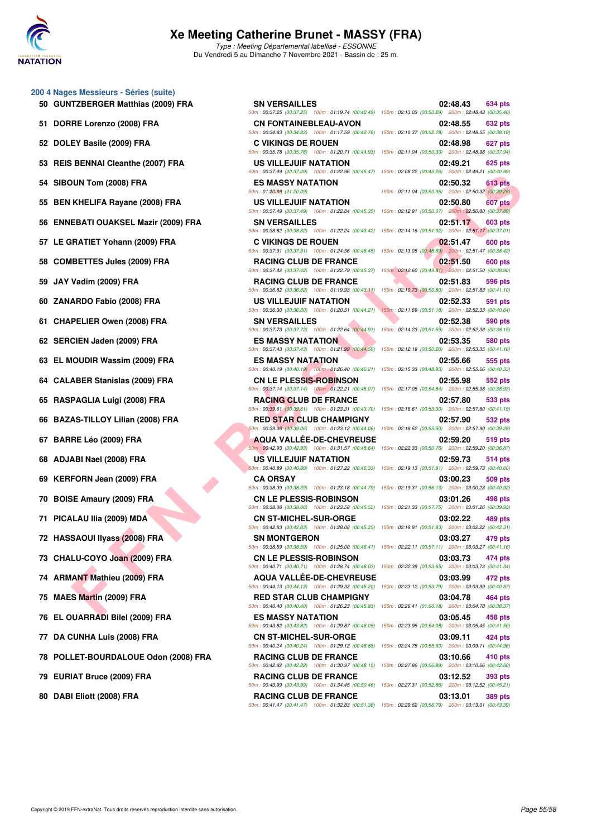

Type : Meeting Départemental labellisé - ESSONNE Du Vendredi 5 au Dimanche 7 Novembre 2021 - Bassin de : 25 m.

- **200 4 Nages Messieurs Séries (suite)**
	- **50 GUNTZBERGER Matthias (2009) FRA SN VERSAILLES**
	-

52 DOLEY Basile (2009) FRA C VIKINGS DE ROUEN

53 REIS BENNAI Cleanthe (2007) FRA US VILLEJUIF NATATION

54 SIBOUN Tom (2008) FRA ES MASSY NATATION

- 55 BEN KHELIFA Rayane (2008) FRA US VILLEJUIF NATATION
- **56 ENNEBATI OUAKSEL Mazir (2009) FRA SN VERSAILLES**
- 57 LE GRATIET Yohann (2009) FRA **C VIKINGS DE ROUEN**
- **58 COMBETTES Jules (2009) FRA RACING CLUB DE FRANCE**
- 
- **60 ZANARDO Fabio (2008) FRA US VILLEJUIF NATATION**
- **61 CHAPELIER Owen (2008) FRA SN VERSAILLES**
- **62 SERCIEN Jaden (2009) FRA ES MASSY NATATION**
- 63 EL MOUDIR Wassim (2009) FRA ES MASSY NATATION
- **64 CALABER Stanislas (2009) FRA CN LE PLESSIS-ROBINSON**
- **65 RASPAGLIA Luigi (2008) FRA RACING CLUB DE FRANCE 02:57.80 533 pts**
- **66 BAZAS-TILLOY Lilian (2008) FRA RED STAR CLUB CHAMPIGNY**
- 
- 
- **69 KERFORN Jean (2009) FRA CA ORSAY**
- 
- 
- **72 HASSAOUI IIyass (2008) FRA SN MONTGERON**
- 73 CHALU-COYO Joan (2009) FRA CN LE PLESSIS-ROBINSON
- 
- 
- **76 EL OUARRADI Bilel (2009) FRA ES MASSY NATATION**
- 77 DA CUNHA Luis (2008) FRA CN ST-MICHEL-SUR-ORGE
- **78 POLLET-BOURDALOUE Odon (2008) FRA RACING CLUB DE FRANCE**
- 
- 80 DABI Eliott (2008) FRA RACING CLUB DE FRANCE

50m : 00:37.25 (00:37.25) 100m : 01:19.74 (00:42.49) 150m : 02:13.03 (00:53.29) 200m : 02:48.43 (00:35.40) **51 DORRE Lorenzo (2008) FRA CN FONTAINEBLEAU-AVON** 50m : 00:34.83 (00:34.83) 100m : 01:17.59 (00:42.76) 50m : 00:35.78 (00:35.78) 100m : 01:20.71 (00:44.93) 150m : 02:11.04 (00:50.33) 200m : 02:48.98 (00:37.94) 50m : 00:37.49 (00:37.49) 100m : 01:22.96 (00:45.47) 50m: 01:2009 : (01:20.09) 50m : 00:37.49 (00:37.49) 100m : 01:22.84 (00:45.35) 50m : 00:38.82 (00:38.82) 100m : 01:22.24 (00:43.42) 50m : 00:37.91 (00:37.91) 100m : 01:24.36 (00:46.45) 50m : 00:37.42 (00:37.42) 100m : 01:22.79 (00:45.37) **59 JAY Vadim (2009) FRA RACING CLUB DE FRANCE 02:51.83 596 pts** 50m : 00:36.82 (00:36.82) 100m : 01:19.93 (00:43.11)  $50m : 00:36.30 (00:36.30) 100m : 01:20.51 (00:44.21)$ 50m : 00:37.73 (00:37.73) 100m : 01:22.64 (00:44.91) 50m : 00:37.43 (00:37.43) 100m : 01:21.99 (00:44.56)  $50m : 00:40.19 (00:40.19) 100m : 01:26.40 (00:46.21)$ 50m : 00:37.14 (00:37.14) 100m : 01:22.21 (00:45.07) 50m : 00:39.61 (00:39.61) 100m : 01:23.31 (00:43.70) 50m : 00:39.06 (00:39.06) 100m : 01:23.12 (00:44.06) 150m : 02:18.62 (00:55.50) 200m : 02:57.90 (00:39.28) **67 BARRE Léo (2009) FRA AQUA VALLÉE-DE-CHEVREUSE** 50m : 00:42.93 (00:42.93) 100m : 01:31.57 (00:48.64) **68 ADJABI Nael (2008) FRA US VILLEJUIF NATATION** 50m : 00:40.89 (00:40.89) 100m : 01:27.22 (00:46.33) 50m : 00:38.39 (00:38.39) 100m : 01:23.18 (00:44.79) 150m : 02:19.31 (00:56.13) 200m : 03:00.23 (00:40.92) **70 BOISE Amaury (2009) FRA CN LE PLESSIS-ROBINSON** 50m : 00:38.06 (00:38.06) 100m : 01:23.58 (00:45.52) **71 PICALAU IIia (2009) MDA CN ST-MICHEL-SUR-ORGE** 50m : 00:42.83 (00:42.83) 100m : 01:28.08 (00:45.25) 50m : 00:38.59 (00:38.59) 100m : 01:25.00 (00:46.41) 50m : 00:40.71 (00:40.71) 100m : 01:28.74 (00:48.03) **74 ARMANT Mathieu (2009) FRA AQUA VALLÉE-DE-CHEVREUSE** 50m : 00:44.13 (00:44.13) 100m : 01:29.33 (00:45.20) **75 MAES Martin (2009) FRA RED STAR CLUB CHAMPIGNY 03:04.78 464 pts** 50m : 00:40.40 (00:40.40) 100m : 01:26.23 (00:45.83) 150m : 02:26.41 (01:00.18) 200m : 03:04.78 (00:38.37) 50m : 00:43.82 (00:43.82) 100m : 01:29.87 (00:46.05) 150m : 02:23.95 (00:54.08) 200m : 03:05.45 (00:41.50) 50m : 00:40.24 (00:40.24) 100m : 01:29.12 (00:48.88) 50m : 00:42.82 (00:42.82) 100m : 01:30.97 (00:48.15) 79 EURIAT Bruce (2009) FRA RACING CLUB DE FRANCE 50m : 00:43.99 (00:43.99) 100m : 01:34.45 (00:50.46)

50m : 00:41.47 (00:41.47) 100m : 01:32.83 (00:51.36) 150m : 02:29.62 (00:56.79) 200m : 03:13.01 (00:43.39)

| <b>TZBERGER Matthias (2009) FRA</b>   | <b>SN VERSAILLES</b>                                                                                                                        | 02:48.43<br><b>634 pts</b><br>50m : 00:37.25 (00:37.25) 100m : 01:19.74 (00:42.49) 150m : 02:13.03 (00:53.29) 200m : 02:48.43 (00:35.40)                                                                                                    |
|---------------------------------------|---------------------------------------------------------------------------------------------------------------------------------------------|---------------------------------------------------------------------------------------------------------------------------------------------------------------------------------------------------------------------------------------------|
| RE Lorenzo (2008) FRA                 | <b>CN FONTAINEBLEAU-AVON</b>                                                                                                                | 02:48.55<br>632 pts<br>50m: 00:34.83 (00:34.83) 100m: 01:17.59 (00:42.76) 150m: 02:10.37 (00:52.78) 200m: 02:48.55 (00:38.18)                                                                                                               |
| EY Basile (2009) FRA                  | <b>C VIKINGS DE ROUEN</b>                                                                                                                   | 02:48.98<br>627 pts<br>50m : 00:35.78 (00:35.78) 100m : 01:20.71 (00:44.93) 150m : 02:11.04 (00:50.33) 200m : 02:48.98 (00:37.94)                                                                                                           |
| BENNAI Cleanthe (2007) FRA            | US VILLEJUIF NATATION                                                                                                                       | 02:49.21<br>625 pts<br>50m: 00:37.49 (00:37.49) 100m: 01:22.96 (00:45.47) 150m: 02:08.22 (00:45.26) 200m: 02:49.21 (00:40.99)                                                                                                               |
| )UN Tom (2008) FRA                    | <b>ES MASSY NATATION</b><br>50m: 01:2009 : (01:20.09)                                                                                       | 02:50.32<br>613 pts<br>150m: 02:11.04 (00:50.95) 200m: 02:50.32 (00:39.28)                                                                                                                                                                  |
| KHELIFA Rayane (2008) FRA             | US VILLEJUIF NATATION                                                                                                                       | 607 pts<br>02:50.80<br>50m : 00:37.49 (00:37.49) 100m : 01:22.84 (00:45.35) 150m : 02:12.91 (00:50.07) 200m : 02:50.80 (00:37.89)                                                                                                           |
| EBATI OUAKSEL Mazir (2009) FRA        | <b>SN VERSAILLES</b>                                                                                                                        | 02:51.17<br>603 pts<br>50m: 00:38.82 (00:38.82) 100m: 01:22.24 (00:43.42) 150m: 02:14.16 (00:51.92) 200m: 02:51.17 (00:37.01)                                                                                                               |
| <b>:RATIET Yohann (2009) FRA</b>      | <b>C VIKINGS DE ROUEN</b><br>50m: 00:37.91 (00:37.91) 100m: 01:24.36 (00:46.45)                                                             | 02:51.47<br>600 pts<br>150m: 02:13.05 (00:48.69) 200m: 02:51.47 (00:38.42)                                                                                                                                                                  |
| IBETTES Jules (2009) FRA              | <b>RACING CLUB DE FRANCE</b>                                                                                                                | 02:51.50<br>600 pts<br>50m: 00:37.42 (00:37.42) 100m: 01:22.79 (00:45.37) 150m: 02:12.60 (00:49.81) 200m: 02:51.50 (00:38.90)                                                                                                               |
| Vadim (2009) FRA                      | <b>RACING CLUB DE FRANCE</b><br>50m: 00:36.82 (00:36.82) 100m: 01:19.93 (00:43.11)                                                          | 02:51.83<br>596 pts<br>150m: 02:10.73 (00:50.80) 200m: 02:51.83 (00:41.10)                                                                                                                                                                  |
| ARDO Fabio (2008) FRA                 | US VILLEJUIF NATATION<br>50m: 00:36.30 (00:36.30) 100m: 01:20.51 (00:44.21)                                                                 | 02:52.33<br>591 pts<br>150m: 02:11.69 (00:51.18) 200m: 02:52.33 (00:40.64)                                                                                                                                                                  |
| PELIER Owen (2008) FRA                | <b>SN VERSAILLES</b>                                                                                                                        | 02:52.38<br>590 pts<br>50m: 00:37.73 (00:37.73) 100m: 01:22.64 (00:44.91) 150m: 02:14.23 (00:51.59) 200m: 02:52.38 (00:38.15)                                                                                                               |
| CIEN Jaden (2009) FRA                 | <b>ES MASSY NATATION</b>                                                                                                                    | 02:53.35<br>580 pts<br>50m : 00:37.43 (00:37.43) 100m : 01:21.99 (00:44.56) 150m : 02:12.19 (00:50.20) 200m : 02:53.35 (00:41.16)                                                                                                           |
| IOUDIR Wassim (2009) FRA              | <b>ES MASSY NATATION</b>                                                                                                                    | 02:55.66<br>555 pts<br>50m: 00:40.19 (00:40.19) 100m: 01:26.40 (00:46.21) 150m: 02:15.33 (00:48.93) 200m: 02:55.66 (00:40.33)                                                                                                               |
| ABER Stanislas (2009) FRA             | <b>CN LE PLESSIS-ROBINSON</b>                                                                                                               | 02:55.98<br>552 pts                                                                                                                                                                                                                         |
| PAGLIA Luigi (2008) FRA               | 50m: 00:37.14 (00:37.14) 100m: 01:22.21 (00:45.07)<br><b>RACING CLUB DE FRANCE</b>                                                          | 150m: 02:17.05 (00:54.84) 200m: 02:55.98 (00:38.93)<br>02:57.80<br>533 pts<br>50m: 00:39.61 (00:39.61) 100m: 01:23.31 (00:43.70) 150m: 02:16.61 (00:53.30) 200m: 02:57.80 (00:41.19)                                                        |
| AS-TILLOY Lilian (2008) FRA           | <b>RED STAR CLUB CHAMPIGNY</b>                                                                                                              | 02:57.90<br>532 pts                                                                                                                                                                                                                         |
| RE Léo (2009) FRA                     | <b>AQUA VALLEE-DE-CHEVREUSE</b>                                                                                                             | 50m: 00:39.06 (00:39.06) 100m: 01:23.12 (00:44.06) 150m: 02:18.62 (00:55.50) 200m: 02:57.90 (00:39.28)<br>02:59.20<br>519 pts                                                                                                               |
| ABI Nael (2008) FRA                   | <b>US VILLEJUIF NATATION</b>                                                                                                                | 50m : 00:42.93 (00:42.93) 100m : 01:31.57 (00:48.64) 150m : 02:22.33 (00:50.76) 200m : 02:59.20 (00:36.87)<br>02:59.73<br>514 pts<br>50m: 00:40.89 (00:40.89) 100m: 01:27.22 (00:46.33) 150m: 02:19.13 (00:51.91) 200m: 02:59.73 (00:40.60) |
| FORN Jean (2009) FRA                  | <b>CA ORSAY</b>                                                                                                                             | 03:00.23<br>509 pts<br>50m: 00:38.39 (00:38.39) 100m: 01:23.18 (00:44.79) 150m: 02:19.31 (00:56.13) 200m: 03:00.23 (00:40.92)                                                                                                               |
| <b>SE Amaury (2009) FRA</b>           | <b>CN LE PLESSIS-ROBINSON</b>                                                                                                               | 03:01.26<br>498 pts                                                                                                                                                                                                                         |
| LAU Ilia (2009) MDA                   | <b>CN ST-MICHEL-SUR-ORGE</b>                                                                                                                | 50m: 00:38.06 (00:38.06) 100m: 01:23.58 (00:45.52) 150m: 02:21.33 (00:57.75) 200m: 03:01.26 (00:39.93)<br>03:02.22<br>489 pts                                                                                                               |
| SAOUI Ilyass (2008) FRA               | <b>SN MONTGERON</b>                                                                                                                         | 50m: 00:42.83 (00:42.83) 100m: 01:28.08 (00:45.25) 150m: 02:19.91 (00:51.83) 200m: 03:02.22 (00:42.31)<br>03:03.27<br>479 pts<br>50m: 00:38.59 (00:38.59) 100m: 01:25.00 (00:46.41) 150m: 02:22.11 (00:57.11) 200m: 03:03.27 (00:41.16)     |
| LU-COYO Joan (2009) FRA               | <b>CN LE PLESSIS-ROBINSON</b>                                                                                                               | 03:03.73<br>474 pts                                                                                                                                                                                                                         |
| <b>ANT Mathieu (2009) FRA</b>         | 50m: 00:40.71 (00:40.71) 100m: 01:28.74 (00:48.03)<br><b>AQUA VALLEE-DE-CHEVREUSE</b><br>50m: 00:44.13 (00:44.13) 100m: 01:29.33 (00:45.20) | 150m: 02:22.39 (00:53.65) 200m: 03:03.73 (00:41.34)<br>03:03.99<br>472 pts<br>150m: 02:23.12 (00:53.79) 200m: 03:03.99 (00:40.87)                                                                                                           |
| S Martin (2009) FRA                   | <b>RED STAR CLUB CHAMPIGNY</b>                                                                                                              | 03:04.78<br>464 pts<br>50m : 00:40.40 (00:40.40) 100m : 01:26.23 (00:45.83) 150m : 02:26.41 (01:00.18) 200m : 03:04.78 (00:38.37)                                                                                                           |
| <b>UARRADI Bilel (2009) FRA</b>       | <b>ES MASSY NATATION</b>                                                                                                                    | 03:05.45<br>458 pts                                                                                                                                                                                                                         |
| <b>CUNHA Luis (2008) FRA</b>          | 50m: 00:43.82 (00:43.82) 100m: 01:29.87 (00:46.05)<br><b>CN ST-MICHEL-SUR-ORGE</b><br>50m: 00:40.24 (00:40.24) 100m: 01:29.12 (00:48.88)    | 150m: 02:23.95 (00:54.08) 200m: 03:05.45 (00:41.50)<br>03:09.11<br>424 pts<br>150m: 02:24.75 (00:55.63) 200m: 03:09.11 (00:44.36)                                                                                                           |
| <b>LET-BOURDALOUE Odon (2008) FRA</b> | <b>RACING CLUB DE FRANCE</b>                                                                                                                | 03:10.66<br>410 pts                                                                                                                                                                                                                         |
| IAT Bruce (2009) FRA                  | <b>RACING CLUB DE FRANCE</b>                                                                                                                | 50m : 00:42.82 (00:42.82) 100m : 01:30.97 (00:48.15) 150m : 02:27.86 (00:56.89) 200m : 03:10.66 (00:42.80)<br>03:12.52<br>393 pts                                                                                                           |
| I Eliott (2008) FRA                   | <b>RACING CLUB DE FRANCE</b><br>47 (00:41 47) 100m : 01:20.02 (00:51.20) 150m : 02:20.52 (00:56.70)                                         | 50m: 00:43.99 (00:43.99) 100m: 01:34.45 (00:50.46) 150m: 02:27.31 (00:52.86) 200m: 03:12.52 (00:45.21)<br>03:13.01<br>389 pts<br>200m<br>0.001001                                                                                           |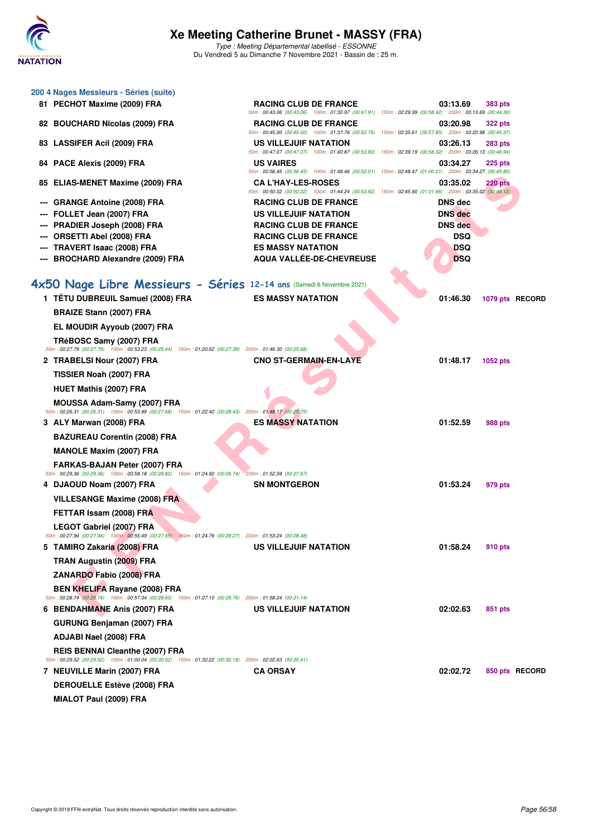

| 200 4 Nages Messieurs - Séries (suite)                                                                                                         |                                                                                                                                                                                                                                               |                |                 |  |
|------------------------------------------------------------------------------------------------------------------------------------------------|-----------------------------------------------------------------------------------------------------------------------------------------------------------------------------------------------------------------------------------------------|----------------|-----------------|--|
| 81 PECHOT Maxime (2009) FRA                                                                                                                    | <b>RACING CLUB DE FRANCE</b>                                                                                                                                                                                                                  | 03:13.69       | <b>383 pts</b>  |  |
| 82 BOUCHARD Nicolas (2009) FRA                                                                                                                 | 50m: 00:43.06 (00:43.06) 100m: 01:30.97 (00:47.91) 150m: 02:29.39 (00:58.42) 200m: 03:13.69 (00:44.30)<br><b>RACING CLUB DE FRANCE</b>                                                                                                        | 03:20.98       | <b>322 pts</b>  |  |
| 83 LASSIFER Acil (2009) FRA                                                                                                                    | 50m : 00:45.00 (00:45.00) 100m : 01:37.76 (00:52.76) 150m : 02:35.61 (00:57.85) 200m : 03:20.98 (00:45.37)<br>US VILLEJUIF NATATION<br>50m: 00:47.07 (00:47.07) 100m: 01:40.87 (00:53.80) 150m: 02:39.19 (00:58.32) 200m: 03:26.13 (00:46.94) | 03:26.13       | <b>283 pts</b>  |  |
| 84 PACE Alexis (2009) FRA                                                                                                                      | <b>US VAIRES</b><br>50m : 00:56.45 (00:56.45) 100m : 01:48.46 (00:52.01) 150m : 02:48.47 (01:00.01) 200m : 03:34.27 (00:45.80)                                                                                                                | 03:34.27       | $225$ pts       |  |
| 85 ELIAS-MENET Maxime (2009) FRA                                                                                                               | <b>CA L'HAY-LES-ROSES</b><br>50m : 00:50.32 (00:50.32) 100m : 01:44.24 (00:53.92) 150m : 02:45.90 (01:01.66) 200m : 03:35.02 (00:49.12)                                                                                                       | 03:35.02       | 220 pts         |  |
| <b>GRANGE Antoine (2008) FRA</b>                                                                                                               | <b>RACING CLUB DE FRANCE</b>                                                                                                                                                                                                                  | <b>DNS</b> dec |                 |  |
| FOLLET Jean (2007) FRA                                                                                                                         | <b>US VILLEJUIF NATATION</b>                                                                                                                                                                                                                  | <b>DNS</b> dec |                 |  |
| PRADIER Joseph (2008) FRA                                                                                                                      | <b>RACING CLUB DE FRANCE</b>                                                                                                                                                                                                                  | <b>DNS</b> dec |                 |  |
| <b>ORSETTI Abel (2008) FRA</b>                                                                                                                 | <b>RACING CLUB DE FRANCE</b>                                                                                                                                                                                                                  | <b>DSQ</b>     |                 |  |
| <b>TRAVERT Isaac (2008) FRA</b>                                                                                                                | <b>ES MASSY NATATION</b>                                                                                                                                                                                                                      | <b>DSQ</b>     |                 |  |
| <b>BROCHARD Alexandre (2009) FRA</b>                                                                                                           | AQUA VALLÉE-DE-CHEVREUSE                                                                                                                                                                                                                      | <b>DSQ</b>     |                 |  |
| 4x50 Nage Libre Messieurs - Séries 12-14 ans (Samedi 6 Novembre 2021)                                                                          |                                                                                                                                                                                                                                               |                |                 |  |
| 1 TÊTU DUBREUIL Samuel (2008) FRA                                                                                                              | <b>ES MASSY NATATION</b>                                                                                                                                                                                                                      | 01:46.30       | 1079 pts RECORD |  |
| <b>BRAIZE Stann (2007) FRA</b>                                                                                                                 |                                                                                                                                                                                                                                               |                |                 |  |
| EL MOUDIR Ayyoub (2007) FRA                                                                                                                    |                                                                                                                                                                                                                                               |                |                 |  |
| TRéBOSC Samy (2007) FRA<br>50m: 00:27.79 (00:27.79) 100m: 00:53.23 (00:25.44) 150m: 01:20.62 (00:27.39) 200m: 01:46.30 (00:25.68)              |                                                                                                                                                                                                                                               |                |                 |  |
| 2 TRABELSI Nour (2007) FRA                                                                                                                     | CNO ST-GERMAIN-EN-LAYE                                                                                                                                                                                                                        | 01:48.17       | 1052 pts        |  |
| TISSIER Noah (2007) FRA                                                                                                                        |                                                                                                                                                                                                                                               |                |                 |  |
| <b>HUET Mathis (2007) FRA</b>                                                                                                                  |                                                                                                                                                                                                                                               |                |                 |  |
| MOUSSA Adam-Samy (2007) FRA<br>50m: 00:26.31 (00:26.31) 100m: 00:53.99 (00:27.68) 150m: 01:22.42 (00:28.43) 200m: 01:48.17 (00:25.75)          |                                                                                                                                                                                                                                               |                |                 |  |
| 3 ALY Marwan (2008) FRA                                                                                                                        | <b>ES MASSY NATATION</b>                                                                                                                                                                                                                      | 01:52.59       | 988 pts         |  |
| <b>BAZUREAU Corentin (2008) FRA</b>                                                                                                            |                                                                                                                                                                                                                                               |                |                 |  |
| <b>MANOLE Maxim (2007) FRA</b>                                                                                                                 |                                                                                                                                                                                                                                               |                |                 |  |
| FARKAS-BAJAN Peter (2007) FRA<br>50m: 00:29.36 (00:29.36) 100m: 00:58.18 (00:28.82) 150m: 01:24.92 (00:26.74) 200m: 01:52.59 (00:27.67)        |                                                                                                                                                                                                                                               |                |                 |  |
| 4 DJAOUD Noam (2007) FRA                                                                                                                       | <b>SN MONTGERON</b>                                                                                                                                                                                                                           | 01:53.24       | 979 pts         |  |
| <b>VILLESANGE Maxime (2008) FRA</b>                                                                                                            |                                                                                                                                                                                                                                               |                |                 |  |
| FETTAR Issam (2008) FRA                                                                                                                        |                                                                                                                                                                                                                                               |                |                 |  |
| LEGOT Gabriel (2007) FRA<br>50m: 00:27.94 (00:27.94) 100m: 00:55.49 (00:27.55) 150m: 01:24.76 (00:29.27) 200m: 01:53.24 (00:28.48)             |                                                                                                                                                                                                                                               |                |                 |  |
| 5   TAMIRO Zakaria (2008) FRA                                                                                                                  | US VILLEJUIF NATATION                                                                                                                                                                                                                         | 01:58.24       | 910 pts         |  |
| TRAN Augustin (2009) FRA                                                                                                                       |                                                                                                                                                                                                                                               |                |                 |  |
| ZANARDO Fabio (2008) FRA                                                                                                                       |                                                                                                                                                                                                                                               |                |                 |  |
| <b>BEN KHELIFA Rayane (2008) FRA</b><br>50m: 00:28.74 (00:28.74) 100m: 00:57.34 (00:28.60) 150m: 01:27.10 (00:29.76) 200m: 01:58.24 (00:31.14) |                                                                                                                                                                                                                                               |                |                 |  |
| 6 BENDAHMANE Anis (2007) FRA                                                                                                                   | US VILLEJUIF NATATION                                                                                                                                                                                                                         | 02:02.63       | 851 pts         |  |
| <b>GURUNG Benjaman (2007) FRA</b>                                                                                                              |                                                                                                                                                                                                                                               |                |                 |  |
| ADJABI Nael (2008) FRA                                                                                                                         |                                                                                                                                                                                                                                               |                |                 |  |
| REIS BENNAI Cleanthe (2007) FRA<br>50m : 00:29.52 (00:29.52) 100m : 01:00.04 (00:30.52) 150m : 01:32.22 (00:32.18) 200m : 02:02.63 (00:30.41)  |                                                                                                                                                                                                                                               |                |                 |  |
| 7 NEUVILLE Marin (2007) FRA                                                                                                                    | <b>CA ORSAY</b>                                                                                                                                                                                                                               | 02:02.72       | 850 pts RECORD  |  |
| <b>DEROUELLE Estève (2008) FRA</b>                                                                                                             |                                                                                                                                                                                                                                               |                |                 |  |
| MIALOT Paul (2009) FRA                                                                                                                         |                                                                                                                                                                                                                                               |                |                 |  |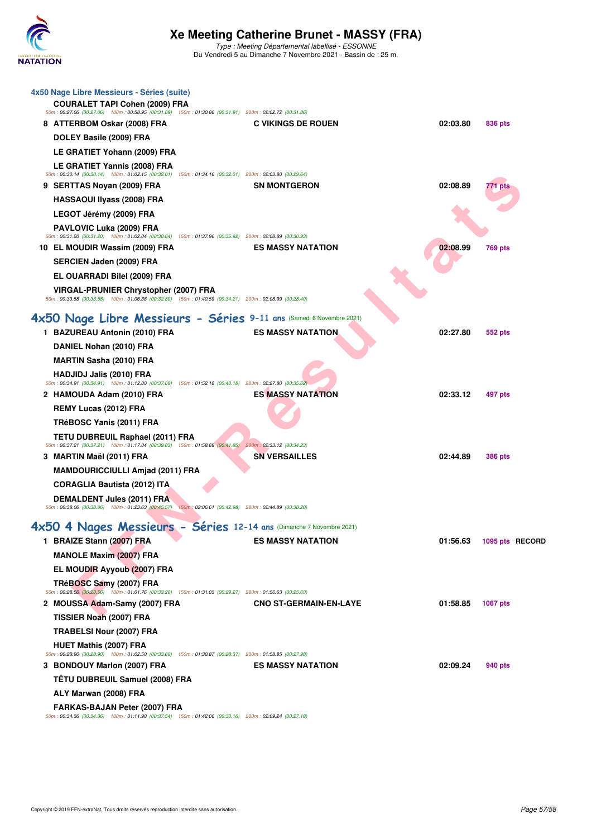

| 4x50 Nage Libre Messieurs - Séries (suite)<br><b>COURALET TAPI Cohen (2009) FRA</b><br>50m: 00:27.06 (00:27.06) 100m: 00:58.95 (00:31.89) 150m: 01:30.86 (00:31.91) 200m: 02:02.72 (00:31.86) |                                                                      |                 |
|-----------------------------------------------------------------------------------------------------------------------------------------------------------------------------------------------|----------------------------------------------------------------------|-----------------|
| 8 ATTERBOM Oskar (2008) FRA                                                                                                                                                                   | <b>C VIKINGS DE ROUEN</b><br>02:03.80                                | 836 pts         |
| DOLEY Basile (2009) FRA                                                                                                                                                                       |                                                                      |                 |
| LE GRATIET Yohann (2009) FRA                                                                                                                                                                  |                                                                      |                 |
| LE GRATIET Yannis (2008) FRA<br>50m: 00:30.14 (00:30.14) 100m: 01:02.15 (00:32.01) 150m: 01:34.16 (00:32.01) 200m: 02:03.80 (00:29.64)                                                        |                                                                      |                 |
| 9 SERTTAS Noyan (2009) FRA                                                                                                                                                                    | 02:08.89<br><b>SN MONTGERON</b>                                      | 771 pts         |
| <b>HASSAOUI Ilyass (2008) FRA</b>                                                                                                                                                             |                                                                      |                 |
| LEGOT Jérémy (2009) FRA                                                                                                                                                                       |                                                                      |                 |
| PAVLOVIC Luka (2009) FRA<br>$50m$ : 00:31.20 (00:31.20) 100m: 01:02.04 (00:30.84) 150m: 01:37.96 (00:35.92) 200m: 02:08.89 (00:30.93)                                                         |                                                                      |                 |
| 10 EL MOUDIR Wassim (2009) FRA                                                                                                                                                                | 02:08.99<br><b>ES MASSY NATATION</b>                                 | <b>769 pts</b>  |
| <b>SERCIEN Jaden (2009) FRA</b>                                                                                                                                                               |                                                                      |                 |
| EL OUARRADI Bilel (2009) FRA                                                                                                                                                                  |                                                                      |                 |
| <b>VIRGAL-PRUNIER Chrystopher (2007) FRA</b><br>50m: 00:33.58 (00:33.58) 100m: 01:06.38 (00:32.80) 150m: 01:40.59 (00:34.21) 200m: 02:08.99 (00:28.40)                                        |                                                                      |                 |
|                                                                                                                                                                                               | 4x50 Nage Libre Messieurs - Séries 9-11 ans (Samedi 6 Novembre 2021) |                 |
| 1 BAZUREAU Antonin (2010) FRA                                                                                                                                                                 | <b>ES MASSY NATATION</b><br>02:27.80                                 | 552 pts         |
| DANIEL Nohan (2010) FRA                                                                                                                                                                       |                                                                      |                 |
| <b>MARTIN Sasha (2010) FRA</b>                                                                                                                                                                |                                                                      |                 |
| <b>HADJIDJ Jalis (2010) FRA</b><br>50m: 00:34.91 (00:34.91) 100m: 01:12.00 (00:37.09) 150m: 01:52.18 (00:40.18) 200m: 02:27.80 (00:35.62)                                                     |                                                                      |                 |
| 2 HAMOUDA Adam (2010) FRA                                                                                                                                                                     | <b>ES MASSY NATATION</b><br>02:33.12                                 | 497 pts         |
| REMY Lucas (2012) FRA                                                                                                                                                                         |                                                                      |                 |
| TRéBOSC Yanis (2011) FRA                                                                                                                                                                      |                                                                      |                 |
| TETU DUBREUIL Raphael (2011) FRA<br>50m: 00:37.21 (00:37.21) 100m: 01:17.04 (00:39.83) 150m: 01:58.89 (00:41.85) 200m: 02:33.12 (00:34.23)                                                    |                                                                      |                 |
| 3 MARTIN Maël (2011) FRA                                                                                                                                                                      | <b>SN VERSAILLES</b><br>02:44.89                                     | <b>386 pts</b>  |
| <b>MAMDOURICCIULLI Amjad (2011) FRA</b>                                                                                                                                                       |                                                                      |                 |
| <b>CORAGLIA Bautista (2012) ITA</b>                                                                                                                                                           |                                                                      |                 |
| <b>DEMALDENT Jules (2011) FRA</b><br>50m : 00:38.06 (00:38.06) 100m : 01:23.63 (00:45.57) 150m : 02:06.61 (00:42.98) 200m : 02:44.89 (00:38.28)                                               |                                                                      |                 |
|                                                                                                                                                                                               | 4x50 4 Nages Messieurs - Séries 12-14 ans (Dimanche 7 Novembre 2021) |                 |
| 1 BRAIZE Stann (2007) FRA                                                                                                                                                                     | <b>ES MASSY NATATION</b><br>01:56.63                                 | 1095 pts RECORD |
| <b>MANOLE Maxim (2007) FRA</b>                                                                                                                                                                |                                                                      |                 |
| EL MOUDIR Ayyoub (2007) FRA                                                                                                                                                                   |                                                                      |                 |
| TRéBOSC Samy (2007) FRA<br>50m : 00:28.56 (00:28.56) 100m : 01:01.76 (00:33.20) 150m : 01:31.03 (00:29.27) 200m : 01:56.63 (00:25.60)                                                         |                                                                      |                 |
| 2 MOUSSA Adam-Samy (2007) FRA                                                                                                                                                                 | <b>CNO ST-GERMAIN-EN-LAYE</b><br>01:58.85                            | <b>1067 pts</b> |
| TISSIER Noah (2007) FRA                                                                                                                                                                       |                                                                      |                 |
| <b>TRABELSI Nour (2007) FRA</b>                                                                                                                                                               |                                                                      |                 |
| <b>HUET Mathis (2007) FRA</b><br>50m: 00:28.90 (00:28.90) 100m: 01:02.50 (00:33.60) 150m: 01:30.87 (00:28.37) 200m: 01:58.85 (00:27.98)                                                       |                                                                      |                 |
| 3 BONDOUY Marlon (2007) FRA                                                                                                                                                                   | <b>ES MASSY NATATION</b><br>02:09.24                                 | 940 pts         |
| TÊTU DUBREUIL Samuel (2008) FRA                                                                                                                                                               |                                                                      |                 |
| ALY Marwan (2008) FRA                                                                                                                                                                         |                                                                      |                 |
| FARKAS-BAJAN Peter (2007) FRA<br>50m: 00:34.36 (00:34.36) 100m: 01:11.90 (00:37.54) 150m: 01:42.06 (00:30.16) 200m: 02:09.24 (00:27.18)                                                       |                                                                      |                 |